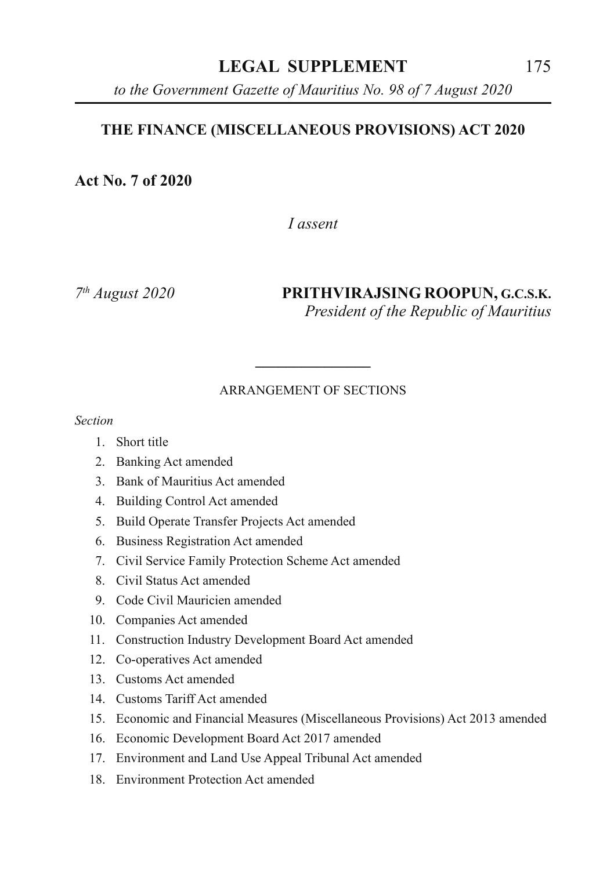## **LEGAL SUPPLEMENT** 175

*to the Government Gazette of Mauritius No. 98 of 7 August 2020*

#### **THE FINANCE (MISCELLANEOUS PROVISIONS) ACT 2020**

**Act No. 7 of 2020**

*I assent*

*7th August 2020* **PRITHVIRAJSING ROOPUN, G.C.S.K.** *President of the Republic of Mauritius*

#### ARRANGEMENT OF SECTIONS

**\_\_\_\_\_\_\_\_\_\_\_\_\_\_\_**

*Section*

- 1. Short title
- 2. Banking Act amended
- 3. Bank of Mauritius Act amended
- 4. Building Control Act amended
- 5. Build Operate Transfer Projects Act amended
- 6. Business Registration Act amended
- 7. Civil Service Family Protection Scheme Act amended
- 8. Civil Status Act amended
- 9. Code Civil Mauricien amended
- 10. Companies Act amended
- 11. Construction Industry Development Board Act amended
- 12. Co-operatives Act amended
- 13. Customs Act amended
- 14. Customs Tariff Act amended
- 15. Economic and Financial Measures (Miscellaneous Provisions) Act 2013 amended
- 16. Economic Development Board Act 2017 amended
- 17. Environment and Land Use Appeal Tribunal Act amended
- 18. Environment Protection Act amended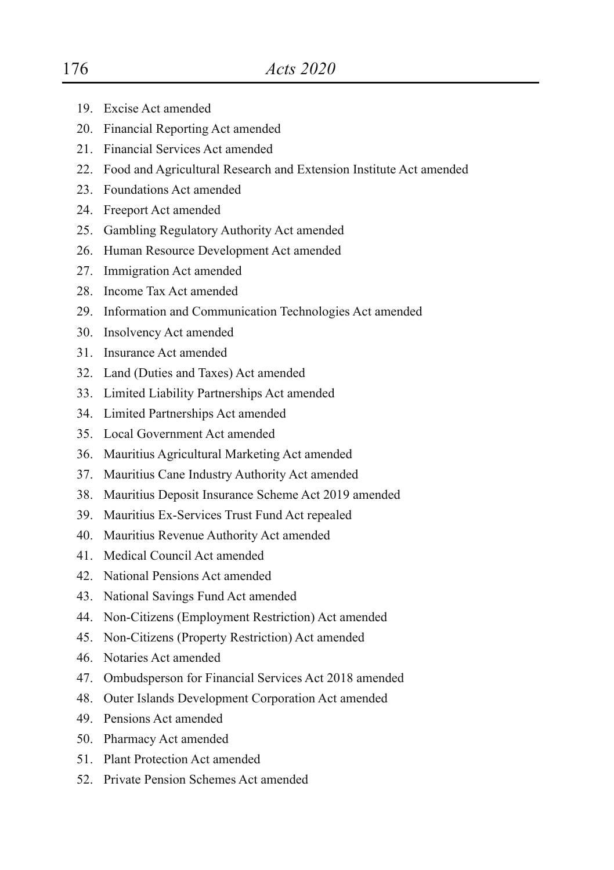- 19. Excise Act amended
- 20. Financial Reporting Act amended
- 21. Financial Services Act amended
- 22. Food and Agricultural Research and Extension Institute Act amended
- 23. Foundations Act amended
- 24. Freeport Act amended
- 25. Gambling Regulatory Authority Act amended
- 26. Human Resource Development Act amended
- 27. Immigration Act amended
- 28. Income Tax Act amended
- 29. Information and Communication Technologies Act amended
- 30. Insolvency Act amended
- 31. Insurance Act amended
- 32. Land (Duties and Taxes) Act amended
- 33. Limited Liability Partnerships Act amended
- 34. Limited Partnerships Act amended
- 35. Local Government Act amended
- 36. Mauritius Agricultural Marketing Act amended
- 37. Mauritius Cane Industry Authority Act amended
- 38. Mauritius Deposit Insurance Scheme Act 2019 amended
- 39. Mauritius Ex-Services Trust Fund Act repealed
- 40. Mauritius Revenue Authority Act amended
- 41. Medical Council Act amended
- 42. National Pensions Act amended
- 43. National Savings Fund Act amended
- 44. Non-Citizens (Employment Restriction) Act amended
- 45. Non-Citizens (Property Restriction) Act amended
- 46. Notaries Act amended
- 47. Ombudsperson for Financial Services Act 2018 amended
- 48. Outer Islands Development Corporation Act amended
- 49. Pensions Act amended
- 50. Pharmacy Act amended
- 51. Plant Protection Act amended
- 52. Private Pension Schemes Act amended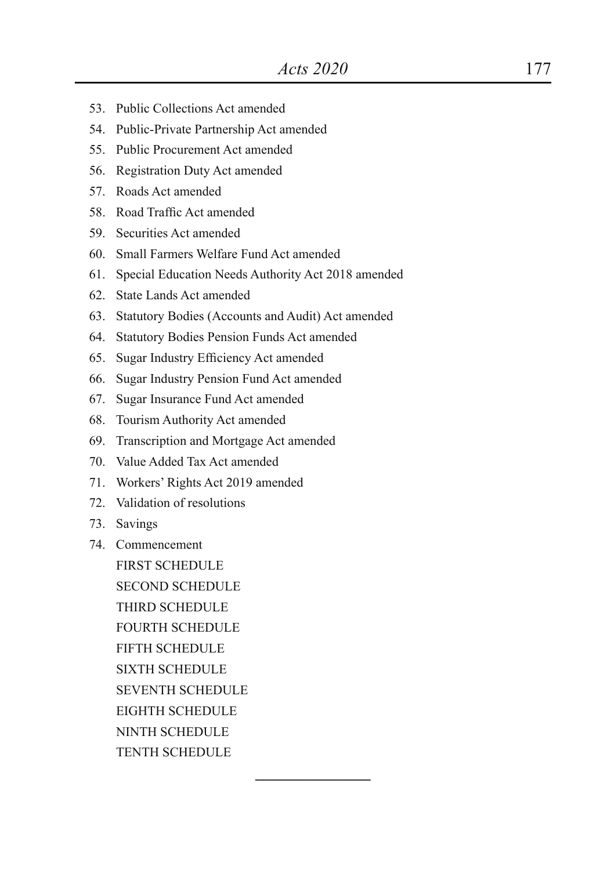**\_\_\_\_\_\_\_\_\_\_\_\_\_\_\_**

- 53. Public Collections Act amended
- 54. Public-Private Partnership Act amended
- 55. Public Procurement Act amended
- 56. Registration Duty Act amended
- 57. Roads Act amended
- 58. Road Traffic Act amended
- 59. Securities Act amended
- 60. Small Farmers Welfare Fund Act amended
- 61. Special Education Needs Authority Act 2018 amended
- 62. State Lands Act amended
- 63. Statutory Bodies (Accounts and Audit) Act amended
- 64. Statutory Bodies Pension Funds Act amended
- 65. Sugar Industry Efficiency Act amended
- 66. Sugar Industry Pension Fund Act amended
- 67. Sugar Insurance Fund Act amended
- 68. Tourism Authority Act amended
- 69. Transcription and Mortgage Act amended
- 70. Value Added Tax Act amended
- 71. Workers' Rights Act 2019 amended
- 72. Validation of resolutions
- 73. Savings
- 74. Commencement

FIRST SCHEDULE

SECOND SCHEDULE

THIRD SCHEDULE

FOURTH SCHEDULE

FIFTH SCHEDULE

SIXTH SCHEDULE

SEVENTH SCHEDULE

EIGHTH SCHEDULE

- NINTH SCHEDULE
- TENTH SCHEDULE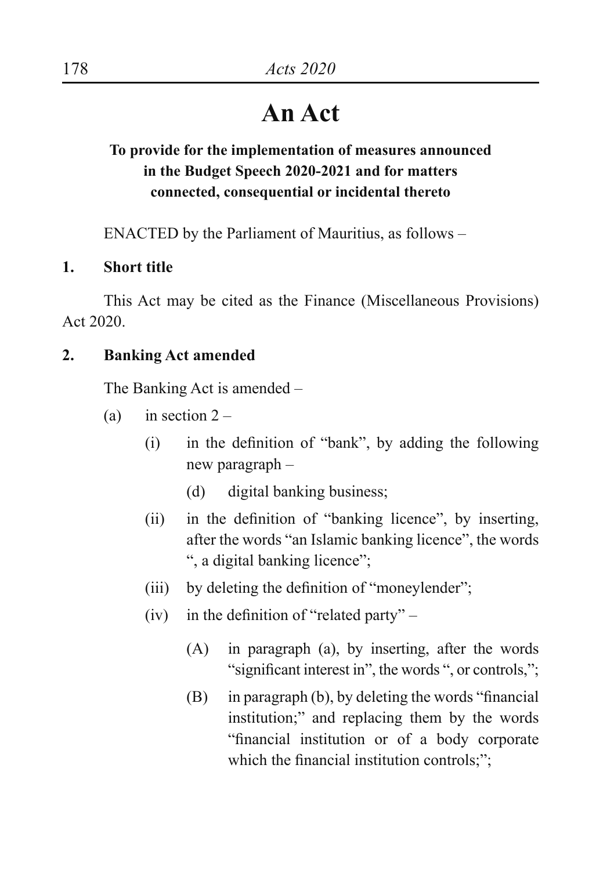# **An Act**

## **To provide for the implementation of measures announced in the Budget Speech 2020-2021 and for matters connected, consequential or incidental thereto**

ENACTED by the Parliament of Mauritius, as follows –

## **1. Short title**

This Act may be cited as the Finance (Miscellaneous Provisions) Act 2020.

#### **2. Banking Act amended**

The Banking Act is amended –

- (a) in section  $2 -$ 
	- $(i)$  in the definition of "bank", by adding the following new paragraph –
		- (d) digital banking business;
	- (ii) in the definition of "banking licence", by inserting, after the words "an Islamic banking licence", the words ", a digital banking licence";
	- (iii) by deleting the definition of "moneylender";
	- (iv) in the definition of "related party"  $-$ 
		- (A) in paragraph (a), by inserting, after the words "significant interest in", the words ", or controls,";
		- (B) in paragraph (b), by deleting the words "financial institution;" and replacing them by the words "financial institution or of a body corporate which the financial institution controls;";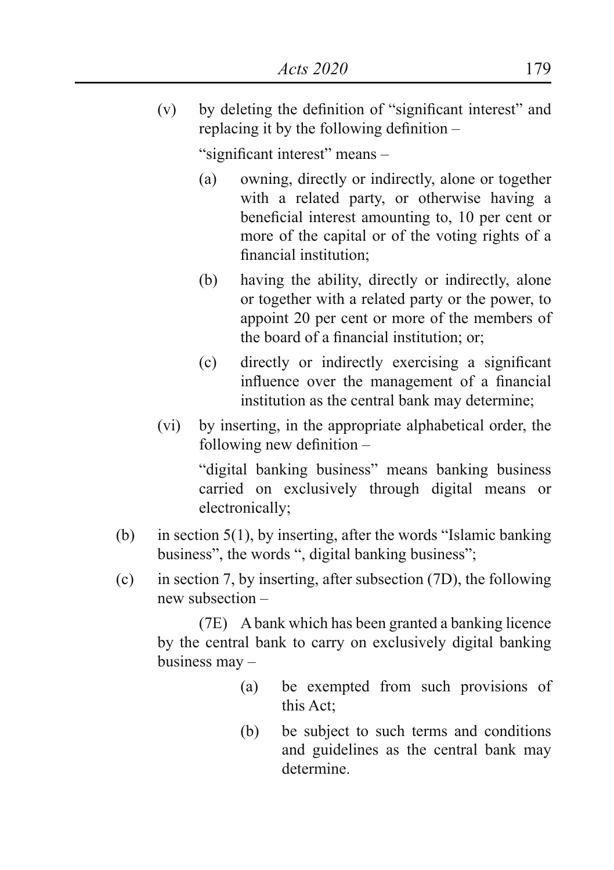(v) by deleting the definition of "significant interest" and replacing it by the following definition –

"significant interest" means –

- (a) owning, directly or indirectly, alone or together with a related party, or otherwise having a beneficial interest amounting to, 10 per cent or more of the capital or of the voting rights of a financial institution;
- (b) having the ability, directly or indirectly, alone or together with a related party or the power, to appoint 20 per cent or more of the members of the board of a financial institution; or;
- (c) directly or indirectly exercising a significant influence over the management of a financial institution as the central bank may determine;
- (vi) by inserting, in the appropriate alphabetical order, the following new definition –

 "digital banking business" means banking business carried on exclusively through digital means or electronically;

- (b) in section  $5(1)$ , by inserting, after the words "Islamic banking" business", the words ", digital banking business";
- (c) in section 7, by inserting, after subsection (7D), the following new subsection –

 (7E) A bank which has been granted a banking licence by the central bank to carry on exclusively digital banking business may –

- (a) be exempted from such provisions of this Act;
- (b) be subject to such terms and conditions and guidelines as the central bank may determine.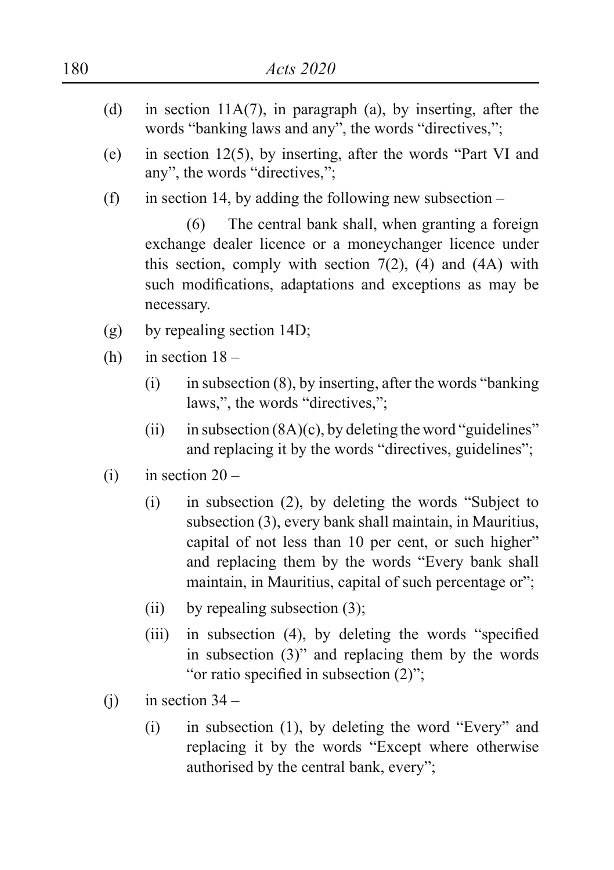- (d) in section 11A(7), in paragraph (a), by inserting, after the words "banking laws and any", the words "directives,";
- (e) in section 12(5), by inserting, after the words "Part VI and any", the words "directives,";
- (f) in section 14, by adding the following new subsection  $-$

 (6) The central bank shall, when granting a foreign exchange dealer licence or a moneychanger licence under this section, comply with section  $7(2)$ ,  $(4)$  and  $(4A)$  with such modifications, adaptations and exceptions as may be necessary.

- (g) by repealing section 14D;
- (h) in section  $18 -$ 
	- $(i)$  in subsection  $(8)$ , by inserting, after the words "banking" laws,", the words "directives,";
	- (ii) in subsection  $(8A)(c)$ , by deleting the word "guidelines" and replacing it by the words "directives, guidelines";
- (i) in section  $20 -$ 
	- (i) in subsection (2), by deleting the words "Subject to subsection (3), every bank shall maintain, in Mauritius, capital of not less than 10 per cent, or such higher" and replacing them by the words "Every bank shall maintain, in Mauritius, capital of such percentage or";
	- (ii) by repealing subsection  $(3)$ ;
	- (iii) in subsection (4), by deleting the words "specified in subsection (3)" and replacing them by the words "or ratio specified in subsection  $(2)$ ";
- $(i)$  in section 34
	- $(i)$  in subsection  $(1)$ , by deleting the word "Every" and replacing it by the words "Except where otherwise authorised by the central bank, every";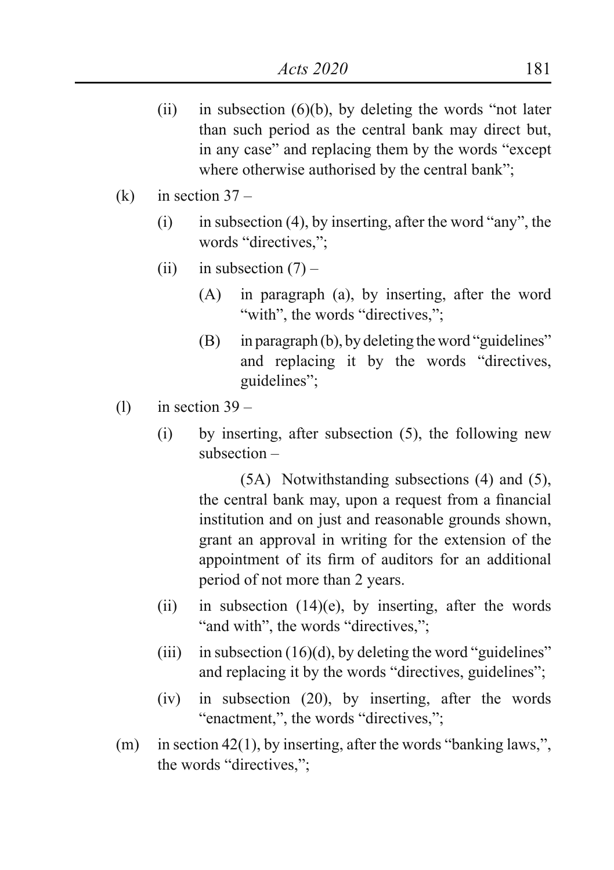- (ii) in subsection  $(6)(b)$ , by deleting the words "not later than such period as the central bank may direct but, in any case" and replacing them by the words "except where otherwise authorised by the central bank":
- $(k)$  in section 37
	- (i) in subsection (4), by inserting, after the word "any", the words "directives,";
	- (ii) in subsection  $(7)$ 
		- (A) in paragraph (a), by inserting, after the word "with", the words "directives,";
		- $(B)$  in paragraph  $(b)$ , by deleting the word "guidelines" and replacing it by the words "directives, guidelines";
- (1) in section  $39 -$ 
	- (i) by inserting, after subsection (5), the following new subsection –

 (5A) Notwithstanding subsections (4) and (5), the central bank may, upon a request from a financial institution and on just and reasonable grounds shown, grant an approval in writing for the extension of the appointment of its firm of auditors for an additional period of not more than 2 years.

- (ii) in subsection  $(14)(e)$ , by inserting, after the words " and with", the words "directives,";
- (iii) in subsection  $(16)(d)$ , by deleting the word "guidelines" and replacing it by the words "directives, guidelines";
- (iv) in subsection (20), by inserting, after the words "enactment,", the words "directives,":
- (m) in section 42(1), by inserting, after the words "banking laws,". the words "directives,";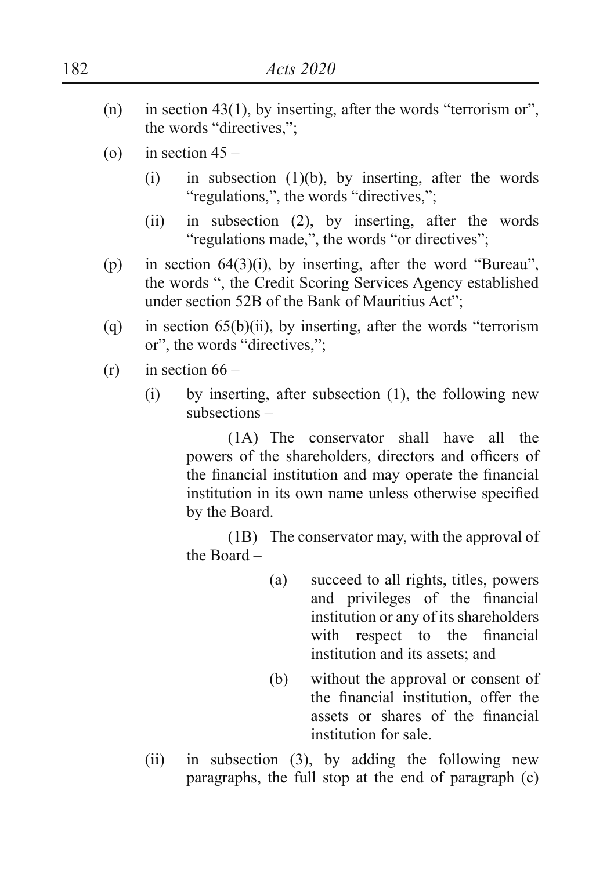- (n) in section 43(1), by inserting, after the words "terrorism or", the words "directives,";
- (o) in section  $45 -$ 
	- (i) in subsection  $(1)(b)$ , by inserting, after the words "regulations,", the words "directives,";
	- (ii) in subsection (2), by inserting, after the words "regulations made,", the words "or directives":
- (p) in section  $64(3)(i)$ , by inserting, after the word "Bureau", the words ", the Credit Scoring Services Agency established under section 52B of the Bank of Mauritius Act";
- (a) in section  $65(b)(ii)$ , by inserting, after the words "terrorism" or", the words "directives,";
- $(r)$  in section  $66 -$ 
	- (i) by inserting, after subsection (1), the following new subsections –

 (1A) The conservator shall have all the powers of the shareholders, directors and officers of the financial institution and may operate the financial institution in its own name unless otherwise specified by the Board.

 (1B) The conservator may, with the approval of the Board –

- (a) succeed to all rights, titles, powers and privileges of the financial institution or any of its shareholders with respect to the financial institution and its assets; and
- (b) without the approval or consent of the financial institution, offer the assets or shares of the financial institution for sale.
- (ii) in subsection (3), by adding the following new paragraphs, the full stop at the end of paragraph (c)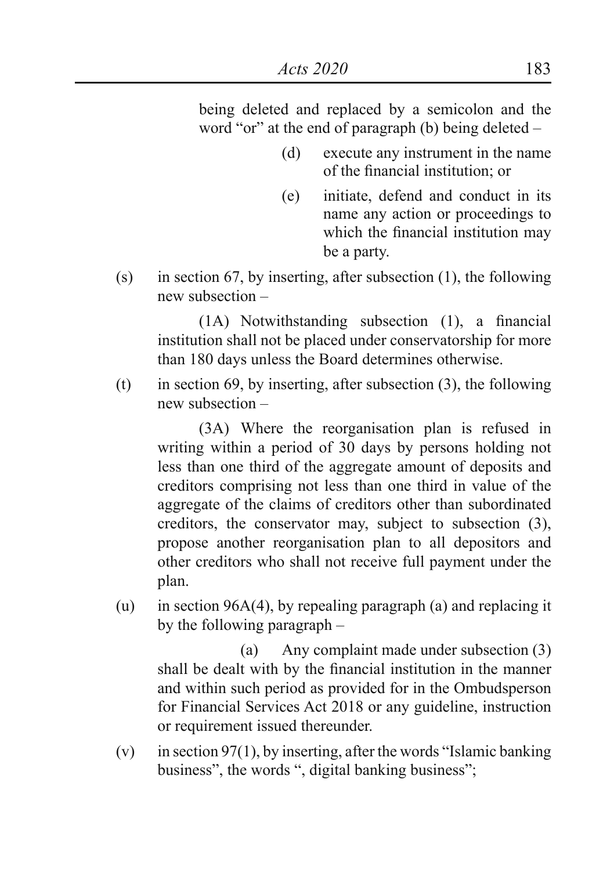being deleted and replaced by a semicolon and the word "or" at the end of paragraph (b) being deleted –

- (d) execute any instrument in the name of the financial institution; or
- (e) initiate, defend and conduct in its name any action or proceedings to which the financial institution may be a party.
- (s) in section 67, by inserting, after subsection (1), the following new subsection –

 (1A) Notwithstanding subsection (1), a financial institution shall not be placed under conservatorship for more than 180 days unless the Board determines otherwise.

(t) in section 69, by inserting, after subsection  $(3)$ , the following new subsection –

 (3A) Where the reorganisation plan is refused in writing within a period of 30 days by persons holding not less than one third of the aggregate amount of deposits and creditors comprising not less than one third in value of the aggregate of the claims of creditors other than subordinated creditors, the conservator may, subject to subsection (3), propose another reorganisation plan to all depositors and other creditors who shall not receive full payment under the plan.

(u) in section 96A(4), by repealing paragraph (a) and replacing it by the following paragraph –

 (a) Any complaint made under subsection (3) shall be dealt with by the financial institution in the manner and within such period as provided for in the Ombudsperson for Financial Services Act 2018 or any guideline, instruction or requirement issued thereunder.

(v) in section 97(1), by inserting, after the words "Islamic banking business", the words ", digital banking business";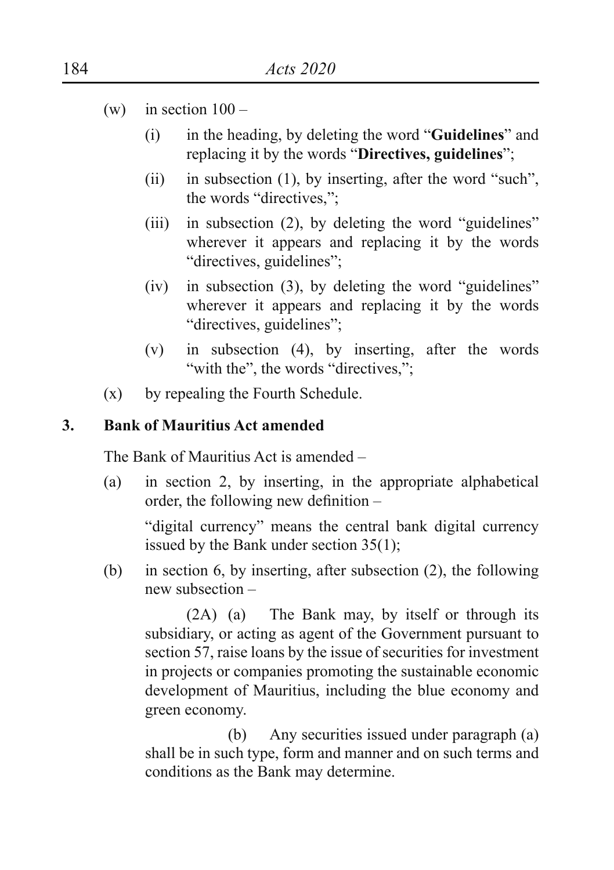- (w) in section  $100 -$ 
	- (i) in the heading, by deleting the word "**Guidelines**" and replacing it by the words "**Directives, guidelines**";
	- (ii) in subsection  $(1)$ , by inserting, after the word "such", the words "directives,";
	- $(iii)$  in subsection (2), by deleting the word "guidelines" wherever it appears and replacing it by the words "directives, guidelines";
	- $(iv)$  in subsection  $(3)$ , by deleting the word "guidelines" wherever it appears and replacing it by the words "directives, guidelines";
	- (v) in subsection (4), by inserting, after the words "with the", the words "directives,";
- (x) by repealing the Fourth Schedule.

#### **3. Bank of Mauritius Act amended**

The Bank of Mauritius Act is amended –

(a) in section 2, by inserting, in the appropriate alphabetical order, the following new definition –

"digital currency" means the central bank digital currency issued by the Bank under section 35(1);

(b) in section 6, by inserting, after subsection (2), the following new subsection –

 (2A) (a) The Bank may, by itself or through its subsidiary, or acting as agent of the Government pursuant to section 57, raise loans by the issue of securities for investment in projects or companies promoting the sustainable economic development of Mauritius, including the blue economy and green economy.

 (b) Any securities issued under paragraph (a) shall be in such type, form and manner and on such terms and conditions as the Bank may determine.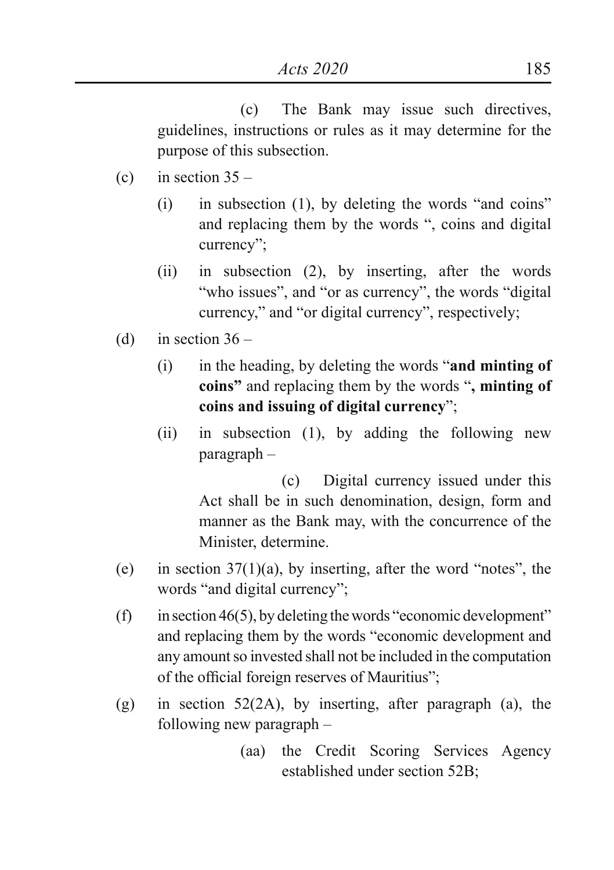(c) The Bank may issue such directives, guidelines, instructions or rules as it may determine for the purpose of this subsection.

- (c) in section  $35 -$ 
	- $(i)$  in subsection  $(1)$ , by deleting the words "and coins" and replacing them by the words ", coins and digital currency";
	- (ii) in subsection (2), by inserting, after the words "who issues", and "or as currency", the words "digital" currency," and "or digital currency", respectively;
- (d) in section  $36 -$ 
	- (i) in the heading, by deleting the words "**and minting of coins"** and replacing them by the words "**, minting of coins and issuing of digital currency**";
	- (ii) in subsection (1), by adding the following new paragraph –

 (c) Digital currency issued under this Act shall be in such denomination, design, form and manner as the Bank may, with the concurrence of the Minister, determine.

- (e) in section  $37(1)(a)$ , by inserting, after the word "notes", the words "and digital currency";
- $(f)$  in section 46(5), by deleting the words "economic development" and replacing them by the words "economic development and any amount so invested shall not be included in the computation of the official foreign reserves of Mauritius";
- (g) in section 52(2A), by inserting, after paragraph (a), the following new paragraph –
	- (aa) the Credit Scoring Services Agency established under section 52B;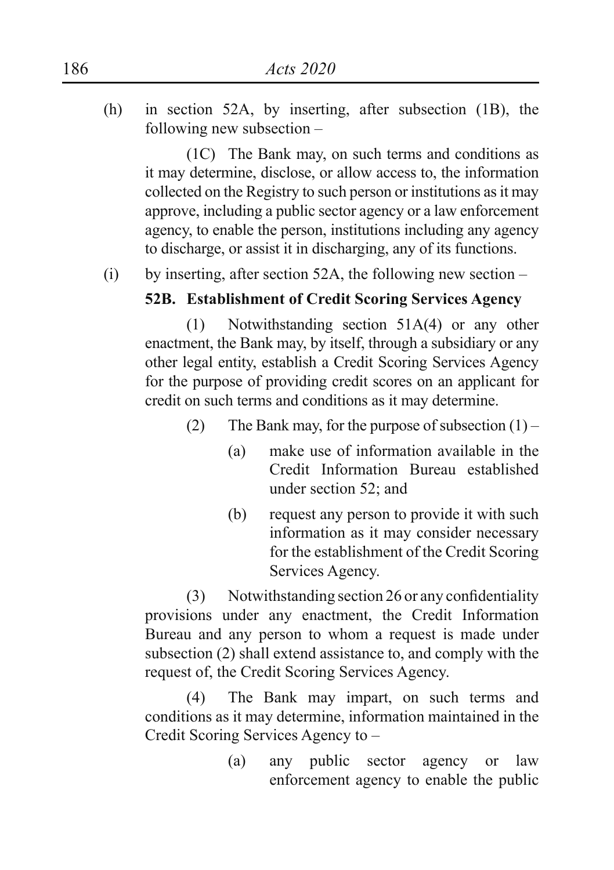(h) in section 52A, by inserting, after subsection (1B), the following new subsection –

 (1C) The Bank may, on such terms and conditions as it may determine, disclose, or allow access to, the information collected on the Registry to such person or institutions as it may approve, including a public sector agency or a law enforcement agency, to enable the person, institutions including any agency to discharge, or assist it in discharging, any of its functions.

(i) by inserting, after section 52A, the following new section –

## **52B. Establishment of Credit Scoring Services Agency**

 (1) Notwithstanding section 51A(4) or any other enactment, the Bank may, by itself, through a subsidiary or any other legal entity, establish a Credit Scoring Services Agency for the purpose of providing credit scores on an applicant for credit on such terms and conditions as it may determine.

- (2) The Bank may, for the purpose of subsection  $(1)$ 
	- (a) make use of information available in the Credit Information Bureau established under section 52; and
	- (b) request any person to provide it with such information as it may consider necessary for the establishment of the Credit Scoring Services Agency.

 (3) Notwithstanding section 26 or any confidentiality provisions under any enactment, the Credit Information Bureau and any person to whom a request is made under subsection (2) shall extend assistance to, and comply with the request of, the Credit Scoring Services Agency.

 (4) The Bank may impart, on such terms and conditions as it may determine, information maintained in the Credit Scoring Services Agency to –

> (a) any public sector agency or law enforcement agency to enable the public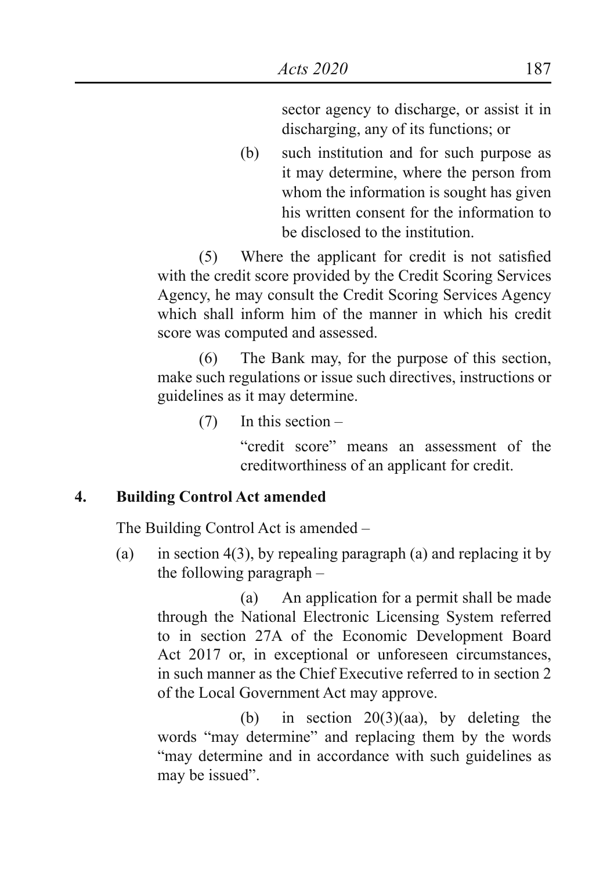sector agency to discharge, or assist it in discharging, any of its functions; or

(b) such institution and for such purpose as it may determine, where the person from whom the information is sought has given his written consent for the information to be disclosed to the institution.

 (5) Where the applicant for credit is not satisfied with the credit score provided by the Credit Scoring Services Agency, he may consult the Credit Scoring Services Agency which shall inform him of the manner in which his credit score was computed and assessed.

 (6) The Bank may, for the purpose of this section, make such regulations or issue such directives, instructions or guidelines as it may determine.

(7) In this section –

 "credit score" means an assessment of the creditworthiness of an applicant for credit.

#### **4. Building Control Act amended**

The Building Control Act is amended –

(a) in section  $4(3)$ , by repealing paragraph (a) and replacing it by the following paragraph –

 (a) An application for a permit shall be made through the National Electronic Licensing System referred to in section 27A of the Economic Development Board Act 2017 or, in exceptional or unforeseen circumstances, in such manner as the Chief Executive referred to in section 2 of the Local Government Act may approve.

(b) in section  $20(3)(aa)$ , by deleting the words "may determine" and replacing them by the words "may determine and in accordance with such guidelines as may be issued".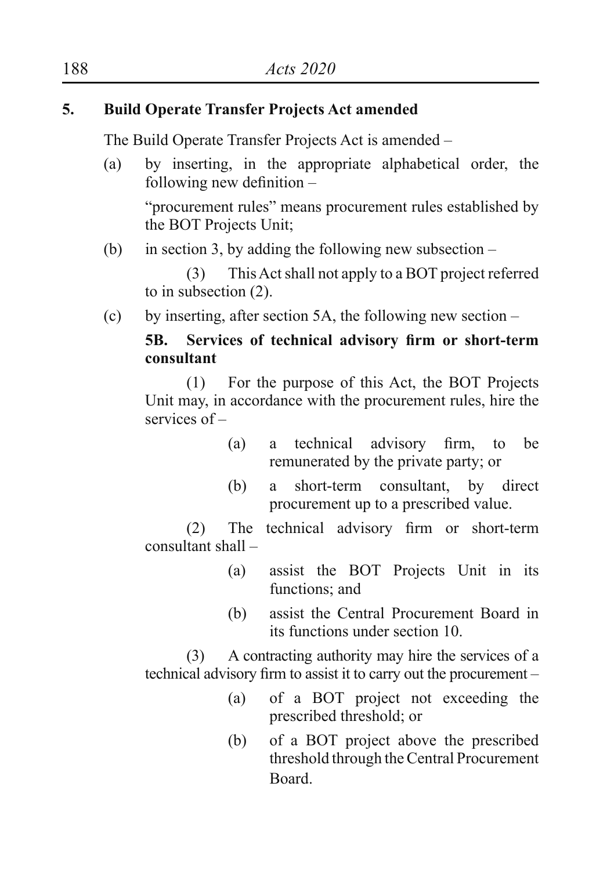## **5. Build Operate Transfer Projects Act amended**

The Build Operate Transfer Projects Act is amended –

(a) by inserting, in the appropriate alphabetical order, the following new definition –

 "procurement rules" means procurement rules established by the BOT Projects Unit;

(b) in section 3, by adding the following new subsection  $-$ 

 (3) This Act shall not apply to a BOT project referred to in subsection (2).

(c) by inserting, after section 5A, the following new section –

## **5B. Services of technical advisory firm or short-term consultant**

 (1) For the purpose of this Act, the BOT Projects Unit may, in accordance with the procurement rules, hire the services of –

- (a) a technical advisory firm, to be remunerated by the private party; or
- (b) a short-term consultant, by direct procurement up to a prescribed value.

 (2) The technical advisory firm or short-term consultant shall –

- (a) assist the BOT Projects Unit in its functions: and
- (b) assist the Central Procurement Board in its functions under section 10.

 (3) A contracting authority may hire the services of a technical advisory firm to assist it to carry out the procurement –

- (a) of a BOT project not exceeding the prescribed threshold; or
- (b) of a BOT project above the prescribed threshold through the Central Procurement Board.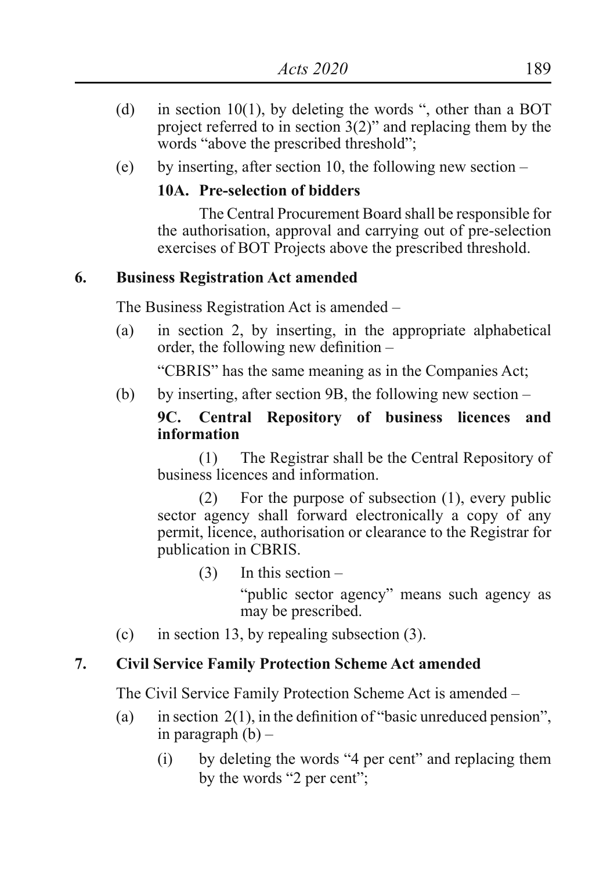- (d) in section 10(1), by deleting the words ", other than a BOT project referred to in section 3(2)" and replacing them by the words "above the prescribed threshold";
- (e) by inserting, after section 10, the following new section –

## **10A. Pre-selection of bidders**

 The Central Procurement Board shall be responsible for the authorisation, approval and carrying out of pre-selection exercises of BOT Projects above the prescribed threshold.

#### **6. Business Registration Act amended**

The Business Registration Act is amended –

(a) in section 2, by inserting, in the appropriate alphabetical order, the following new definition –

"CBRIS" has the same meaning as in the Companies Act;

(b) by inserting, after section 9B, the following new section –

#### **9C. Central Repository of business licences and information**

 (1) The Registrar shall be the Central Repository of business licences and information.

 (2) For the purpose of subsection (1), every public sector agency shall forward electronically a copy of any permit, licence, authorisation or clearance to the Registrar for publication in CBRIS.

(3) In this section –

 "public sector agency" means such agency as may be prescribed.

(c) in section 13, by repealing subsection (3).

#### **7. Civil Service Family Protection Scheme Act amended**

The Civil Service Family Protection Scheme Act is amended –

- (a) in section  $2(1)$ , in the definition of "basic unreduced pension", in paragraph  $(b)$  –
	- (i) by deleting the words "4 per cent" and replacing them by the words "2 per cent";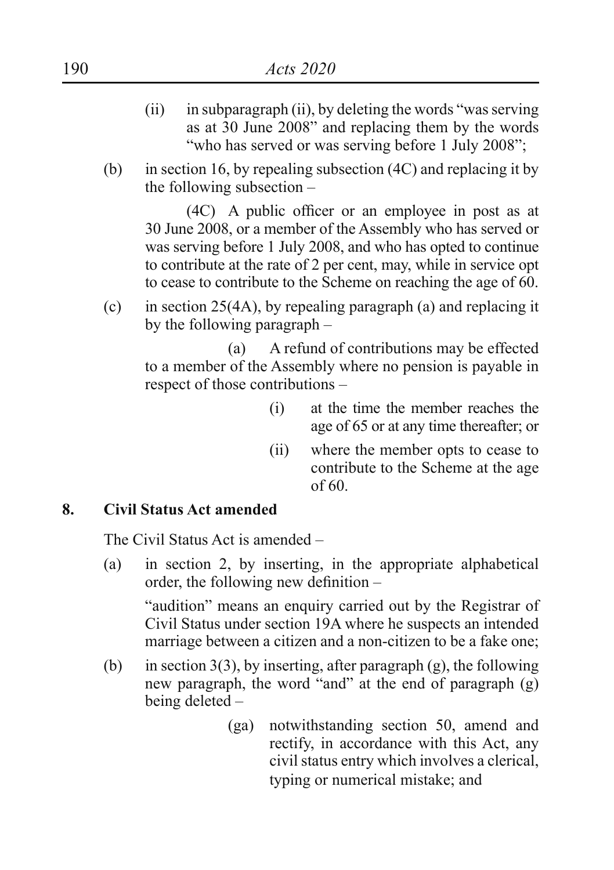- $(iii)$  in subparagraph  $(ii)$ , by deleting the words "was serving as at 30 June 2008" and replacing them by the words "who has served or was serving before 1 July 2008";
- (b) in section 16, by repealing subsection (4C) and replacing it by the following subsection –

 (4C) A public officer or an employee in post as at 30 June 2008, or a member of the Assembly who has served or was serving before 1 July 2008, and who has opted to continue to contribute at the rate of 2 per cent, may, while in service opt to cease to contribute to the Scheme on reaching the age of 60.

(c) in section 25(4A), by repealing paragraph (a) and replacing it by the following paragraph –

 (a) A refund of contributions may be effected to a member of the Assembly where no pension is payable in respect of those contributions –

- (i) at the time the member reaches the age of 65 or at any time thereafter; or
- (ii) where the member opts to cease to contribute to the Scheme at the age of 60.

#### **8. Civil Status Act amended**

The Civil Status Act is amended –

(a) in section 2, by inserting, in the appropriate alphabetical order, the following new definition –

"audition" means an enquiry carried out by the Registrar of Civil Status under section 19A where he suspects an intended marriage between a citizen and a non-citizen to be a fake one;

- (b) in section 3(3), by inserting, after paragraph (g), the following new paragraph, the word "and" at the end of paragraph (g) being deleted –
	- (ga) notwithstanding section 50, amend and rectify, in accordance with this Act, any civil status entry which involves a clerical, typing or numerical mistake; and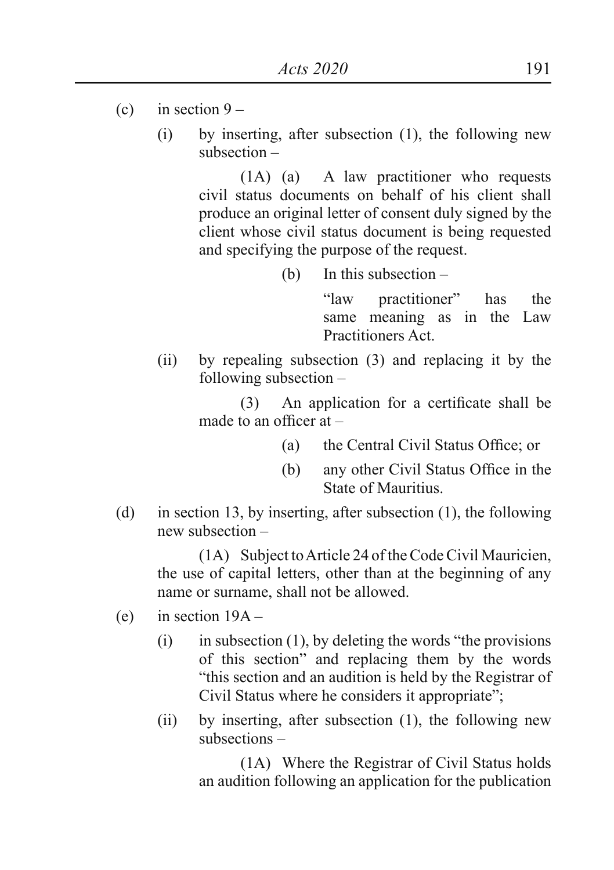- (c) in section  $9 -$ 
	- (i) by inserting, after subsection (1), the following new subsection –

 (1A) (a) A law practitioner who requests civil status documents on behalf of his client shall produce an original letter of consent duly signed by the client whose civil status document is being requested and specifying the purpose of the request.

(b) In this subsection –

 "law practitioner" has the same meaning as in the Law Practitioners Act.

(ii) by repealing subsection (3) and replacing it by the following subsection –

> (3) An application for a certificate shall be made to an officer at –

- (a) the Central Civil Status Office; or
- (b) any other Civil Status Office in the State of Mauritius.
- (d) in section 13, by inserting, after subsection (1), the following new subsection –

 (1A) Subject to Article 24 of the Code Civil Mauricien, the use of capital letters, other than at the beginning of any name or surname, shall not be allowed.

- (e) in section 19A
	- (i) in subsection  $(1)$ , by deleting the words "the provisions" of this section" and replacing them by the words "this section and an audition is held by the Registrar of Civil Status where he considers it appropriate";
	- (ii) by inserting, after subsection (1), the following new subsections –

 (1A) Where the Registrar of Civil Status holds an audition following an application for the publication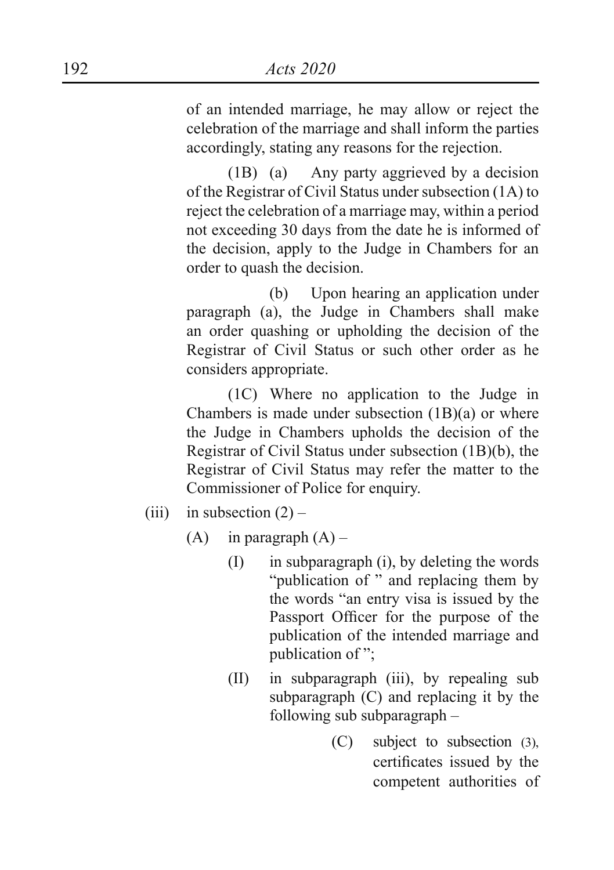of an intended marriage, he may allow or reject the celebration of the marriage and shall inform the parties accordingly, stating any reasons for the rejection.

 (1B) (a) Any party aggrieved by a decision of the Registrar of Civil Status under subsection (1A) to reject the celebration of a marriage may, within a period not exceeding 30 days from the date he is informed of the decision, apply to the Judge in Chambers for an order to quash the decision.

 (b) Upon hearing an application under paragraph (a), the Judge in Chambers shall make an order quashing or upholding the decision of the Registrar of Civil Status or such other order as he considers appropriate.

 (1C) Where no application to the Judge in Chambers is made under subsection  $(1B)(a)$  or where the Judge in Chambers upholds the decision of the Registrar of Civil Status under subsection (1B)(b), the Registrar of Civil Status may refer the matter to the Commissioner of Police for enquiry.

- (iii) in subsection  $(2)$ 
	- $(A)$  in paragraph  $(A)$ 
		- (I) in subparagraph (i), by deleting the words "publication of " and replacing them by the words "an entry visa is issued by the Passport Officer for the purpose of the publication of the intended marriage and publication of ";
		- (II) in subparagraph (iii), by repealing sub subparagraph (C) and replacing it by the following sub subparagraph –
			- (C) subject to subsection (3), certificates issued by the competent authorities of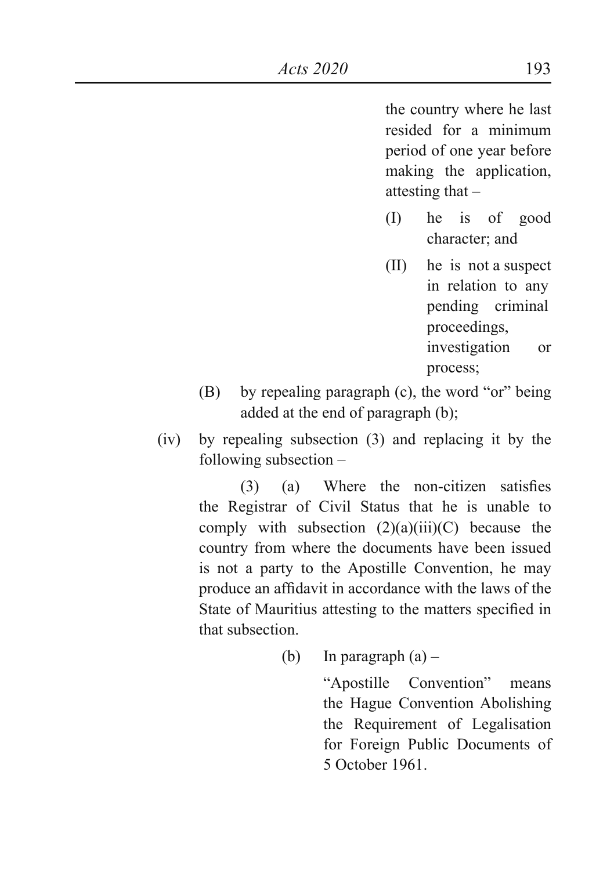the country where he last resided for a minimum period of one year before making the application, attesting that –

- (I) he is of good character; and
- (II) he is not a suspect in relation to any pending criminal proceedings, investigation or process;
- (B) by repealing paragraph (c), the word "or" being added at the end of paragraph (b);
- (iv) by repealing subsection (3) and replacing it by the following subsection –

 (3) (a) Where the non-citizen satisfies the Registrar of Civil Status that he is unable to comply with subsection  $(2)(a)(iii)(C)$  because the country from where the documents have been issued is not a party to the Apostille Convention, he may produce an affidavit in accordance with the laws of the State of Mauritius attesting to the matters specified in that subsection.

(b) In paragraph  $(a)$  –

 "Apostille Convention" means the Hague Convention Abolishing the Requirement of Legalisation for Foreign Public Documents of 5 October 1961.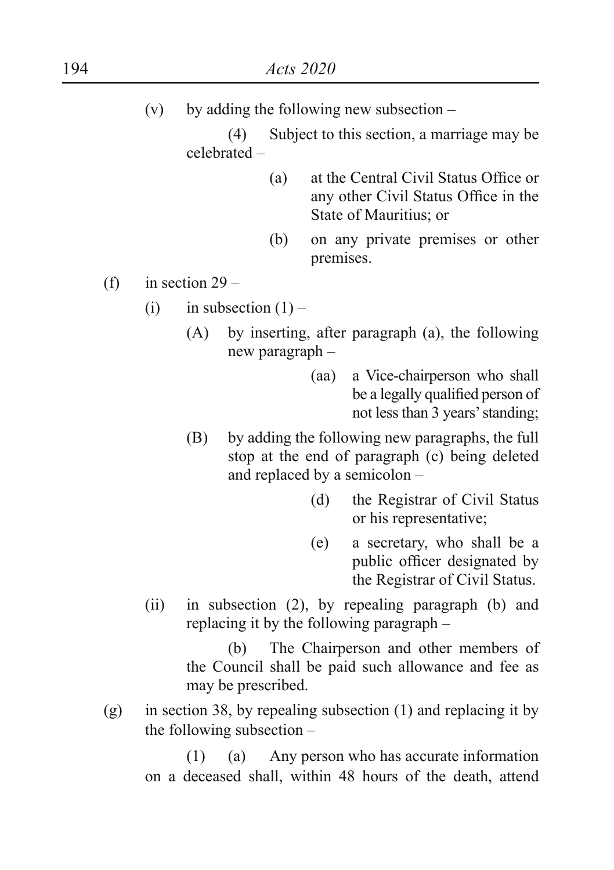(v) by adding the following new subsection –

 (4) Subject to this section, a marriage may be celebrated –

- (a) at the Central Civil Status Office or any other Civil Status Office in the State of Mauritius; or
- (b) on any private premises or other premises.
- (f) in section  $29 -$ 
	- (i) in subsection  $(1)$ 
		- (A) by inserting, after paragraph (a), the following new paragraph –
			- (aa) a Vice-chairperson who shall be a legally qualified person of not less than 3 years' standing;
		- (B) by adding the following new paragraphs, the full stop at the end of paragraph (c) being deleted and replaced by a semicolon –
			- (d) the Registrar of Civil Status or his representative;
			- (e) a secretary, who shall be a public officer designated by the Registrar of Civil Status.
	- (ii) in subsection (2), by repealing paragraph (b) and replacing it by the following paragraph –

 (b) The Chairperson and other members of the Council shall be paid such allowance and fee as may be prescribed.

(g) in section 38, by repealing subsection (1) and replacing it by the following subsection –

 (1) (a) Any person who has accurate information on a deceased shall, within 48 hours of the death, attend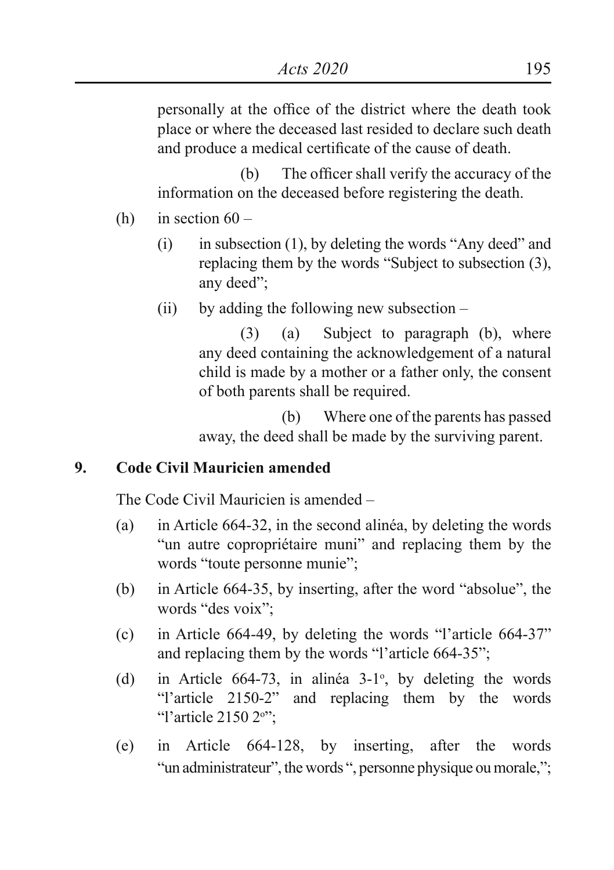personally at the office of the district where the death took place or where the deceased last resided to declare such death and produce a medical certificate of the cause of death.

 (b) The officer shall verify the accuracy of the information on the deceased before registering the death.

- (h) in section  $60 -$ 
	- $(i)$  in subsection  $(1)$ , by deleting the words "Any deed" and replacing them by the words "Subject to subsection (3), any deed";
	- (ii) by adding the following new subsection –

 (3) (a) Subject to paragraph (b), where any deed containing the acknowledgement of a natural child is made by a mother or a father only, the consent of both parents shall be required.

 (b) Where one of the parents has passed away, the deed shall be made by the surviving parent.

## **9. Code Civil Mauricien amended**

The Code Civil Mauricien is amended –

- (a) in Article 664-32, in the second alinéa, by deleting the words "un autre copropriétaire muni" and replacing them by the words "toute personne munie";
- (b) in Article 664-35, by inserting, after the word "absolue", the words "des voix";
- (c) in Article 664-49, by deleting the words "l'article 664-37" and replacing them by the words "l'article 664-35";
- (d) in Article  $664-73$ , in alinéa  $3-1^\circ$ , by deleting the words "l'article 2150-2" and replacing them by the words "l'article 2150 2<sup>o"</sup>;
- (e) in Article 664-128, by inserting, after the words "un administrateur", the words ", personne physique ou morale,";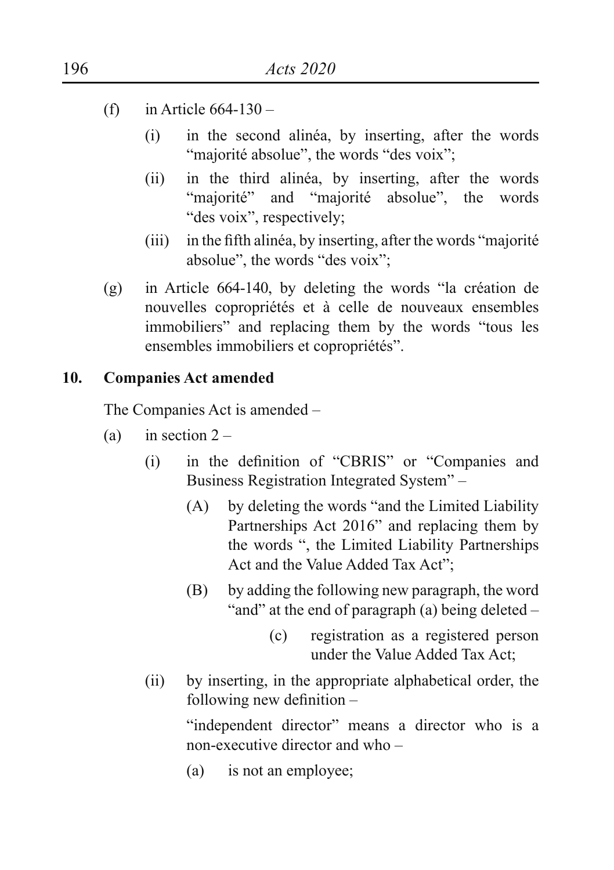- (f) in Article  $664-130$ 
	- (i) in the second alinéa, by inserting, after the words "majorité absolue", the words "des voix";
	- (ii) in the third alinéa, by inserting, after the words "majorité" and "majorité absolue", the words "des voix", respectively;
	- (iii) in the fifth alinéa, by inserting, after the words "majorité" absolue", the words "des voix";
- (g) in Article 664-140, by deleting the words "la création de nouvelles copropriétés et à celle de nouveaux ensembles immobiliers" and replacing them by the words "tous les ensembles immobiliers et copropriétés".

#### **10. Companies Act amended**

The Companies Act is amended –

- (a) in section  $2 -$ 
	- (i) in the definition of "CBRIS" or "Companies and Business Registration Integrated System" –
		- (A) by deleting the words "and the Limited Liability Partnerships Act 2016" and replacing them by the words ", the Limited Liability Partnerships Act and the Value Added Tax Act";
		- (B) by adding the following new paragraph, the word "and" at the end of paragraph (a) being deleted –
			- (c) registration as a registered person under the Value Added Tax Act;
	- (ii) by inserting, in the appropriate alphabetical order, the following new definition –

"independent director" means a director who is a non-executive director and who –

(a) is not an employee;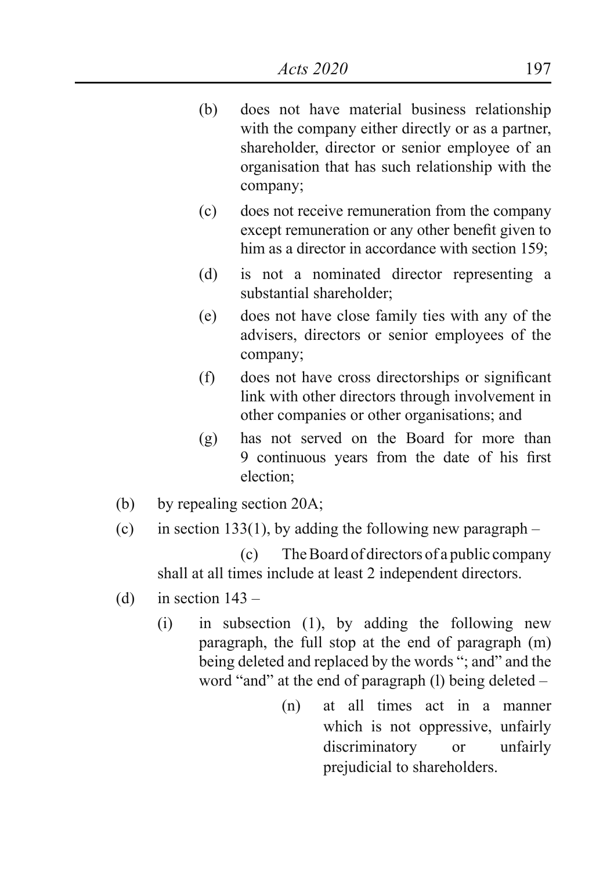- (b) does not have material business relationship with the company either directly or as a partner, shareholder, director or senior employee of an organisation that has such relationship with the company;
- (c) does not receive remuneration from the company except remuneration or any other benefit given to him as a director in accordance with section 159;
- (d) is not a nominated director representing a substantial shareholder;
- (e) does not have close family ties with any of the advisers, directors or senior employees of the company;
- (f) does not have cross directorships or significant link with other directors through involvement in other companies or other organisations; and
- (g) has not served on the Board for more than 9 continuous years from the date of his first election;
- (b) by repealing section 20A;
- (c) in section 133(1), by adding the following new paragraph –

 (c) The Board of directors of a public company shall at all times include at least 2 independent directors.

- (d) in section  $143 -$ 
	- (i) in subsection (1), by adding the following new paragraph, the full stop at the end of paragraph (m) being deleted and replaced by the words "; and" and the word "and" at the end of paragraph (l) being deleted –
		- (n) at all times act in a manner which is not oppressive, unfairly discriminatory or unfairly prejudicial to shareholders.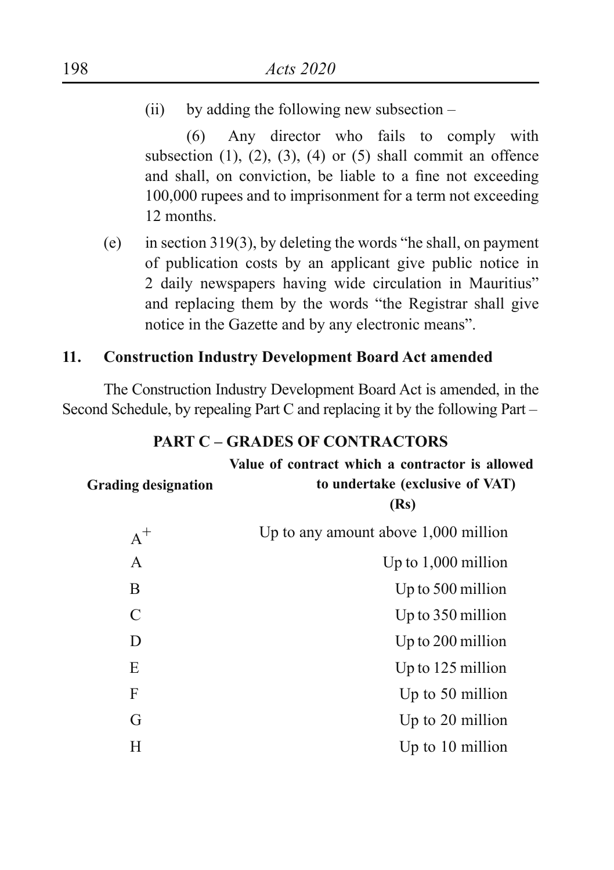(ii) by adding the following new subsection –

 (6) Any director who fails to comply with subsection  $(1)$ ,  $(2)$ ,  $(3)$ ,  $(4)$  or  $(5)$  shall commit an offence and shall, on conviction, be liable to a fine not exceeding 100,000 rupees and to imprisonment for a term not exceeding 12 months.

(e) in section 319(3), by deleting the words "he shall, on payment of publication costs by an applicant give public notice in 2 daily newspapers having wide circulation in Mauritius" and replacing them by the words "the Registrar shall give notice in the Gazette and by any electronic means".

## **11. Construction Industry Development Board Act amended**

The Construction Industry Development Board Act is amended, in the Second Schedule, by repealing Part C and replacing it by the following Part –

| <b>Grading designation</b> | Value of contract which a contractor is allowed<br>to undertake (exclusive of VAT)<br>(Rs) |
|----------------------------|--------------------------------------------------------------------------------------------|
| $A^+$                      | Up to any amount above $1,000$ million                                                     |
| A                          | Up to $1,000$ million                                                                      |
| B                          | Up to 500 million                                                                          |
| C                          | Up to 350 million                                                                          |
| D                          | Up to 200 million                                                                          |
| E                          | Up to 125 million                                                                          |
| F                          | Up to 50 million                                                                           |
| G                          | Up to 20 million                                                                           |
| Н                          | Up to 10 million                                                                           |

#### **PART C – GRADES OF CONTRACTORS**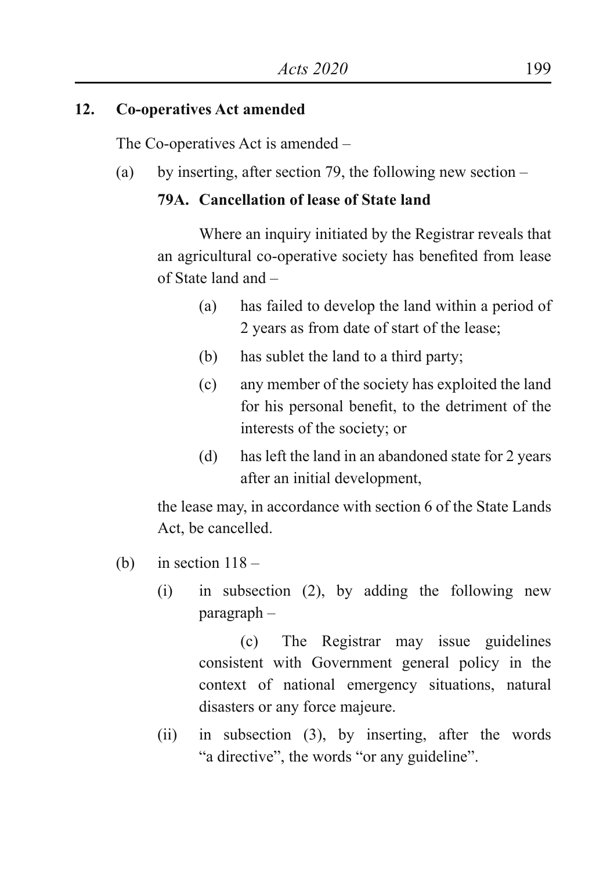## **12. Co-operatives Act amended**

The Co-operatives Act is amended –

(a) by inserting, after section 79, the following new section  $-$ 

## **79A. Cancellation of lease of State land**

 Where an inquiry initiated by the Registrar reveals that an agricultural co-operative society has benefited from lease of State land and –

- (a) has failed to develop the land within a period of 2 years as from date of start of the lease;
- (b) has sublet the land to a third party;
- (c) any member of the society has exploited the land for his personal benefit, to the detriment of the interests of the society; or
- (d) has left the land in an abandoned state for 2 years after an initial development,

the lease may, in accordance with section 6 of the State Lands Act, be cancelled.

- (b) in section  $118 -$ 
	- (i) in subsection (2), by adding the following new paragraph –

 (c) The Registrar may issue guidelines consistent with Government general policy in the context of national emergency situations, natural disasters or any force majeure.

(ii) in subsection (3), by inserting, after the words "a directive", the words "or any guideline".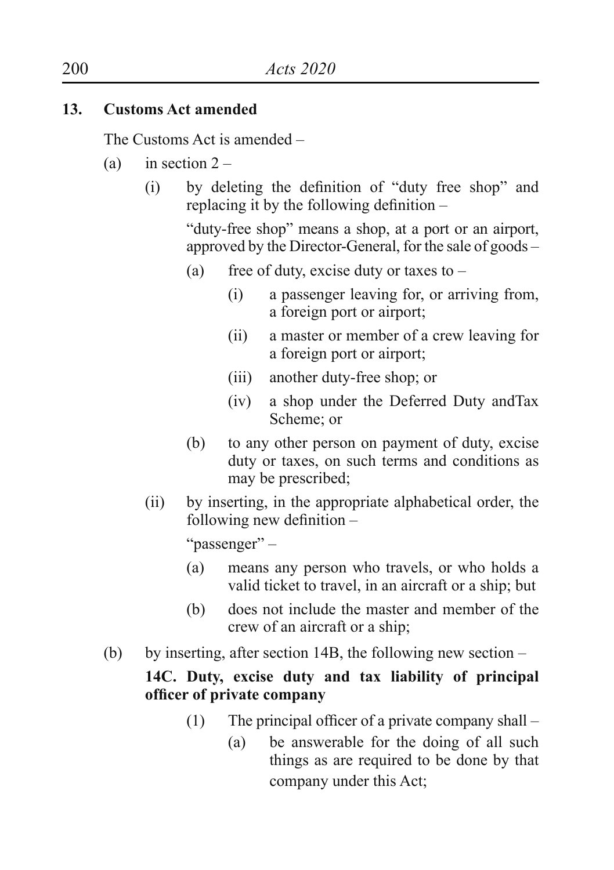## **13. Customs Act amended**

The Customs Act is amended –

- (a) in section  $2 -$ 
	- (i) by deleting the definition of "duty free shop" and replacing it by the following definition –

"duty-free shop" means a shop, at a port or an airport, approved by the Director-General, for the sale of goods –

- (a) free of duty, excise duty or taxes to  $-$ 
	- (i) a passenger leaving for, or arriving from, a foreign port or airport;
	- (ii) a master or member of a crew leaving for a foreign port or airport;
	- (iii) another duty-free shop; or
	- (iv) a shop under the Deferred Duty andTax Scheme; or
- (b) to any other person on payment of duty, excise duty or taxes, on such terms and conditions as may be prescribed;
- (ii) by inserting, in the appropriate alphabetical order, the following new definition –

 "passenger" –

- (a) means any person who travels, or who holds a valid ticket to travel, in an aircraft or a ship; but
- (b) does not include the master and member of the crew of an aircraft or a ship;
- (b) by inserting, after section 14B, the following new section –

## **14C. Duty, excise duty and tax liability of principal officer of private company**

- (1) The principal officer of a private company shall  $-$ 
	- (a) be answerable for the doing of all such things as are required to be done by that company under this Act;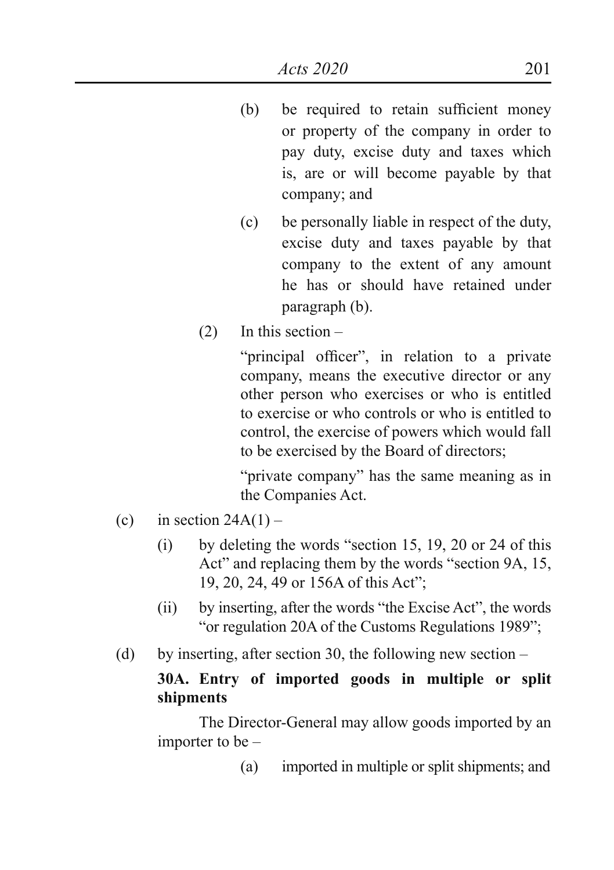- (b) be required to retain sufficient money or property of the company in order to pay duty, excise duty and taxes which is, are or will become payable by that company; and
- (c) be personally liable in respect of the duty, excise duty and taxes payable by that company to the extent of any amount he has or should have retained under paragraph (b).
- (2) In this section –

 "principal officer", in relation to a private company, means the executive director or any other person who exercises or who is entitled to exercise or who controls or who is entitled to control, the exercise of powers which would fall to be exercised by the Board of directors;

 "private company" has the same meaning as in the Companies Act.

- (c) in section  $24A(1)$ 
	- $(i)$  by deleting the words "section 15, 19, 20 or 24 of this Act" and replacing them by the words "section 9A, 15, 19, 20, 24, 49 or 156A of this Act";
	- (ii) by inserting, after the words "the Excise Act", the words "or regulation 20A of the Customs Regulations 1989";
- (d) by inserting, after section 30, the following new section –

## **30A. Entry of imported goods in multiple or split shipments**

 The Director-General may allow goods imported by an importer to be –

(a) imported in multiple or split shipments; and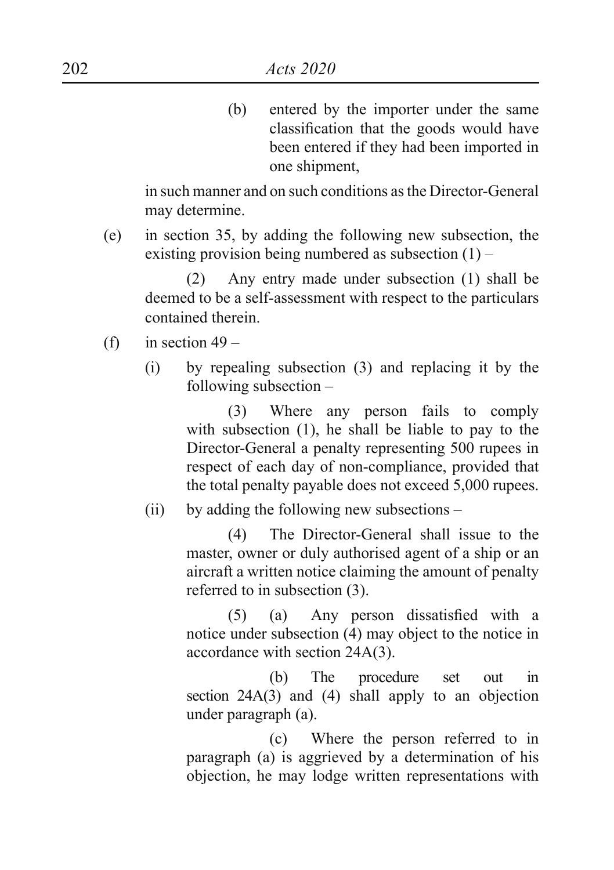(b) entered by the importer under the same classification that the goods would have been entered if they had been imported in one shipment,

in such manner and on such conditions as the Director-General may determine.

(e) in section 35, by adding the following new subsection, the existing provision being numbered as subsection  $(1)$  –

 (2) Any entry made under subsection (1) shall be deemed to be a self-assessment with respect to the particulars contained therein.

- (f) in section  $49 -$ 
	- (i) by repealing subsection (3) and replacing it by the following subsection –

 (3) Where any person fails to comply with subsection (1), he shall be liable to pay to the Director-General a penalty representing 500 rupees in respect of each day of non-compliance, provided that the total penalty payable does not exceed 5,000 rupees.

(ii) by adding the following new subsections –

 (4) The Director-General shall issue to the master, owner or duly authorised agent of a ship or an aircraft a written notice claiming the amount of penalty referred to in subsection (3).

 (5) (a) Any person dissatisfied with a notice under subsection (4) may object to the notice in accordance with section 24A(3).

 (b) The procedure set out in section 24A(3) and (4) shall apply to an objection under paragraph (a).

 (c) Where the person referred to in paragraph (a) is aggrieved by a determination of his objection, he may lodge written representations with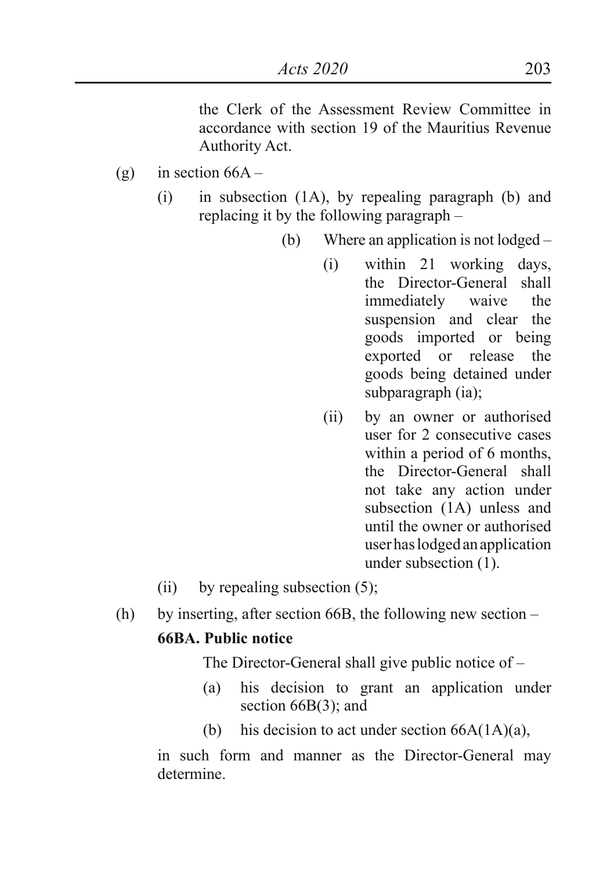the Clerk of the Assessment Review Committee in accordance with section 19 of the Mauritius Revenue Authority Act.

- (g) in section  $66A -$ 
	- (i) in subsection (1A), by repealing paragraph (b) and replacing it by the following paragraph –
		- (b) Where an application is not lodged
			- (i) within 21 working days, the Director-General shall immediately waive the suspension and clear the goods imported or being exported or release the goods being detained under subparagraph (ia);
			- (ii) by an owner or authorised user for 2 consecutive cases within a period of 6 months. the Director-General shall not take any action under subsection (1A) unless and until the owner or authorised user has lodged an application under subsection (1).
	- (ii) by repealing subsection  $(5)$ ;
- (h) by inserting, after section 66B, the following new section –

## **66BA. Public notice**

The Director-General shall give public notice of –

- (a) his decision to grant an application under section 66B(3); and
- (b) his decision to act under section  $66A(1A)(a)$ ,

in such form and manner as the Director-General may determine.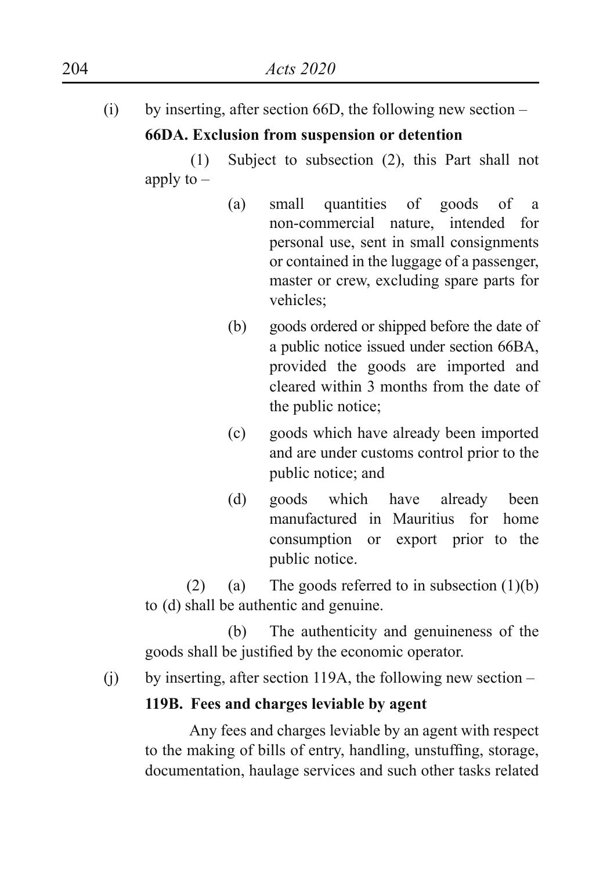(i) by inserting, after section 66D, the following new section – **66DA. Exclusion from suspension or detention**

 (1) Subject to subsection (2), this Part shall not apply to  $-$ 

- (a) small quantities of goods of a non-commercial nature, intended for personal use, sent in small consignments or contained in the luggage of a passenger, master or crew, excluding spare parts for vehicles;
- (b) goods ordered or shipped before the date of a public notice issued under section 66BA, provided the goods are imported and cleared within 3 months from the date of the public notice;
- (c) goods which have already been imported and are under customs control prior to the public notice; and
- (d) goods which have already been manufactured in Mauritius for home consumption or export prior to the public notice.

(2) (a) The goods referred to in subsection  $(1)(b)$ to (d) shall be authentic and genuine.

 (b) The authenticity and genuineness of the goods shall be justified by the economic operator.

(j) by inserting, after section 119A, the following new section –

## **119B. Fees and charges leviable by agent**

 Any fees and charges leviable by an agent with respect to the making of bills of entry, handling, unstuffing, storage, documentation, haulage services and such other tasks related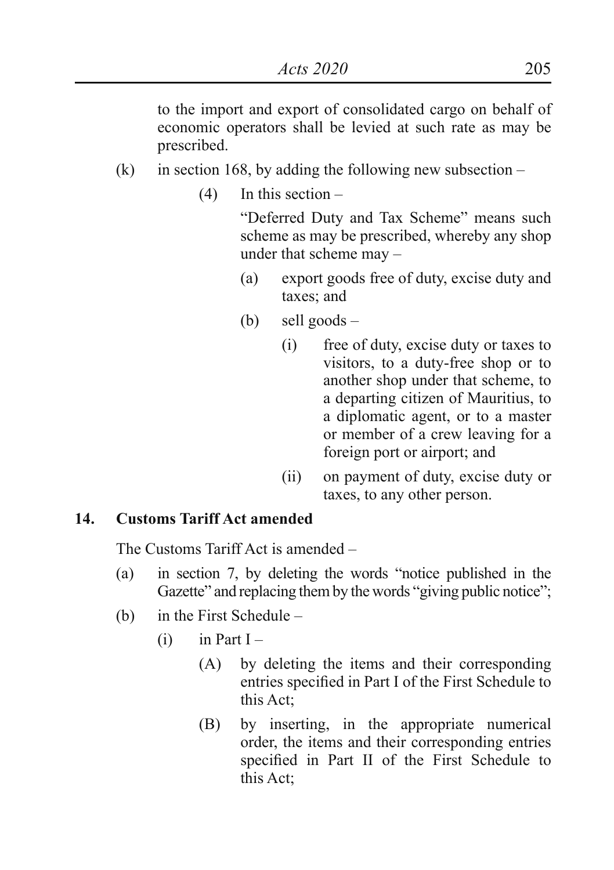to the import and export of consolidated cargo on behalf of economic operators shall be levied at such rate as may be prescribed.

- (k) in section 168, by adding the following new subsection  $-$ 
	- $(4)$  In this section –

 "Deferred Duty and Tax Scheme" means such scheme as may be prescribed, whereby any shop under that scheme may –

- (a) export goods free of duty, excise duty and taxes; and
- (b) sell goods
	- (i) free of duty, excise duty or taxes to visitors, to a duty-free shop or to another shop under that scheme, to a departing citizen of Mauritius, to a diplomatic agent, or to a master or member of a crew leaving for a foreign port or airport; and
	- (ii) on payment of duty, excise duty or taxes, to any other person.

#### **14. Customs Tariff Act amended**

The Customs Tariff Act is amended –

- (a) in section 7, by deleting the words "notice published in the Gazette" and replacing them by the words "giving public notice";
- (b) in the First Schedule
	- $(i)$  in Part I
		- (A) by deleting the items and their corresponding entries specified in Part I of the First Schedule to this Act;
		- (B) by inserting, in the appropriate numerical order, the items and their corresponding entries specified in Part II of the First Schedule to this Act;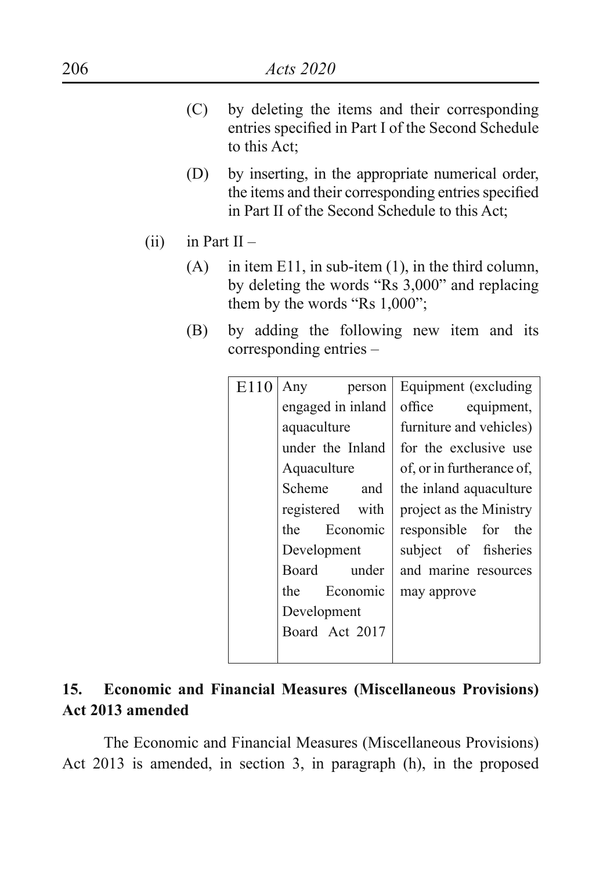- (C) by deleting the items and their corresponding entries specified in Part I of the Second Schedule to this Act;
- (D) by inserting, in the appropriate numerical order, the items and their corresponding entries specified in Part II of the Second Schedule to this Act;
- (ii) in Part  $II -$ 
	- (A) in item E11, in sub-item (1), in the third column, by deleting the words "Rs 3,000" and replacing them by the words "Rs 1,000";
	- (B) by adding the following new item and its corresponding entries –

| E110 | Any<br>person     | Equipment (excluding      |
|------|-------------------|---------------------------|
|      | engaged in inland | office equipment,         |
|      | aquaculture       | furniture and vehicles)   |
|      | under the Inland  | for the exclusive use     |
|      | Aquaculture       | of, or in furtherance of, |
|      | Scheme<br>and     | the inland aquaculture    |
|      | registered with   | project as the Ministry   |
|      | the Economic      | responsible for the       |
|      | Development       | subject of fisheries      |
|      | under<br>Board    | and marine resources      |
|      | Economic<br>the   | may approve               |
|      | Development       |                           |
|      | Board Act 2017    |                           |
|      |                   |                           |
|      |                   |                           |

## **15. Economic and Financial Measures (Miscellaneous Provisions) Act 2013 amended**

The Economic and Financial Measures (Miscellaneous Provisions) Act 2013 is amended, in section 3, in paragraph (h), in the proposed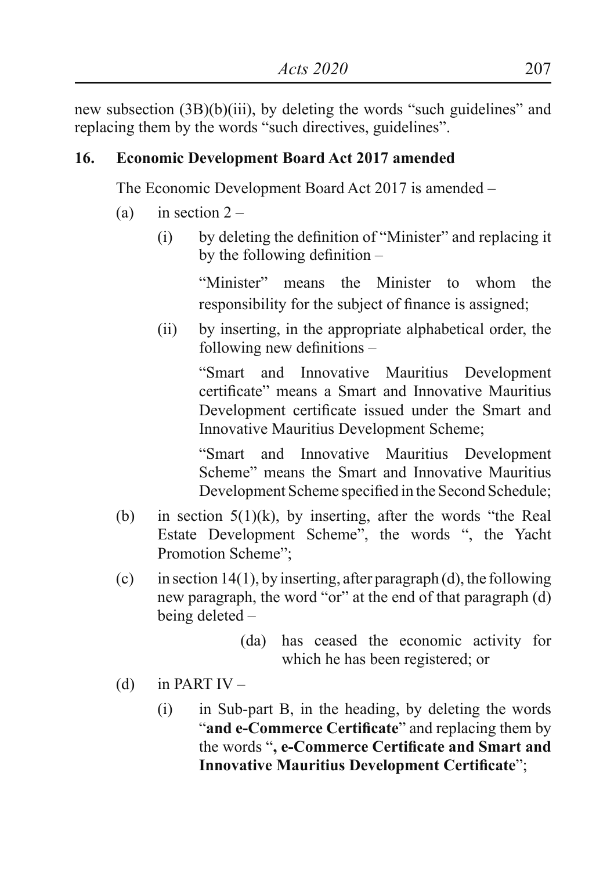new subsection (3B)(b)(iii), by deleting the words "such guidelines" and replacing them by the words "such directives, guidelines".

## **16. Economic Development Board Act 2017 amended**

The Economic Development Board Act 2017 is amended –

- (a) in section  $2 -$ 
	- $(i)$  by deleting the definition of "Minister" and replacing it by the following definition –

"Minister" means the Minister to whom the responsibility for the subject of finance is assigned;

(ii) by inserting, in the appropriate alphabetical order, the following new definitions –

> "Smart and Innovative Mauritius Development certificate" means a Smart and Innovative Mauritius Development certificate issued under the Smart and Innovative Mauritius Development Scheme;

> "Smart and Innovative Mauritius Development Scheme" means the Smart and Innovative Mauritius Development Scheme specified in the Second Schedule;

- (b) in section  $5(1)(k)$ , by inserting, after the words "the Real Estate Development Scheme", the words ", the Yacht Promotion Scheme";
- (c) in section 14(1), by inserting, after paragraph (d), the following new paragraph, the word "or" at the end of that paragraph (d) being deleted –
	- (da) has ceased the economic activity for which he has been registered; or
- (d) in PART  $IV -$ 
	- (i) in Sub-part B, in the heading, by deleting the words "**and e-Commerce Certificate**" and replacing them by the words "**, e-Commerce Certificate and Smart and Innovative Mauritius Development Certificate**";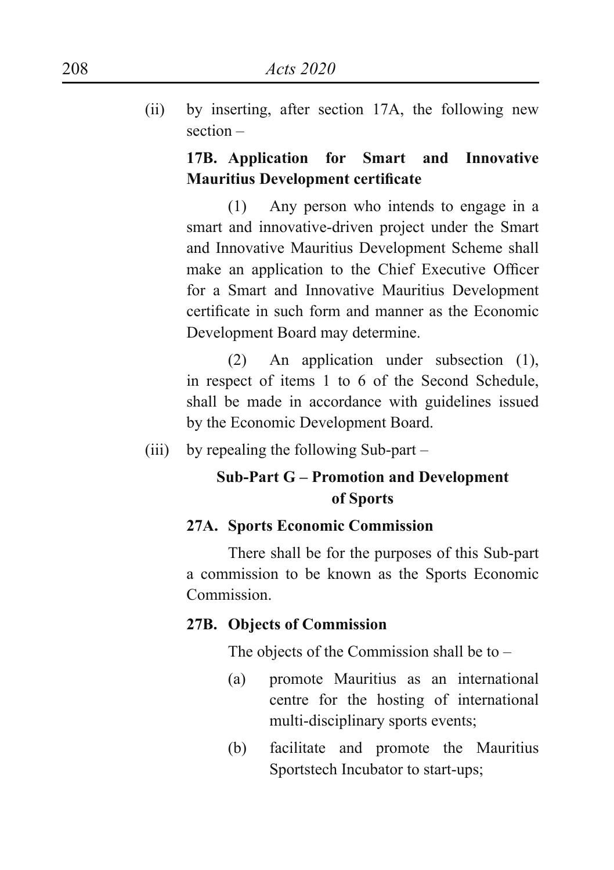(ii) by inserting, after section 17A, the following new section –

## **17B. Application for Smart and Innovative Mauritius Development certificate**

 (1) Any person who intends to engage in a smart and innovative-driven project under the Smart and Innovative Mauritius Development Scheme shall make an application to the Chief Executive Officer for a Smart and Innovative Mauritius Development certificate in such form and manner as the Economic Development Board may determine.

 (2) An application under subsection (1), in respect of items 1 to 6 of the Second Schedule, shall be made in accordance with guidelines issued by the Economic Development Board.

(iii) by repealing the following Sub-part –

## **Sub-Part G – Promotion and Development of Sports**

#### **27A. Sports Economic Commission**

 There shall be for the purposes of this Sub-part a commission to be known as the Sports Economic **Commission** 

#### **27B. Objects of Commission**

The objects of the Commission shall be to  $-$ 

- (a) promote Mauritius as an international centre for the hosting of international multi-disciplinary sports events;
- (b) facilitate and promote the Mauritius Sportstech Incubator to start-ups;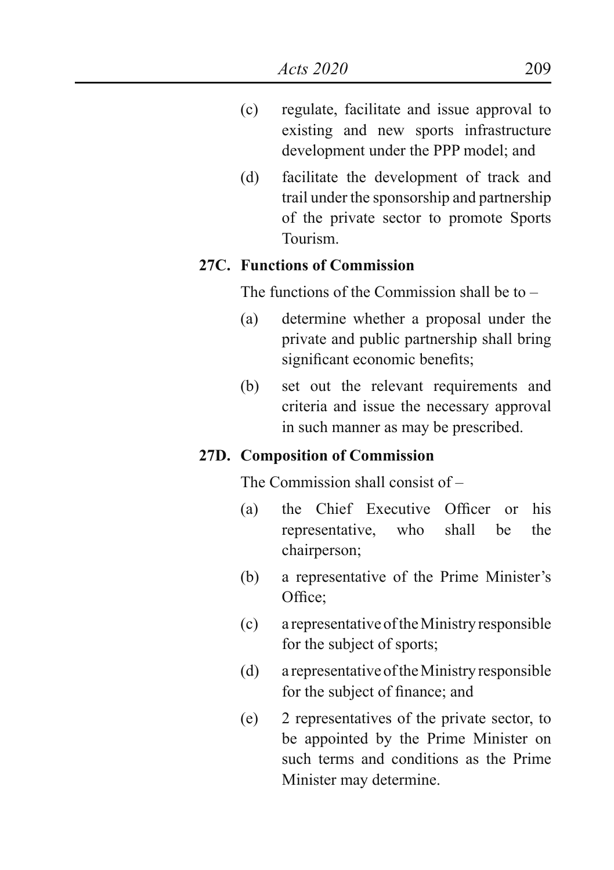- (c) regulate, facilitate and issue approval to existing and new sports infrastructure development under the PPP model; and
- (d) facilitate the development of track and trail under the sponsorship and partnership of the private sector to promote Sports Tourism.

#### **27C. Functions of Commission**

The functions of the Commission shall be to  $-$ 

- (a) determine whether a proposal under the private and public partnership shall bring significant economic benefits;
- (b) set out the relevant requirements and criteria and issue the necessary approval in such manner as may be prescribed.

#### **27D. Composition of Commission**

The Commission shall consist of –

- (a) the Chief Executive Officer or his representative, who shall be the chairperson;
- (b) a representative of the Prime Minister's Office;
- (c) a representative of the Ministry responsible for the subject of sports;
- (d) a representative of the Ministry responsible for the subject of finance; and
- (e) 2 representatives of the private sector, to be appointed by the Prime Minister on such terms and conditions as the Prime Minister may determine.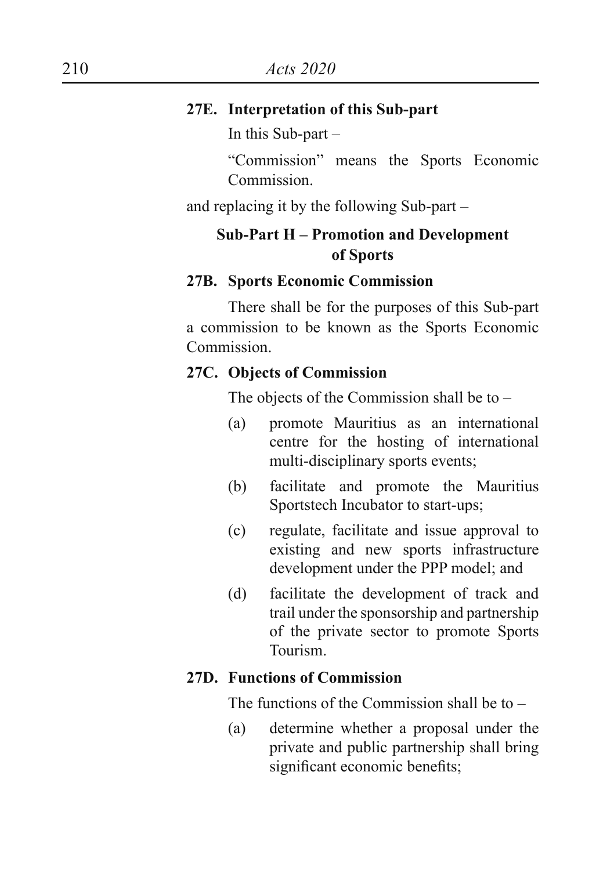#### **27E. Interpretation of this Sub-part**

In this Sub-part –

 "Commission" means the Sports Economic **Commission** 

and replacing it by the following Sub-part –

## **Sub-Part H – Promotion and Development of Sports**

#### **27B. Sports Economic Commission**

 There shall be for the purposes of this Sub-part a commission to be known as the Sports Economic Commission.

#### **27C. Objects of Commission**

The objects of the Commission shall be to –

- (a) promote Mauritius as an international centre for the hosting of international multi-disciplinary sports events;
- (b) facilitate and promote the Mauritius Sportstech Incubator to start-ups;
- (c) regulate, facilitate and issue approval to existing and new sports infrastructure development under the PPP model; and
- (d) facilitate the development of track and trail under the sponsorship and partnership of the private sector to promote Sports Tourism.

#### **27D. Functions of Commission**

The functions of the Commission shall be to  $-$ 

(a) determine whether a proposal under the private and public partnership shall bring significant economic benefits;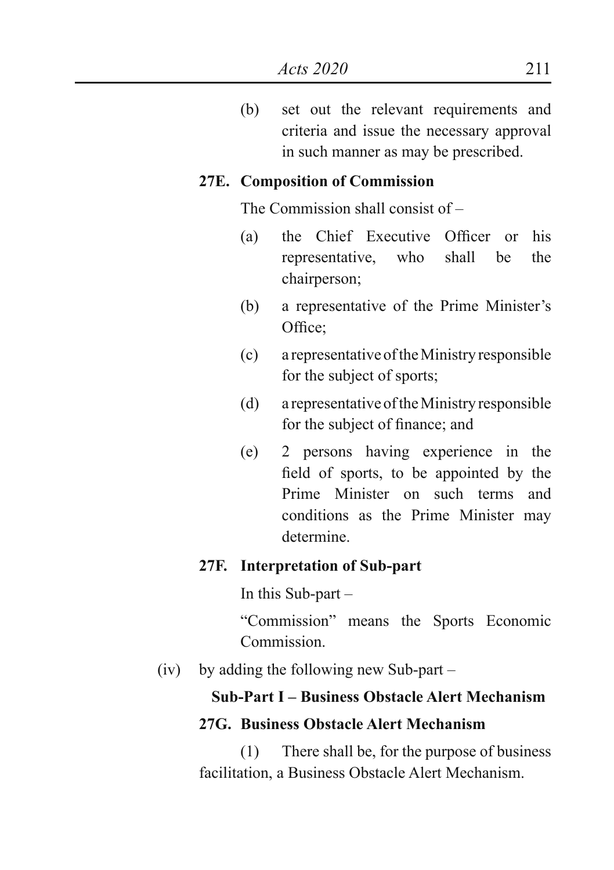(b) set out the relevant requirements and criteria and issue the necessary approval in such manner as may be prescribed.

#### **27E. Composition of Commission**

The Commission shall consist of –

- (a) the Chief Executive Officer or his representative, who shall be the chairperson;
- (b) a representative of the Prime Minister's Office<sup>:</sup>
- (c) a representative of the Ministry responsible for the subject of sports;
- (d) a representative of the Ministry responsible for the subject of finance; and
- (e) 2 persons having experience in the field of sports, to be appointed by the Prime Minister on such terms and conditions as the Prime Minister may determine.

#### **27F. Interpretation of Sub-part**

In this Sub-part –

 "Commission" means the Sports Economic **Commission** 

(iv) by adding the following new Sub-part –

## **Sub-Part I – Business Obstacle Alert Mechanism**

#### **27G. Business Obstacle Alert Mechanism**

 (1) There shall be, for the purpose of business facilitation, a Business Obstacle Alert Mechanism.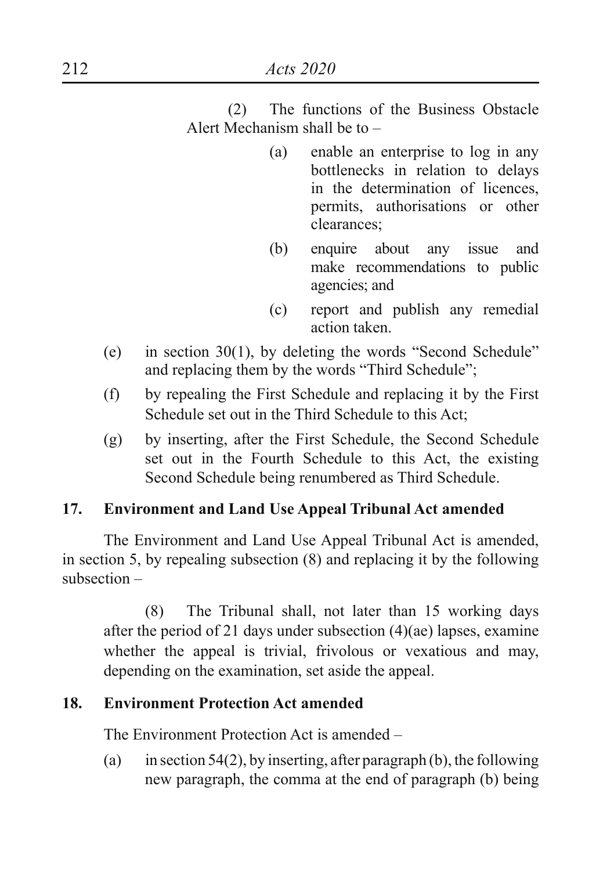(2) The functions of the Business Obstacle Alert Mechanism shall be to –

- (a) enable an enterprise to log in any bottlenecks in relation to delays in the determination of licences, permits, authorisations or other clearances;
- (b) enquire about any issue and make recommendations to public agencies; and
- (c) report and publish any remedial action taken.
- (e) in section  $30(1)$ , by deleting the words "Second Schedule" and replacing them by the words "Third Schedule";
- (f) by repealing the First Schedule and replacing it by the First Schedule set out in the Third Schedule to this Act;
- (g) by inserting, after the First Schedule, the Second Schedule set out in the Fourth Schedule to this Act, the existing Second Schedule being renumbered as Third Schedule.

# **17. Environment and Land Use Appeal Tribunal Act amended**

The Environment and Land Use Appeal Tribunal Act is amended, in section 5, by repealing subsection (8) and replacing it by the following subsection –

 (8) The Tribunal shall, not later than 15 working days after the period of 21 days under subsection (4)(ae) lapses, examine whether the appeal is trivial, frivolous or vexatious and may, depending on the examination, set aside the appeal.

# **18. Environment Protection Act amended**

The Environment Protection Act is amended –

(a) in section 54(2), by inserting, after paragraph (b), the following new paragraph, the comma at the end of paragraph (b) being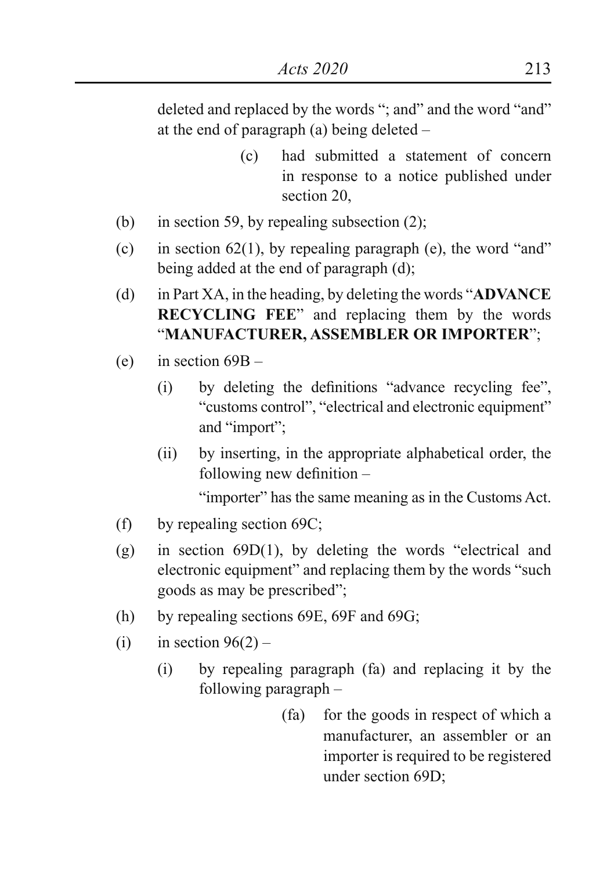deleted and replaced by the words "; and" and the word "and" at the end of paragraph (a) being deleted –

- (c) had submitted a statement of concern in response to a notice published under section 20,
- (b) in section 59, by repealing subsection (2);
- (c) in section 62(1), by repealing paragraph (e), the word "and" being added at the end of paragraph (d);
- (d) in Part XA, in the heading, by deleting the words "**ADVANCE RECYCLING FEE**" and replacing them by the words "**MANUFACTURER, ASSEMBLER OR IMPORTER**";
- (e) in section  $69B -$ 
	- (i) by deleting the definitions "advance recycling fee", "customs control", "electrical and electronic equipment" and "import";
	- (ii) by inserting, in the appropriate alphabetical order, the following new definition –

"importer" has the same meaning as in the Customs Act.

- (f) by repealing section 69C;
- (g) in section  $69D(1)$ , by deleting the words "electrical and electronic equipment" and replacing them by the words "such goods as may be prescribed";
- (h) by repealing sections 69E, 69F and 69G;
- (i) in section  $96(2)$ 
	- (i) by repealing paragraph (fa) and replacing it by the following paragraph –
		- (fa) for the goods in respect of which a manufacturer, an assembler or an importer is required to be registered under section 69D;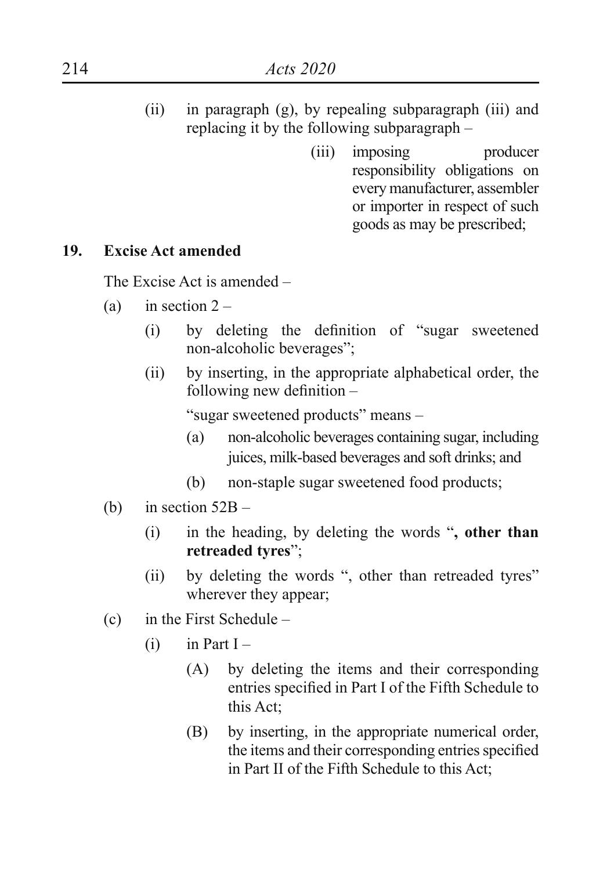- (ii) in paragraph (g), by repealing subparagraph (iii) and replacing it by the following subparagraph –
	- (iii) imposing producer responsibility obligations on every manufacturer, assembler or importer in respect of such goods as may be prescribed;

#### **19. Excise Act amended**

The Excise Act is amended –

- (a) in section  $2 -$ 
	- (i) by deleting the definition of "sugar sweetened non-alcoholic beverages";
	- (ii) by inserting, in the appropriate alphabetical order, the following new definition –

"sugar sweetened products" means –

- (a) non-alcoholic beverages containing sugar, including juices, milk-based beverages and soft drinks; and
- (b) non-staple sugar sweetened food products;
- (b) in section  $52B -$ 
	- (i) in the heading, by deleting the words "**, other than retreaded tyres**";
	- (ii) by deleting the words ", other than retreaded tyres" wherever they appear;
- (c) in the First Schedule
	- $(i)$  in Part I
		- (A) by deleting the items and their corresponding entries specified in Part I of the Fifth Schedule to this Act;
		- (B) by inserting, in the appropriate numerical order, the items and their corresponding entries specified in Part II of the Fifth Schedule to this Act;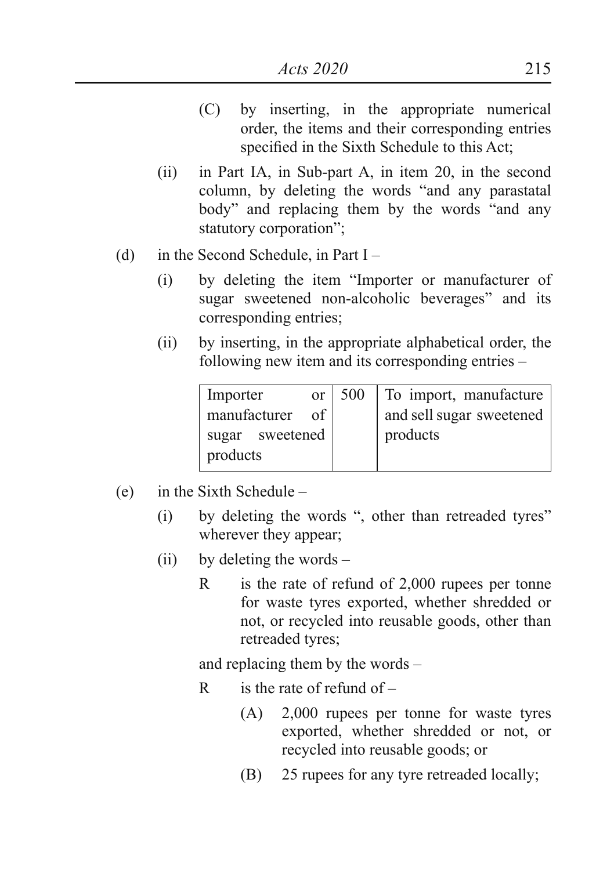- (C) by inserting, in the appropriate numerical order, the items and their corresponding entries specified in the Sixth Schedule to this Act;
- (ii) in Part IA, in Sub-part A, in item 20, in the second column, by deleting the words "and any parastatal body" and replacing them by the words "and any statutory corporation";
- (d) in the Second Schedule, in Part  $I -$ 
	- (i) by deleting the item "Importer or manufacturer of sugar sweetened non-alcoholic beverages" and its corresponding entries;
	- (ii) by inserting, in the appropriate alphabetical order, the following new item and its corresponding entries –

| Importer<br>or <sub>1</sub> | 500 | To import, manufacture   |
|-----------------------------|-----|--------------------------|
| of<br>manufacturer          |     | and sell sugar sweetened |
| sugar sweetened             |     | $ $ products             |
| products                    |     |                          |

- (e) in the Sixth Schedule
	- (i) by deleting the words ", other than retreaded tyres" wherever they appear;
	- (ii) by deleting the words
		- R is the rate of refund of 2,000 rupees per tonne for waste tyres exported, whether shredded or not, or recycled into reusable goods, other than retreaded tyres;

and replacing them by the words –

- R is the rate of refund of  $-$ 
	- (A) 2,000 rupees per tonne for waste tyres exported, whether shredded or not, or recycled into reusable goods; or
	- (B) 25 rupees for any tyre retreaded locally;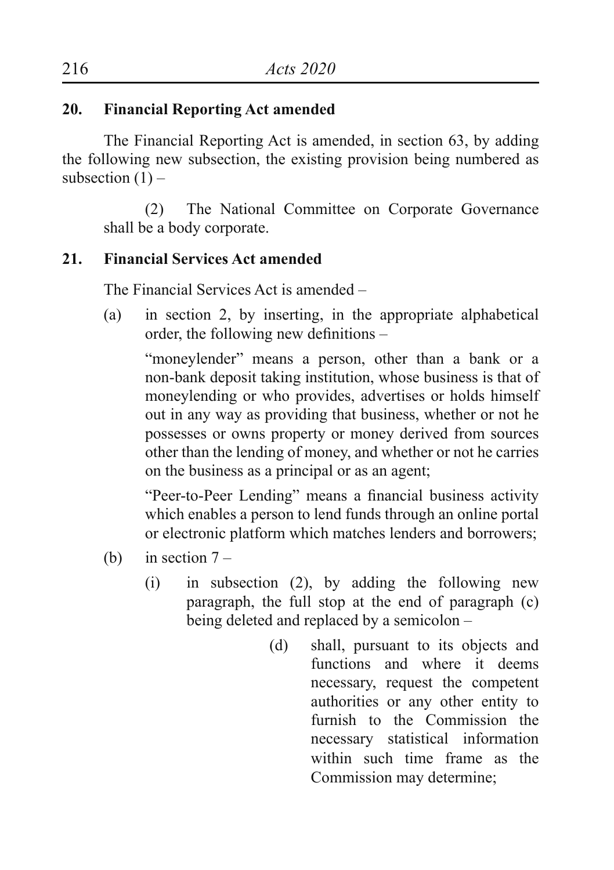# **20. Financial Reporting Act amended**

The Financial Reporting Act is amended, in section 63, by adding the following new subsection, the existing provision being numbered as subsection  $(1)$  –

(2) The National Committee on Corporate Governance shall be a body corporate.

## **21. Financial Services Act amended**

The Financial Services Act is amended –

(a) in section 2, by inserting, in the appropriate alphabetical order, the following new definitions –

"moneylender" means a person, other than a bank or a non-bank deposit taking institution, whose business is that of moneylending or who provides, advertises or holds himself out in any way as providing that business, whether or not he possesses or owns property or money derived from sources other than the lending of money, and whether or not he carries on the business as a principal or as an agent;

 "Peer-to-Peer Lending" means a financial business activity which enables a person to lend funds through an online portal or electronic platform which matches lenders and borrowers;

- (b) in section  $7 -$ 
	- (i) in subsection (2), by adding the following new paragraph, the full stop at the end of paragraph (c) being deleted and replaced by a semicolon –
		- (d) shall, pursuant to its objects and functions and where it deems necessary, request the competent authorities or any other entity to furnish to the Commission the necessary statistical information within such time frame as the Commission may determine;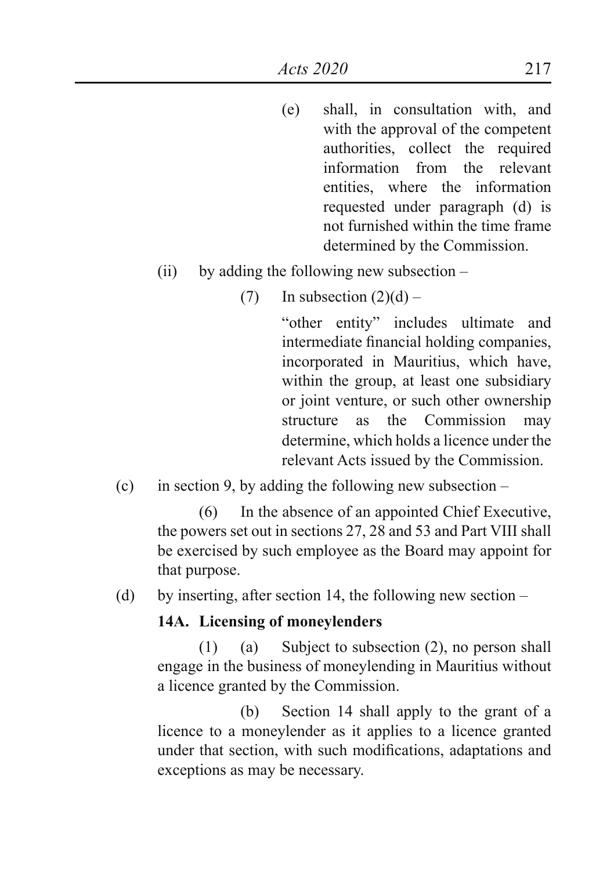- (e) shall, in consultation with, and with the approval of the competent authorities, collect the required information from the relevant entities, where the information requested under paragraph (d) is not furnished within the time frame determined by the Commission.
- (ii) by adding the following new subsection
	- (7) In subsection  $(2)(d)$  –

 "other entity" includes ultimate and intermediate financial holding companies, incorporated in Mauritius, which have, within the group, at least one subsidiary or joint venture, or such other ownership structure as the Commission may determine, which holds a licence under the relevant Acts issued by the Commission.

(c) in section 9, by adding the following new subsection  $-$ 

 (6) In the absence of an appointed Chief Executive, the powers set out in sections 27, 28 and 53 and Part VIII shall be exercised by such employee as the Board may appoint for that purpose.

(d) by inserting, after section 14, the following new section –

#### **14A. Licensing of moneylenders**

 (1) (a) Subject to subsection (2), no person shall engage in the business of moneylending in Mauritius without a licence granted by the Commission.

 (b) Section 14 shall apply to the grant of a licence to a moneylender as it applies to a licence granted under that section, with such modifications, adaptations and exceptions as may be necessary.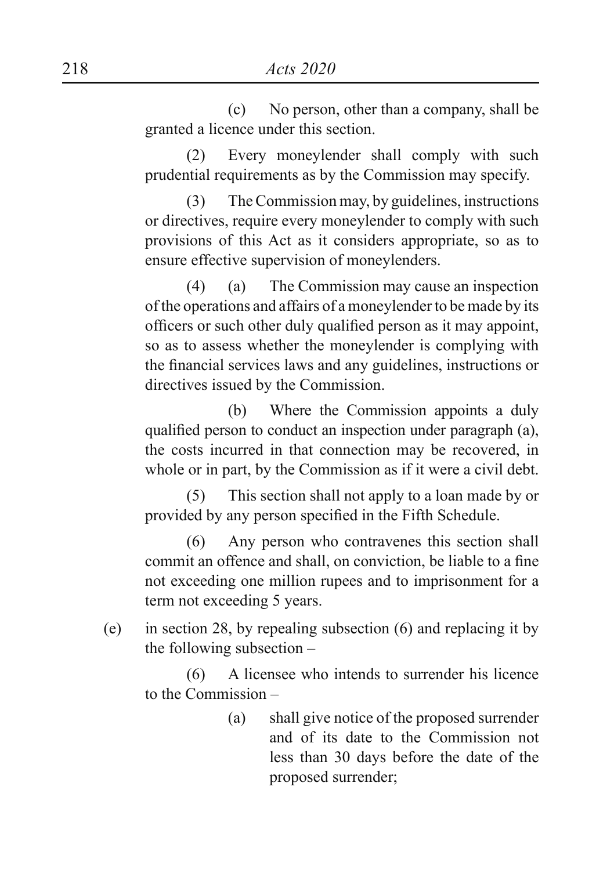(c) No person, other than a company, shall be granted a licence under this section.

 (2) Every moneylender shall comply with such prudential requirements as by the Commission may specify.

 (3) The Commission may, by guidelines, instructions or directives, require every moneylender to comply with such provisions of this Act as it considers appropriate, so as to ensure effective supervision of moneylenders.

 (4) (a) The Commission may cause an inspection of the operations and affairs of a moneylender to be made by its officers or such other duly qualified person as it may appoint, so as to assess whether the moneylender is complying with the financial services laws and any guidelines, instructions or directives issued by the Commission.

 (b) Where the Commission appoints a duly qualified person to conduct an inspection under paragraph (a), the costs incurred in that connection may be recovered, in whole or in part, by the Commission as if it were a civil debt.

 (5) This section shall not apply to a loan made by or provided by any person specified in the Fifth Schedule.

 (6) Any person who contravenes this section shall commit an offence and shall, on conviction, be liable to a fine not exceeding one million rupees and to imprisonment for a term not exceeding 5 years.

(e) in section 28, by repealing subsection (6) and replacing it by the following subsection –

 (6) A licensee who intends to surrender his licence to the Commission –

> (a) shall give notice of the proposed surrender and of its date to the Commission not less than 30 days before the date of the proposed surrender;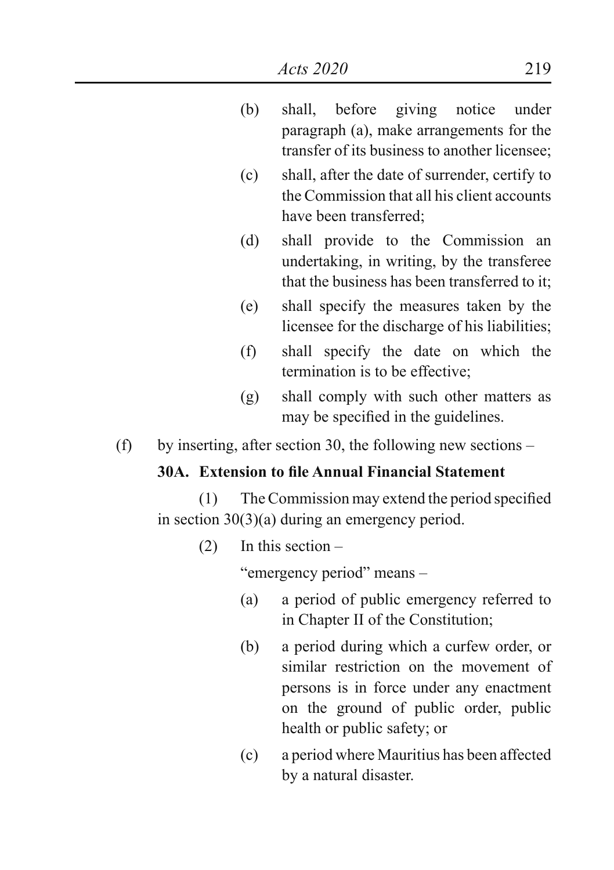- (b) shall, before giving notice under paragraph (a), make arrangements for the transfer of its business to another licensee;
- (c) shall, after the date of surrender, certify to the Commission that all his client accounts have been transferred;
- (d) shall provide to the Commission an undertaking, in writing, by the transferee that the business has been transferred to it;
- (e) shall specify the measures taken by the licensee for the discharge of his liabilities;
- (f) shall specify the date on which the termination is to be effective;
- (g) shall comply with such other matters as may be specified in the guidelines.
- (f) by inserting, after section 30, the following new sections –

## **30A. Extension to file Annual Financial Statement**

 (1) TheCommission may extend the period specified in section 30(3)(a) during an emergency period.

(2) In this section –

"emergency period" means –

- (a) a period of public emergency referred to in Chapter II of the Constitution;
- (b) a period during which a curfew order, or similar restriction on the movement of persons is in force under any enactment on the ground of public order, public health or public safety; or
- (c) a period where Mauritius has been affected by a natural disaster.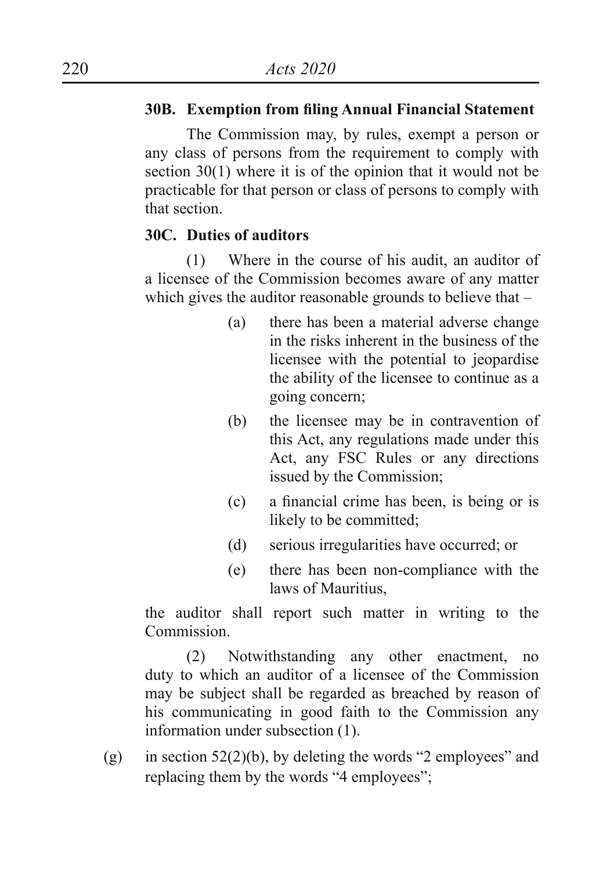## **30B. Exemption from filing Annual Financial Statement**

 The Commission may, by rules, exempt a person or any class of persons from the requirement to comply with section 30(1) where it is of the opinion that it would not be practicable for that person or class of persons to comply with that section.

## **30C. Duties of auditors**

 (1) Where in the course of his audit, an auditor of a licensee of the Commission becomes aware of any matter which gives the auditor reasonable grounds to believe that –

- (a) there has been a material adverse change in the risks inherent in the business of the licensee with the potential to jeopardise the ability of the licensee to continue as a going concern;
- (b) the licensee may be in contravention of this Act, any regulations made under this Act, any FSC Rules or any directions issued by the Commission;
- (c) a financial crime has been, is being or is likely to be committed;
- (d) serious irregularities have occurred; or
- (e) there has been non-compliance with the laws of Mauritius,

the auditor shall report such matter in writing to the **Commission** 

 (2) Notwithstanding any other enactment, no duty to which an auditor of a licensee of the Commission may be subject shall be regarded as breached by reason of his communicating in good faith to the Commission any information under subsection (1).

(g) in section  $52(2)(b)$ , by deleting the words "2 employees" and replacing them by the words "4 employees";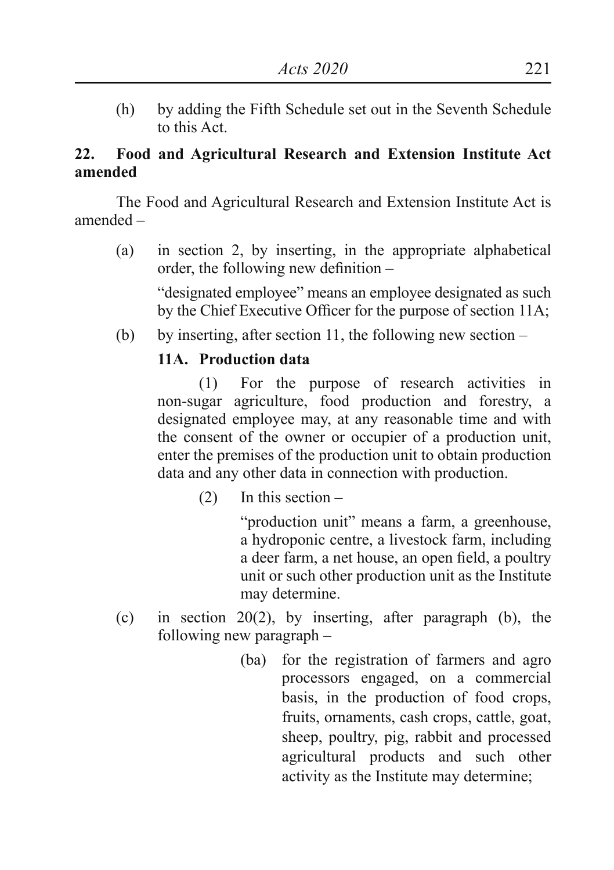(h) by adding the Fifth Schedule set out in the Seventh Schedule to this Act.

## **22. Food and Agricultural Research and Extension Institute Act amended**

The Food and Agricultural Research and Extension Institute Act is amended –

(a) in section 2, by inserting, in the appropriate alphabetical order, the following new definition –

"designated employee" means an employee designated as such by the Chief Executive Officer for the purpose of section 11A;

(b) by inserting, after section 11, the following new section  $-$ 

# **11A. Production data**

 (1) For the purpose of research activities in non-sugar agriculture, food production and forestry, a designated employee may, at any reasonable time and with the consent of the owner or occupier of a production unit, enter the premises of the production unit to obtain production data and any other data in connection with production.

(2) In this section –

 "production unit" means a farm, a greenhouse, a hydroponic centre, a livestock farm, including a deer farm, a net house, an open field, a poultry unit or such other production unit as the Institute may determine.

- (c) in section 20(2), by inserting, after paragraph (b), the following new paragraph –
	- (ba) for the registration of farmers and agro processors engaged, on a commercial basis, in the production of food crops, fruits, ornaments, cash crops, cattle, goat, sheep, poultry, pig, rabbit and processed agricultural products and such other activity as the Institute may determine;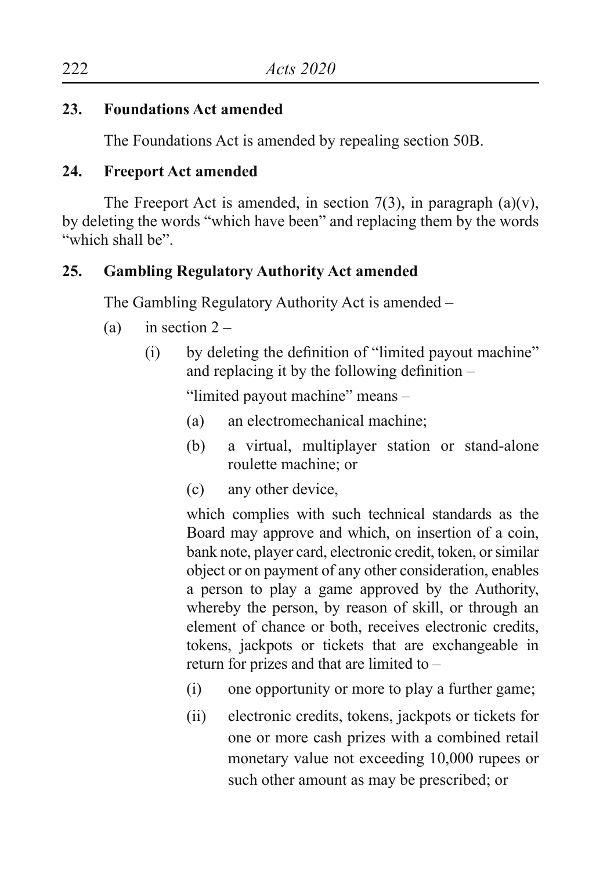# **23. Foundations Act amended**

The Foundations Act is amended by repealing section 50B.

## **24. Freeport Act amended**

The Freeport Act is amended, in section 7(3), in paragraph (a)(v), by deleting the words "which have been" and replacing them by the words "which shall be".

# **25. Gambling Regulatory Authority Act amended**

The Gambling Regulatory Authority Act is amended –

- (a) in section  $2 -$ 
	- (i) by deleting the definition of "limited payout machine" and replacing it by the following definition –

"limited payout machine" means –

- (a) an electromechanical machine;
- (b) a virtual, multiplayer station or stand-alone roulette machine; or
- (c) any other device,

which complies with such technical standards as the Board may approve and which, on insertion of a coin, bank note, player card, electronic credit, token, or similar object or on payment of any other consideration, enables a person to play a game approved by the Authority, whereby the person, by reason of skill, or through an element of chance or both, receives electronic credits, tokens, jackpots or tickets that are exchangeable in return for prizes and that are limited to –

- (i) one opportunity or more to play a further game;
- (ii) electronic credits, tokens, jackpots or tickets for one or more cash prizes with a combined retail monetary value not exceeding 10,000 rupees or such other amount as may be prescribed; or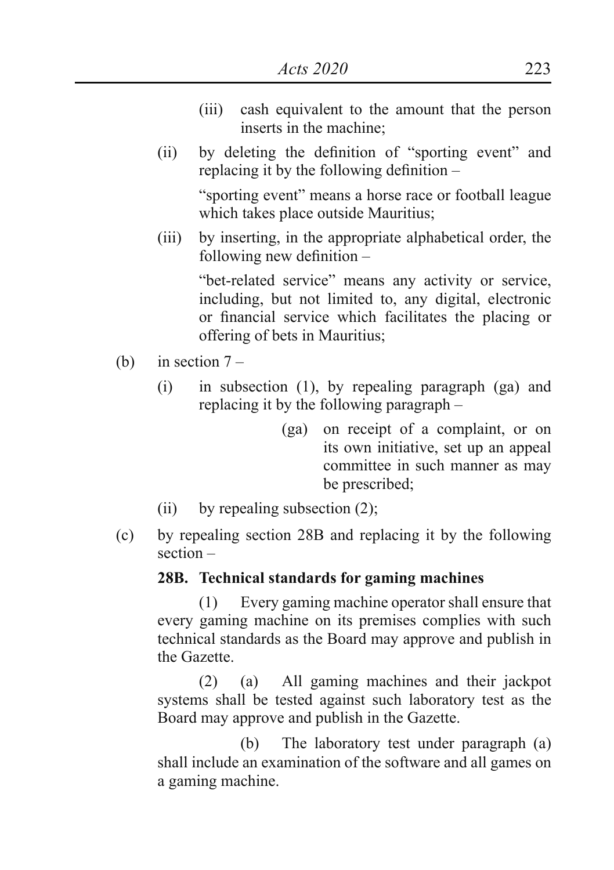- (iii) cash equivalent to the amount that the person inserts in the machine;
- (ii) by deleting the definition of "sporting event" and replacing it by the following definition –

 "sporting event" means a horse race or football league which takes place outside Mauritius;

(iii) by inserting, in the appropriate alphabetical order, the following new definition –

> "bet-related service" means any activity or service, including, but not limited to, any digital, electronic or financial service which facilitates the placing or offering of bets in Mauritius;

- (b) in section  $7 -$ 
	- (i) in subsection (1), by repealing paragraph (ga) and replacing it by the following paragraph –
		- (ga) on receipt of a complaint, or on its own initiative, set up an appeal committee in such manner as may be prescribed;
	- (ii) by repealing subsection  $(2)$ ;
- (c) by repealing section 28B and replacing it by the following section –

### **28B. Technical standards for gaming machines**

 (1) Every gaming machine operator shall ensure that every gaming machine on its premises complies with such technical standards as the Board may approve and publish in the Gazette.

 (2) (a) All gaming machines and their jackpot systems shall be tested against such laboratory test as the Board may approve and publish in the Gazette.

 (b) The laboratory test under paragraph (a) shall include an examination of the software and all games on a gaming machine.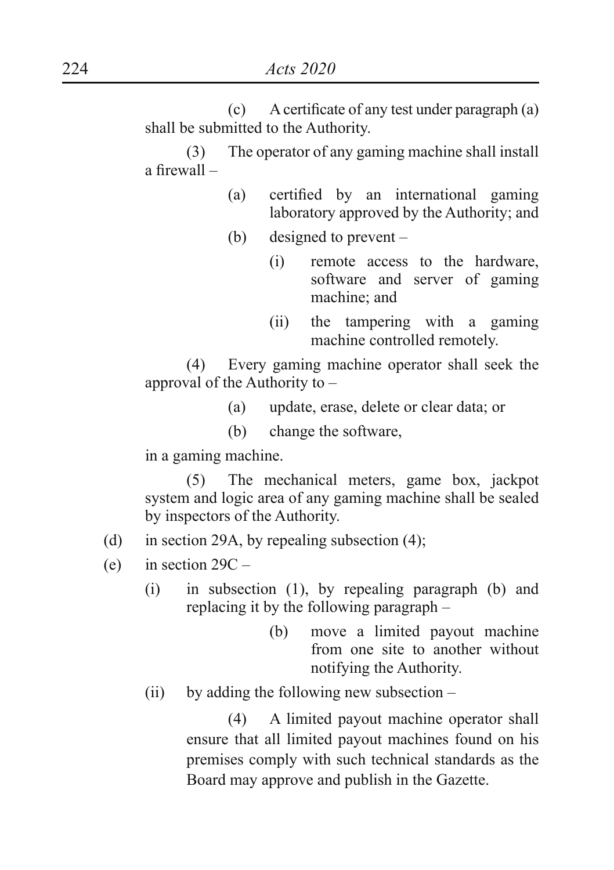(c) Acertificate of any test under paragraph (a) shall be submitted to the Authority.

 (3) The operator of any gaming machine shall install a firewall –

- (a) certified by an international gaming laboratory approved by the Authority; and
- (b) designed to prevent
	- (i) remote access to the hardware, software and server of gaming machine; and
	- (ii) the tampering with a gaming machine controlled remotely.

 (4) Every gaming machine operator shall seek the approval of the Authority to –

- (a) update, erase, delete or clear data; or
- (b) change the software,

in a gaming machine.

 (5) The mechanical meters, game box, jackpot system and logic area of any gaming machine shall be sealed by inspectors of the Authority.

- (d) in section 29A, by repealing subsection (4);
- (e) in section  $29C -$ 
	- (i) in subsection (1), by repealing paragraph (b) and replacing it by the following paragraph –
		- (b) move a limited payout machine from one site to another without notifying the Authority.
	- (ii) by adding the following new subsection  $-$

 (4) A limited payout machine operator shall ensure that all limited payout machines found on his premises comply with such technical standards as the Board may approve and publish in the Gazette.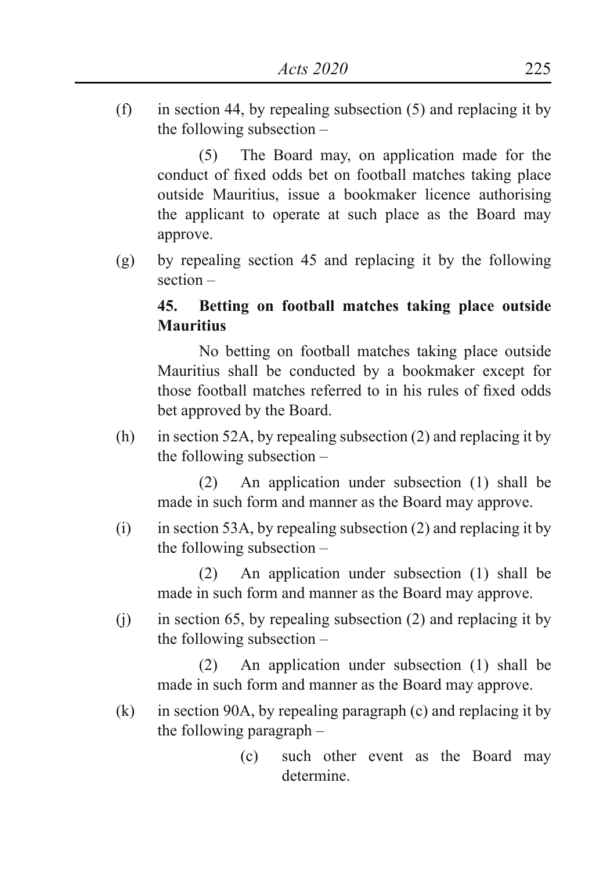(f) in section 44, by repealing subsection (5) and replacing it by the following subsection –

 (5) The Board may, on application made for the conduct of fixed odds bet on football matches taking place outside Mauritius, issue a bookmaker licence authorising the applicant to operate at such place as the Board may approve.

(g) by repealing section 45 and replacing it by the following section –

# **45. Betting on football matches taking place outside Mauritius**

 No betting on football matches taking place outside Mauritius shall be conducted by a bookmaker except for those football matches referred to in his rules of fixed odds bet approved by the Board.

(h) in section 52A, by repealing subsection (2) and replacing it by the following subsection –

 (2) An application under subsection (1) shall be made in such form and manner as the Board may approve.

 $(i)$  in section 53A, by repealing subsection (2) and replacing it by the following subsection –

 (2) An application under subsection (1) shall be made in such form and manner as the Board may approve.

 $(i)$  in section 65, by repealing subsection (2) and replacing it by the following subsection –

 (2) An application under subsection (1) shall be made in such form and manner as the Board may approve.

- (k) in section 90A, by repealing paragraph (c) and replacing it by the following paragraph –
	- (c) such other event as the Board may determine.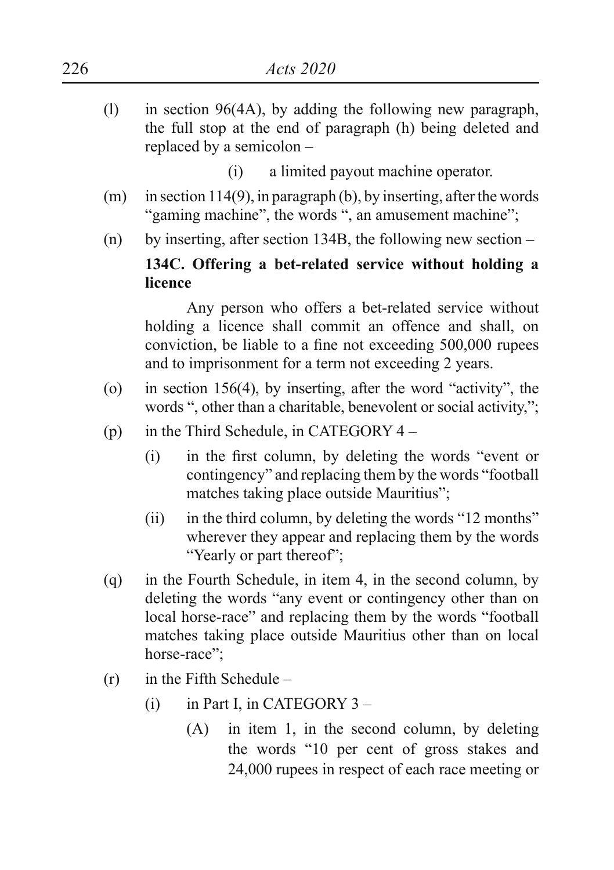- (l) in section 96(4A), by adding the following new paragraph, the full stop at the end of paragraph (h) being deleted and replaced by a semicolon –
	- (i) a limited payout machine operator.
- $(m)$  in section 114(9), in paragraph (b), by inserting, after the words "gaming machine", the words ", an amusement machine";
- (n) by inserting, after section 134B, the following new section –

# **134C. Offering a bet-related service without holding a licence**

 Any person who offers a bet-related service without holding a licence shall commit an offence and shall, on conviction, be liable to a fine not exceeding 500,000 rupees and to imprisonment for a term not exceeding 2 years.

- (o) in section 156(4), by inserting, after the word "activity", the words ", other than a charitable, benevolent or social activity,";
- (p) in the Third Schedule, in CATEGORY  $4 -$ 
	- (i) in the first column, by deleting the words "event or contingency" and replacing them by the words "football matches taking place outside Mauritius";
	- $(ii)$  in the third column, by deleting the words "12 months" wherever they appear and replacing them by the words "Yearly or part thereof":
- (q) in the Fourth Schedule, in item 4, in the second column, by deleting the words "any event or contingency other than on local horse-race" and replacing them by the words "football matches taking place outside Mauritius other than on local horse-race";
- (r) in the Fifth Schedule
	- (i) in Part I, in CATEGORY  $3 -$ 
		- (A) in item 1, in the second column, by deleting the words "10 per cent of gross stakes and 24,000 rupees in respect of each race meeting or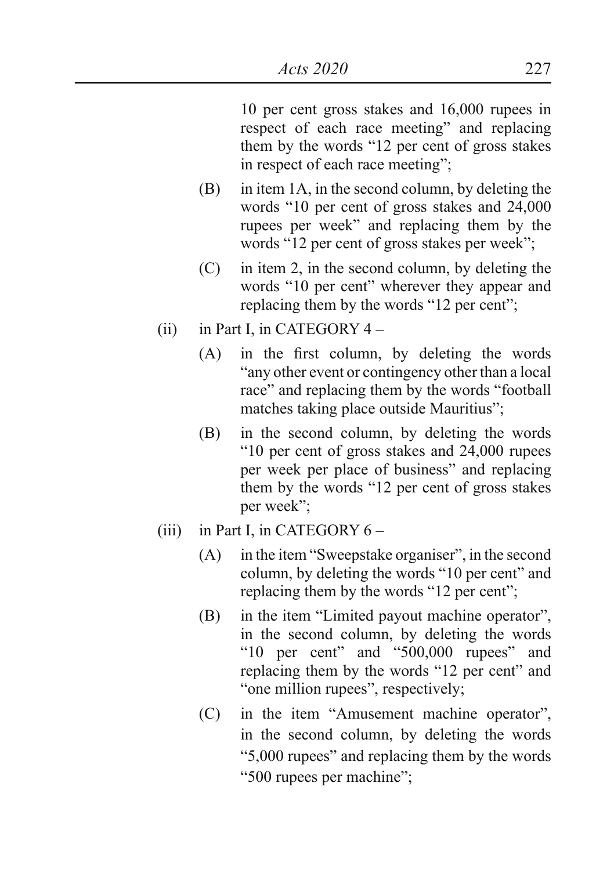10 per cent gross stakes and 16,000 rupees in respect of each race meeting" and replacing them by the words "12 per cent of gross stakes in respect of each race meeting";

- (B) in item 1A, in the second column, by deleting the words "10 per cent of gross stakes and 24,000 rupees per week" and replacing them by the words "12 per cent of gross stakes per week";
- (C) in item 2, in the second column, by deleting the words "10 per cent" wherever they appear and replacing them by the words "12 per cent";
- $(ii)$  in Part I, in CATEGORY 4
	- (A) in the first column, by deleting the words "any other event or contingency other than a local race" and replacing them by the words "football matches taking place outside Mauritius";
	- (B) in the second column, by deleting the words "10 per cent of gross stakes and 24,000 rupees per week per place of business" and replacing them by the words "12 per cent of gross stakes per week";
- (iii) in Part I, in CATEGORY  $6 -$ 
	- (A) in the item "Sweepstake organiser", in the second column, by deleting the words "10 per cent" and replacing them by the words "12 per cent";
	- (B) in the item "Limited payout machine operator", in the second column, by deleting the words "10 per cent" and "500,000 rupees" and replacing them by the words "12 per cent" and "one million rupees", respectively;
	- (C) in the item "Amusement machine operator", in the second column, by deleting the words "5,000 rupees" and replacing them by the words "500 rupees per machine";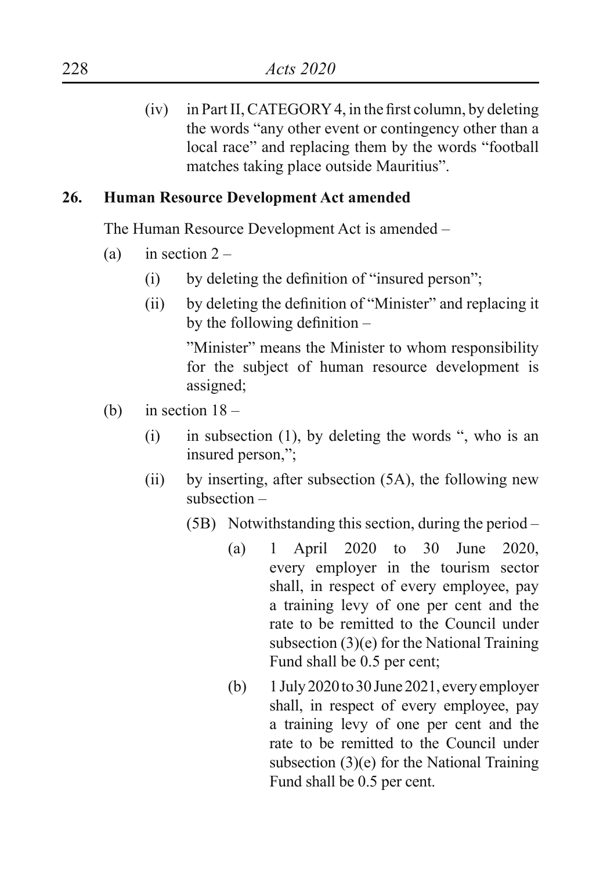$(iv)$  in Part II, CATEGORY 4, in the first column, by deleting the words "any other event or contingency other than a local race" and replacing them by the words "football matches taking place outside Mauritius".

## **26. Human Resource Development Act amended**

The Human Resource Development Act is amended –

- (a) in section  $2 -$ 
	- $(i)$  by deleting the definition of "insured person";
	- (ii) by deleting the definition of "Minister" and replacing it by the following definition –

"Minister" means the Minister to whom responsibility for the subject of human resource development is assigned;

- (b) in section  $18 -$ 
	- (i) in subsection (1), by deleting the words ", who is an insured person,";
	- (ii) by inserting, after subsection (5A), the following new subsection –
		- (5B) Notwithstanding this section, during the period
			- (a) 1 April 2020 to 30 June 2020, every employer in the tourism sector shall, in respect of every employee, pay a training levy of one per cent and the rate to be remitted to the Council under subsection (3)(e) for the National Training Fund shall be 0.5 per cent;
			- (b)  $1 \text{ July } 2020 \text{ to } 30 \text{ June } 2021$ , every employer shall, in respect of every employee, pay a training levy of one per cent and the rate to be remitted to the Council under subsection (3)(e) for the National Training Fund shall be 0.5 per cent.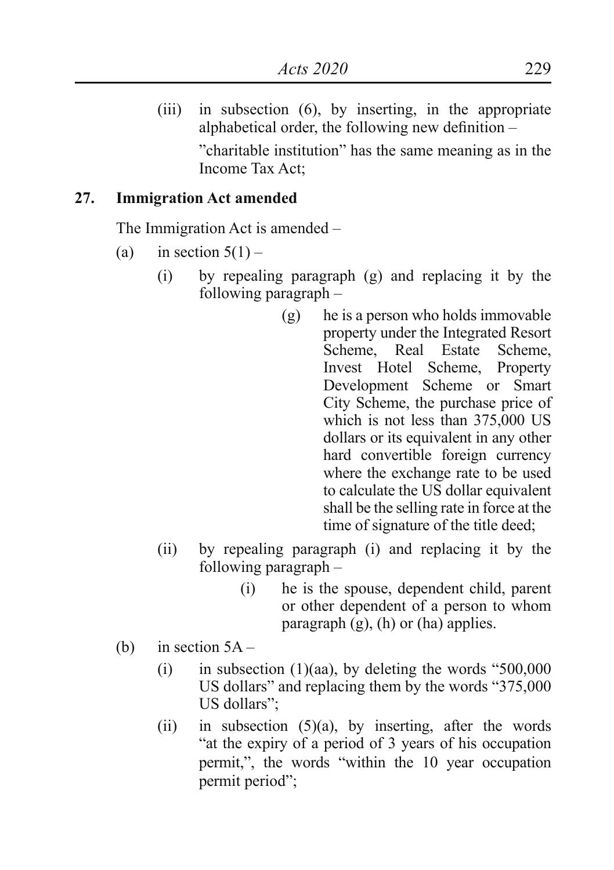(iii) in subsection (6), by inserting, in the appropriate alphabetical order, the following new definition – "charitable institution" has the same meaning as in the Income Tax Act;

## **27. Immigration Act amended**

The Immigration Act is amended –

- (a) in section  $5(1)$ 
	- (i) by repealing paragraph (g) and replacing it by the following paragraph –
		- (g) he is a person who holds immovable property under the Integrated Resort Scheme, Real Estate Scheme, Invest Hotel Scheme, Property Development Scheme or Smart City Scheme, the purchase price of which is not less than 375,000 US dollars or its equivalent in any other hard convertible foreign currency where the exchange rate to be used to calculate the US dollar equivalent shall be the selling rate in force at the time of signature of the title deed;
	- (ii) by repealing paragraph (i) and replacing it by the following paragraph –
		- (i) he is the spouse, dependent child, parent or other dependent of a person to whom paragraph  $(g)$ ,  $(h)$  or  $(ha)$  applies.
- (b) in section 5A
	- $(i)$  in subsection  $(1)(aa)$ , by deleting the words "500,000 US dollars" and replacing them by the words "375,000 US dollars";
	- (ii) in subsection  $(5)(a)$ , by inserting, after the words "at the expiry of a period of 3 years of his occupation permit,", the words "within the 10 year occupation permit period";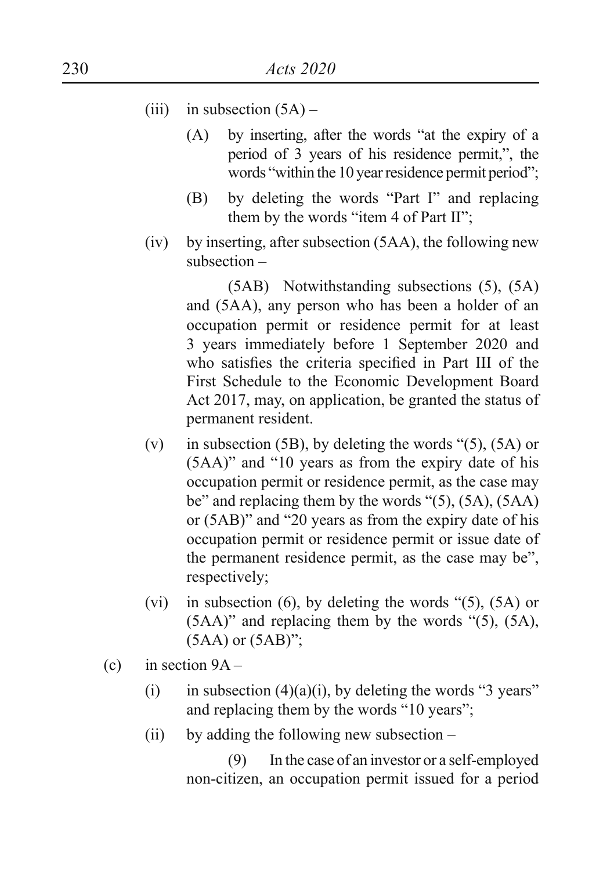- (iii) in subsection  $(5A)$ 
	- (A) by inserting, after the words "at the expiry of a period of 3 years of his residence permit,", the words "within the 10 year residence permit period":
	- (B) by deleting the words "Part I" and replacing them by the words "item 4 of Part II";
- (iv) by inserting, after subsection (5AA), the following new subsection –

 (5AB) Notwithstanding subsections (5), (5A) and (5AA), any person who has been a holder of an occupation permit or residence permit for at least 3 years immediately before 1 September 2020 and who satisfies the criteria specified in Part III of the First Schedule to the Economic Development Board Act 2017, may, on application, be granted the status of permanent resident.

- (v) in subsection (5B), by deleting the words " $(5)$ ,  $(5A)$  or (5AA)" and "10 years as from the expiry date of his occupation permit or residence permit, as the case may be" and replacing them by the words "(5), (5A), (5AA) or (5AB)" and "20 years as from the expiry date of his occupation permit or residence permit or issue date of the permanent residence permit, as the case may be", respectively;
- (vi) in subsection (6), by deleting the words " $(5)$ ,  $(5A)$  or  $(5AA)$ " and replacing them by the words " $(5)$ ,  $(5A)$ , (5AA) or (5AB)";
- (c) in section  $9A -$ 
	- (i) in subsection (4)(a)(i), by deleting the words "3 years" and replacing them by the words "10 years";
	- $(ii)$  by adding the following new subsection –

 (9) In the case of an investor or a self-employed non-citizen, an occupation permit issued for a period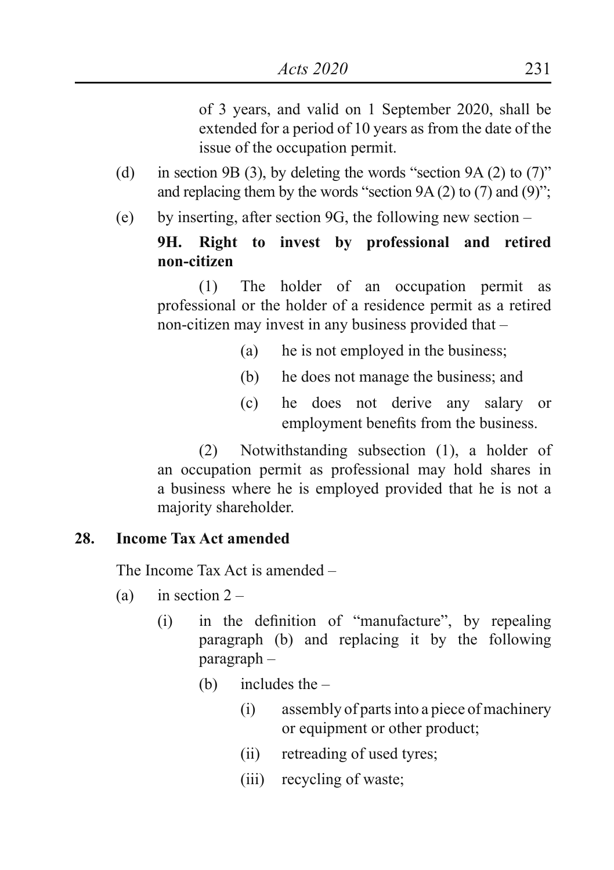of 3 years, and valid on 1 September 2020, shall be extended for a period of 10 years as from the date of the issue of the occupation permit.

- (d) in section 9B (3), by deleting the words "section 9A (2) to  $(7)$ " and replacing them by the words "section  $9A(2)$  to  $(7)$  and  $(9)$ ";
- (e) by inserting, after section 9G, the following new section –

### **9H. Right to invest by professional and retired non-citizen**

 (1) The holder of an occupation permit as professional or the holder of a residence permit as a retired non-citizen may invest in any business provided that –

- (a) he is not employed in the business;
- (b) he does not manage the business; and
- (c) he does not derive any salary or employment benefits from the business.

 (2) Notwithstanding subsection (1), a holder of an occupation permit as professional may hold shares in a business where he is employed provided that he is not a majority shareholder.

#### **28. Income Tax Act amended**

The Income Tax Act is amended –

- (a) in section  $2 -$ 
	- (i) in the definition of "manufacture", by repealing paragraph (b) and replacing it by the following paragraph –
		- (b) includes the
			- (i) assembly of parts into a piece of machinery or equipment or other product;
			- (ii) retreading of used tyres;
			- (iii) recycling of waste;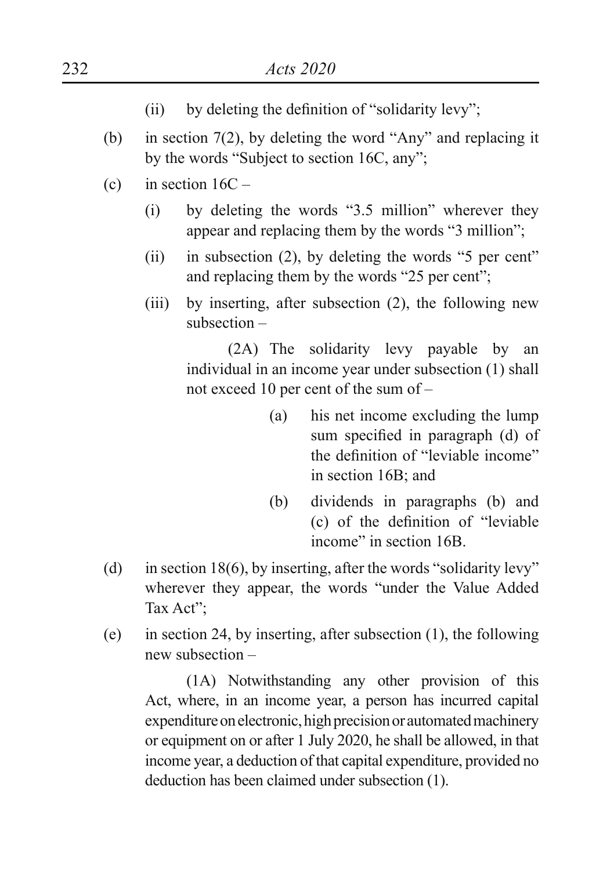- (ii) by deleting the definition of "solidarity levy";
- (b) in section  $7(2)$ , by deleting the word "Any" and replacing it by the words "Subject to section 16C, any";
- (c) in section  $16C -$ 
	- (i) by deleting the words "3.5 million" wherever they appear and replacing them by the words "3 million";
	- (ii) in subsection  $(2)$ , by deleting the words "5 per cent" and replacing them by the words "25 per cent";
	- (iii) by inserting, after subsection (2), the following new subsection –

 (2A) The solidarity levy payable by an individual in an income year under subsection (1) shall not exceed 10 per cent of the sum of –

- (a) his net income excluding the lump sum specified in paragraph (d) of the definition of "leviable income" in section 16B; and
- (b) dividends in paragraphs (b) and (c) of the definition of "leviable income" in section 16B.
- (d) in section 18(6), by inserting, after the words "solidarity levy" wherever they appear, the words "under the Value Added Tax Act";
- (e) in section 24, by inserting, after subsection (1), the following new subsection –

 (1A) Notwithstanding any other provision of this Act, where, in an income year, a person has incurred capital expenditure on electronic, high precision or automated machinery or equipment on or after 1 July 2020, he shall be allowed, in that income year, a deduction of that capital expenditure, provided no deduction has been claimed under subsection (1).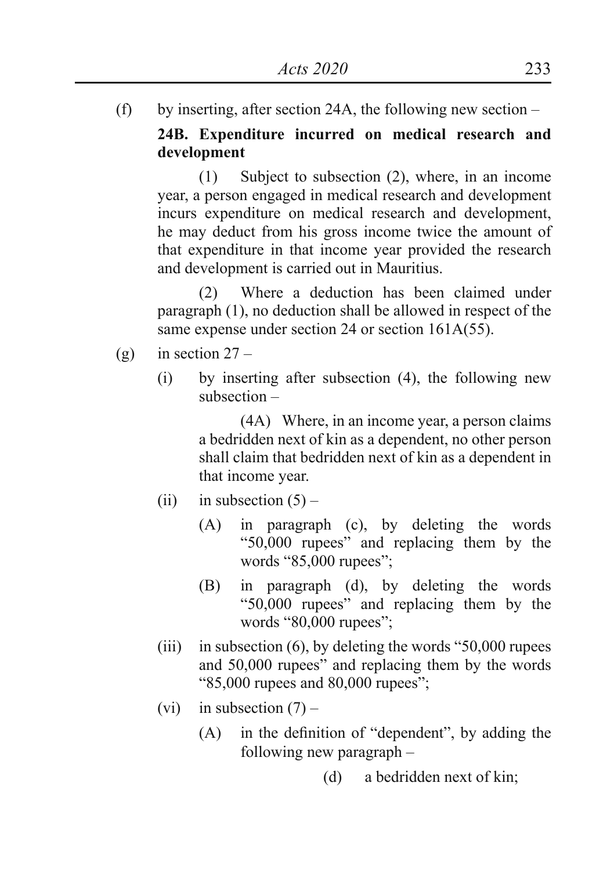(f) by inserting, after section 24A, the following new section –

**24B. Expenditure incurred on medical research and development**

 (1) Subject to subsection (2), where, in an income year, a person engaged in medical research and development incurs expenditure on medical research and development, he may deduct from his gross income twice the amount of that expenditure in that income year provided the research and development is carried out in Mauritius.

 (2) Where a deduction has been claimed under paragraph (1), no deduction shall be allowed in respect of the same expense under section 24 or section 161A(55).

- (g) in section  $27 -$ 
	- (i) by inserting after subsection (4), the following new subsection –

 (4A) Where, in an income year, a person claims a bedridden next of kin as a dependent, no other person shall claim that bedridden next of kin as a dependent in that income year.

- (ii) in subsection  $(5)$ 
	- (A) in paragraph (c), by deleting the words "50,000 rupees" and replacing them by the words "85,000 rupees";
	- (B) in paragraph (d), by deleting the words "50,000 rupees" and replacing them by the words "80,000 rupees";
- (iii) in subsection  $(6)$ , by deleting the words "50,000 rupees and 50,000 rupees" and replacing them by the words "85,000 rupees and 80,000 rupees";
- (vi) in subsection  $(7)$ 
	- (A) in the definition of "dependent", by adding the following new paragraph –
		- (d) a bedridden next of kin;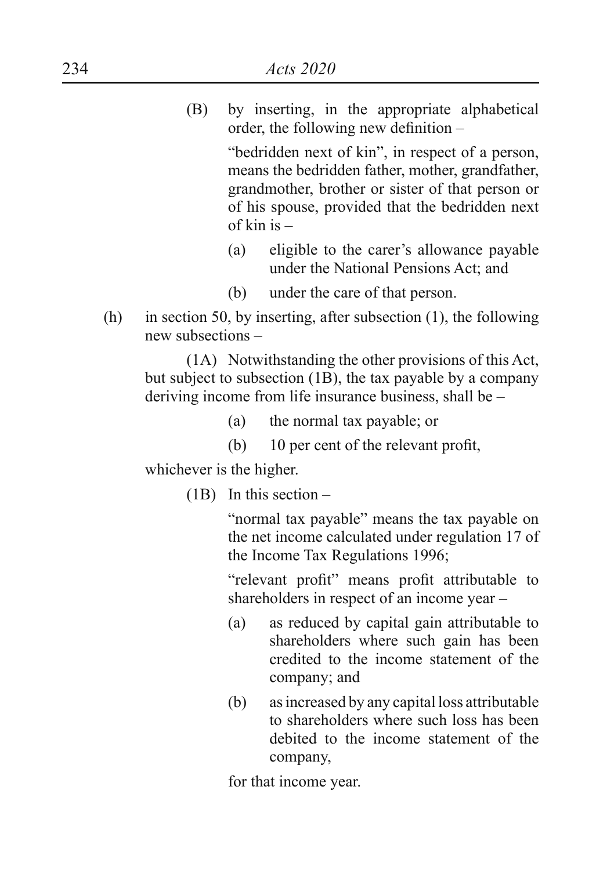(B) by inserting, in the appropriate alphabetical order, the following new definition –

> "bedridden next of kin", in respect of a person, means the bedridden father, mother, grandfather, grandmother, brother or sister of that person or of his spouse, provided that the bedridden next of kin is –

- (a) eligible to the carer's allowance payable under the National Pensions Act; and
- (b) under the care of that person.
- (h) in section 50, by inserting, after subsection (1), the following new subsections –

 (1A) Notwithstanding the other provisions of this Act, but subject to subsection (1B), the tax payable by a company deriving income from life insurance business, shall be –

- (a) the normal tax payable; or
- (b) 10 per cent of the relevant profit,

whichever is the higher.

(1B) In this section –

 "normal tax payable" means the tax payable on the net income calculated under regulation 17 of the Income Tax Regulations 1996;

 "relevant profit" means profit attributable to shareholders in respect of an income year –

- (a) as reduced by capital gain attributable to shareholders where such gain has been credited to the income statement of the company; and
- (b) as increased by any capital loss attributable to shareholders where such loss has been debited to the income statement of the company,

for that income year.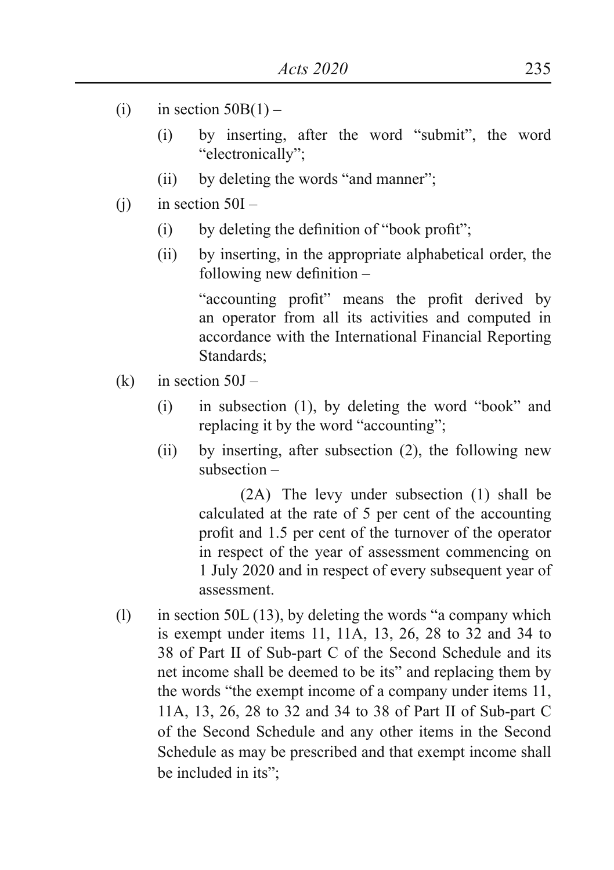- (i) in section  $50B(1)$ 
	- (i) by inserting, after the word "submit", the word "electronically";
	- (ii) by deleting the words "and manner";
- $(i)$  in section  $50I -$ 
	- $(i)$  by deleting the definition of "book profit";
	- (ii) by inserting, in the appropriate alphabetical order, the following new definition –

 "accounting profit" means the profit derived by an operator from all its activities and computed in accordance with the International Financial Reporting Standards;

- (k) in section  $50J -$ 
	- $(i)$  in subsection  $(1)$ , by deleting the word "book" and replacing it by the word "accounting";
	- (ii) by inserting, after subsection (2), the following new subsection –

 (2A) The levy under subsection (1) shall be calculated at the rate of 5 per cent of the accounting profit and 1.5 per cent of the turnover of the operator in respect of the year of assessment commencing on 1 July 2020 and in respect of every subsequent year of assessment.

(1) in section 50L (13), by deleting the words "a company which is exempt under items 11, 11A, 13, 26, 28 to 32 and 34 to 38 of Part II of Sub-part C of the Second Schedule and its net income shall be deemed to be its" and replacing them by the words "the exempt income of a company under items 11, 11A, 13, 26, 28 to 32 and 34 to 38 of Part II of Sub-part C of the Second Schedule and any other items in the Second Schedule as may be prescribed and that exempt income shall be included in its";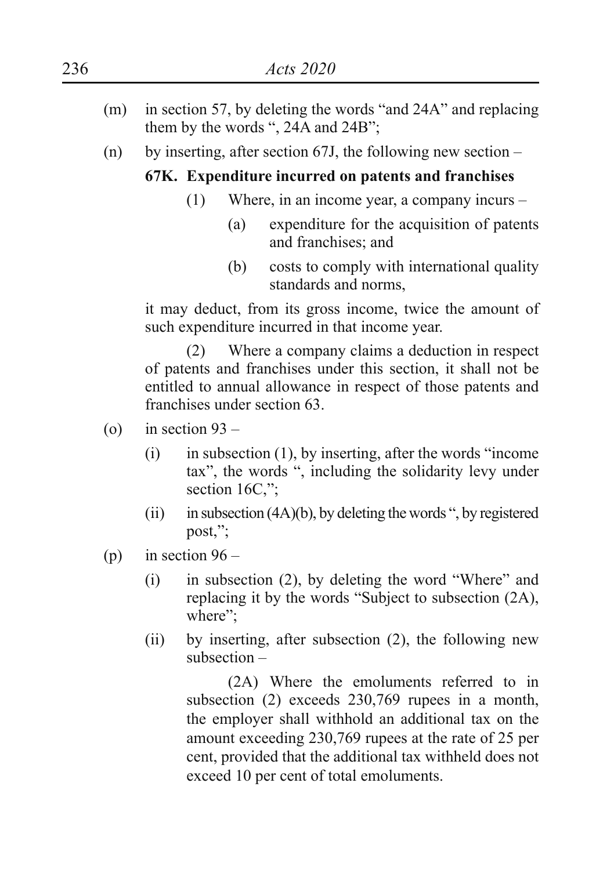- (m) in section 57, by deleting the words "and 24A" and replacing them by the words ", 24A and 24B";
- (n) by inserting, after section 67J, the following new section –

## **67K. Expenditure incurred on patents and franchises**

- (1) Where, in an income year, a company incurs
	- (a) expenditure for the acquisition of patents and franchises; and
	- (b) costs to comply with international quality standards and norms,

it may deduct, from its gross income, twice the amount of such expenditure incurred in that income year.

 (2) Where a company claims a deduction in respect of patents and franchises under this section, it shall not be entitled to annual allowance in respect of those patents and franchises under section 63.

- (o) in section  $93 -$ 
	- $(i)$  in subsection  $(1)$ , by inserting, after the words "income" tax", the words ", including the solidarity levy under section 16C,":
	- (ii) in subsection  $(4A)(b)$ , by deleting the words ", by registered post,";
- (p) in section  $96 -$ 
	- $(i)$  in subsection  $(2)$ , by deleting the word "Where" and replacing it by the words "Subject to subsection (2A), where";
	- (ii) by inserting, after subsection (2), the following new subsection –

 (2A) Where the emoluments referred to in subsection (2) exceeds 230,769 rupees in a month, the employer shall withhold an additional tax on the amount exceeding 230,769 rupees at the rate of 25 per cent, provided that the additional tax withheld does not exceed 10 per cent of total emoluments.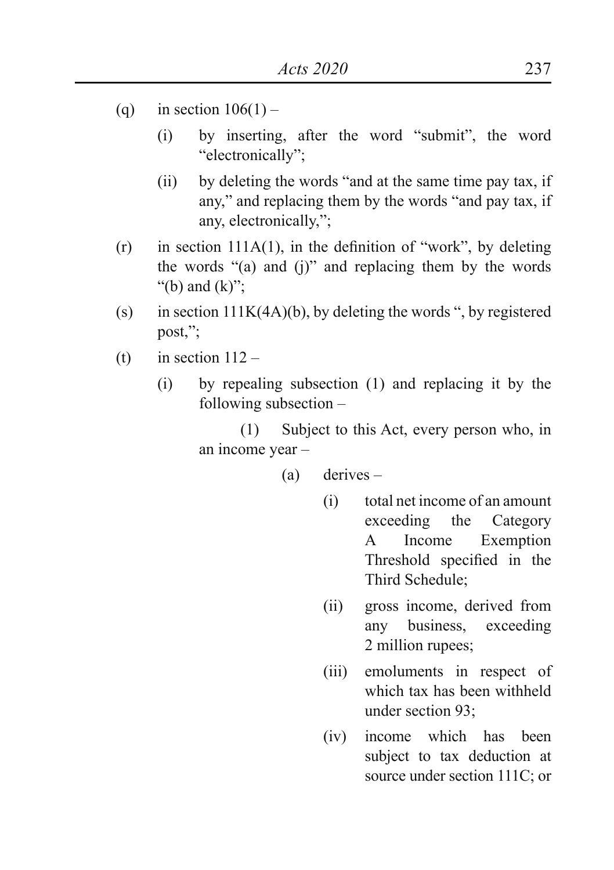- (q) in section  $106(1)$ 
	- (i) by inserting, after the word "submit", the word "electronically";
	- (ii) by deleting the words "and at the same time pay tax, if any," and replacing them by the words "and pay tax, if any, electronically,";
- $(r)$  in section 111A(1), in the definition of "work", by deleting the words "(a) and (j)" and replacing them by the words "(b) and  $(k)$ ";
- (s) in section  $111K(4A)(b)$ , by deleting the words ", by registered post,";
- (t) in section  $112 -$ 
	- (i) by repealing subsection (1) and replacing it by the following subsection –

 (1) Subject to this Act, every person who, in an income year –

(a) derives –

- (i) total net income of an amount exceeding the Category A Income Exemption Threshold specified in the Third Schedule;
- (ii) gross income, derived from any business, exceeding 2 million rupees;
- (iii) emoluments in respect of which tax has been withheld under section 93;
- (iv) income which has been subject to tax deduction at source under section 111C; or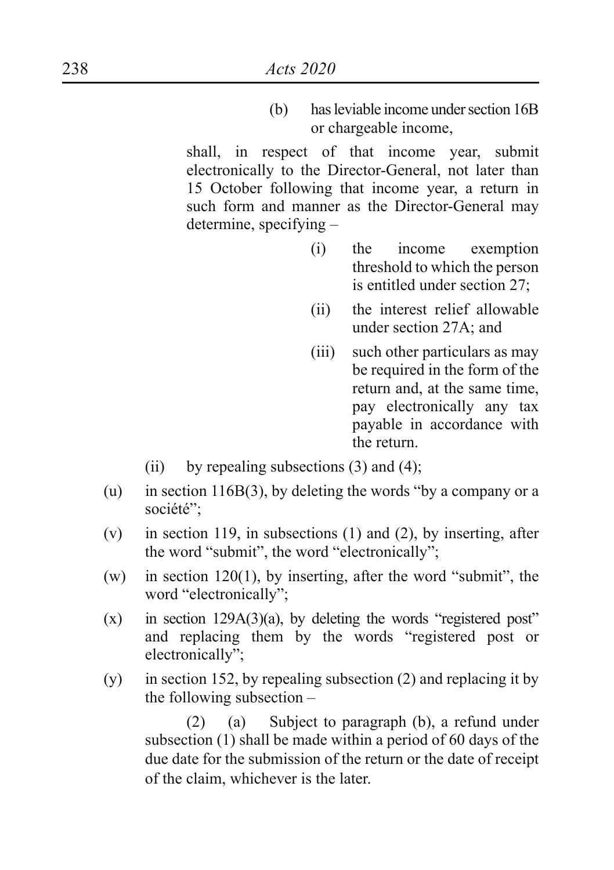(b) has leviable income under section 16B or chargeable income,

shall, in respect of that income year, submit electronically to the Director-General, not later than 15 October following that income year, a return in such form and manner as the Director-General may determine, specifying –

- (i) the income exemption threshold to which the person is entitled under section 27;
- (ii) the interest relief allowable under section 27A; and
- (iii) such other particulars as may be required in the form of the return and, at the same time, pay electronically any tax payable in accordance with the return.
- (ii) by repealing subsections  $(3)$  and  $(4)$ ;
- (u) in section 116B(3), by deleting the words "by a company or a société";
- (v) in section 119, in subsections (1) and (2), by inserting, after the word "submit", the word "electronically";
- (w) in section 120(1), by inserting, after the word "submit", the word "electronically";
- $(x)$  in section 129A(3)(a), by deleting the words "registered post" and replacing them by the words "registered post or electronically";
- (y) in section 152, by repealing subsection (2) and replacing it by the following subsection –

 (2) (a) Subject to paragraph (b), a refund under subsection (1) shall be made within a period of 60 days of the due date for the submission of the return or the date of receipt of the claim, whichever is the later.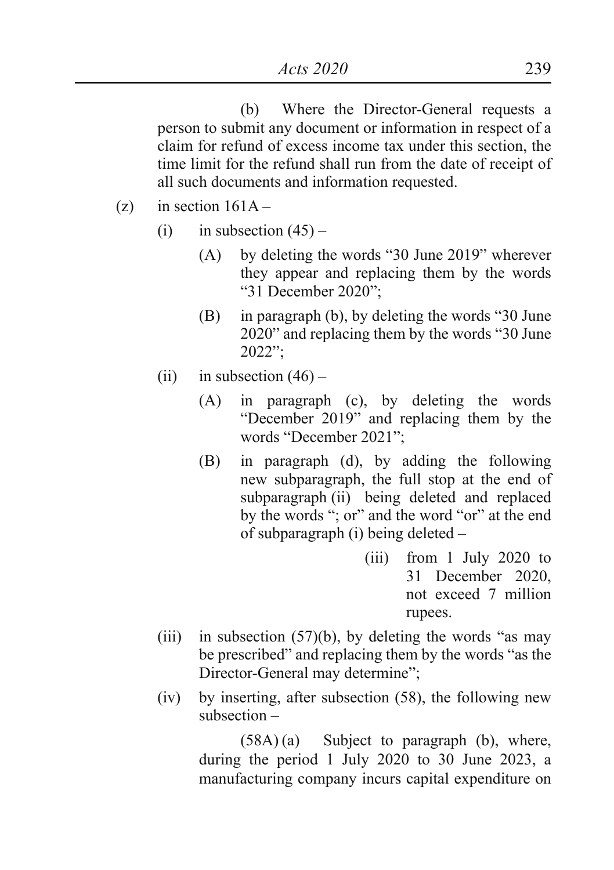(b) Where the Director-General requests a person to submit any document or information in respect of a claim for refund of excess income tax under this section, the time limit for the refund shall run from the date of receipt of all such documents and information requested.

- (z) in section  $161A -$ 
	- (i) in subsection  $(45)$ 
		- (A) by deleting the words "30 June 2019" wherever they appear and replacing them by the words "31 December 2020";
		- (B) in paragraph (b), by deleting the words "30 June 2020" and replacing them by the words "30 June 2022";
	- (ii) in subsection  $(46)$ 
		- (A) in paragraph (c), by deleting the words "December 2019" and replacing them by the words "December 2021";
		- (B) in paragraph (d), by adding the following new subparagraph, the full stop at the end of subparagraph (ii) being deleted and replaced by the words "; or" and the word "or" at the end of subparagraph (i) being deleted –
			- (iii) from 1 July 2020 to 31 December 2020, not exceed 7 million rupees.
	- (iii) in subsection  $(57)(b)$ , by deleting the words "as may be prescribed" and replacing them by the words "as the Director-General may determine";
	- (iv) by inserting, after subsection (58), the following new subsection –

 $(58A)(a)$  Subject to paragraph (b), where, during the period 1 July 2020 to 30 June 2023, a manufacturing company incurs capital expenditure on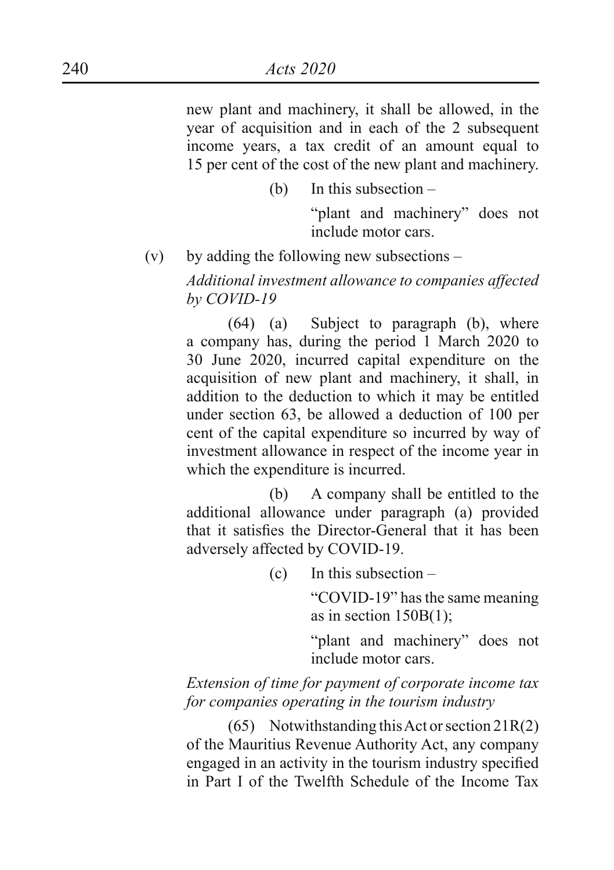new plant and machinery, it shall be allowed, in the year of acquisition and in each of the 2 subsequent income years, a tax credit of an amount equal to 15 per cent of the cost of the new plant and machinery.

(b) In this subsection –

 "plant and machinery" does not include motor cars.

 $(v)$  by adding the following new subsections –

*Additional investment allowance to companies affected by COVID-19*

 (64) (a) Subject to paragraph (b), where a company has, during the period 1 March 2020 to 30 June 2020, incurred capital expenditure on the acquisition of new plant and machinery, it shall, in addition to the deduction to which it may be entitled under section 63, be allowed a deduction of 100 per cent of the capital expenditure so incurred by way of investment allowance in respect of the income year in which the expenditure is incurred.

 (b) A company shall be entitled to the additional allowance under paragraph (a) provided that it satisfies the Director-General that it has been adversely affected by COVID-19.

(c) In this subsection –

"COVID-19" has the same meaning as in section 150B(1);

 "plant and machinery" does not include motor cars.

*Extension of time for payment of corporate income tax for companies operating in the tourism industry*

 (65) Notwithstanding this Act or section 21R(2) of the Mauritius Revenue Authority Act, any company engaged in an activity in the tourism industry specified in Part I of the Twelfth Schedule of the Income Tax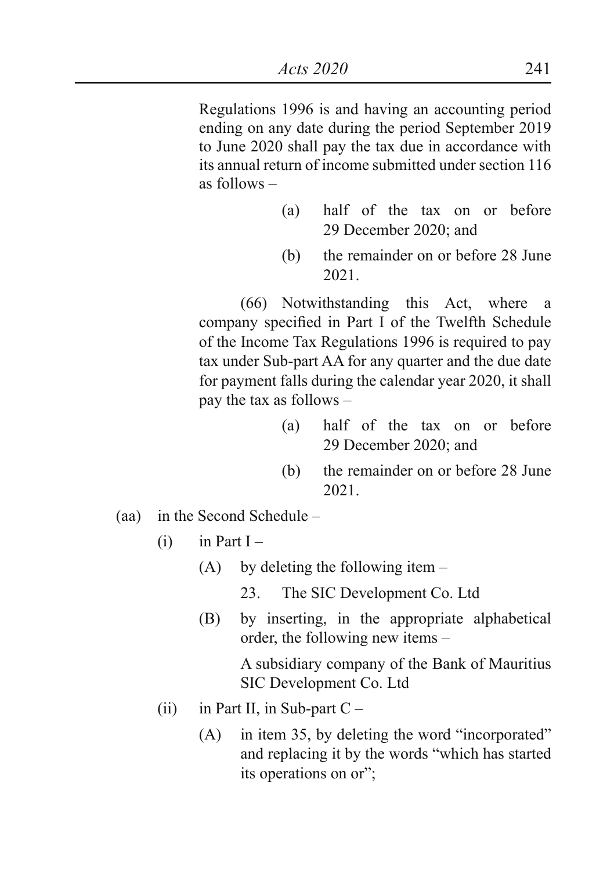Regulations 1996 is and having an accounting period ending on any date during the period September 2019 to June 2020 shall pay the tax due in accordance with its annual return of income submitted under section 116 as follows –

- (a) half of the tax on or before 29 December 2020; and
- (b) the remainder on or before 28 June 2021.

 (66) Notwithstanding this Act, where a company specified in Part I of the Twelfth Schedule of the Income Tax Regulations 1996 is required to pay tax under Sub-part AA for any quarter and the due date for payment falls during the calendar year 2020, it shall pay the tax as follows –

- (a) half of the tax on or before 29 December 2020; and
- (b) the remainder on or before 28 June 2021.
- (aa) in the Second Schedule
	- $(i)$  in Part I
		- (A) by deleting the following item
			- 23. The SIC Development Co. Ltd
		- (B) by inserting, in the appropriate alphabetical order, the following new items –

A subsidiary company of the Bank of Mauritius SIC Development Co. Ltd

- (ii) in Part II, in Sub-part  $C -$ 
	- (A) in item 35, by deleting the word "incorporated" and replacing it by the words "which has started its operations on or";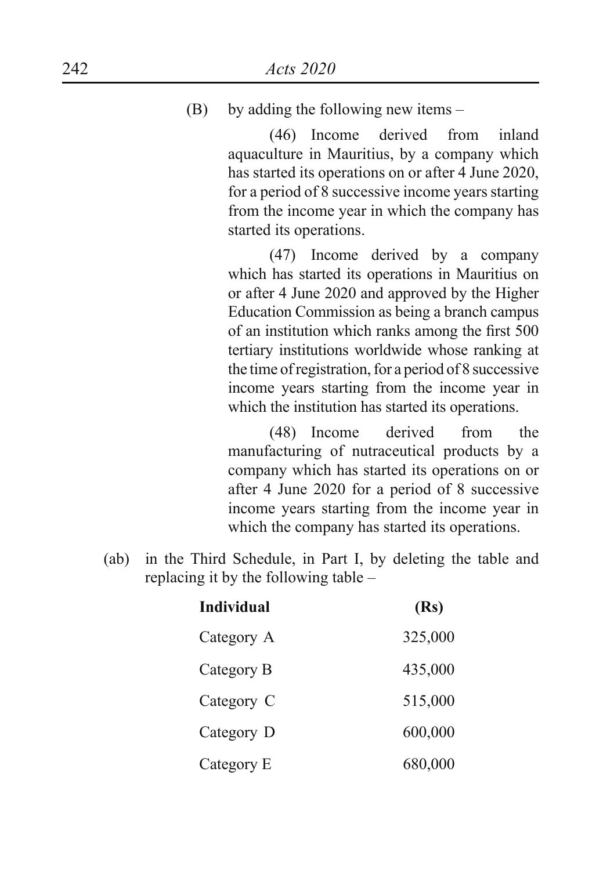### (B) by adding the following new items –

 (46) Income derived from inland aquaculture in Mauritius, by a company which has started its operations on or after 4 June 2020, for a period of 8 successive income years starting from the income year in which the company has started its operations.

 (47) Income derived by a company which has started its operations in Mauritius on or after 4 June 2020 and approved by the Higher Education Commission as being a branch campus of an institution which ranks among the first 500 tertiary institutions worldwide whose ranking at the time of registration, for a period of 8 successive income years starting from the income year in which the institution has started its operations.

 (48) Income derived from the manufacturing of nutraceutical products by a company which has started its operations on or after 4 June 2020 for a period of 8 successive income years starting from the income year in which the company has started its operations.

(ab) in the Third Schedule, in Part I, by deleting the table and replacing it by the following table –

| Individual | (Rs)    |
|------------|---------|
| Category A | 325,000 |
| Category B | 435,000 |
| Category C | 515,000 |
| Category D | 600,000 |
| Category E | 680,000 |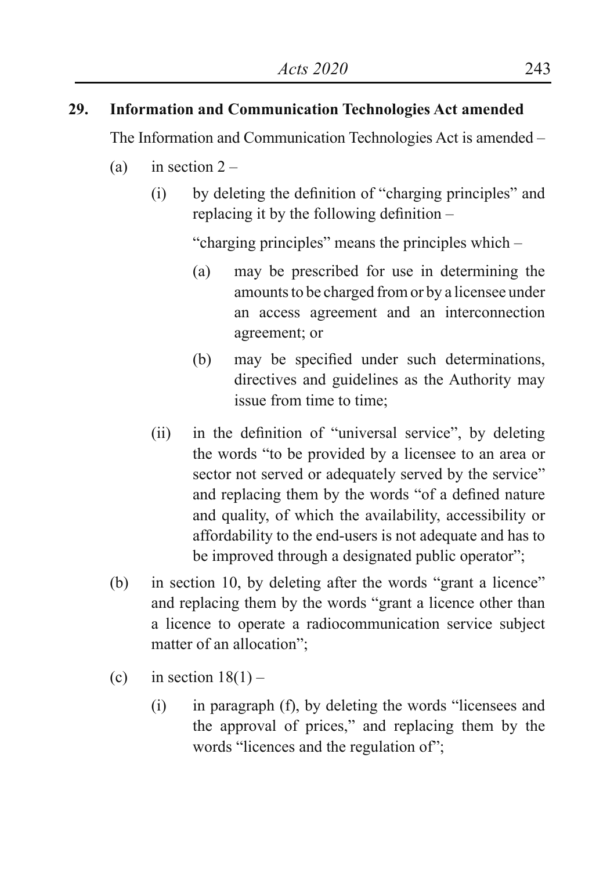# **29. Information and Communication Technologies Act amended**

The Information and Communication Technologies Act is amended –

- (a) in section  $2 -$ 
	- (i) by deleting the definition of "charging principles" and replacing it by the following definition –

"charging principles" means the principles which –

- (a) may be prescribed for use in determining the amounts to be charged from or by a licensee under an access agreement and an interconnection agreement; or
- (b) may be specified under such determinations, directives and guidelines as the Authority may issue from time to time;
- (ii) in the definition of "universal service", by deleting the words "to be provided by a licensee to an area or sector not served or adequately served by the service" and replacing them by the words "of a defined nature and quality, of which the availability, accessibility or affordability to the end-users is not adequate and has to be improved through a designated public operator";
- (b) in section 10, by deleting after the words "grant a licence" and replacing them by the words "grant a licence other than a licence to operate a radiocommunication service subject matter of an allocation";
- (c) in section  $18(1)$ 
	- $(i)$  in paragraph  $(f)$ , by deleting the words "licensees and the approval of prices," and replacing them by the words "licences and the regulation of";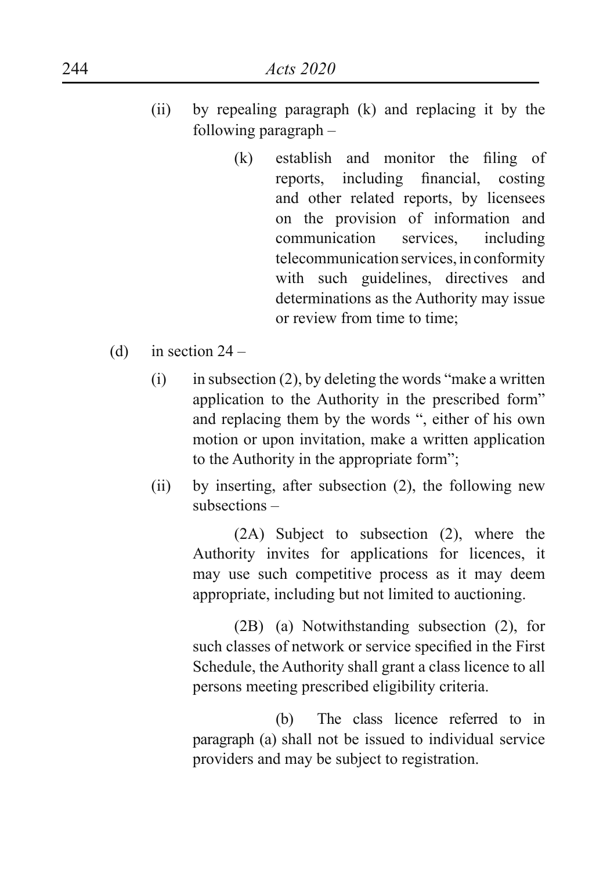- (ii) by repealing paragraph (k) and replacing it by the following paragraph –
	- (k) establish and monitor the filing of reports, including financial, costing and other related reports, by licensees on the provision of information and communication services, including telecommunication services, in conformity with such guidelines, directives and determinations as the Authority may issue or review from time to time;
- (d) in section  $24 -$ 
	- $(i)$  in subsection  $(2)$ , by deleting the words "make a written application to the Authority in the prescribed form" and replacing them by the words ", either of his own motion or upon invitation, make a written application to the Authority in the appropriate form";
	- (ii) by inserting, after subsection (2), the following new subsections –

(2A) Subject to subsection (2), where the Authority invites for applications for licences, it may use such competitive process as it may deem appropriate, including but not limited to auctioning.

(2B) (a) Notwithstanding subsection (2), for such classes of network or service specified in the First Schedule, the Authority shall grant a class licence to all persons meeting prescribed eligibility criteria.

(b) The class licence referred to in paragraph (a) shall not be issued to individual service providers and may be subject to registration.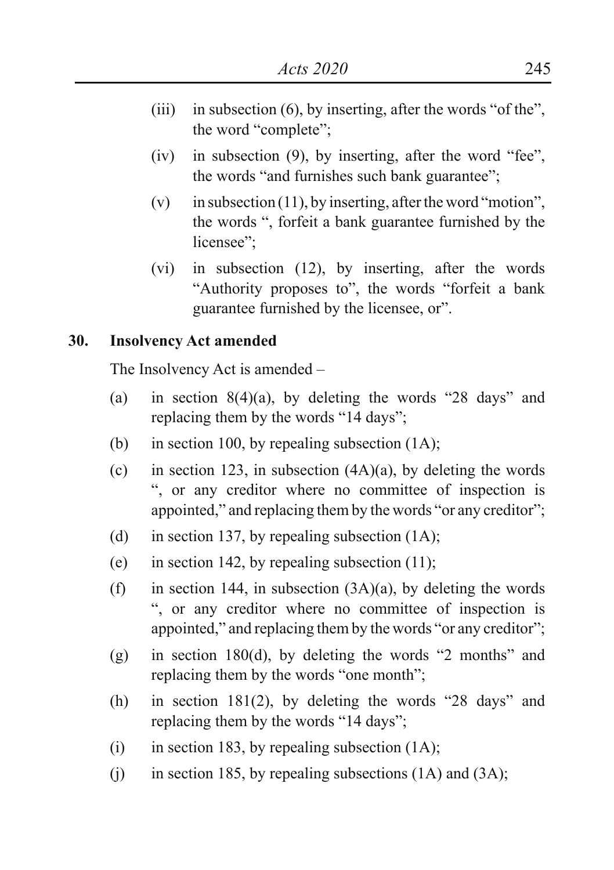- (iii) in subsection  $(6)$ , by inserting, after the words "of the", the word "complete";
- $(iv)$  in subsection  $(9)$ , by inserting, after the word "fee", the words "and furnishes such bank guarantee";
- (v) in subsection (11), by inserting, after the word "motion", the words ", forfeit a bank guarantee furnished by the licensee":
- (vi) in subsection (12), by inserting, after the words "Authority proposes to", the words "forfeit a bank guarantee furnished by the licensee, or".

#### **30. Insolvency Act amended**

The Insolvency Act is amended –

- (a) in section  $8(4)(a)$ , by deleting the words "28 days" and replacing them by the words "14 days";
- (b) in section 100, by repealing subsection  $(1A)$ ;
- (c) in section 123, in subsection  $(4A)(a)$ , by deleting the words ", or any creditor where no committee of inspection is appointed," and replacing them by the words "or any creditor";
- (d) in section 137, by repealing subsection  $(1A)$ ;
- (e) in section 142, by repealing subsection  $(11)$ ;
- (f) in section 144, in subsection  $(3A)(a)$ , by deleting the words ", or any creditor where no committee of inspection is appointed," and replacing them by the words "or any creditor";
- (g) in section 180(d), by deleting the words "2 months" and replacing them by the words "one month";
- (h) in section 181(2), by deleting the words "28 days" and replacing them by the words "14 days";
- (i) in section 183, by repealing subsection  $(1A)$ ;
- (i) in section 185, by repealing subsections  $(1A)$  and  $(3A)$ ;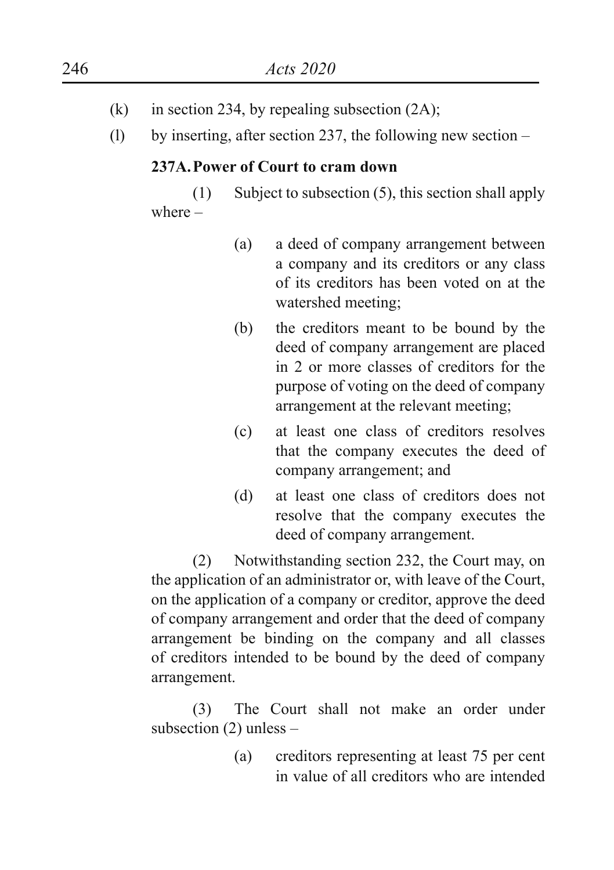- (k) in section 234, by repealing subsection  $(2A)$ ;
- (l) by inserting, after section 237, the following new section –

## **237A.Power of Court to cram down**

(1) Subject to subsection (5), this section shall apply where –

- (a) a deed of company arrangement between a company and its creditors or any class of its creditors has been voted on at the watershed meeting;
- (b) the creditors meant to be bound by the deed of company arrangement are placed in 2 or more classes of creditors for the purpose of voting on the deed of company arrangement at the relevant meeting;
- (c) at least one class of creditors resolves that the company executes the deed of company arrangement; and
- (d) at least one class of creditors does not resolve that the company executes the deed of company arrangement.

(2) Notwithstanding section 232, the Court may, on the application of an administrator or, with leave of the Court, on the application of a company or creditor, approve the deed of company arrangement and order that the deed of company arrangement be binding on the company and all classes of creditors intended to be bound by the deed of company arrangement.

(3) The Court shall not make an order under subsection (2) unless –

> (a) creditors representing at least 75 per cent in value of all creditors who are intended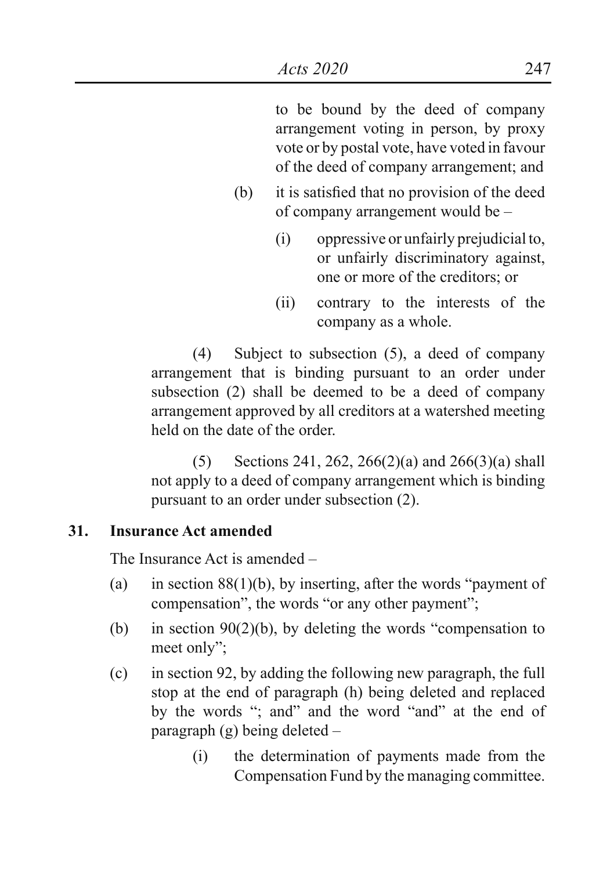to be bound by the deed of company arrangement voting in person, by proxy vote or by postal vote, have voted in favour of the deed of company arrangement; and

- (b) it is satisfied that no provision of the deed of company arrangement would be –
	- (i) oppressive or unfairly prejudicial to, or unfairly discriminatory against, one or more of the creditors; or
	- (ii) contrary to the interests of the company as a whole.

(4) Subject to subsection (5), a deed of company arrangement that is binding pursuant to an order under subsection (2) shall be deemed to be a deed of company arrangement approved by all creditors at a watershed meeting held on the date of the order.

(5) Sections 241, 262, 266(2)(a) and 266(3)(a) shall not apply to a deed of company arrangement which is binding pursuant to an order under subsection (2).

## **31. Insurance Act amended**

The Insurance Act is amended –

- (a) in section  $88(1)(b)$ , by inserting, after the words "payment of compensation", the words "or any other payment";
- (b) in section  $90(2)(b)$ , by deleting the words "compensation to meet only";
- (c) in section 92, by adding the following new paragraph, the full stop at the end of paragraph (h) being deleted and replaced by the words "; and" and the word "and" at the end of paragraph (g) being deleted –
	- (i) the determination of payments made from the Compensation Fund by the managing committee.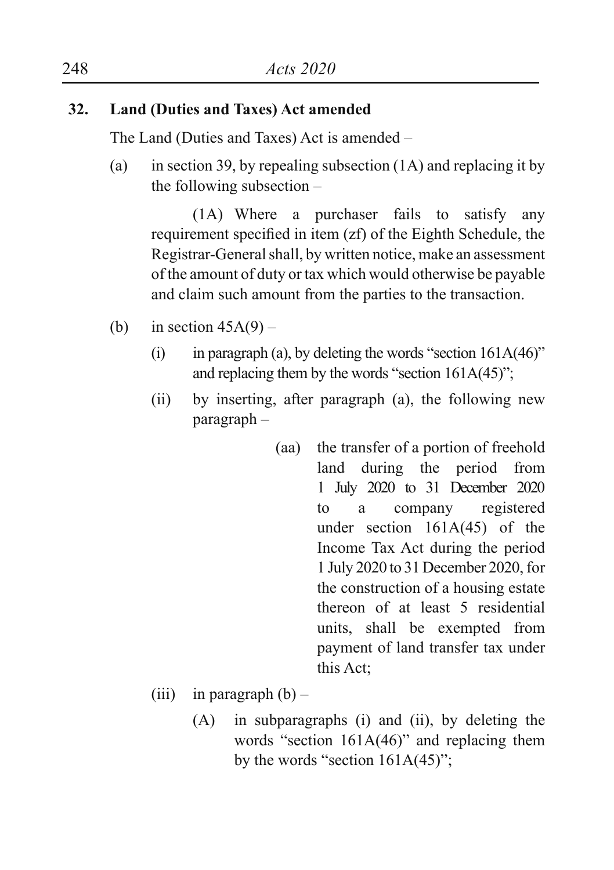## **32. Land (Duties and Taxes) Act amended**

The Land (Duties and Taxes) Act is amended –

(a) in section 39, by repealing subsection (1A) and replacing it by the following subsection –

(1A) Where a purchaser fails to satisfy any requirement specified in item (zf) of the Eighth Schedule, the Registrar-General shall, by written notice, make an assessment of the amount of duty or tax which would otherwise be payable and claim such amount from the parties to the transaction.

- (b) in section  $45A(9)$ 
	- (i) in paragraph (a), by deleting the words "section  $161A(46)$ " and replacing them by the words "section 161A(45)";
	- (ii) by inserting, after paragraph (a), the following new paragraph –
		- (aa) the transfer of a portion of freehold land during the period from 1 July 2020 to 31 December 2020 to a company registered under section 161A(45) of the Income Tax Act during the period 1 July 2020 to 31 December 2020, for the construction of a housing estate thereon of at least 5 residential units, shall be exempted from payment of land transfer tax under this Act;
	- (iii) in paragraph  $(b)$ 
		- (A) in subparagraphs (i) and (ii), by deleting the words "section  $161A(46)$ " and replacing them by the words "section  $161A(45)$ ";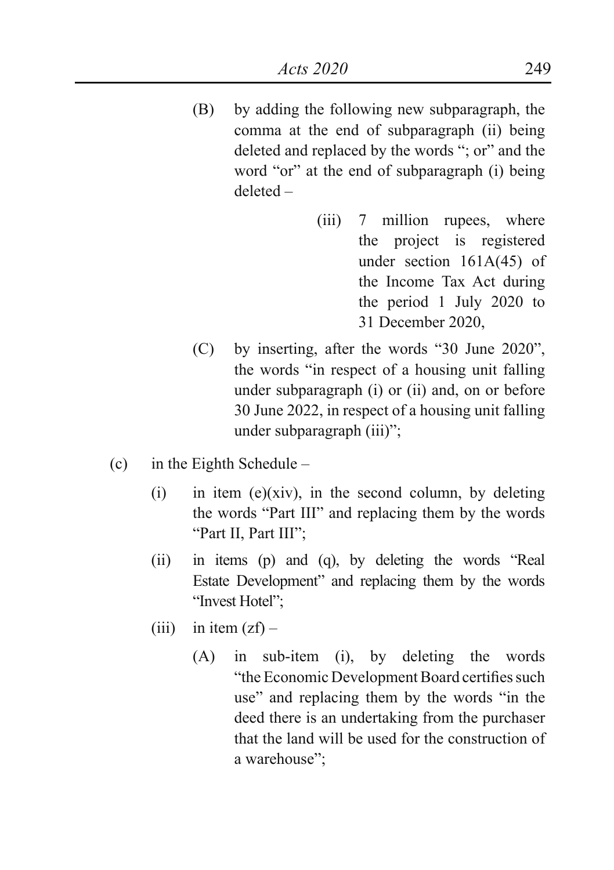- (B) by adding the following new subparagraph, the comma at the end of subparagraph (ii) being deleted and replaced by the words "; or" and the word "or" at the end of subparagraph (i) being deleted –
	- (iii) 7 million rupees, where the project is registered under section 161A(45) of the Income Tax Act during the period 1 July 2020 to 31 December 2020,
- (C) by inserting, after the words "30 June 2020", the words "in respect of a housing unit falling under subparagraph (i) or (ii) and, on or before 30 June 2022, in respect of a housing unit falling under subparagraph (iii)";
- (c) in the Eighth Schedule
	- (i) in item (e)(xiv), in the second column, by deleting the words "Part III" and replacing them by the words "Part II, Part III";
	- (ii) in items (p) and (q), by deleting the words "Real Estate Development" and replacing them by the words "Invest Hotel";
	- (iii) in item  $(zf)$ 
		- (A) in sub-item (i), by deleting the words "the Economic Development Board certifies such use" and replacing them by the words "in the deed there is an undertaking from the purchaser that the land will be used for the construction of a warehouse";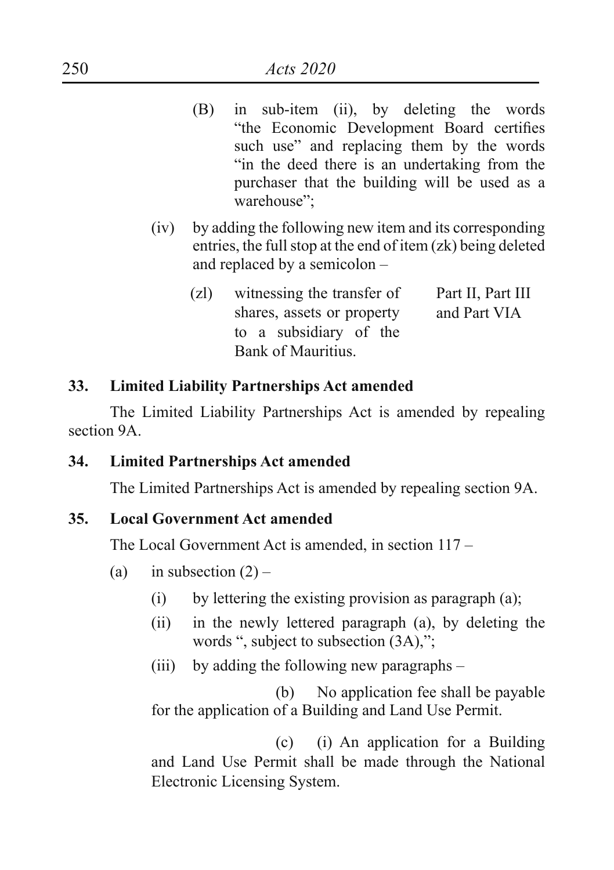- (B) in sub-item (ii), by deleting the words "the Economic Development Board certifies such use" and replacing them by the words "in the deed there is an undertaking from the purchaser that the building will be used as a warehouse";
- (iv) by adding the following new item and its corresponding entries, the full stop at the end of item (zk) being deleted and replaced by a semicolon –
	- (zl) witnessing the transfer of shares, assets or property to a subsidiary of the Bank of Mauritius. Part II, Part III and Part VIA

## **33. Limited Liability Partnerships Act amended**

The Limited Liability Partnerships Act is amended by repealing section 9A.

**34. Limited Partnerships Act amended**

The Limited Partnerships Act is amended by repealing section 9A.

#### **35. Local Government Act amended**

The Local Government Act is amended, in section 117 –

- (a) in subsection  $(2)$ 
	- $(i)$  by lettering the existing provision as paragraph  $(a)$ ;
	- (ii) in the newly lettered paragraph (a), by deleting the words ", subject to subsection (3A),";
	- (iii) by adding the following new paragraphs –

 (b) No application fee shall be payable for the application of a Building and Land Use Permit.

 (c) (i) An application for a Building and Land Use Permit shall be made through the National Electronic Licensing System.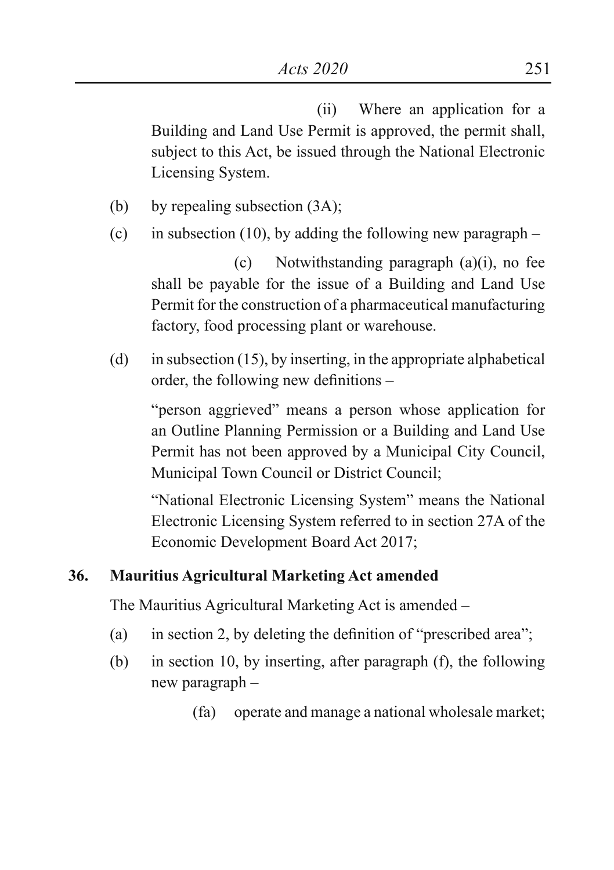(ii) Where an application for a Building and Land Use Permit is approved, the permit shall, subject to this Act, be issued through the National Electronic Licensing System.

- (b) by repealing subsection (3A);
- (c) in subsection (10), by adding the following new paragraph  $-$

(c) Notwithstanding paragraph (a)(i), no fee shall be payable for the issue of a Building and Land Use Permit for the construction of a pharmaceutical manufacturing factory, food processing plant or warehouse.

(d) in subsection  $(15)$ , by inserting, in the appropriate alphabetical order, the following new definitions –

"person aggrieved" means a person whose application for an Outline Planning Permission or a Building and Land Use Permit has not been approved by a Municipal City Council, Municipal Town Council or District Council;

"National Electronic Licensing System" means the National Electronic Licensing System referred to in section 27A of the Economic Development Board Act 2017;

## **36. Mauritius Agricultural Marketing Act amended**

The Mauritius Agricultural Marketing Act is amended –

- (a) in section 2, by deleting the definition of "prescribed area";
- (b) in section 10, by inserting, after paragraph (f), the following new paragraph –
	- (fa) operate and manage a national wholesale market;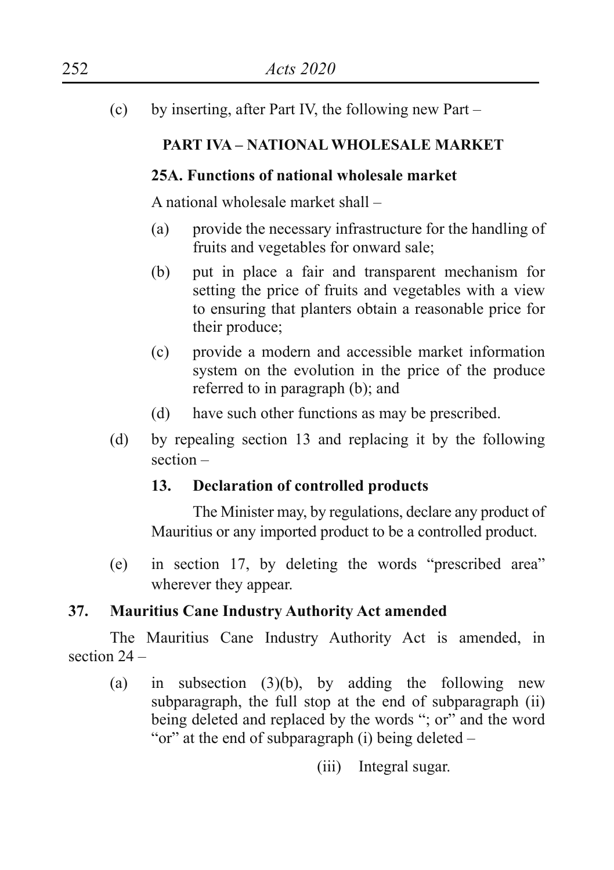(c) by inserting, after Part IV, the following new Part –

## **PART IVA – NATIONAL WHOLESALE MARKET**

## **25A. Functions of national wholesale market**

A national wholesale market shall –

- (a) provide the necessary infrastructure for the handling of fruits and vegetables for onward sale;
- (b) put in place a fair and transparent mechanism for setting the price of fruits and vegetables with a view to ensuring that planters obtain a reasonable price for their produce;
- (c) provide a modern and accessible market information system on the evolution in the price of the produce referred to in paragraph (b); and
- (d) have such other functions as may be prescribed.
- (d) by repealing section 13 and replacing it by the following section –

## **13. Declaration of controlled products**

The Minister may, by regulations, declare any product of Mauritius or any imported product to be a controlled product.

(e) in section 17, by deleting the words "prescribed area" wherever they appear.

## **37. Mauritius Cane Industry Authority Act amended**

The Mauritius Cane Industry Authority Act is amended, in section 24 –

(a) in subsection  $(3)(b)$ , by adding the following new subparagraph, the full stop at the end of subparagraph (ii) being deleted and replaced by the words "; or" and the word "or" at the end of subparagraph (i) being deleted –

(iii) Integral sugar.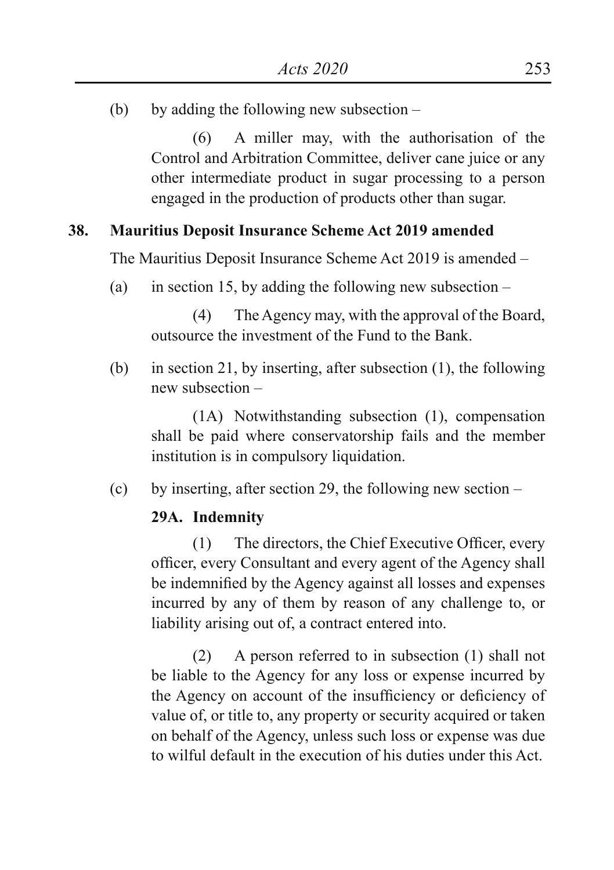(b) by adding the following new subsection –

(6) A miller may, with the authorisation of the Control and Arbitration Committee, deliver cane juice or any other intermediate product in sugar processing to a person engaged in the production of products other than sugar.

## **38. Mauritius Deposit Insurance Scheme Act 2019 amended**

The Mauritius Deposit Insurance Scheme Act 2019 is amended –

(a) in section 15, by adding the following new subsection  $-$ 

(4) The Agency may, with the approval of the Board, outsource the investment of the Fund to the Bank.

(b) in section 21, by inserting, after subsection (1), the following new subsection –

(1A) Notwithstanding subsection (1), compensation shall be paid where conservatorship fails and the member institution is in compulsory liquidation.

(c) by inserting, after section 29, the following new section –

## **29A. Indemnity**

(1) The directors, the Chief Executive Officer, every officer, every Consultant and every agent of the Agency shall be indemnified by the Agency against all losses and expenses incurred by any of them by reason of any challenge to, or liability arising out of, a contract entered into.

(2) A person referred to in subsection (1) shall not be liable to the Agency for any loss or expense incurred by the Agency on account of the insufficiency or deficiency of value of, or title to, any property or security acquired or taken on behalf of the Agency, unless such loss or expense was due to wilful default in the execution of his duties under this Act.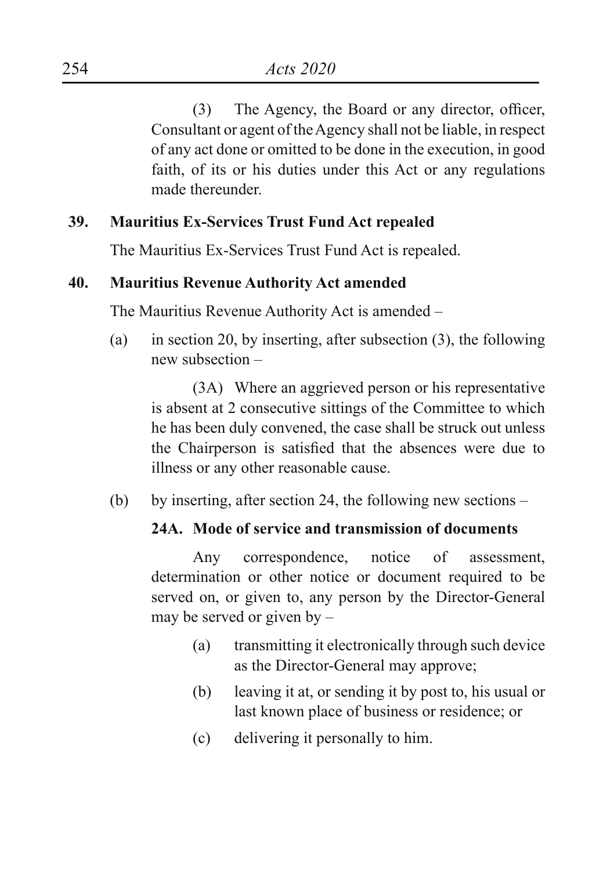(3) The Agency, the Board or any director, officer, Consultant or agent of the Agency shall not be liable, in respect of any act done or omitted to be done in the execution, in good faith, of its or his duties under this Act or any regulations made thereunder.

## **39. Mauritius Ex-Services Trust Fund Act repealed**

The Mauritius Ex-Services Trust Fund Act is repealed.

## **40. Mauritius Revenue Authority Act amended**

The Mauritius Revenue Authority Act is amended –

(a) in section 20, by inserting, after subsection (3), the following new subsection –

(3A) Where an aggrieved person or his representative is absent at 2 consecutive sittings of the Committee to which he has been duly convened, the case shall be struck out unless the Chairperson is satisfied that the absences were due to illness or any other reasonable cause.

(b) by inserting, after section 24, the following new sections –

## **24A. Mode of service and transmission of documents**

Any correspondence, notice of assessment, determination or other notice or document required to be served on, or given to, any person by the Director-General may be served or given by –

- (a) transmitting it electronically through such device as the Director-General may approve;
- (b) leaving it at, or sending it by post to, his usual or last known place of business or residence; or
- (c) delivering it personally to him.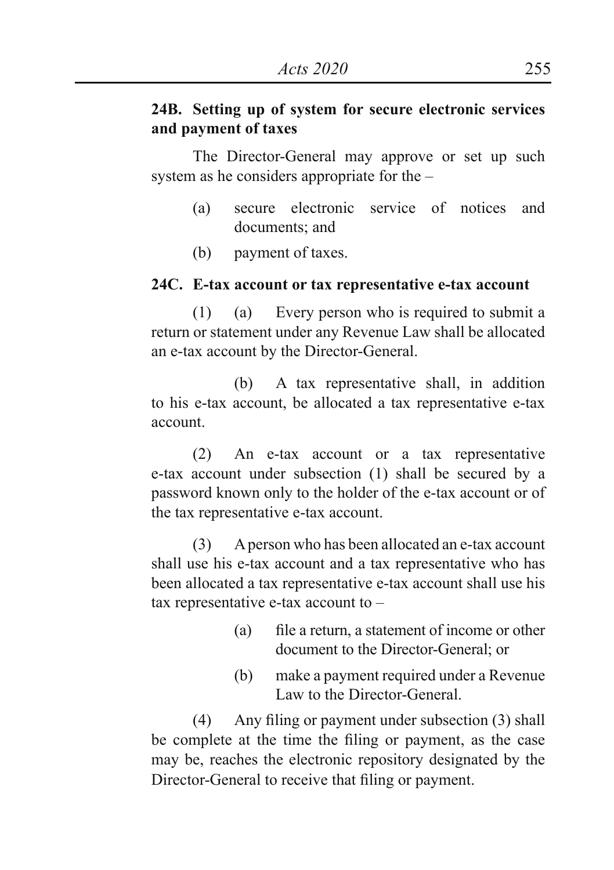## **24B. Setting up of system for secure electronic services and payment of taxes**

The Director-General may approve or set up such system as he considers appropriate for the –

- (a) secure electronic service of notices and documents; and
- (b) payment of taxes.

### **24C. E-tax account or tax representative e-tax account**

(1) (a) Every person who is required to submit a return or statement under any Revenue Law shall be allocated an e-tax account by the Director-General.

(b) A tax representative shall, in addition to his e-tax account, be allocated a tax representative e-tax account.

(2) An e-tax account or a tax representative e-tax account under subsection (1) shall be secured by a password known only to the holder of the e-tax account or of the tax representative e-tax account.

(3) A person who has been allocated an e-tax account shall use his e-tax account and a tax representative who has been allocated a tax representative e-tax account shall use his tax representative e-tax account to –

- (a) file a return, a statement of income or other document to the Director-General; or
- (b) make a payment required under a Revenue Law to the Director-General.

(4) Any filing or payment under subsection (3) shall be complete at the time the filing or payment, as the case may be, reaches the electronic repository designated by the Director-General to receive that filing or payment.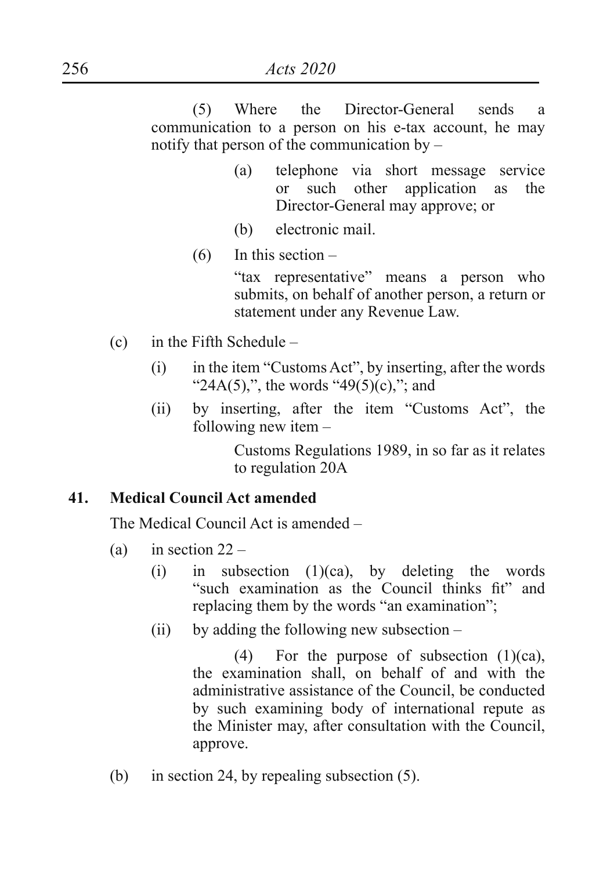(5) Where the Director-General sends a communication to a person on his e-tax account, he may notify that person of the communication by –

- (a) telephone via short message service<br>or such other application as the or such other application as the Director-General may approve; or
- (b) electronic mail.
- $(6)$  In this section –

"tax representative" means a person who submits, on behalf of another person, a return or statement under any Revenue Law.

- (c) in the Fifth Schedule
	- $(i)$  in the item "Customs Act", by inserting, after the words "24A(5),", the words "49(5)(c),"; and
	- (ii) by inserting, after the item "Customs Act", the following new item –

Customs Regulations 1989, in so far as it relates to regulation 20A

#### **41. Medical Council Act amended**

The Medical Council Act is amended –

- (a) in section  $22 -$ 
	- $(i)$  in subsection  $(1)(ca)$ , by deleting the words "such examination as the Council thinks fit" and replacing them by the words "an examination";
	- (ii) by adding the following new subsection –

(4) For the purpose of subsection (1)(ca), the examination shall, on behalf of and with the administrative assistance of the Council, be conducted by such examining body of international repute as the Minister may, after consultation with the Council, approve.

(b) in section 24, by repealing subsection (5).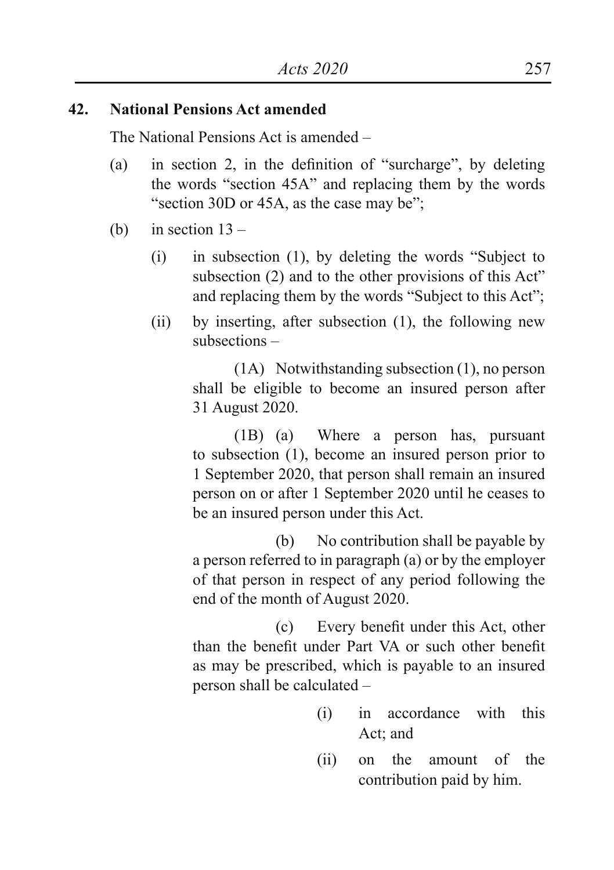## **42. National Pensions Act amended**

The National Pensions Act is amended –

- (a) in section 2, in the definition of "surcharge", by deleting the words "section 45A" and replacing them by the words "section 30D or 45A, as the case may be";
- (b) in section  $13 -$ 
	- (i) in subsection (1), by deleting the words "Subject to subsection (2) and to the other provisions of this Act" and replacing them by the words "Subject to this Act";
	- (ii) by inserting, after subsection (1), the following new subsections –

(1A) Notwithstanding subsection (1), no person shall be eligible to become an insured person after 31 August 2020.

(1B) (a) Where a person has, pursuant to subsection (1), become an insured person prior to 1 September 2020, that person shall remain an insured person on or after 1 September 2020 until he ceases to be an insured person under this Act.

(b) No contribution shall be payable by a person referred to in paragraph (a) or by the employer of that person in respect of any period following the end of the month of August 2020.

 (c) Every benefit under this Act, other than the benefit under Part VA or such other benefit as may be prescribed, which is payable to an insured person shall be calculated –

- (i) in accordance with this Act; and
- (ii) on the amount of the contribution paid by him.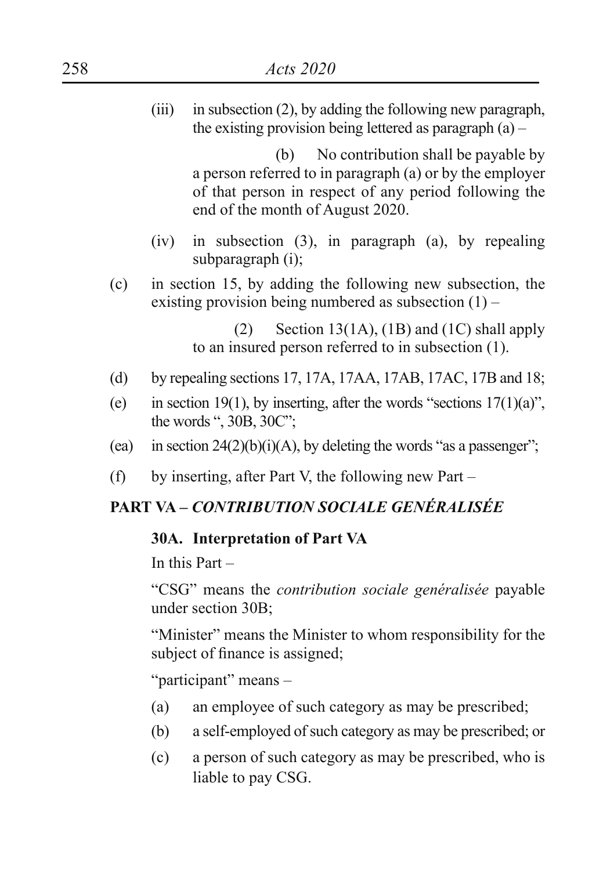(iii) in subsection (2), by adding the following new paragraph, the existing provision being lettered as paragraph (a) –

> (b) No contribution shall be payable by a person referred to in paragraph (a) or by the employer of that person in respect of any period following the end of the month of August 2020.

- (iv) in subsection (3), in paragraph (a), by repealing subparagraph (i);
- (c) in section 15, by adding the following new subsection, the existing provision being numbered as subsection  $(1)$  –

(2) Section 13(1A), (1B) and (1C) shall apply to an insured person referred to in subsection (1).

- (d) by repealing sections 17, 17A, 17AA, 17AB, 17AC, 17B and 18;
- (e) in section 19(1), by inserting, after the words "sections  $17(1)(a)$ ". the words ", 30B, 30C";
- (ea) in section  $24(2)(b)(i)(A)$ , by deleting the words "as a passenger";
- (f) by inserting, after Part V, the following new Part –

# **PART VA –** *CONTRIBUTION SOCIALE GENÉRALISÉE*

#### **30A. Interpretation of Part VA**

In this Part –

"CSG" means the *contribution sociale genéralisée* payable under section 30B;

"Minister" means the Minister to whom responsibility for the subject of finance is assigned;

"participant" means –

- (a) an employee of such category as may be prescribed;
- (b) a self-employed of such category as may be prescribed; or
- (c) a person of such category as may be prescribed, who is liable to pay CSG.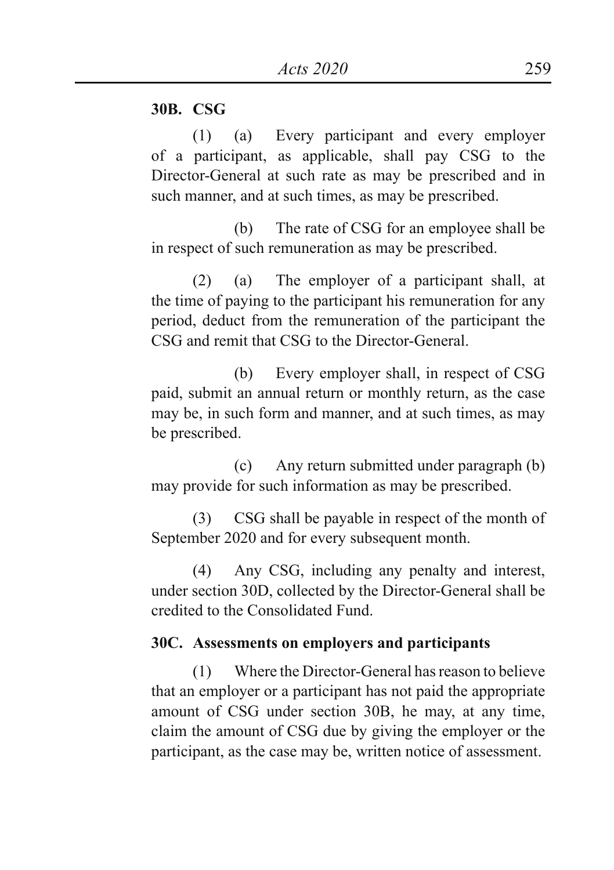### **30B. CSG**

(1) (a) Every participant and every employer of a participant, as applicable, shall pay CSG to the Director-General at such rate as may be prescribed and in such manner, and at such times, as may be prescribed.

(b) The rate of CSG for an employee shall be in respect of such remuneration as may be prescribed.

(2) (a) The employer of a participant shall, at the time of paying to the participant his remuneration for any period, deduct from the remuneration of the participant the CSG and remit that CSG to the Director-General.

(b) Every employer shall, in respect of CSG paid, submit an annual return or monthly return, as the case may be, in such form and manner, and at such times, as may be prescribed.

(c) Any return submitted under paragraph (b) may provide for such information as may be prescribed.

(3) CSG shall be payable in respect of the month of September 2020 and for every subsequent month.

(4) Any CSG, including any penalty and interest, under section 30D, collected by the Director-General shall be credited to the Consolidated Fund.

### **30C. Assessments on employers and participants**

(1) Where the Director-General has reason to believe that an employer or a participant has not paid the appropriate amount of CSG under section 30B, he may, at any time, claim the amount of CSG due by giving the employer or the participant, as the case may be, written notice of assessment.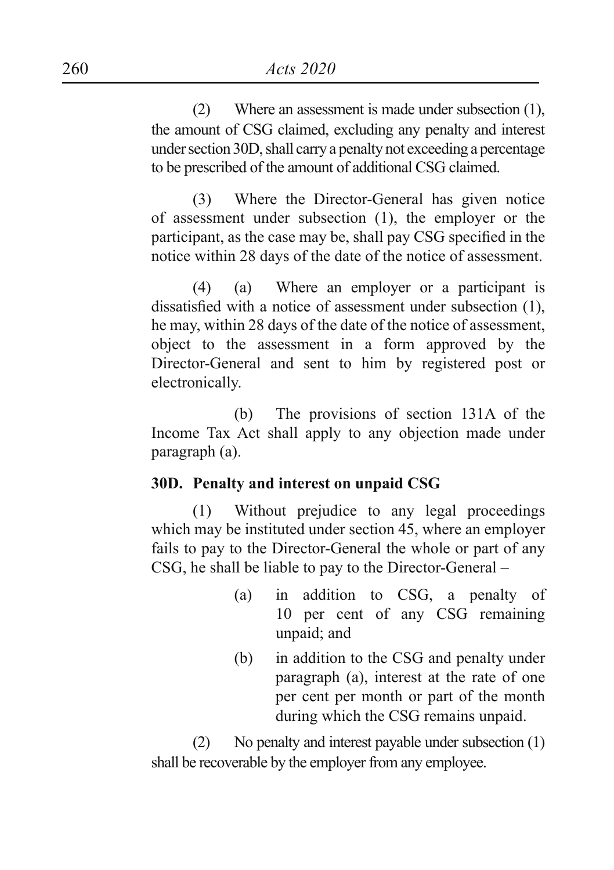(2) Where an assessment is made under subsection (1), the amount of CSG claimed, excluding any penalty and interest under section 30D, shall carry a penalty not exceeding a percentage to be prescribed of the amount of additional CSG claimed.

(3) Where the Director-General has given notice of assessment under subsection (1), the employer or the participant, as the case may be, shall pay CSG specified in the notice within 28 days of the date of the notice of assessment.

(4) (a) Where an employer or a participant is dissatisfied with a notice of assessment under subsection (1), he may, within 28 days of the date of the notice of assessment, object to the assessment in a form approved by the Director-General and sent to him by registered post or electronically.

(b) The provisions of section 131A of the Income Tax Act shall apply to any objection made under paragraph (a).

## **30D. Penalty and interest on unpaid CSG**

(1) Without prejudice to any legal proceedings which may be instituted under section 45, where an employer fails to pay to the Director-General the whole or part of any CSG, he shall be liable to pay to the Director-General –

- (a) in addition to CSG, a penalty of 10 per cent of any CSG remaining unpaid; and
- (b) in addition to the CSG and penalty under paragraph (a), interest at the rate of one per cent per month or part of the month during which the CSG remains unpaid.

(2) No penalty and interest payable under subsection (1) shall be recoverable by the employer from any employee.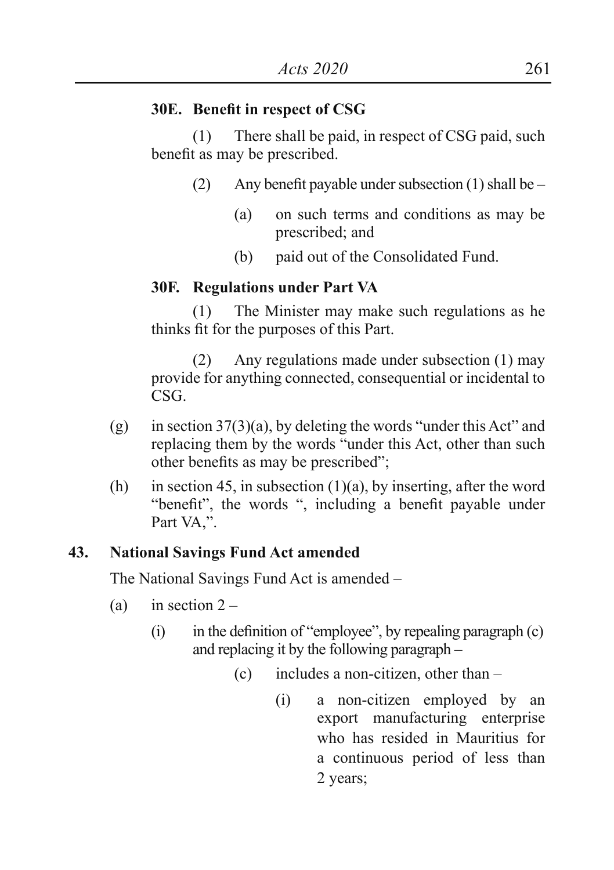#### **30E. Benefit in respect of CSG**

(1) There shall be paid, in respect of CSG paid, such benefit as may be prescribed.

- (2) Any benefit payable under subsection (1) shall be
	- (a) on such terms and conditions as may be prescribed; and
	- (b) paid out of the Consolidated Fund.

#### **30F. Regulations under Part VA**

(1) The Minister may make such regulations as he thinks fit for the purposes of this Part.

(2) Any regulations made under subsection (1) may provide for anything connected, consequential or incidental to CSG.

- (g) in section  $37(3)(a)$ , by deleting the words "under this Act" and replacing them by the words "under this Act, other than such other benefits as may be prescribed";
- (h) in section 45, in subsection  $(1)(a)$ , by inserting, after the word "benefit", the words ", including a benefit payable under Part VA,".

#### **43. National Savings Fund Act amended**

The National Savings Fund Act is amended –

- (a) in section  $2 -$ 
	- $(i)$  in the definition of "employee", by repealing paragraph  $(c)$ and replacing it by the following paragraph –
		- (c) includes a non-citizen, other than
			- (i) a non-citizen employed by an export manufacturing enterprise who has resided in Mauritius for a continuous period of less than 2 years;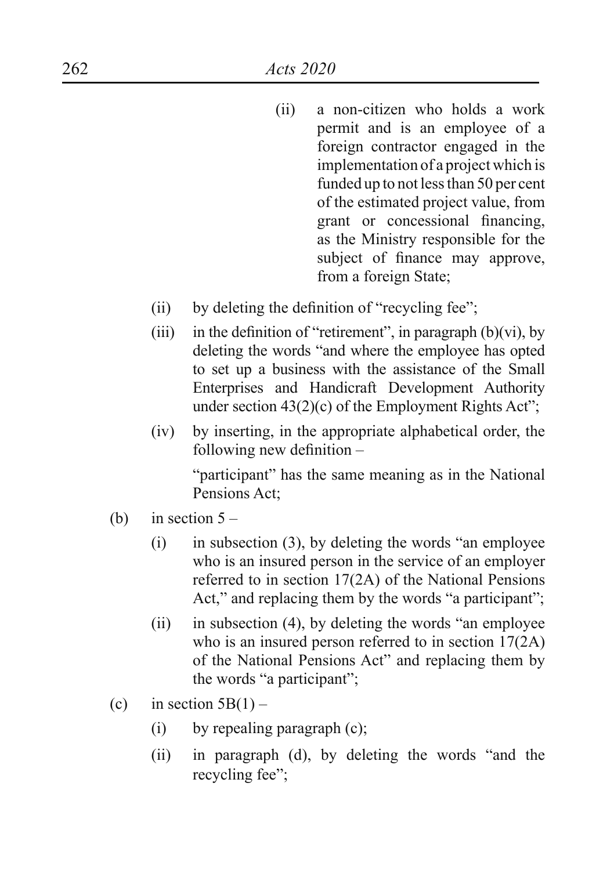- (ii) a non-citizen who holds a work permit and is an employee of a foreign contractor engaged in the implementation of a project which is funded up to not less than 50 per cent of the estimated project value, from grant or concessional financing, as the Ministry responsible for the subject of finance may approve, from a foreign State;
- $(ii)$  by deleting the definition of "recycling fee";
- (iii) in the definition of "retirement", in paragraph  $(b)(vi)$ , by deleting the words "and where the employee has opted to set up a business with the assistance of the Small Enterprises and Handicraft Development Authority under section  $43(2)(c)$  of the Employment Rights Act";
- (iv) by inserting, in the appropriate alphabetical order, the following new definition –

"participant" has the same meaning as in the National Pensions Act;

- (b) in section  $5 -$ 
	- $(i)$  in subsection  $(3)$ , by deleting the words "an employee" who is an insured person in the service of an employer referred to in section 17(2A) of the National Pensions Act," and replacing them by the words "a participant";
	- $(ii)$  in subsection (4), by deleting the words "an employee" who is an insured person referred to in section 17(2A) of the National Pensions Act" and replacing them by the words "a participant";
- (c) in section  $5B(1)$ 
	- (i) by repealing paragraph (c);
	- (ii) in paragraph (d), by deleting the words "and the recycling fee";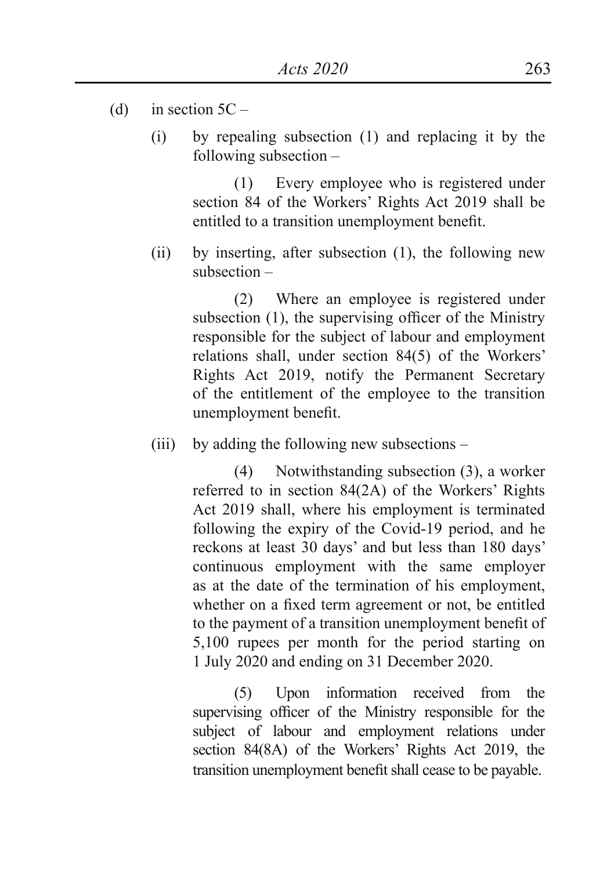- (d) in section  $5C -$ 
	- (i) by repealing subsection (1) and replacing it by the following subsection –

(1) Every employee who is registered under section 84 of the Workers' Rights Act 2019 shall be entitled to a transition unemployment benefit.

(ii) by inserting, after subsection (1), the following new subsection –

> (2) Where an employee is registered under subsection (1), the supervising officer of the Ministry responsible for the subject of labour and employment relations shall, under section 84(5) of the Workers' Rights Act 2019, notify the Permanent Secretary of the entitlement of the employee to the transition unemployment benefit.

(iii) by adding the following new subsections –

(4) Notwithstanding subsection (3), a worker referred to in section 84(2A) of the Workers' Rights Act 2019 shall, where his employment is terminated following the expiry of the Covid-19 period, and he reckons at least 30 days' and but less than 180 days' continuous employment with the same employer as at the date of the termination of his employment, whether on a fixed term agreement or not, be entitled to the payment of a transition unemployment benefit of 5,100 rupees per month for the period starting on 1 July 2020 and ending on 31 December 2020.

(5) Upon information received from the supervising officer of the Ministry responsible for the subject of labour and employment relations under section 84(8A) of the Workers' Rights Act 2019, the transition unemployment benefit shall cease to be payable.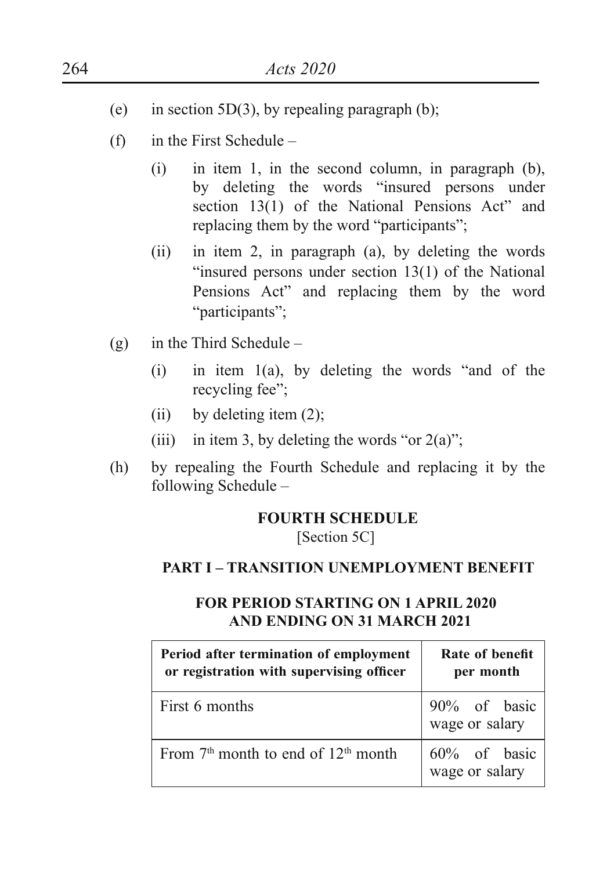- (e) in section 5D(3), by repealing paragraph (b);
- (f) in the First Schedule
	- (i) in item 1, in the second column, in paragraph (b), by deleting the words "insured persons under section 13(1) of the National Pensions Act" and replacing them by the word "participants";
	- (ii) in item 2, in paragraph (a), by deleting the words "insured persons under section  $13(1)$  of the National Pensions Act" and replacing them by the word "participants";
- (g) in the Third Schedule
	- $(i)$  in item  $1(a)$ , by deleting the words "and of the recycling fee";
	- (ii) by deleting item  $(2)$ ;
	- (iii) in item 3, by deleting the words "or  $2(a)$ ";
- (h) by repealing the Fourth Schedule and replacing it by the following Schedule –

#### **FOURTH SCHEDULE**

[Section 5C]

#### **PART I – TRANSITION UNEMPLOYMENT BENEFIT**

## **Period after termination of employment or registration with supervising officer Rate of benefit per month** First 6 months 90% of basic wage or salary From  $7<sup>th</sup>$  month to end of  $12<sup>th</sup>$  month  $\Big| 60\%$  of basic wage or salary

#### **FOR PERIOD STARTING ON 1 APRIL 2020 AND ENDING ON 31 MARCH 2021**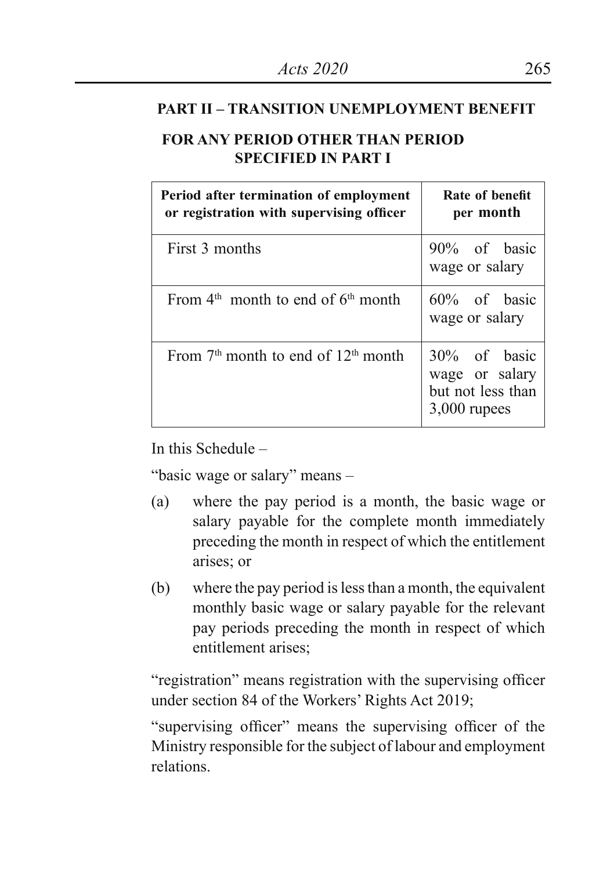#### **PART II – TRANSITION UNEMPLOYMENT BENEFIT**

## **FOR ANY PERIOD OTHER THAN PERIOD SPECIFIED IN PART I**

| Period after termination of employment<br>or registration with supervising officer | Rate of benefit<br>per month                                          |
|------------------------------------------------------------------------------------|-----------------------------------------------------------------------|
| First 3 months                                                                     | 90% of basic<br>wage or salary                                        |
| From $4th$ month to end of $6th$ month                                             | 60% of basic<br>wage or salary                                        |
| From $7th$ month to end of $12th$ month                                            | 30% of basic<br>wage or salary<br>but not less than<br>$3,000$ rupees |

In this Schedule –

"basic wage or salary" means –

- (a) where the pay period is a month, the basic wage or salary payable for the complete month immediately preceding the month in respect of which the entitlement arises; or
- (b) where the pay period is less than a month, the equivalent monthly basic wage or salary payable for the relevant pay periods preceding the month in respect of which entitlement arises;

"registration" means registration with the supervising officer under section 84 of the Workers' Rights Act 2019;

"supervising officer" means the supervising officer of the Ministry responsible for the subject of labour and employment relations.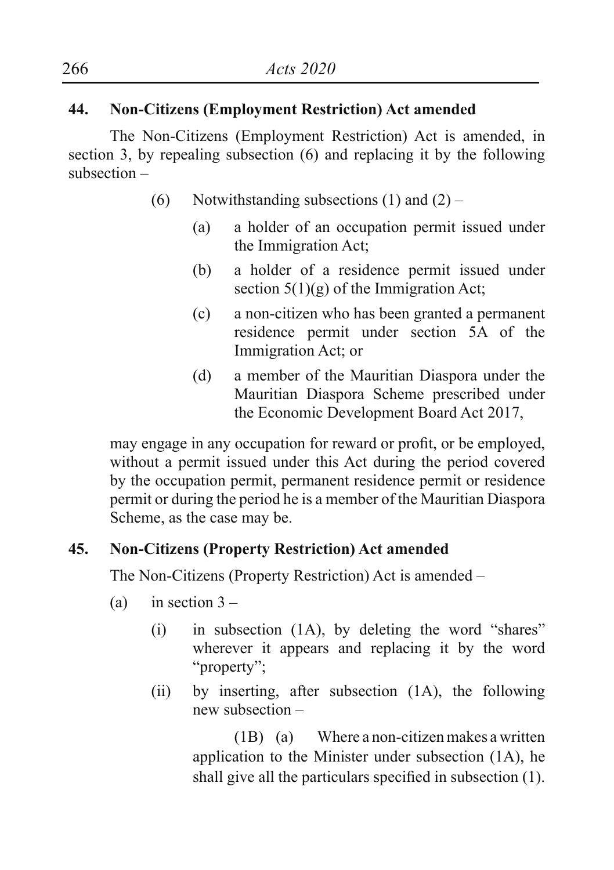## **44. Non-Citizens (Employment Restriction) Act amended**

The Non-Citizens (Employment Restriction) Act is amended, in section 3, by repealing subsection (6) and replacing it by the following subsection –

- (6) Notwithstanding subsections  $(1)$  and  $(2)$ 
	- (a) a holder of an occupation permit issued under the Immigration Act;
	- (b) a holder of a residence permit issued under section  $5(1)(g)$  of the Immigration Act;
	- (c) a non-citizen who has been granted a permanent residence permit under section 5A of the Immigration Act; or
	- (d) a member of the Mauritian Diaspora under the Mauritian Diaspora Scheme prescribed under the Economic Development Board Act 2017,

may engage in any occupation for reward or profit, or be employed, without a permit issued under this Act during the period covered by the occupation permit, permanent residence permit or residence permit or during the period he is a member of the Mauritian Diaspora Scheme, as the case may be.

## **45. Non-Citizens (Property Restriction) Act amended**

The Non-Citizens (Property Restriction) Act is amended –

- (a) in section  $3 -$ 
	- $(i)$  in subsection  $(1A)$ , by deleting the word "shares" wherever it appears and replacing it by the word "property":
	- (ii) by inserting, after subsection (1A), the following new subsection –

(1B) (a) Where a non-citizen makes a written application to the Minister under subsection (1A), he shall give all the particulars specified in subsection (1).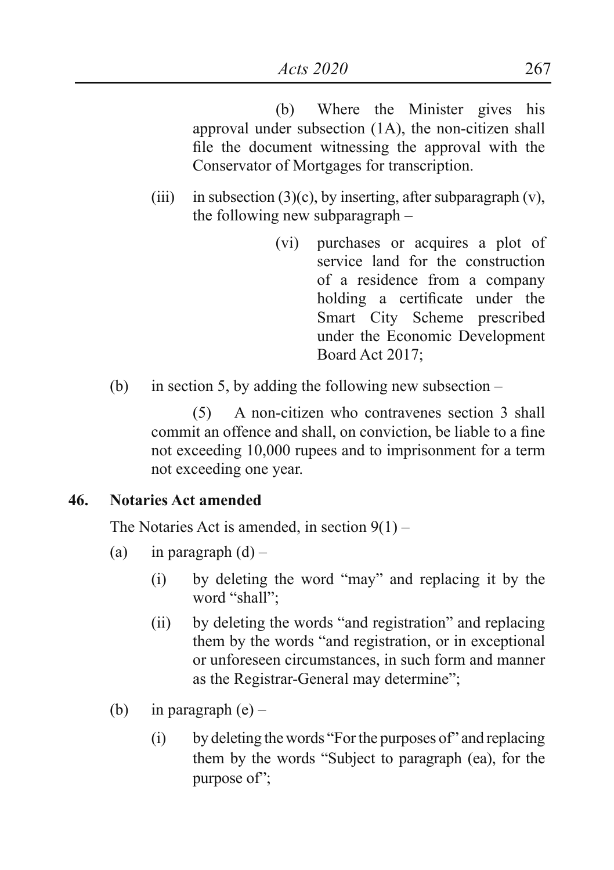(b) Where the Minister gives his approval under subsection (1A), the non-citizen shall file the document witnessing the approval with the Conservator of Mortgages for transcription.

- (iii) in subsection (3)(c), by inserting, after subparagraph  $(v)$ , the following new subparagraph –
	- (vi) purchases or acquires a plot of service land for the construction of a residence from a company holding a certificate under the Smart City Scheme prescribed under the Economic Development Board Act 2017;
- (b) in section 5, by adding the following new subsection –

(5) A non-citizen who contravenes section 3 shall commit an offence and shall, on conviction, be liable to a fine not exceeding 10,000 rupees and to imprisonment for a term not exceeding one year.

## **46. Notaries Act amended**

The Notaries Act is amended, in section 9(1) –

- (a) in paragraph  $(d)$ 
	- (i) by deleting the word "may" and replacing it by the word "shall";
	- (ii) by deleting the words "and registration" and replacing them by the words "and registration, or in exceptional or unforeseen circumstances, in such form and manner as the Registrar-General may determine";
- (b) in paragraph  $(e)$ 
	- (i) by deleting the words "Forthe purposes of" and replacing them by the words "Subject to paragraph (ea), for the purpose of":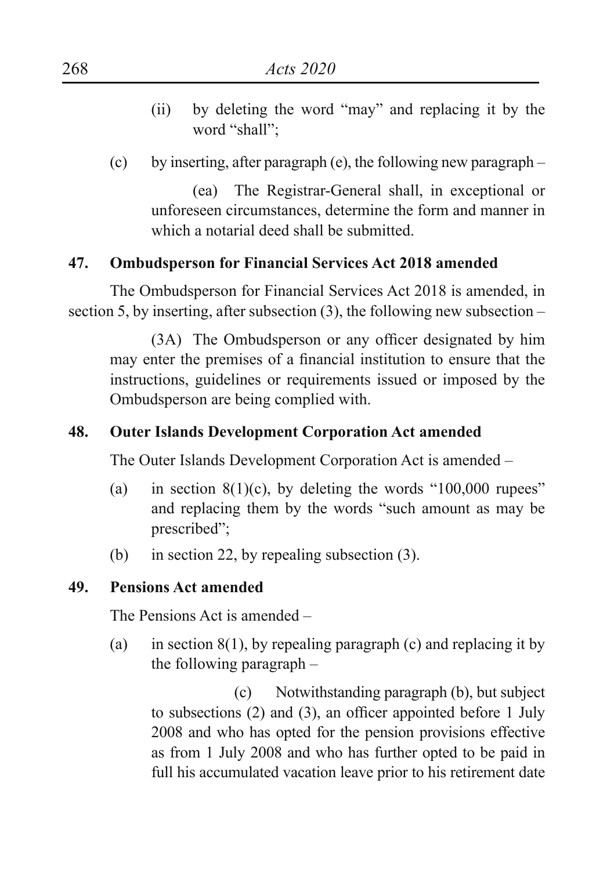- (ii) by deleting the word "may" and replacing it by the word "shall":
- (c) by inserting, after paragraph (e), the following new paragraph –

(ea) The Registrar-General shall, in exceptional or unforeseen circumstances, determine the form and manner in which a notarial deed shall be submitted.

## **47. Ombudsperson for Financial Services Act 2018 amended**

The Ombudsperson for Financial Services Act 2018 is amended, in section 5, by inserting, after subsection (3), the following new subsection –

(3A) The Ombudsperson or any officer designated by him may enter the premises of a financial institution to ensure that the instructions, guidelines or requirements issued or imposed by the Ombudsperson are being complied with.

### **48. Outer Islands Development Corporation Act amended**

The Outer Islands Development Corporation Act is amended –

- (a) in section  $8(1)(c)$ , by deleting the words "100,000 rupees" and replacing them by the words "such amount as may be prescribed";
- (b) in section 22, by repealing subsection (3).

## **49. Pensions Act amended**

The Pensions Act is amended –

(a) in section  $8(1)$ , by repealing paragraph (c) and replacing it by the following paragraph –

(c) Notwithstanding paragraph (b), but subject to subsections (2) and (3), an officer appointed before 1 July 2008 and who has opted for the pension provisions effective as from 1 July 2008 and who has further opted to be paid in full his accumulated vacation leave prior to his retirement date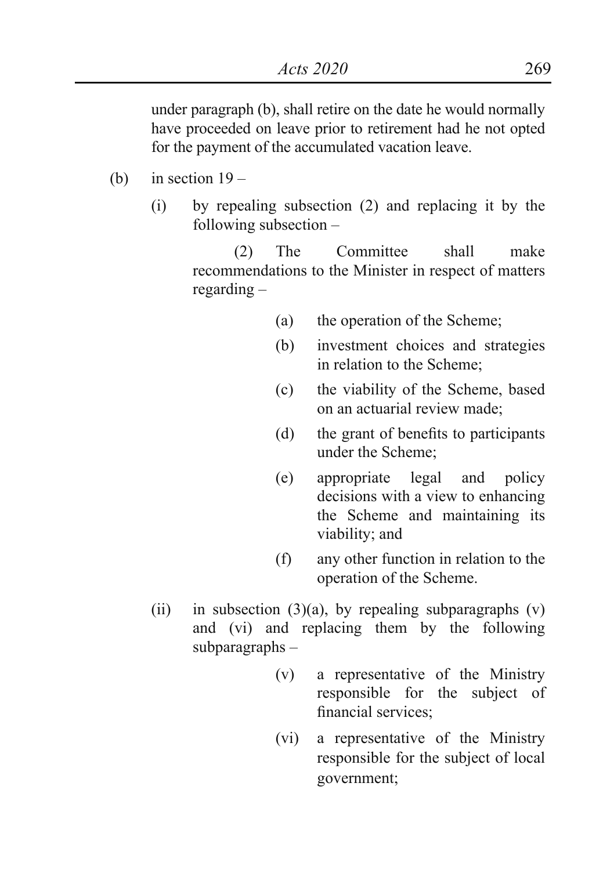under paragraph (b), shall retire on the date he would normally have proceeded on leave prior to retirement had he not opted for the payment of the accumulated vacation leave.

- (b) in section  $19 -$ 
	- (i) by repealing subsection (2) and replacing it by the following subsection –

(2) The Committee shall make recommendations to the Minister in respect of matters regarding –

- (a) the operation of the Scheme;
- (b) investment choices and strategies in relation to the Scheme;
- (c) the viability of the Scheme, based on an actuarial review made;
- (d) the grant of benefits to participants under the Scheme;
- (e) appropriate legal and policy decisions with a view to enhancing the Scheme and maintaining its viability; and
- (f) any other function in relation to the operation of the Scheme.
- (ii) in subsection  $(3)(a)$ , by repealing subparagraphs  $(v)$ and (vi) and replacing them by the following subparagraphs –
	- (v) a representative of the Ministry responsible for the subject of financial services;
	- (vi) a representative of the Ministry responsible for the subject of local government;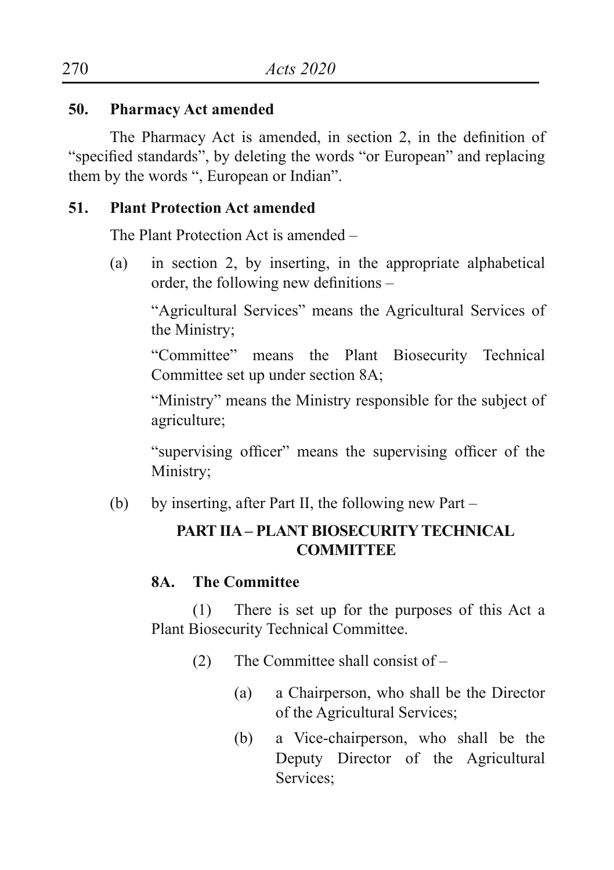## **50. Pharmacy Act amended**

 The Pharmacy Act is amended, in section 2, in the definition of "specified standards", by deleting the words "or European" and replacing them by the words ", European or Indian".

### **51. Plant Protection Act amended**

The Plant Protection Act is amended –

(a) in section 2, by inserting, in the appropriate alphabetical order, the following new definitions –

"Agricultural Services" means the Agricultural Services of the Ministry;

"Committee" means the Plant Biosecurity Technical Committee set up under section 8A;

"Ministry" means the Ministry responsible for the subject of agriculture;

"supervising officer" means the supervising officer of the Ministry;

(b) by inserting, after Part II, the following new Part –

## **PART IIA – PLANT BIOSECURITY TECHNICAL COMMITTEE**

## **8A. The Committee**

(1) There is set up for the purposes of this Act a Plant Biosecurity Technical Committee.

- (2) The Committee shall consist of
	- (a) a Chairperson, who shall be the Director of the Agricultural Services;
	- (b) a Vice-chairperson, who shall be the Deputy Director of the Agricultural Services;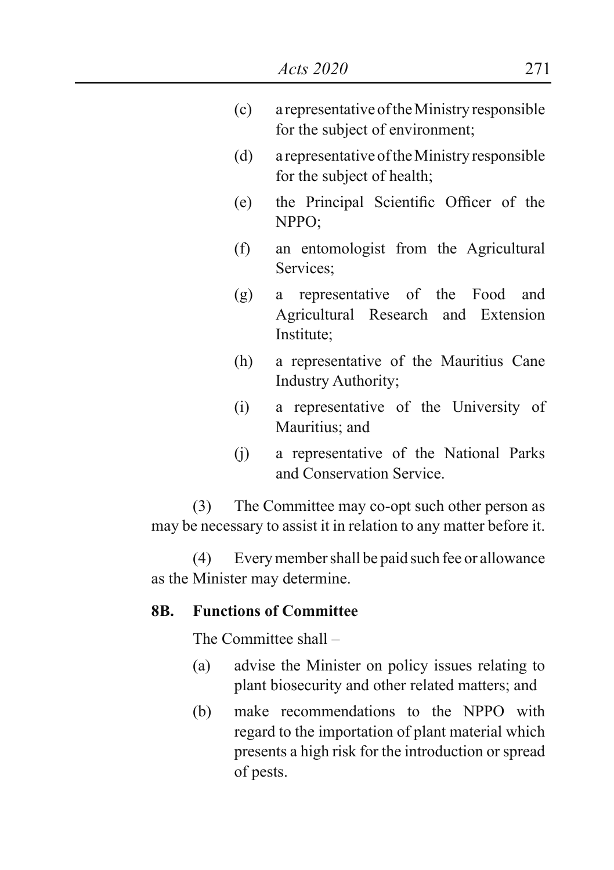- (c) a representative of the Ministry responsible for the subject of environment;
- (d) a representative of the Ministry responsible for the subject of health;
- (e) the Principal Scientific Officer of the  $NPPO<sup>+</sup>$
- (f) an entomologist from the Agricultural Services;
- (g) a representative of the Food and Agricultural Research and Extension Institute;
- (h) a representative of the Mauritius Cane Industry Authority;
- (i) a representative of the University of Mauritius; and
- (j) a representative of the National Parks and Conservation Service.

(3) The Committee may co-opt such other person as may be necessary to assist it in relation to any matter before it.

(4) Every member shall be paid such fee or allowance as the Minister may determine.

## **8B. Functions of Committee**

The Committee shall –

- (a) advise the Minister on policy issues relating to plant biosecurity and other related matters; and
- (b) make recommendations to the NPPO with regard to the importation of plant material which presents a high risk for the introduction or spread of pests.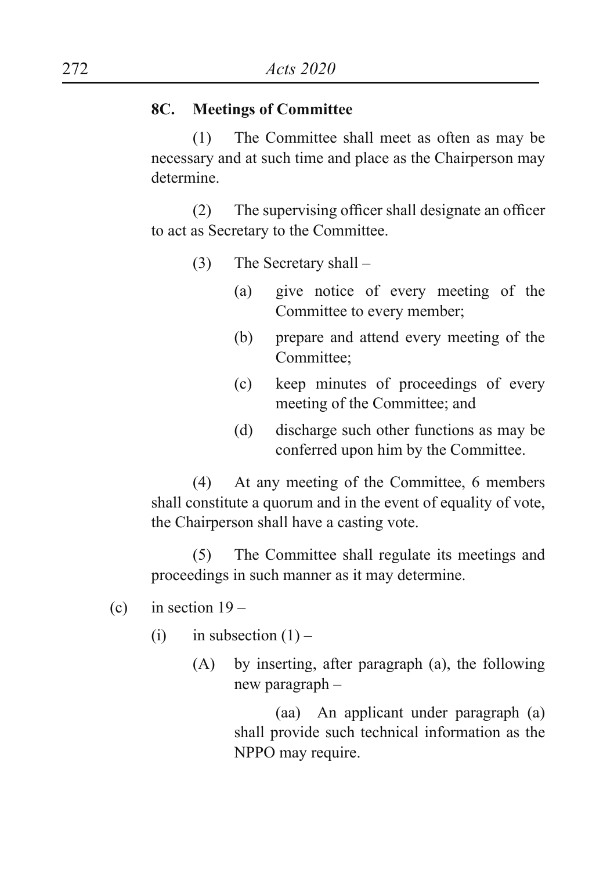## **8C. Meetings of Committee**

(1) The Committee shall meet as often as may be necessary and at such time and place as the Chairperson may determine.

(2) The supervising officer shall designate an officer to act as Secretary to the Committee.

- (3) The Secretary shall
	- (a) give notice of every meeting of the Committee to every member;
	- (b) prepare and attend every meeting of the Committee;
	- (c) keep minutes of proceedings of every meeting of the Committee; and
	- (d) discharge such other functions as may be conferred upon him by the Committee.

(4) At any meeting of the Committee, 6 members shall constitute a quorum and in the event of equality of vote, the Chairperson shall have a casting vote.

(5) The Committee shall regulate its meetings and proceedings in such manner as it may determine.

- (c) in section  $19 -$ 
	- (i) in subsection  $(1)$ 
		- (A) by inserting, after paragraph (a), the following new paragraph –

(aa) An applicant under paragraph (a) shall provide such technical information as the NPPO may require.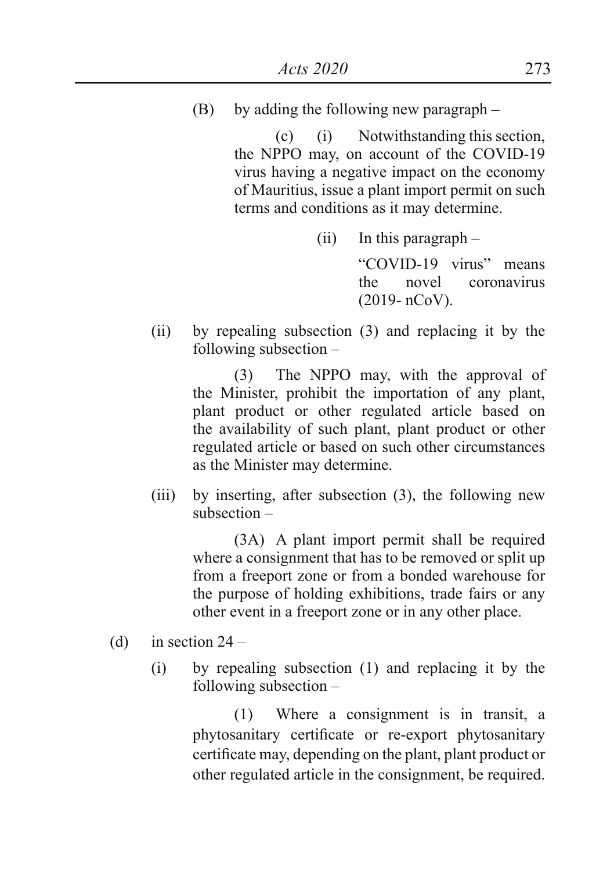(B) by adding the following new paragraph –

(c) (i) Notwithstanding this section, the NPPO may, on account of the COVID-19 virus having a negative impact on the economy of Mauritius, issue a plant import permit on such terms and conditions as it may determine.

(ii) In this paragraph –

"COVID-19 virus" means the novel coronavirus (2019- nCoV).

(ii) by repealing subsection (3) and replacing it by the following subsection –

> (3) The NPPO may, with the approval of the Minister, prohibit the importation of any plant, plant product or other regulated article based on the availability of such plant, plant product or other regulated article or based on such other circumstances as the Minister may determine.

(iii) by inserting, after subsection (3), the following new subsection –

> (3A) A plant import permit shall be required where a consignment that has to be removed or split up from a freeport zone or from a bonded warehouse for the purpose of holding exhibitions, trade fairs or any other event in a freeport zone or in any other place.

- (d) in section  $24 -$ 
	- (i) by repealing subsection (1) and replacing it by the following subsection –

(1) Where a consignment is in transit, a phytosanitary certificate or re-export phytosanitary certificate may, depending on the plant, plant product or other regulated article in the consignment, be required.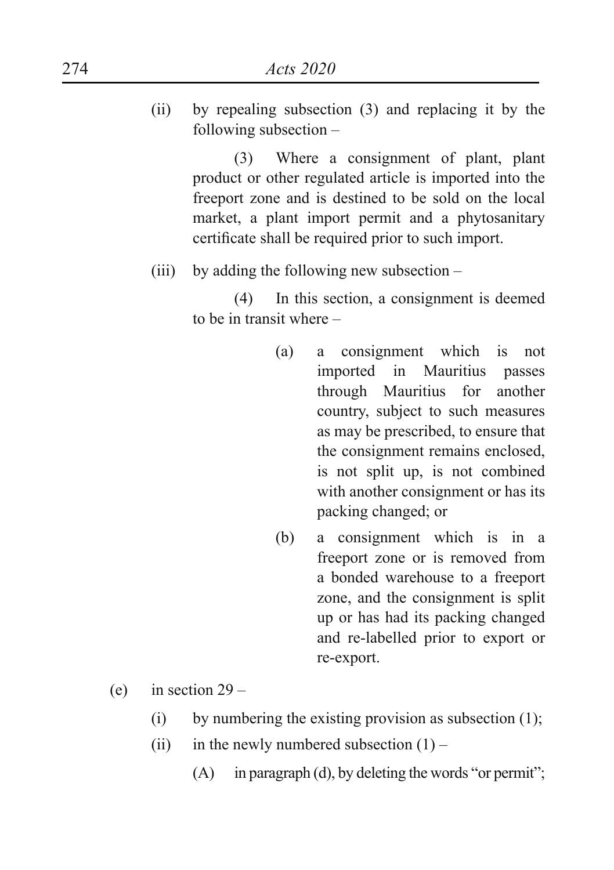(ii) by repealing subsection (3) and replacing it by the following subsection –

> (3) Where a consignment of plant, plant product or other regulated article is imported into the freeport zone and is destined to be sold on the local market, a plant import permit and a phytosanitary certificate shall be required prior to such import.

(iii) by adding the following new subsection –

(4) In this section, a consignment is deemed to be in transit where –

- (a) a consignment which is not imported in Mauritius passes through Mauritius for another country, subject to such measures as may be prescribed, to ensure that the consignment remains enclosed, is not split up, is not combined with another consignment or has its packing changed; or
- (b) a consignment which is in a freeport zone or is removed from a bonded warehouse to a freeport zone, and the consignment is split up or has had its packing changed and re-labelled prior to export or re-export.
- (e) in section  $29 -$ 
	- (i) by numbering the existing provision as subsection  $(1)$ ;
	- (ii) in the newly numbered subsection  $(1)$ 
		- $(A)$  in paragraph (d), by deleting the words "or permit";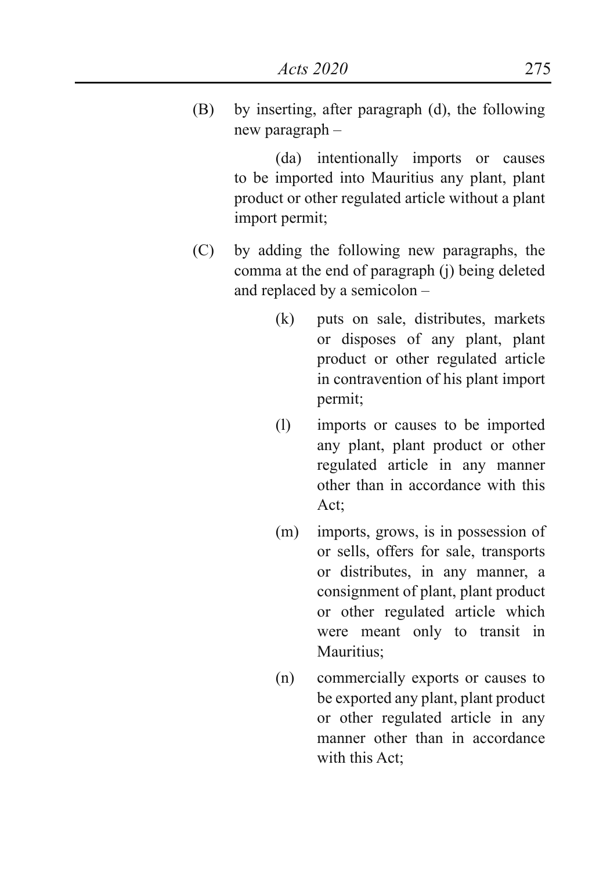(B) by inserting, after paragraph (d), the following new paragraph –

> (da) intentionally imports or causes to be imported into Mauritius any plant, plant product or other regulated article without a plant import permit;

- (C) by adding the following new paragraphs, the comma at the end of paragraph (j) being deleted and replaced by a semicolon –
	- (k) puts on sale, distributes, markets or disposes of any plant, plant product or other regulated article in contravention of his plant import permit;
	- (l) imports or causes to be imported any plant, plant product or other regulated article in any manner other than in accordance with this Act;
	- (m) imports, grows, is in possession of or sells, offers for sale, transports or distributes, in any manner, a consignment of plant, plant product or other regulated article which were meant only to transit in Mauritius<sup>:</sup>
	- (n) commercially exports or causes to be exported any plant, plant product or other regulated article in any manner other than in accordance with this Act;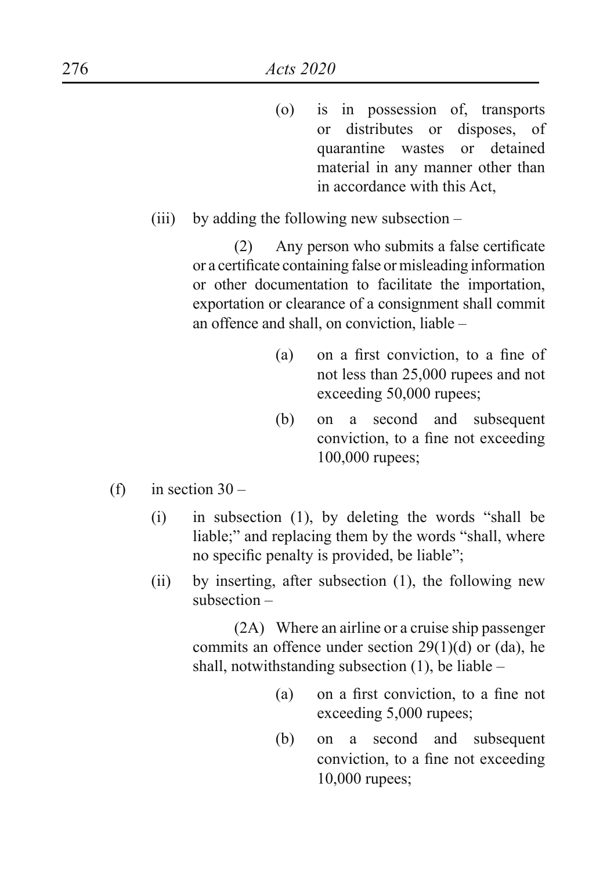- (o) is in possession of, transports or distributes or disposes, of quarantine wastes or detained material in any manner other than in accordance with this Act,
- (iii) by adding the following new subsection –

(2) Any person who submits a false certificate or a certificate containing false or misleading information or other documentation to facilitate the importation, exportation or clearance of a consignment shall commit an offence and shall, on conviction, liable –

- (a) on a first conviction, to a fine of not less than 25,000 rupees and not exceeding 50,000 rupees;
- (b) on a second and subsequent conviction, to a fine not exceeding 100,000 rupees;
- (f) in section  $30 -$ 
	- $(i)$  in subsection  $(1)$ , by deleting the words "shall be liable;" and replacing them by the words "shall, where no specific penalty is provided, be liable";
	- (ii) by inserting, after subsection (1), the following new subsection –

(2A) Where an airline or a cruise ship passenger commits an offence under section 29(1)(d) or (da), he shall, notwithstanding subsection  $(1)$ , be liable –

- (a) on a first conviction, to a fine not exceeding 5,000 rupees;
- (b) on a second and subsequent conviction, to a fine not exceeding 10,000 rupees;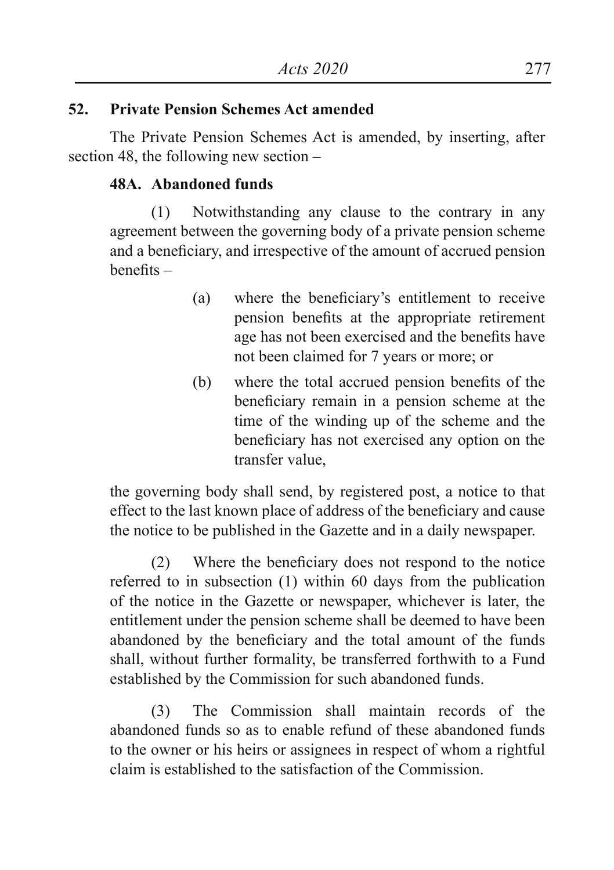## **52. Private Pension Schemes Act amended**

The Private Pension Schemes Act is amended, by inserting, after section 48, the following new section –

## **48A. Abandoned funds**

(1) Notwithstanding any clause to the contrary in any agreement between the governing body of a private pension scheme and a beneficiary, and irrespective of the amount of accrued pension benefits –

- (a) where the beneficiary's entitlement to receive pension benefits at the appropriate retirement age has not been exercised and the benefits have not been claimed for 7 years or more; or
- (b) where the total accrued pension benefits of the beneficiary remain in a pension scheme at the time of the winding up of the scheme and the beneficiary has not exercised any option on the transfer value,

the governing body shall send, by registered post, a notice to that effect to the last known place of address of the beneficiary and cause the notice to be published in the Gazette and in a daily newspaper.

(2) Where the beneficiary does not respond to the notice referred to in subsection (1) within 60 days from the publication of the notice in the Gazette or newspaper, whichever is later, the entitlement under the pension scheme shall be deemed to have been abandoned by the beneficiary and the total amount of the funds shall, without further formality, be transferred forthwith to a Fund established by the Commission for such abandoned funds.

(3) The Commission shall maintain records of the abandoned funds so as to enable refund of these abandoned funds to the owner or his heirs or assignees in respect of whom a rightful claim is established to the satisfaction of the Commission.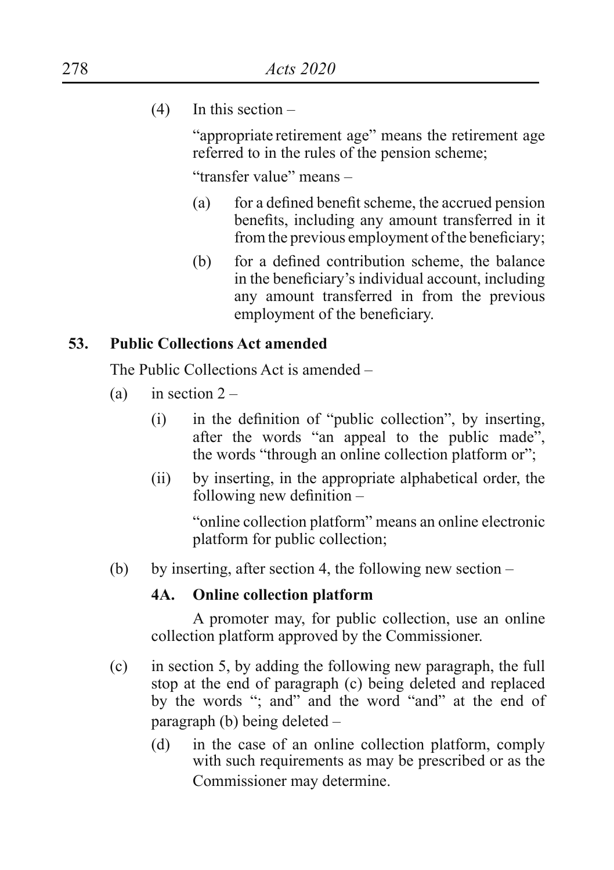(4) In this section –

"appropriate retirement age" means the retirement age referred to in the rules of the pension scheme;

"transfer value" means –

- (a) for a defined benefit scheme, the accrued pension benefits, including any amount transferred in it from the previous employment of the beneficiary;
- (b) for a defined contribution scheme, the balance in the beneficiary's individual account, including any amount transferred in from the previous employment of the beneficiary.

## **53. Public Collections Act amended**

The Public Collections Act is amended –

- (a) in section  $2 -$ 
	- $(i)$  in the definition of "public collection", by inserting, after the words "an appeal to the public made", the words "through an online collection platform or";
	- (ii) by inserting, in the appropriate alphabetical order, the following new definition –

"online collection platform" means an online electronic platform for public collection;

(b) by inserting, after section 4, the following new section –

## **4A. Online collection platform**

A promoter may, for public collection, use an online collection platform approved by the Commissioner.

- (c) in section 5, by adding the following new paragraph, the full stop at the end of paragraph (c) being deleted and replaced by the words "; and" and the word "and" at the end of paragraph (b) being deleted –
	- (d) in the case of an online collection platform, comply with such requirements as may be prescribed or as the Commissioner may determine.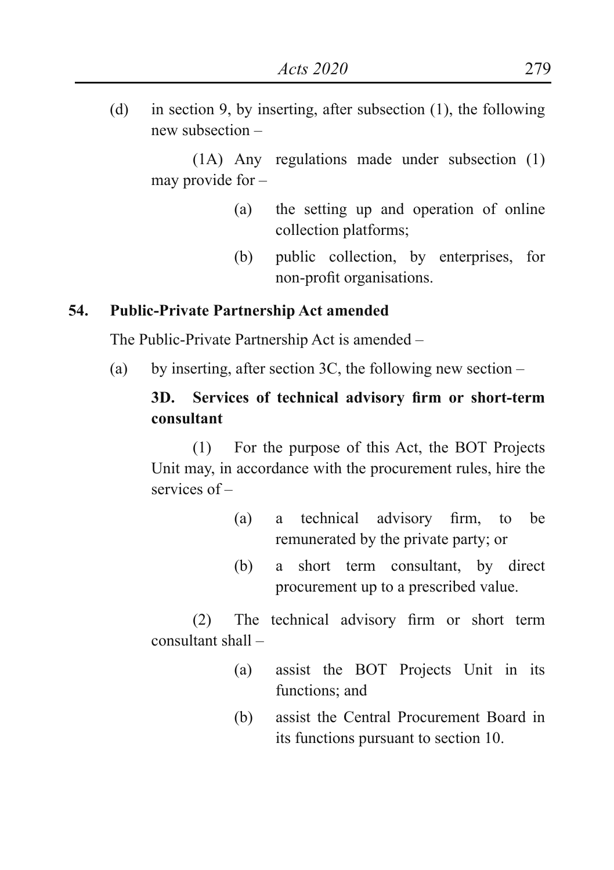(d) in section 9, by inserting, after subsection (1), the following new subsection –

(1A) Any regulations made under subsection (1) may provide for –

- (a) the setting up and operation of online collection platforms;
- (b) public collection, by enterprises, for non-profit organisations.

### **54. Public-Private Partnership Act amended**

The Public-Private Partnership Act is amended –

(a) by inserting, after section 3C, the following new section  $-$ 

## **3D. Services of technical advisory firm or short-term consultant**

(1) For the purpose of this Act, the BOT Projects Unit may, in accordance with the procurement rules, hire the services of –

- (a) a technical advisory firm, to be remunerated by the private party; or
- (b) a short term consultant, by direct procurement up to a prescribed value.

(2) The technical advisory firm or short term consultant shall –

- (a) assist the BOT Projects Unit in its functions; and
- (b) assist the Central Procurement Board in its functions pursuant to section 10.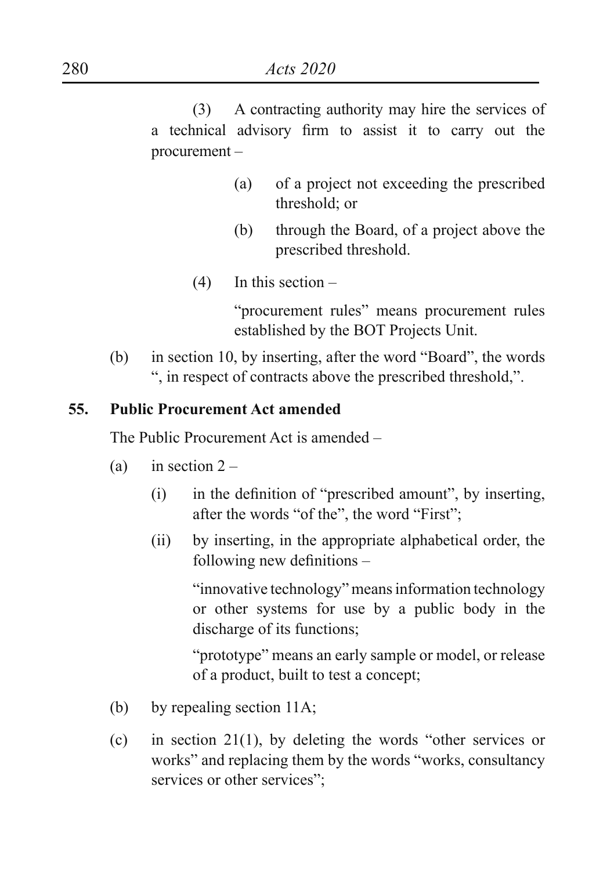(3) A contracting authority may hire the services of a technical advisory firm to assist it to carry out the procurement –

- (a) of a project not exceeding the prescribed threshold; or
- (b) through the Board, of a project above the prescribed threshold.
- (4) In this section –

"procurement rules" means procurement rules established by the BOT Projects Unit.

(b) in section 10, by inserting, after the word "Board", the words ", in respect of contracts above the prescribed threshold,".

#### **55. Public Procurement Act amended**

The Public Procurement Act is amended –

- (a) in section  $2 -$ 
	- $(i)$  in the definition of "prescribed amount", by inserting, after the words "of the", the word "First";
	- (ii) by inserting, in the appropriate alphabetical order, the following new definitions –

"innovative technology" meansinformation technology or other systems for use by a public body in the discharge of its functions;

"prototype" means an early sample or model, or release of a product, built to test a concept;

- (b) by repealing section 11A;
- (c) in section 21(1), by deleting the words "other services or works" and replacing them by the words "works, consultancy services or other services";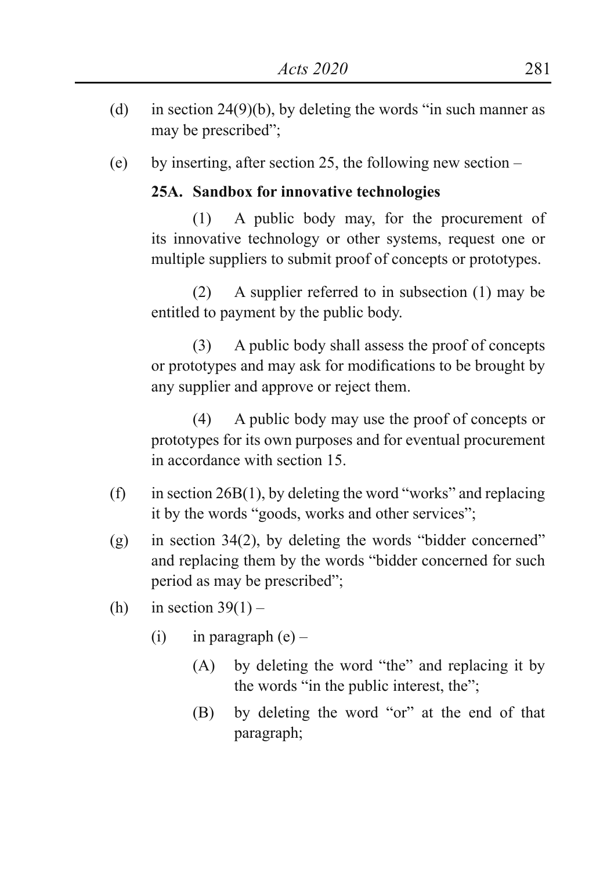- (d) in section 24(9)(b), by deleting the words "in such manner as may be prescribed";
- (e) by inserting, after section 25, the following new section –

## **25A. Sandbox for innovative technologies**

(1) A public body may, for the procurement of its innovative technology or other systems, request one or multiple suppliers to submit proof of concepts or prototypes.

(2) A supplier referred to in subsection (1) may be entitled to payment by the public body.

(3) A public body shall assess the proof of concepts or prototypes and may ask for modifications to be brought by any supplier and approve or reject them.

(4) A public body may use the proof of concepts or prototypes for its own purposes and for eventual procurement in accordance with section 15.

- (f) in section  $26B(1)$ , by deleting the word "works" and replacing it by the words "goods, works and other services";
- (g) in section  $34(2)$ , by deleting the words "bidder concerned" and replacing them by the words "bidder concerned for such period as may be prescribed";
- (h) in section  $39(1)$ 
	- (i) in paragraph  $(e)$ 
		- (A) by deleting the word "the" and replacing it by the words "in the public interest, the";
		- (B) by deleting the word "or" at the end of that paragraph;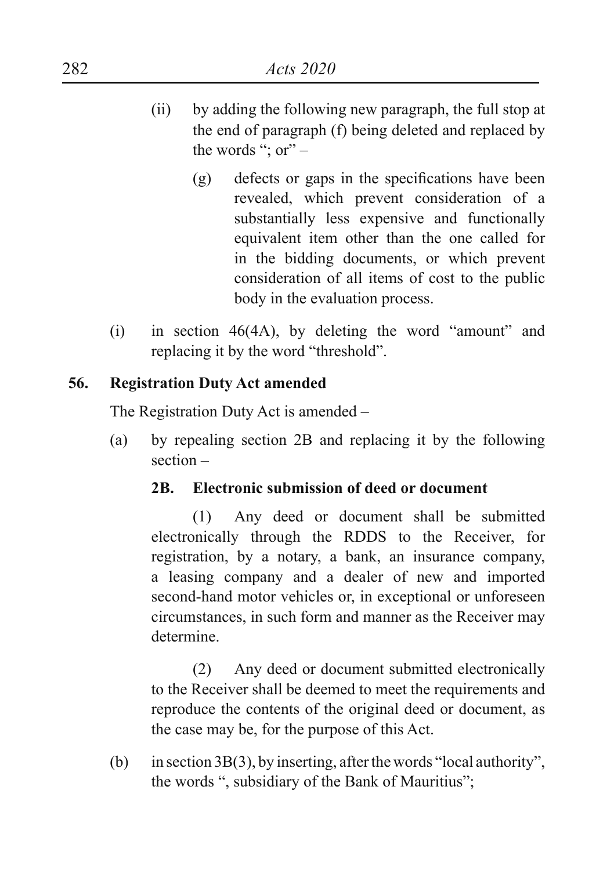- (ii) by adding the following new paragraph, the full stop at the end of paragraph (f) being deleted and replaced by the words "; or" –
	- (g) defects or gaps in the specifications have been revealed, which prevent consideration of a substantially less expensive and functionally equivalent item other than the one called for in the bidding documents, or which prevent consideration of all items of cost to the public body in the evaluation process.
- (i) in section  $46(4A)$ , by deleting the word "amount" and replacing it by the word "threshold".

## **56. Registration Duty Act amended**

The Registration Duty Act is amended –

(a) by repealing section 2B and replacing it by the following section –

## **2B. Electronic submission of deed or document**

(1) Any deed or document shall be submitted electronically through the RDDS to the Receiver, for registration, by a notary, a bank, an insurance company, a leasing company and a dealer of new and imported second-hand motor vehicles or, in exceptional or unforeseen circumstances, in such form and manner as the Receiver may determine.

(2) Any deed or document submitted electronically to the Receiver shall be deemed to meet the requirements and reproduce the contents of the original deed or document, as the case may be, for the purpose of this Act.

(b) in section  $3B(3)$ , by inserting, after the words "local authority", the words ", subsidiary of the Bank of Mauritius";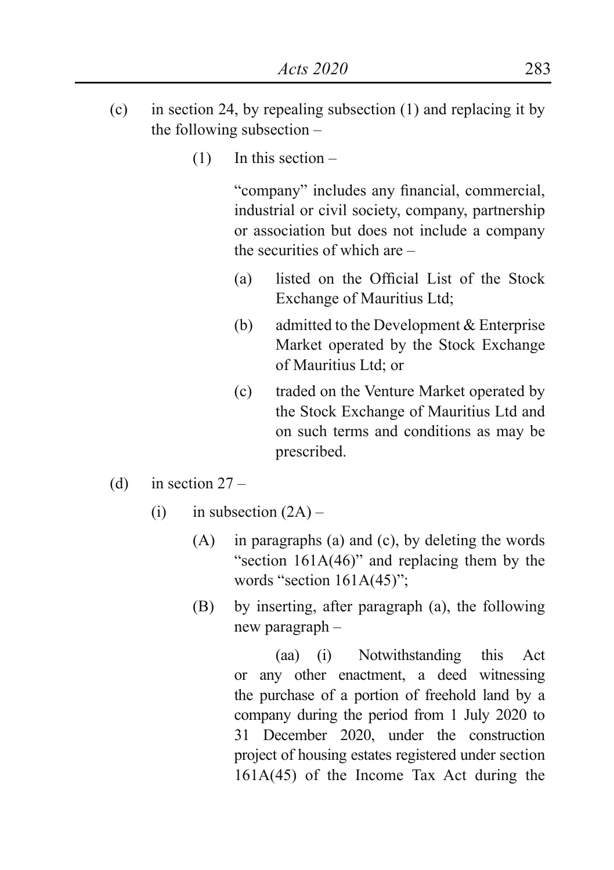- (c) in section 24, by repealing subsection (1) and replacing it by the following subsection –
	- (1) In this section –

"company" includes any financial, commercial, industrial or civil society, company, partnership or association but does not include a company the securities of which are –

- (a) listed on the Official List of the Stock Exchange of Mauritius Ltd;
- (b) admitted to the Development & Enterprise Market operated by the Stock Exchange of Mauritius Ltd; or
- (c) traded on the Venture Market operated by the Stock Exchange of Mauritius Ltd and on such terms and conditions as may be prescribed.
- (d) in section  $27 -$ 
	- $(i)$  in subsection  $(2A)$ 
		- (A) in paragraphs (a) and (c), by deleting the words "section 161A(46)" and replacing them by the words "section  $161A(45)$ ":
		- (B) by inserting, after paragraph (a), the following new paragraph –

(aa) (i) Notwithstanding this Act or any other enactment, a deed witnessing the purchase of a portion of freehold land by a company during the period from 1 July 2020 to 31 December 2020, under the construction project of housing estates registered under section 161A(45) of the Income Tax Act during the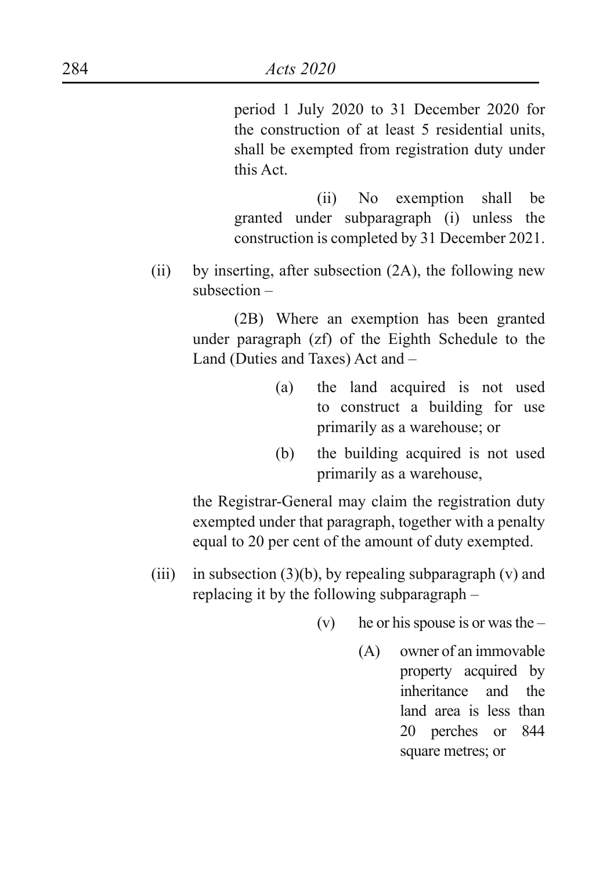period 1 July 2020 to 31 December 2020 for the construction of at least 5 residential units, shall be exempted from registration duty under this Act.

(ii) No exemption shall be granted under subparagraph (i) unless the construction is completed by 31 December 2021.

(ii) by inserting, after subsection (2A), the following new subsection –

> (2B) Where an exemption has been granted under paragraph (zf) of the Eighth Schedule to the Land (Duties and Taxes) Act and –

- (a) the land acquired is not used to construct a building for use primarily as a warehouse; or
- (b) the building acquired is not used primarily as a warehouse,

the Registrar-General may claim the registration duty exempted under that paragraph, together with a penalty equal to 20 per cent of the amount of duty exempted.

- (iii) in subsection  $(3)(b)$ , by repealing subparagraph (v) and replacing it by the following subparagraph –
	- (v) he or his spouse is or was the  $-$ 
		- (A) owner of an immovable property acquired by inheritance and the land area is less than 20 perches or 844 square metres; or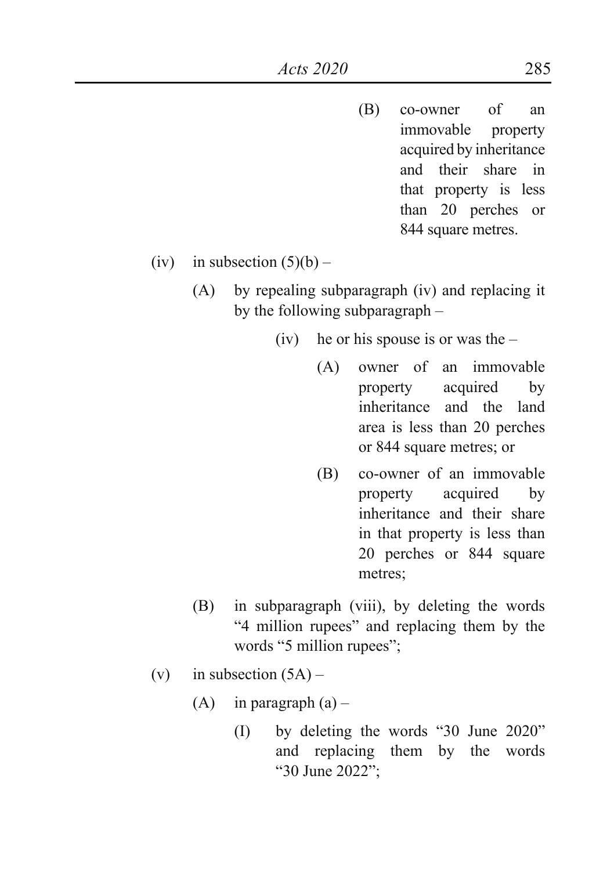- (B) co-owner of an immovable property acquired by inheritance and their share in that property is less than 20 perches or 844 square metres.
- (iv) in subsection  $(5)(b)$ 
	- (A) by repealing subparagraph (iv) and replacing it by the following subparagraph –
		- (iv) he or his spouse is or was the  $-$ 
			- (A) owner of an immovable property acquired by inheritance and the land area is less than 20 perches or 844 square metres; or
			- (B) co-owner of an immovable property acquired by inheritance and their share in that property is less than 20 perches or 844 square metres;
	- (B) in subparagraph (viii), by deleting the words "4 million rupees" and replacing them by the words "5 million rupees";
- (v) in subsection  $(5A)$ 
	- $(A)$  in paragraph  $(a)$ 
		- (I) by deleting the words "30 June 2020" and replacing them by the words "30 June 2022";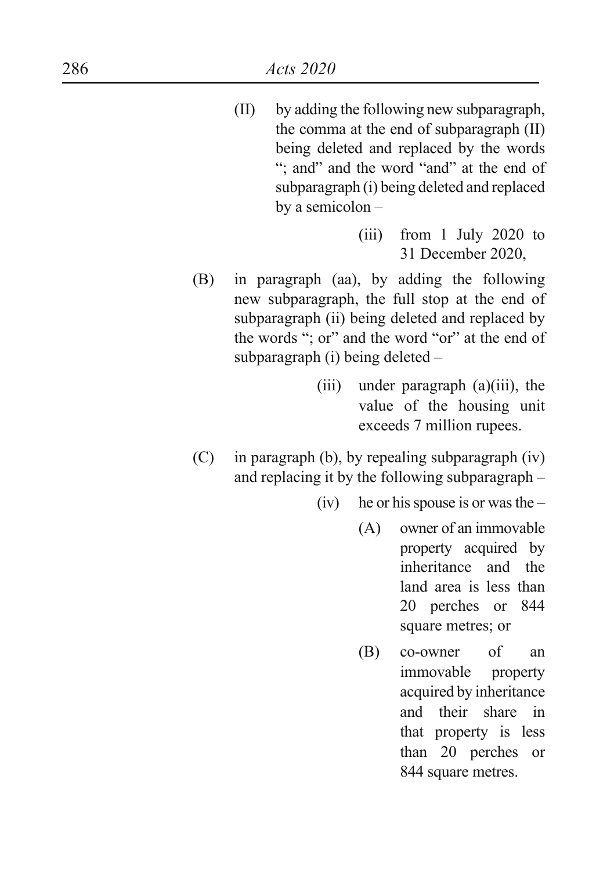- (II) by adding the following new subparagraph, the comma at the end of subparagraph (II) being deleted and replaced by the words "; and" and the word "and" at the end of subparagraph (i) being deleted and replaced by a semicolon –
	- (iii) from 1 July 2020 to 31 December 2020,
- (B) in paragraph (aa), by adding the following new subparagraph, the full stop at the end of subparagraph (ii) being deleted and replaced by the words "; or" and the word "or" at the end of subparagraph (i) being deleted –
	- (iii) under paragraph (a)(iii), the value of the housing unit exceeds 7 million rupees.
- (C) in paragraph (b), by repealing subparagraph (iv) and replacing it by the following subparagraph –
	- (iv) he or his spouse is or was the  $-$ 
		- (A) owner of an immovable property acquired by inheritance and the land area is less than 20 perches or 844 square metres; or
		- (B) co-owner of an immovable property acquired by inheritance and their share in that property is less than 20 perches or 844 square metres.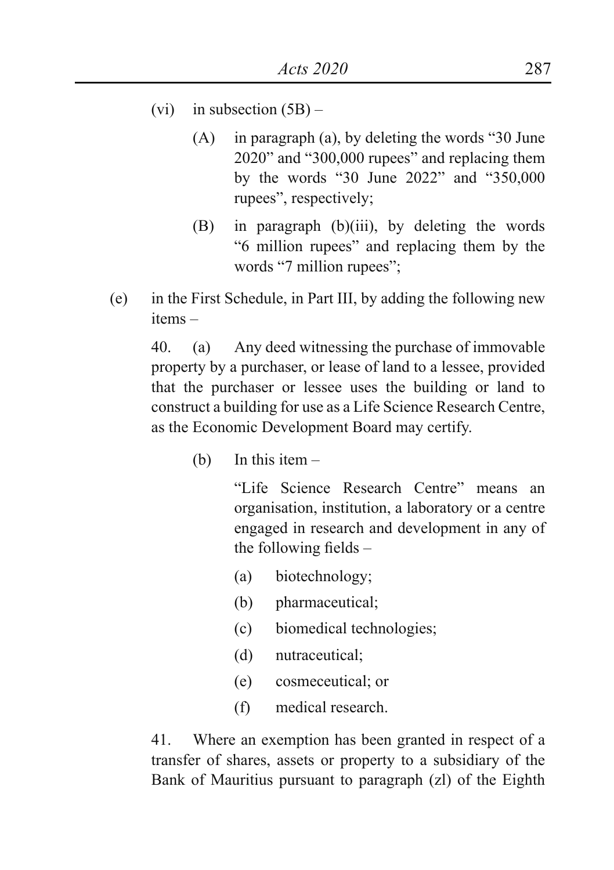- (vi) in subsection  $(5B)$ 
	- $(A)$  in paragraph  $(a)$ , by deleting the words "30 June 2020" and "300,000 rupees" and replacing them by the words "30 June 2022" and "350,000 rupees", respectively;
	- (B) in paragraph (b)(iii), by deleting the words "6 million rupees" and replacing them by the words "7 million rupees";
- (e) in the First Schedule, in Part III, by adding the following new items –

40. (a) Any deed witnessing the purchase of immovable property by a purchaser, or lease of land to a lessee, provided that the purchaser or lessee uses the building or land to construct a building for use as a Life Science Research Centre, as the Economic Development Board may certify.

(b) In this item –

"Life Science Research Centre" means an organisation, institution, a laboratory or a centre engaged in research and development in any of the following fields –

- (a) biotechnology;
- (b) pharmaceutical;
- (c) biomedical technologies;
- (d) nutraceutical;
- (e) cosmeceutical; or
- (f) medical research.

41. Where an exemption has been granted in respect of a transfer of shares, assets or property to a subsidiary of the Bank of Mauritius pursuant to paragraph (zl) of the Eighth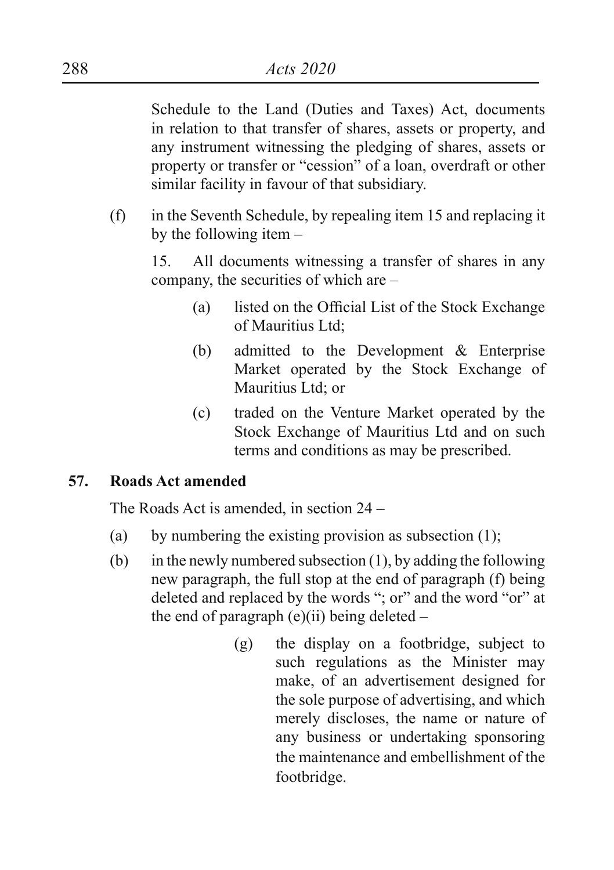Schedule to the Land (Duties and Taxes) Act, documents in relation to that transfer of shares, assets or property, and any instrument witnessing the pledging of shares, assets or property or transfer or "cession" of a loan, overdraft or other similar facility in favour of that subsidiary.

(f) in the Seventh Schedule, by repealing item 15 and replacing it by the following item –

15. All documents witnessing a transfer of shares in any company, the securities of which are –

- (a) listed on the Official List of the Stock Exchange of Mauritius Ltd;
- (b) admitted to the Development & Enterprise Market operated by the Stock Exchange of Mauritius Ltd; or
- (c) traded on the Venture Market operated by the Stock Exchange of Mauritius Ltd and on such terms and conditions as may be prescribed.

# **57. Roads Act amended**

The Roads Act is amended, in section 24 –

- (a) by numbering the existing provision as subsection  $(1)$ :
- (b) in the newly numbered subsection  $(1)$ , by adding the following new paragraph, the full stop at the end of paragraph (f) being deleted and replaced by the words "; or" and the word "or" at the end of paragraph  $(e)(ii)$  being deleted –
	- (g) the display on a footbridge, subject to such regulations as the Minister may make, of an advertisement designed for the sole purpose of advertising, and which merely discloses, the name or nature of any business or undertaking sponsoring the maintenance and embellishment of the footbridge.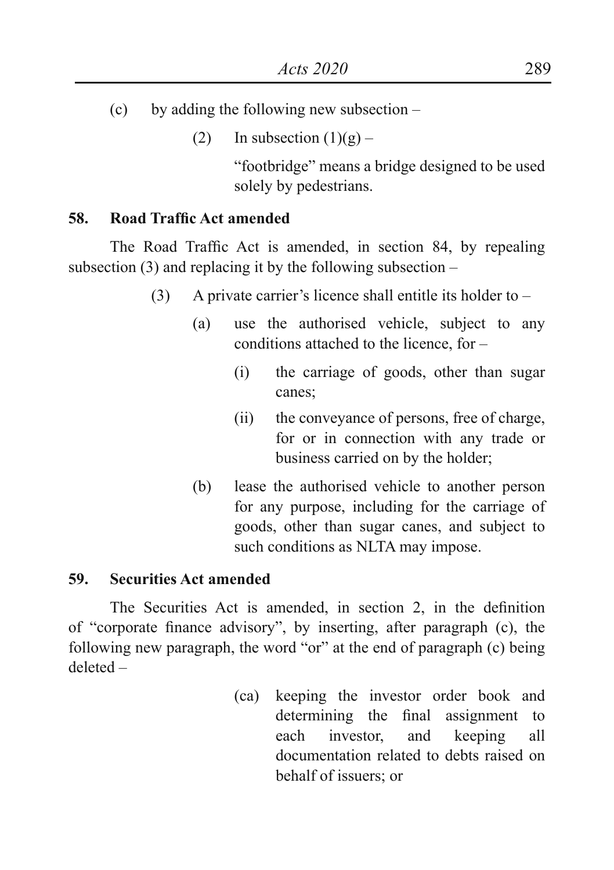- (c) by adding the following new subsection
	- (2) In subsection  $(1)(g)$  –

"footbridge" means a bridge designed to be used solely by pedestrians.

# **58. Road Traffic Act amended**

 The Road Traffic Act is amended, in section 84, by repealing subsection  $(3)$  and replacing it by the following subsection –

- (3) A private carrier's licence shall entitle its holder to
	- (a) use the authorised vehicle, subject to any conditions attached to the licence, for  $-$ 
		- (i) the carriage of goods, other than sugar canes;
		- (ii) the conveyance of persons, free of charge, for or in connection with any trade or business carried on by the holder;
	- (b) lease the authorised vehicle to another person for any purpose, including for the carriage of goods, other than sugar canes, and subject to such conditions as NLTA may impose.

# **59. Securities Act amended**

 The Securities Act is amended, in section 2, in the definition of "corporate finance advisory", by inserting, after paragraph (c), the following new paragraph, the word "or" at the end of paragraph (c) being deleted –

> (ca) keeping the investor order book and determining the final assignment to each investor, and keeping all documentation related to debts raised on behalf of issuers; or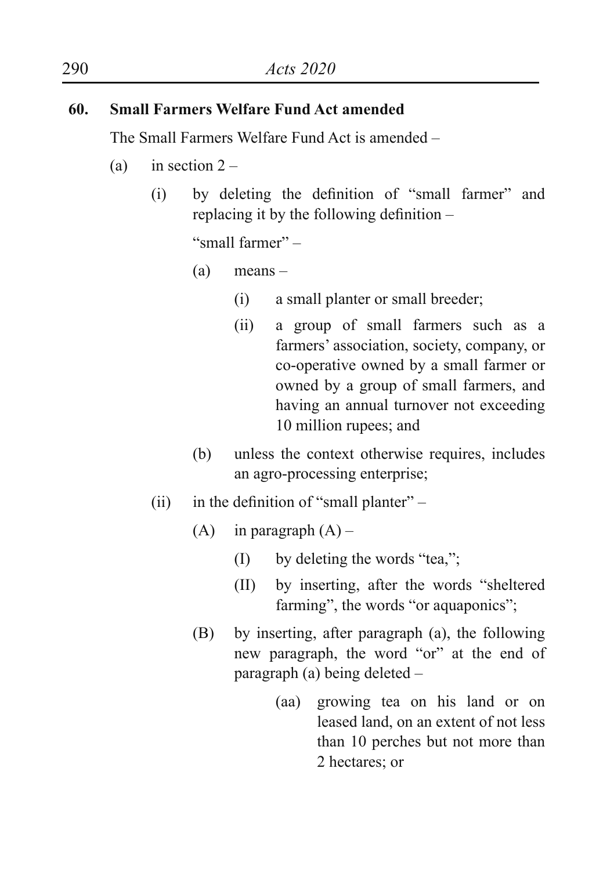# **60. Small Farmers Welfare Fund Act amended**

The Small Farmers Welfare Fund Act is amended –

- (a) in section  $2 -$ 
	- (i) by deleting the definition of "small farmer" and replacing it by the following definition –

"small farmer" –

- (a) means
	- (i) a small planter or small breeder;
	- (ii) a group of small farmers such as a farmers' association, society, company, or co-operative owned by a small farmer or owned by a group of small farmers, and having an annual turnover not exceeding 10 million rupees; and
- (b) unless the context otherwise requires, includes an agro-processing enterprise;
- (ii) in the definition of "small planter"  $-$ 
	- (A) in paragraph  $(A)$ 
		- $(I)$  by deleting the words "tea,";
		- (II) by inserting, after the words "sheltered farming", the words "or aquaponics";
	- (B) by inserting, after paragraph (a), the following new paragraph, the word "or" at the end of paragraph (a) being deleted –
		- (aa) growing tea on his land or on leased land, on an extent of not less than 10 perches but not more than 2 hectares; or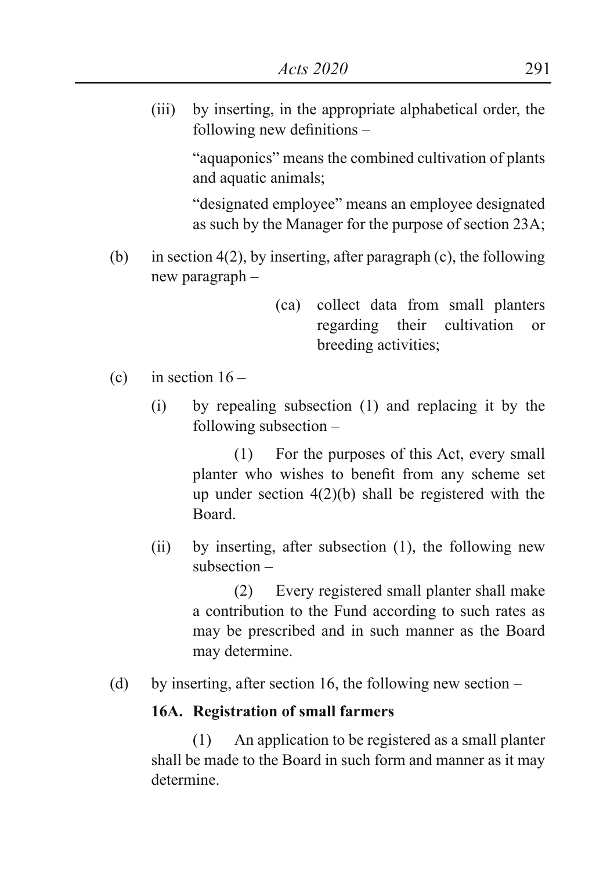(iii) by inserting, in the appropriate alphabetical order, the following new definitions –

> "aquaponics" means the combined cultivation of plants and aquatic animals;

> "designated employee" means an employee designated as such by the Manager for the purpose of section 23A;

- (b) in section  $4(2)$ , by inserting, after paragraph (c), the following new paragraph –
	- (ca) collect data from small planters regarding their cultivation or breeding activities;
- (c) in section  $16 -$ 
	- (i) by repealing subsection (1) and replacing it by the following subsection –

(1) For the purposes of this Act, every small planter who wishes to benefit from any scheme set up under section 4(2)(b) shall be registered with the Board.

(ii) by inserting, after subsection (1), the following new subsection –

> (2) Every registered small planter shall make a contribution to the Fund according to such rates as may be prescribed and in such manner as the Board may determine.

(d) by inserting, after section 16, the following new section –

#### **16A. Registration of small farmers**

(1) An application to be registered as a small planter shall be made to the Board in such form and manner as it may determine.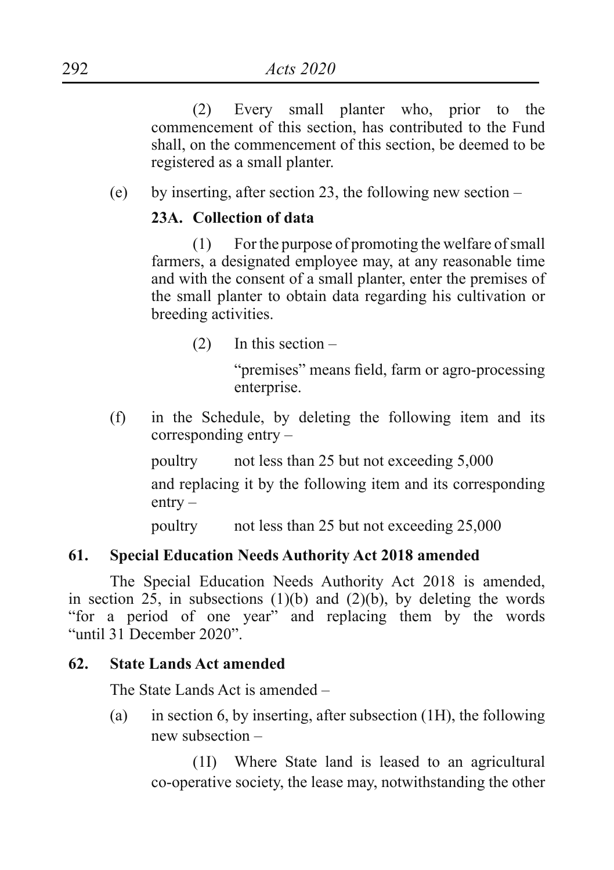(2) Every small planter who, prior to the commencement of this section, has contributed to the Fund shall, on the commencement of this section, be deemed to be registered as a small planter.

(e) by inserting, after section 23, the following new section –

# **23A. Collection of data**

(1) For the purpose of promoting the welfare of small farmers, a designated employee may, at any reasonable time and with the consent of a small planter, enter the premises of the small planter to obtain data regarding his cultivation or breeding activities.

(2) In this section –

"premises" means field, farm or agro-processing enterprise.

(f) in the Schedule, by deleting the following item and its corresponding entry –

poultry not less than 25 but not exceeding 5,000

and replacing it by the following item and its corresponding entry –

poultry not less than 25 but not exceeding 25,000

# **61. Special Education Needs Authority Act 2018 amended**

The Special Education Needs Authority Act 2018 is amended, in section  $2\bar{5}$ , in subsections (1)(b) and (2)(b), by deleting the words "for a period of one year" and replacing them by the words "until 31 December 2020".

#### **62. State Lands Act amended**

The State Lands Act is amended –

(a) in section 6, by inserting, after subsection (1H), the following new subsection –

(1I) Where State land is leased to an agricultural co-operative society, the lease may, notwithstanding the other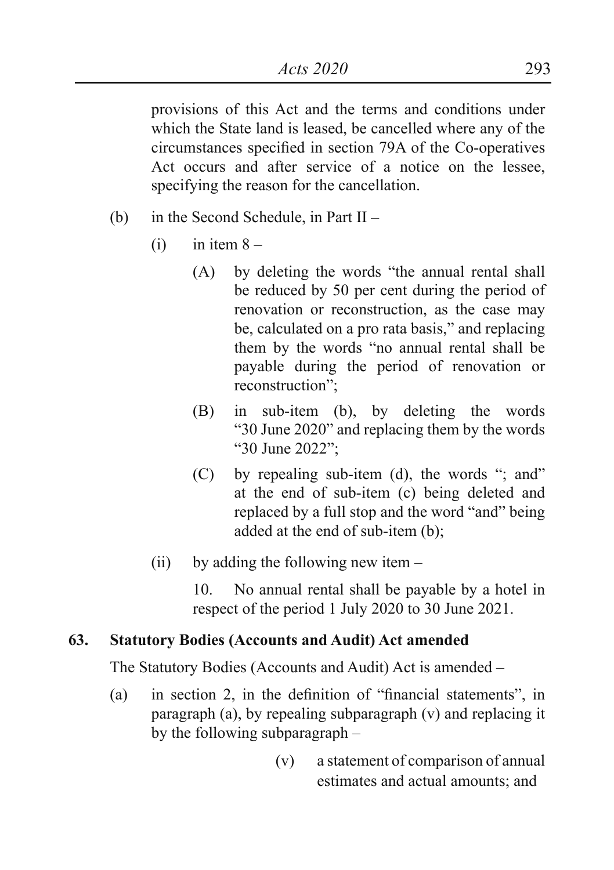provisions of this Act and the terms and conditions under which the State land is leased, be cancelled where any of the circumstances specified in section 79A of the Co-operatives Act occurs and after service of a notice on the lessee, specifying the reason for the cancellation.

- (b) in the Second Schedule, in Part II
	- $(i)$  in item  $8 -$ 
		- (A) by deleting the words "the annual rental shall be reduced by 50 per cent during the period of renovation or reconstruction, as the case may be, calculated on a pro rata basis," and replacing them by the words "no annual rental shall be payable during the period of renovation or reconstruction";
		- (B) in sub-item (b), by deleting the words "30 June 2020" and replacing them by the words "30 June 2022";
		- $(C)$  by repealing sub-item (d), the words "; and" at the end of sub-item (c) being deleted and replaced by a full stop and the word "and" being added at the end of sub-item (b);
	- (ii) by adding the following new item  $-$

10. No annual rental shall be payable by a hotel in respect of the period 1 July 2020 to 30 June 2021.

# **63. Statutory Bodies (Accounts and Audit) Act amended**

The Statutory Bodies (Accounts and Audit) Act is amended –

- (a) in section 2, in the definition of "financial statements", in paragraph (a), by repealing subparagraph (v) and replacing it by the following subparagraph –
	- (v) a statement of comparison of annual estimates and actual amounts; and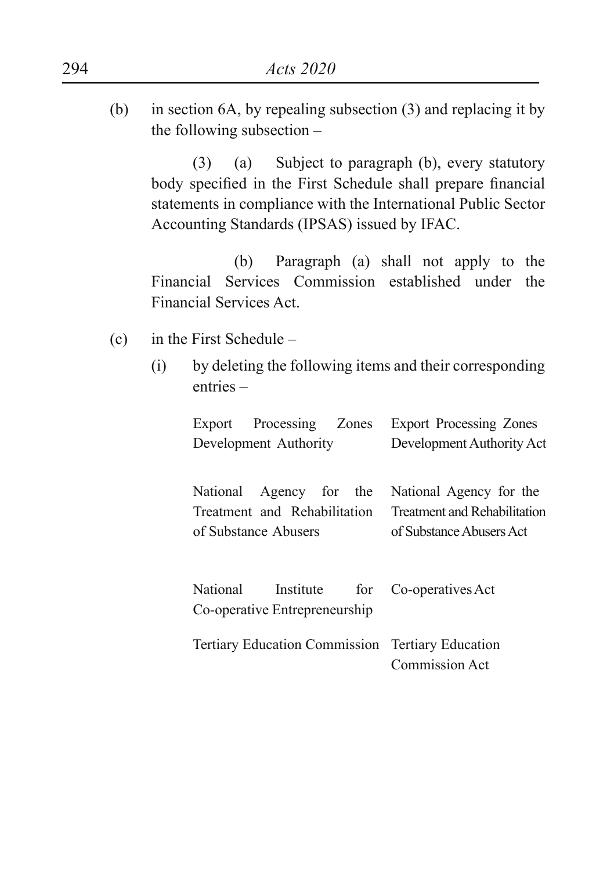(b) in section 6A, by repealing subsection (3) and replacing it by the following subsection –

(3) (a) Subject to paragraph (b), every statutory body specified in the First Schedule shall prepare financial statements in compliance with the International Public Sector Accounting Standards (IPSAS) issued by IFAC.

(b) Paragraph (a) shall not apply to the Financial Services Commission established under the Financial Services Act.

- (c) in the First Schedule
	- (i) by deleting the following items and their corresponding entries –

| Export Processing Zones                                                      | <b>Export Processing Zones</b> |  |
|------------------------------------------------------------------------------|--------------------------------|--|
| Development Authority                                                        | Development Authority Act      |  |
| National Agency for the                                                      | National Agency for the        |  |
| Treatment and Rehabilitation                                                 | Treatment and Rehabilitation   |  |
| of Substance Abusers                                                         | of Substance Abusers Act       |  |
| National<br>Institute for Co-operatives Act<br>Co-operative Entrepreneurship |                                |  |
| Tertiary Education Commission Tertiary Education                             | Commission Act                 |  |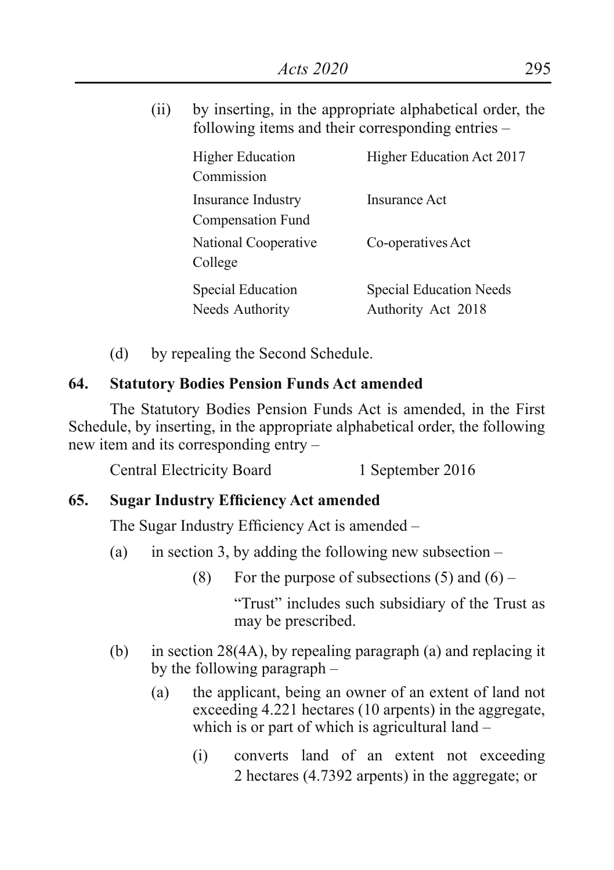(ii) by inserting, in the appropriate alphabetical order, the following items and their corresponding entries –

| <b>Higher Education</b><br>Commission   | Higher Education Act 2017                            |
|-----------------------------------------|------------------------------------------------------|
| Insurance Industry<br>Compensation Fund | Insurance Act                                        |
| National Cooperative<br>College         | Co-operatives Act                                    |
| Special Education<br>Needs Authority    | <b>Special Education Needs</b><br>Authority Act 2018 |

(d) by repealing the Second Schedule.

# **64. Statutory Bodies Pension Funds Act amended**

The Statutory Bodies Pension Funds Act is amended, in the First Schedule, by inserting, in the appropriate alphabetical order, the following new item and its corresponding entry –

Central Electricity Board 1 September 2016

# **65. Sugar Industry Efficiency Act amended**

The Sugar Industry Efficiency Act is amended –

- (a) in section 3, by adding the following new subsection
	- (8) For the purpose of subsections  $(5)$  and  $(6)$  –

"Trust" includes such subsidiary of the Trust as may be prescribed.

- (b) in section 28(4A), by repealing paragraph (a) and replacing it by the following paragraph –
	- (a) the applicant, being an owner of an extent of land not exceeding 4.221 hectares (10 arpents) in the aggregate, which is or part of which is agricultural land –
		- (i) converts land of an extent not exceeding 2 hectares (4.7392 arpents) in the aggregate; or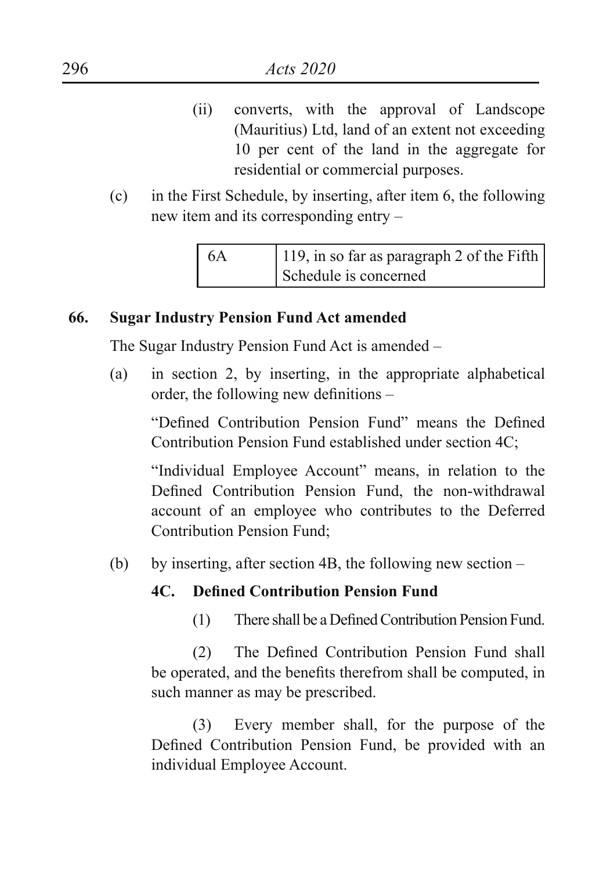- (ii) converts, with the approval of Landscope (Mauritius) Ltd, land of an extent not exceeding 10 per cent of the land in the aggregate for residential or commercial purposes.
- (c) in the First Schedule, by inserting, after item 6, the following new item and its corresponding entry –

| $\overline{6A}$ | 119, in so far as paragraph 2 of the Fifth |
|-----------------|--------------------------------------------|
|                 | Schedule is concerned                      |

# **66. Sugar Industry Pension Fund Act amended**

The Sugar Industry Pension Fund Act is amended –

(a) in section 2, by inserting, in the appropriate alphabetical order, the following new definitions –

"Defined Contribution Pension Fund" means the Defined Contribution Pension Fund established under section 4C;

"Individual Employee Account" means, in relation to the Defined Contribution Pension Fund, the non-withdrawal account of an employee who contributes to the Deferred Contribution Pension Fund;

(b) by inserting, after section 4B, the following new section –

# **4C. Defined Contribution Pension Fund**

(1) There shall be a DefinedContribution Pension Fund.

(2) The Defined Contribution Pension Fund shall be operated, and the benefits therefrom shall be computed, in such manner as may be prescribed.

(3) Every member shall, for the purpose of the Defined Contribution Pension Fund, be provided with an individual Employee Account.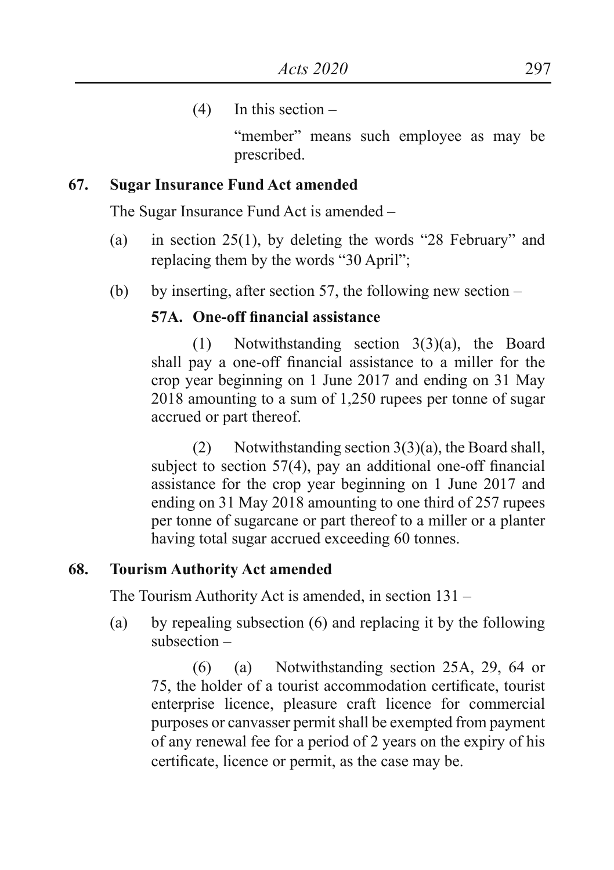$(4)$  In this section –

"member" means such employee as may be prescribed.

#### **67. Sugar Insurance Fund Act amended**

The Sugar Insurance Fund Act is amended –

- (a) in section 25(1), by deleting the words "28 February" and replacing them by the words "30 April";
- (b) by inserting, after section 57, the following new section  $-$

#### **57A. One-off financial assistance**

(1) Notwithstanding section 3(3)(a), the Board shall pay a one-off financial assistance to a miller for the crop year beginning on 1 June 2017 and ending on 31 May 2018 amounting to a sum of 1,250 rupees per tonne of sugar accrued or part thereof.

(2) Notwithstanding section  $3(3)(a)$ , the Board shall, subject to section 57(4), pay an additional one-off financial assistance for the crop year beginning on 1 June 2017 and ending on 31 May 2018 amounting to one third of 257 rupees per tonne of sugarcane or part thereof to a miller or a planter having total sugar accrued exceeding 60 tonnes.

#### **68. Tourism Authority Act amended**

The Tourism Authority Act is amended, in section 131 –

(a) by repealing subsection (6) and replacing it by the following subsection –

(6) (a) Notwithstanding section 25A, 29, 64 or 75, the holder of a tourist accommodation certificate, tourist enterprise licence, pleasure craft licence for commercial purposes or canvasser permit shall be exempted from payment of any renewal fee for a period of 2 years on the expiry of his certificate, licence or permit, as the case may be.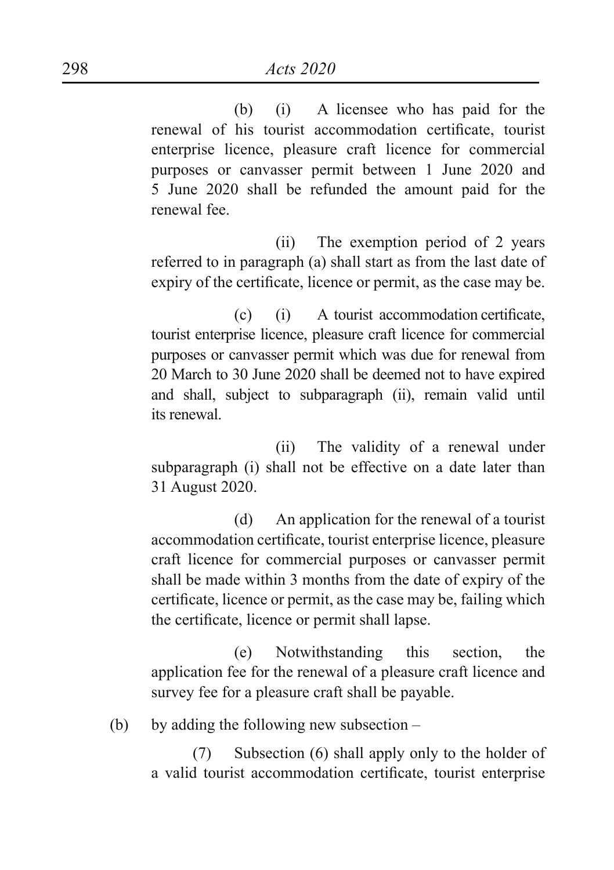(b) (i) A licensee who has paid for the renewal of his tourist accommodation certificate, tourist enterprise licence, pleasure craft licence for commercial purposes or canvasser permit between 1 June 2020 and 5 June 2020 shall be refunded the amount paid for the renewal fee.

 (ii) The exemption period of 2 years referred to in paragraph (a) shall start as from the last date of expiry of the certificate, licence or permit, as the case may be.

 (c) (i) A tourist accommodation certificate, tourist enterprise licence, pleasure craft licence for commercial purposes or canvasser permit which was due for renewal from 20 March to 30 June 2020 shall be deemed not to have expired and shall, subject to subparagraph (ii), remain valid until its renewal.

 (ii) The validity of a renewal under subparagraph (i) shall not be effective on a date later than 31 August 2020.

(d) An application for the renewal of a tourist accommodation certificate, tourist enterprise licence, pleasure craft licence for commercial purposes or canvasser permit shall be made within 3 months from the date of expiry of the certificate, licence or permit, as the case may be, failing which the certificate, licence or permit shall lapse.

(e) Notwithstanding this section, the application fee for the renewal of a pleasure craft licence and survey fee for a pleasure craft shall be payable.

(b) by adding the following new subsection –

(7) Subsection (6) shall apply only to the holder of a valid tourist accommodation certificate, tourist enterprise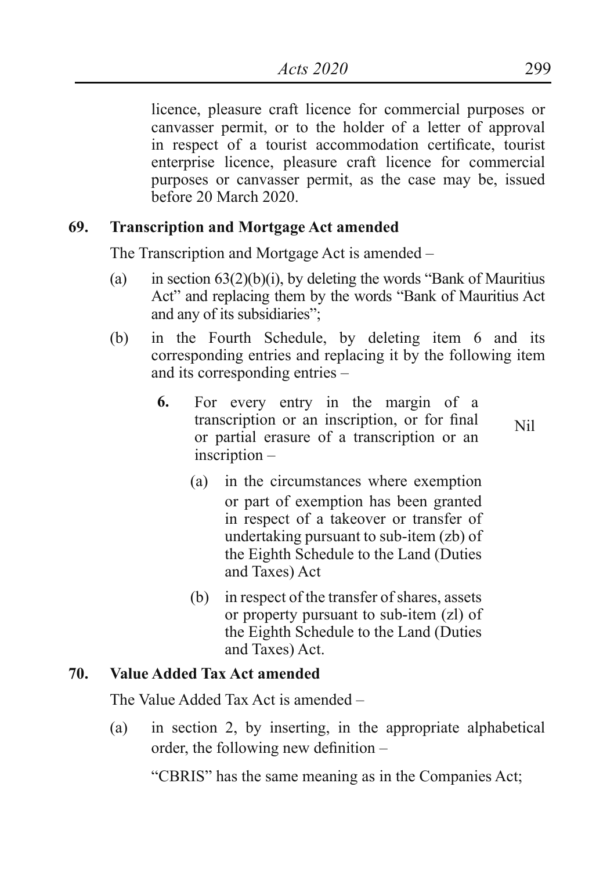licence, pleasure craft licence for commercial purposes or canvasser permit, or to the holder of a letter of approval in respect of a tourist accommodation certificate, tourist enterprise licence, pleasure craft licence for commercial purposes or canvasser permit, as the case may be, issued before 20 March 2020.

# **69. Transcription and Mortgage Act amended**

The Transcription and Mortgage Act is amended –

- (a) in section  $63(2)(b)(i)$ , by deleting the words "Bank of Mauritius" Act" and replacing them by the words "Bank of Mauritius Act and any of its subsidiaries";
- (b) in the Fourth Schedule, by deleting item 6 and its corresponding entries and replacing it by the following item and its corresponding entries –
	- **6.** For every entry in the margin of a transcription or an inscription, or for final or partial erasure of a transcription or an inscription – Nil

(a) in the circumstances where exemption or part of exemption has been granted in respect of a takeover or transfer of undertaking pursuant to sub-item (zb) of the Eighth Schedule to the Land (Duties and Taxes) Act

(b) in respect of the transfer of shares, assets or property pursuant to sub-item (zl) of the Eighth Schedule to the Land (Duties and Taxes) Act.

#### **70. Value Added Tax Act amended**

The Value Added Tax Act is amended –

(a) in section 2, by inserting, in the appropriate alphabetical order, the following new definition –

"CBRIS" has the same meaning as in the Companies Act;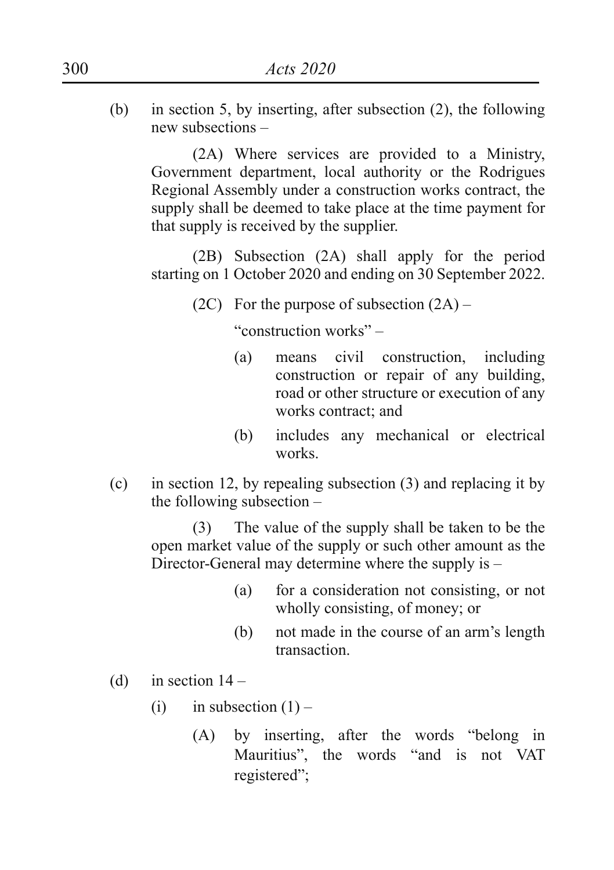(b) in section 5, by inserting, after subsection (2), the following new subsections –

(2A) Where services are provided to a Ministry, Government department, local authority or the Rodrigues Regional Assembly under a construction works contract, the supply shall be deemed to take place at the time payment for that supply is received by the supplier.

(2B) Subsection (2A) shall apply for the period starting on 1 October 2020 and ending on 30 September 2022.

(2C) For the purpose of subsection  $(2A)$  –

 "construction works" –

- (a) means civil construction, including construction or repair of any building, road or other structure or execution of any works contract; and
- (b) includes any mechanical or electrical works.
- (c) in section 12, by repealing subsection (3) and replacing it by the following subsection –

(3) The value of the supply shall be taken to be the open market value of the supply or such other amount as the Director-General may determine where the supply is –

- (a) for a consideration not consisting, or not wholly consisting, of money; or
- (b) not made in the course of an arm's length transaction.
- (d) in section  $14 -$ 
	- (i) in subsection  $(1)$ 
		- (A) by inserting, after the words "belong in Mauritius", the words "and is not VAT registered";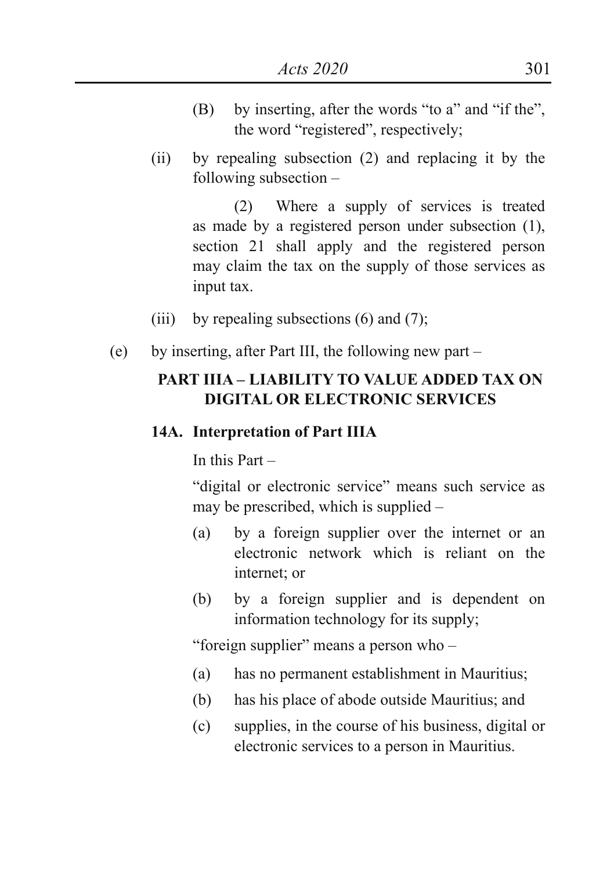- (B) by inserting, after the words "to a" and "if the", the word "registered", respectively;
- (ii) by repealing subsection (2) and replacing it by the following subsection –

(2) Where a supply of services is treated as made by a registered person under subsection (1), section 21 shall apply and the registered person may claim the tax on the supply of those services as input tax.

- (iii) by repealing subsections  $(6)$  and  $(7)$ ;
- (e) by inserting, after Part III, the following new part –

# **PART IIIA – LIABILITY TO VALUE ADDED TAX ON DIGITAL OR ELECTRONIC SERVICES**

#### **14A. Interpretation of Part IIIA**

In this Part –

"digital or electronic service" means such service as may be prescribed, which is supplied –

- (a) by a foreign supplier over the internet or an electronic network which is reliant on the internet; or
- (b) by a foreign supplier and is dependent on information technology for its supply;

"foreign supplier" means a person who –

- (a) has no permanent establishment in Mauritius;
- (b) has his place of abode outside Mauritius; and
- (c) supplies, in the course of his business, digital or electronic services to a person in Mauritius.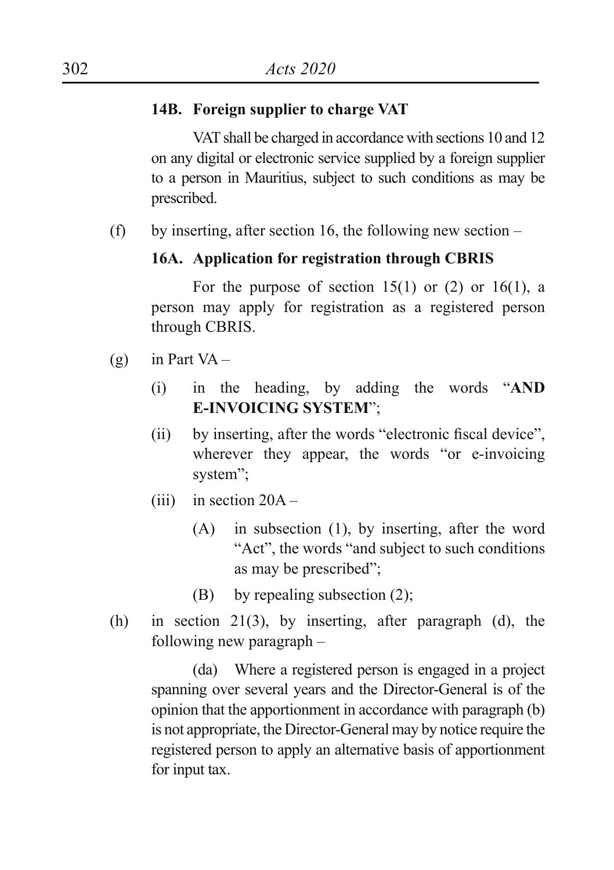#### **14B. Foreign supplier to charge VAT**

VAT shall be charged in accordance with sections 10 and 12 on any digital or electronic service supplied by a foreign supplier to a person in Mauritius, subject to such conditions as may be prescribed.

(f) by inserting, after section 16, the following new section  $-$ 

#### **16A. Application for registration through CBRIS**

For the purpose of section  $15(1)$  or  $(2)$  or  $16(1)$ , a person may apply for registration as a registered person through CBRIS.

- $(g)$  in Part VA
	- (i) in the heading, by adding the words "**AND E-INVOICING SYSTEM**";
	- (ii) by inserting, after the words "electronic fiscal device", wherever they appear, the words "or e-invoicing system";
	- $(iii)$  in section 20A
		- (A) in subsection (1), by inserting, after the word "Act", the words "and subject to such conditions as may be prescribed";
		- (B) by repealing subsection  $(2)$ ;
- (h) in section 21(3), by inserting, after paragraph (d), the following new paragraph –

(da) Where a registered person is engaged in a project spanning over several years and the Director-General is of the opinion that the apportionment in accordance with paragraph (b) is not appropriate, the Director-General may by notice require the registered person to apply an alternative basis of apportionment for input tax.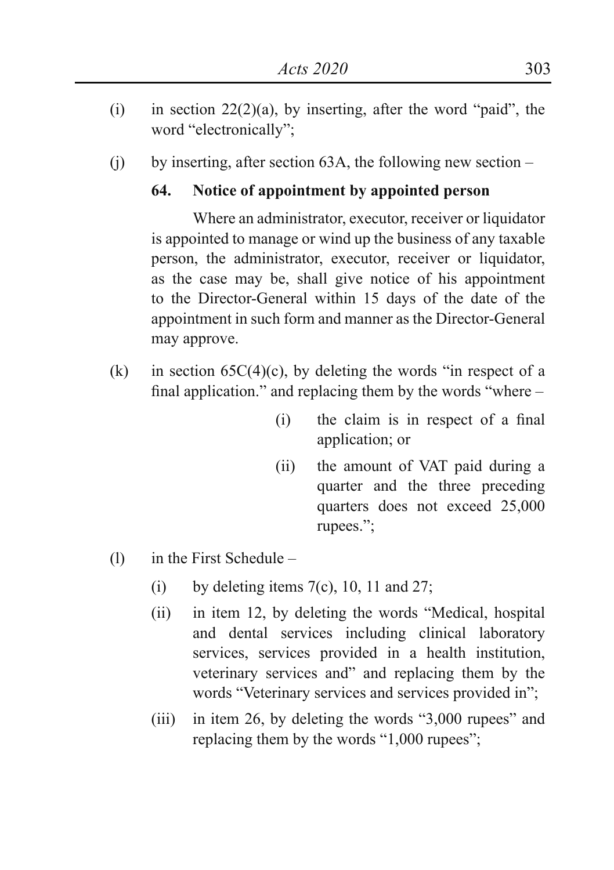- (i) in section  $22(2)(a)$ , by inserting, after the word "paid", the word "electronically";
- (i) by inserting, after section 63A, the following new section –

# **64. Notice of appointment by appointed person**

Where an administrator, executor, receiver or liquidator is appointed to manage or wind up the business of any taxable person, the administrator, executor, receiver or liquidator, as the case may be, shall give notice of his appointment to the Director-General within 15 days of the date of the appointment in such form and manner as the Director-General may approve.

- (k) in section  $65C(4)(c)$ , by deleting the words "in respect of a final application." and replacing them by the words "where –
	- (i) the claim is in respect of a final application; or
	- (ii) the amount of VAT paid during a quarter and the three preceding quarters does not exceed 25,000 rupees.";
- (l) in the First Schedule
	- (i) by deleting items  $7(c)$ , 10, 11 and 27;
	- (ii) in item 12, by deleting the words "Medical, hospital and dental services including clinical laboratory services, services provided in a health institution, veterinary services and" and replacing them by the words "Veterinary services and services provided in";
	- (iii) in item 26, by deleting the words "3,000 rupees" and replacing them by the words "1,000 rupees";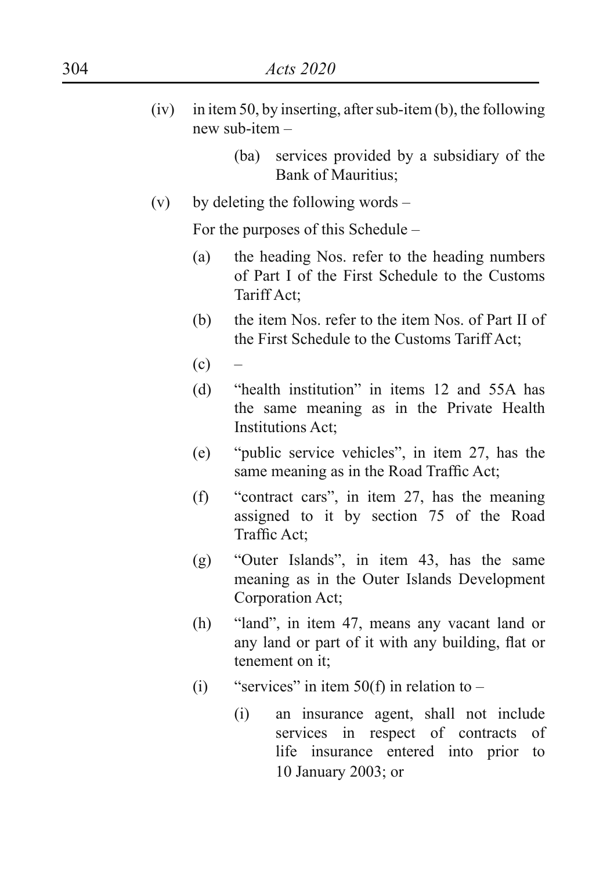| 304  |     | Acts 2020                                                                     |                                                                                                                      |
|------|-----|-------------------------------------------------------------------------------|----------------------------------------------------------------------------------------------------------------------|
| (iv) |     | in item 50, by inserting, after sub-item (b), the following<br>new sub-item - |                                                                                                                      |
|      |     |                                                                               | services provided by a subsidiary of the<br>(ba)<br>Bank of Mauritius;                                               |
|      | (v) |                                                                               | by deleting the following words –                                                                                    |
|      |     |                                                                               | For the purposes of this Schedule –                                                                                  |
|      |     | (a)                                                                           | the heading Nos. refer to the heading numbers<br>of Part I of the First Schedule to the Customs<br>Tariff Act;       |
|      |     | (b)                                                                           | the item Nos. refer to the item Nos. of Part II of<br>the First Schedule to the Customs Tariff Act;                  |
|      |     | (c)                                                                           |                                                                                                                      |
|      |     | (d)                                                                           | "health institution" in items 12 and 55A has<br>the same meaning as in the Private Health<br>Institutions Act;       |
|      |     | (e)                                                                           | "public service vehicles", in item 27, has the<br>same meaning as in the Road Traffic Act;                           |
|      |     | (f)                                                                           | "contract cars", in item 27, has the meaning<br>assigned to it by section 75 of the Road<br>Traffic Act;             |
|      |     | (g)                                                                           | "Outer Islands", in item 43, has the same<br>meaning as in the Outer Islands Development<br>Corporation Act;         |
|      |     | (h)                                                                           | "land", in item 47, means any vacant land or<br>any land or part of it with any building, flat or<br>tenement on it; |
|      |     | (i)                                                                           | "services" in item $50(f)$ in relation to $-$                                                                        |
|      |     |                                                                               | $(i)$ on ingurange goont shall not include                                                                           |

(i) an insurance agent, shall not include services in respect of contracts of life insurance entered into prior to 10 January 2003; or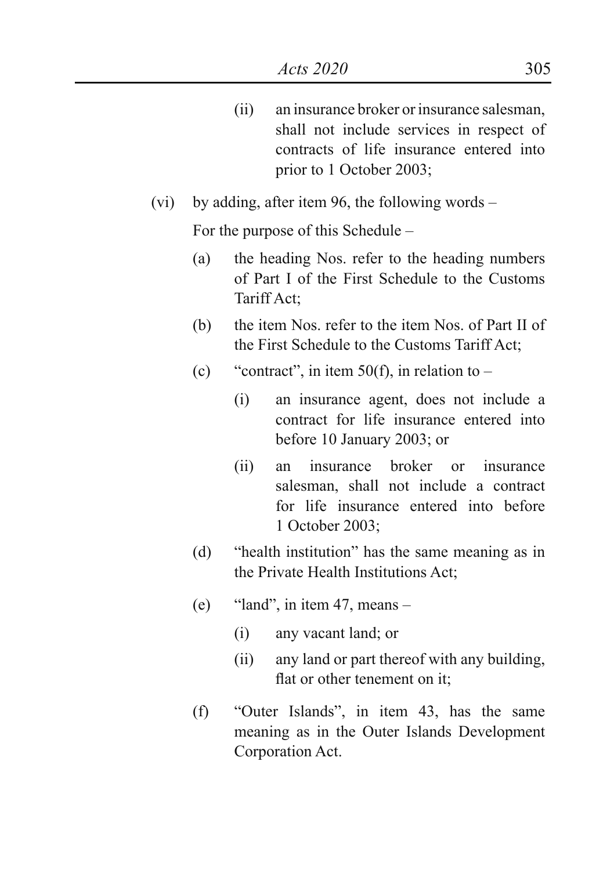(ii) an insurance broker or insurance salesman, shall not include services in respect of contracts of life insurance entered into prior to 1 October 2003;

# (vi) by adding, after item 96, the following words –

For the purpose of this Schedule –

- (a) the heading Nos. refer to the heading numbers of Part I of the First Schedule to the Customs Tariff Act;
- (b) the item Nos. refer to the item Nos. of Part II of the First Schedule to the Customs Tariff Act;
- (c) "contract", in item  $50(f)$ , in relation to
	- (i) an insurance agent, does not include a contract for life insurance entered into before 10 January 2003; or
	- (ii) an insurance broker or insurance salesman, shall not include a contract for life insurance entered into before 1 October 2003;
- (d) "health institution" has the same meaning as in the Private Health Institutions Act;
- (e) "land", in item 47, means  $-$ 
	- (i) any vacant land; or
	- (ii) any land or part thereof with any building, flat or other tenement on it;
- (f) "Outer Islands", in item 43, has the same meaning as in the Outer Islands Development Corporation Act.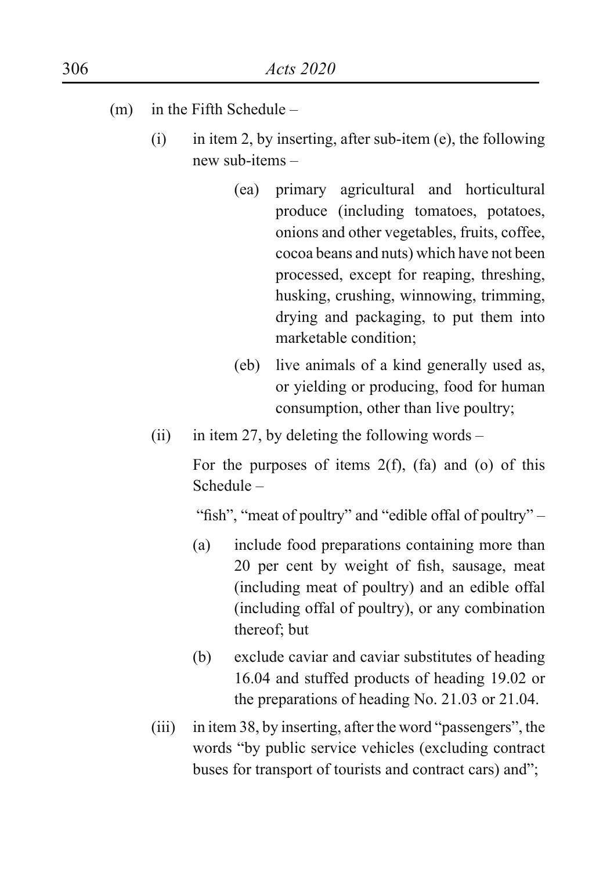- (m) in the Fifth Schedule
	- (i) in item 2, by inserting, after sub-item (e), the following new sub-items –
		- (ea) primary agricultural and horticultural produce (including tomatoes, potatoes, onions and other vegetables, fruits, coffee, cocoa beans and nuts) which have not been processed, except for reaping, threshing, husking, crushing, winnowing, trimming, drying and packaging, to put them into marketable condition;
		- (eb) live animals of a kind generally used as, or yielding or producing, food for human consumption, other than live poultry;
	- (ii) in item 27, by deleting the following words –

For the purposes of items  $2(f)$ ,  $(fa)$  and  $(0)$  of this Schedule –

"fish", "meat of poultry" and "edible offal of poultry" –

- (a) include food preparations containing more than 20 per cent by weight of fish, sausage, meat (including meat of poultry) and an edible offal (including offal of poultry), or any combination thereof; but
- (b) exclude caviar and caviar substitutes of heading 16.04 and stuffed products of heading 19.02 or the preparations of heading No. 21.03 or 21.04.
- (iii) in item 38, by inserting, after the word "passengers", the words "by public service vehicles (excluding contract buses for transport of tourists and contract cars) and";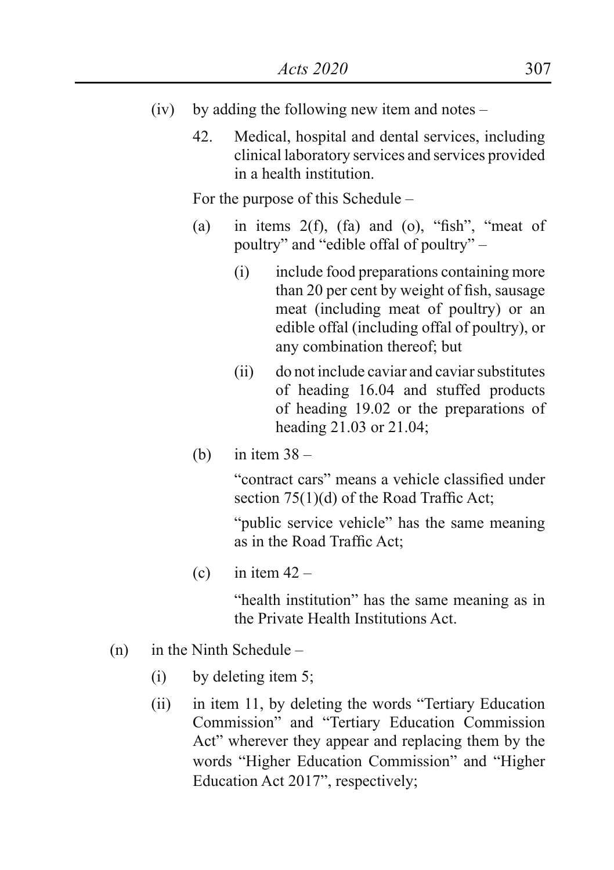- (iv) by adding the following new item and notes
	- 42. Medical, hospital and dental services, including clinical laboratory services and services provided in a health institution.

For the purpose of this Schedule –

- (a) in items  $2(f)$ ,  $(fa)$  and  $(o)$ , "fish", "meat of poultry" and "edible offal of poultry" –
	- (i) include food preparations containing more than 20 per cent by weight of fish, sausage meat (including meat of poultry) or an edible offal (including offal of poultry), or any combination thereof; but
	- (ii) do not include caviar and caviar substitutes of heading 16.04 and stuffed products of heading 19.02 or the preparations of heading 21.03 or 21.04;
- (b) in item  $38 -$

"contract cars" means a vehicle classified under section 75(1)(d) of the Road Traffic Act;

"public service vehicle" has the same meaning as in the Road Traffic Act;

(c) in item  $42 -$ 

"health institution" has the same meaning as in the Private Health Institutions Act.

- (n) in the Ninth Schedule
	- (i) by deleting item 5;
	- (ii) in item 11, by deleting the words "Tertiary Education Commission" and "Tertiary Education Commission Act" wherever they appear and replacing them by the words "Higher Education Commission" and "Higher Education Act 2017", respectively;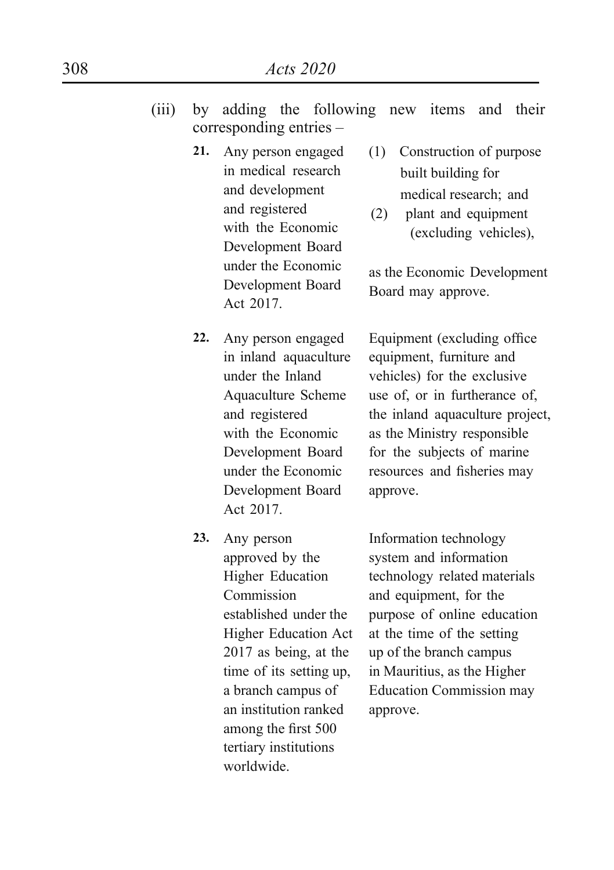- (iii) by adding the following new items and their corresponding entries –
	- **21.** Any person engaged in medical research and development and registered with the Economic Development Board under the Economic Development Board Act 2017.
	- **22.** Any person engaged in inland aquaculture under the Inland Aquaculture Scheme and registered with the Economic Development Board under the Economic Development Board Act 2017.
	- **23.** Any person approved by the Higher Education Commission established under the Higher Education Act 2017 as being, at the time of its setting up, a branch campus of an institution ranked among the first 500 tertiary institutions worldwide.
- (1) Construction of purpose built building for medical research; and
- (2) plant and equipment (excluding vehicles),

as the Economic Development Board may approve.

Equipment (excluding office equipment, furniture and vehicles) for the exclusive use of, or in furtherance of, the inland aquaculture project, as the Ministry responsible for the subjects of marine resources and fisheries may approve.

Information technology system and information technology related materials and equipment, for the purpose of online education at the time of the setting up of the branch campus in Mauritius, as the Higher Education Commission may approve.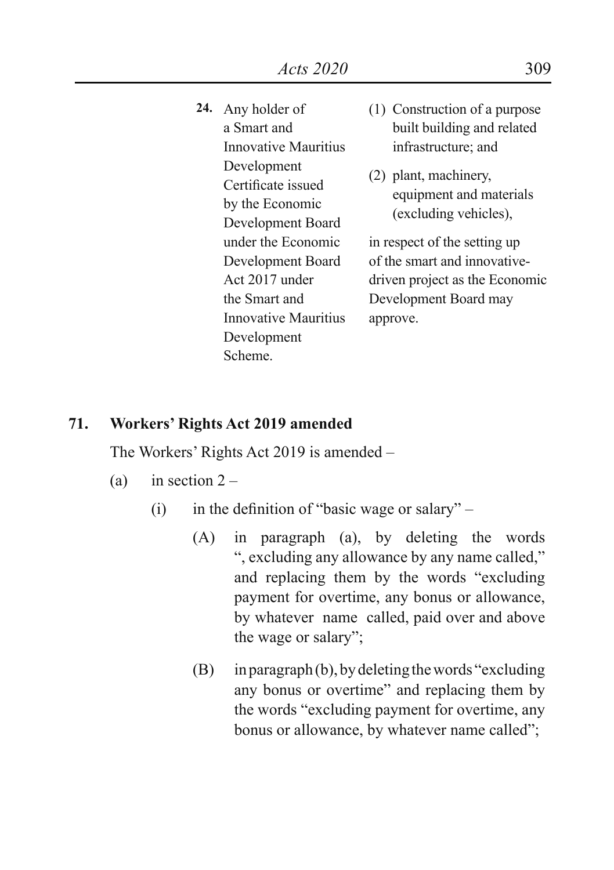- **24.** Any holder of a Smart and Innovative Mauritius Development Certificate issued by the Economic Development Board under the Economic Development Board Act 2017 under the Smart and Innovative Mauritius Development Scheme.
- (1) Construction of a purpose built building and related infrastructure; and
- (2) plant, machinery, equipment and materials (excluding vehicles),

in respect of the setting up of the smart and innovativedriven project as the Economic Development Board may approve.

#### **71. Workers' Rights Act 2019 amended**

The Workers' Rights Act 2019 is amended –

- (a) in section  $2 -$ 
	- (i) in the definition of "basic wage or salary"
		- (A) in paragraph (a), by deleting the words ", excluding any allowance by any name called," and replacing them by the words "excluding payment for overtime, any bonus or allowance, by whatever name called, paid over and above the wage or salary";
		- $(B)$  in paragraph $(b)$ , by deleting the words "excluding" any bonus or overtime" and replacing them by the words "excluding payment for overtime, any bonus or allowance, by whatever name called";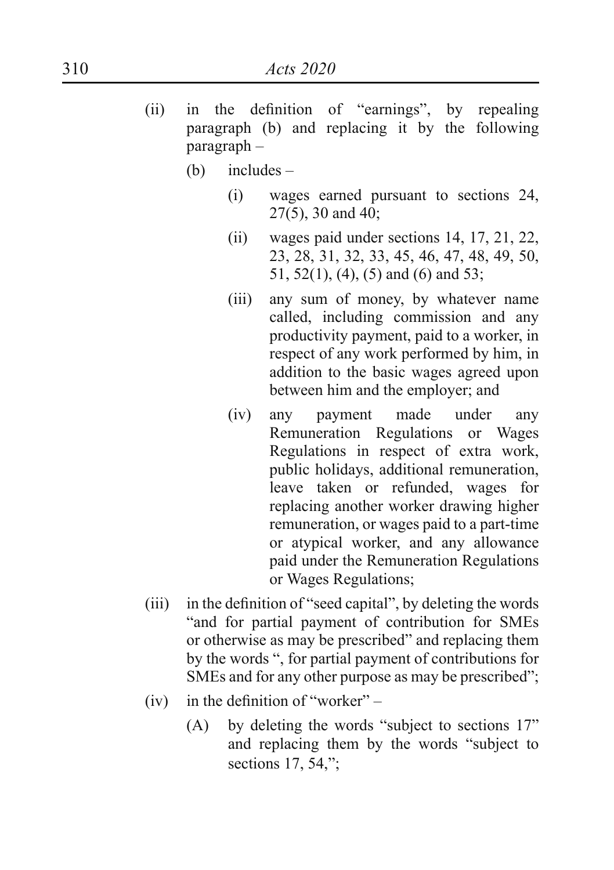- (ii) in the definition of "earnings", by repealing paragraph (b) and replacing it by the following paragraph –
	- (b) includes
		- (i) wages earned pursuant to sections 24, 27(5), 30 and 40;
		- (ii) wages paid under sections 14, 17, 21, 22, 23, 28, 31, 32, 33, 45, 46, 47, 48, 49, 50, 51, 52(1), (4), (5) and (6) and 53;
		- (iii) any sum of money, by whatever name called, including commission and any productivity payment, paid to a worker, in respect of any work performed by him, in addition to the basic wages agreed upon between him and the employer; and
		- (iv) any payment made under any Remuneration Regulations or Wages Regulations in respect of extra work, public holidays, additional remuneration, leave taken or refunded, wages for replacing another worker drawing higher remuneration, or wages paid to a part-time or atypical worker, and any allowance paid under the Remuneration Regulations or Wages Regulations;
- (iii) in the definition of "seed capital", by deleting the words "and for partial payment of contribution for SMEs or otherwise as may be prescribed" and replacing them by the words ", for partial payment of contributions for SMEs and for any other purpose as may be prescribed";
- (iv) in the definition of "worker"  $-$ 
	- (A) by deleting the words "subject to sections  $17$ " and replacing them by the words "subject to sections 17, 54,";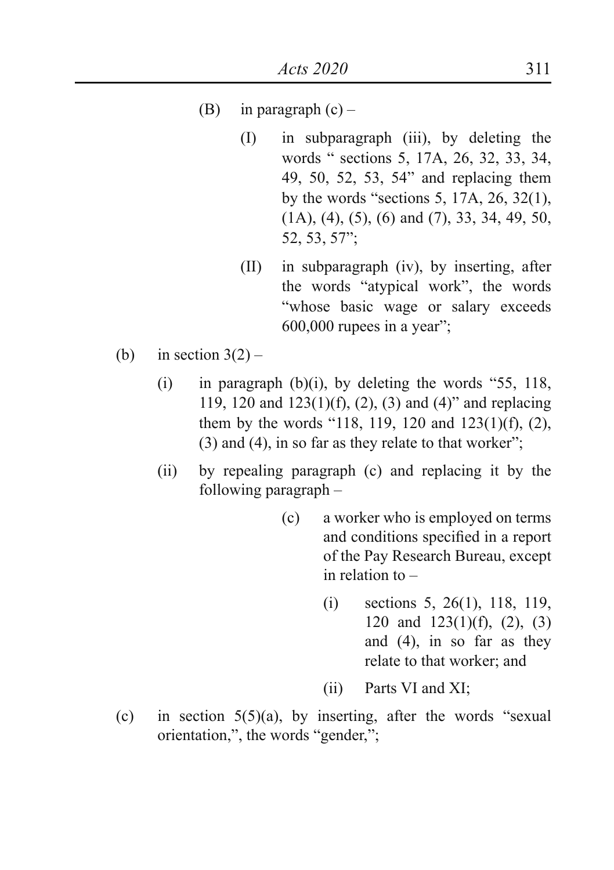- (B) in paragraph  $(c)$ 
	- (I) in subparagraph (iii), by deleting the words " sections 5, 17A, 26, 32, 33, 34, 49, 50, 52, 53, 54" and replacing them by the words "sections 5, 17A, 26, 32(1), (1A), (4), (5), (6) and (7), 33, 34, 49, 50, 52, 53, 57";
	- (II) in subparagraph (iv), by inserting, after the words "atypical work", the words "whose basic wage or salary exceeds  $600,000$  rupees in a year";
- (b) in section  $3(2)$ 
	- (i) in paragraph (b)(i), by deleting the words "55, 118, 119, 120 and 123(1)(f), (2), (3) and (4)" and replacing them by the words "118, 119, 120 and 123(1)(f), (2),  $(3)$  and  $(4)$ , in so far as they relate to that worker";
	- (ii) by repealing paragraph (c) and replacing it by the following paragraph –
		- (c) a worker who is employed on terms and conditions specified in a report of the Pay Research Bureau, except in relation to –
			- (i) sections 5, 26(1), 118, 119, 120 and 123(1)(f), (2), (3) and (4), in so far as they relate to that worker; and
			- (ii) Parts VI and XI;
- (c) in section  $5(5)(a)$ , by inserting, after the words "sexual orientation,", the words "gender,";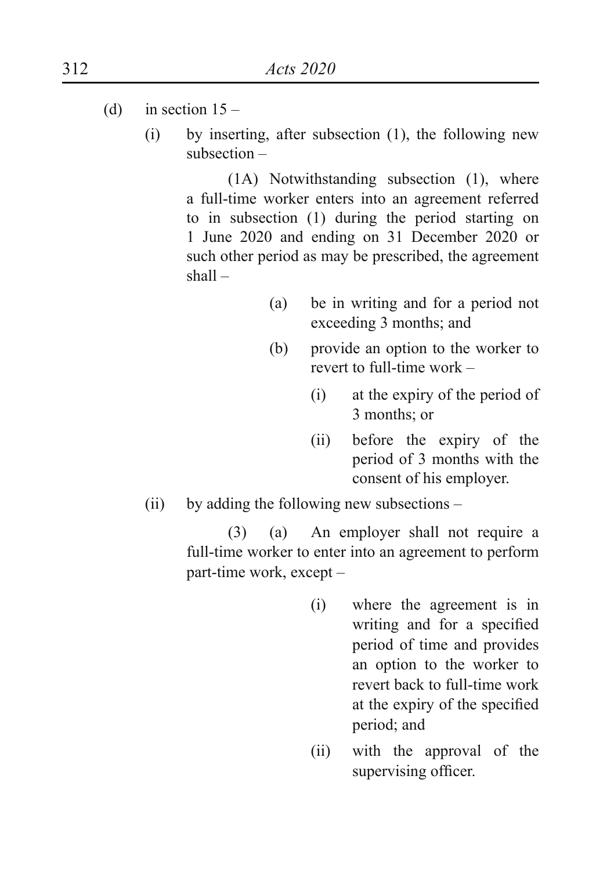- (d) in section  $15 -$ 
	- (i) by inserting, after subsection (1), the following new subsection –

(1A) Notwithstanding subsection (1), where a full-time worker enters into an agreement referred to in subsection (1) during the period starting on 1 June 2020 and ending on 31 December 2020 or such other period as may be prescribed, the agreement shall –

- (a) be in writing and for a period not exceeding 3 months; and
- (b) provide an option to the worker to revert to full-time work –
	- (i) at the expiry of the period of 3 months; or
	- (ii) before the expiry of the period of 3 months with the consent of his employer.
- (ii) by adding the following new subsections –

(3) (a) An employer shall not require a full-time worker to enter into an agreement to perform part-time work, except –

- (i) where the agreement is in writing and for a specified period of time and provides an option to the worker to revert back to full-time work at the expiry of the specified period; and
- (ii) with the approval of the supervising officer.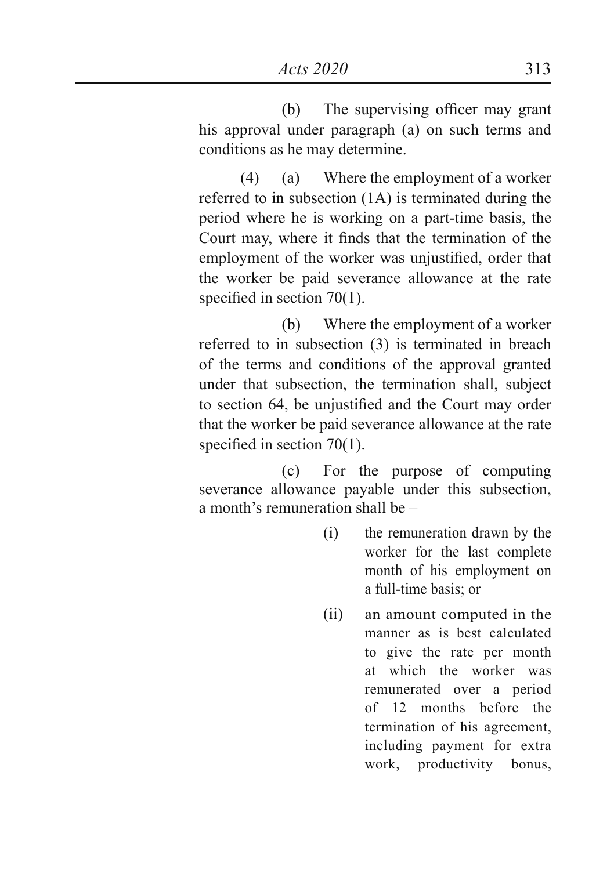(b) The supervising officer may grant his approval under paragraph (a) on such terms and conditions as he may determine.

(4) (a) Where the employment of a worker referred to in subsection (1A) is terminated during the period where he is working on a part-time basis, the Court may, where it finds that the termination of the employment of the worker was unjustified, order that the worker be paid severance allowance at the rate specified in section 70(1).

(b) Where the employment of a worker referred to in subsection (3) is terminated in breach of the terms and conditions of the approval granted under that subsection, the termination shall, subject to section 64, be unjustified and the Court may order that the worker be paid severance allowance at the rate specified in section 70(1).

(c) For the purpose of computing severance allowance payable under this subsection, a month's remuneration shall be –

- (i) the remuneration drawn by the worker for the last complete month of his employment on a full-time basis; or
- (ii) an amount computed in the manner as is best calculated to give the rate per month at which the worker was remunerated over a period of 12 months before the termination of his agreement, including payment for extra work, productivity bonus,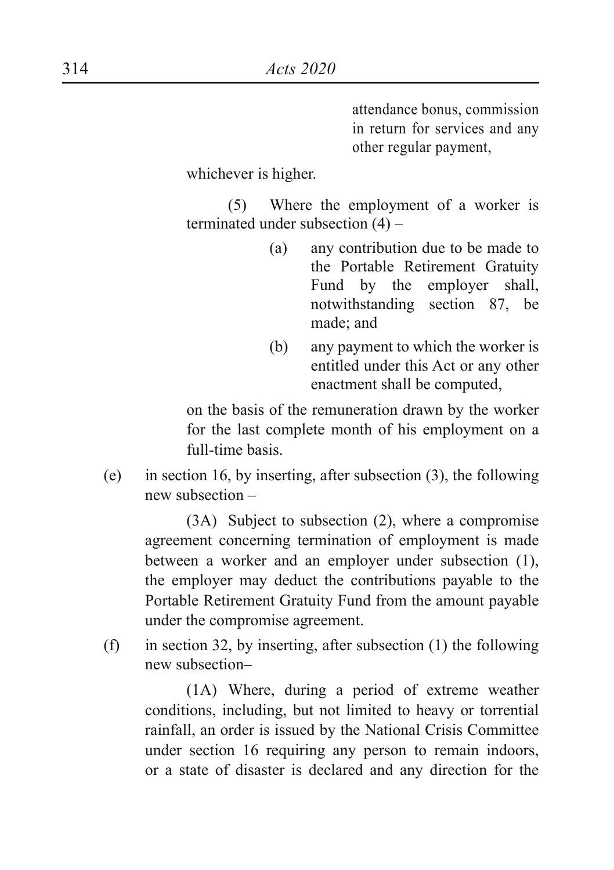attendance bonus, commission in return for services and any other regular payment,

whichever is higher.

(5) Where the employment of a worker is terminated under subsection (4) –

- (a) any contribution due to be made to the Portable Retirement Gratuity Fund by the employer shall, notwithstanding section 87, be made; and
- (b) any payment to which the worker is entitled under this Act or any other enactment shall be computed,

on the basis of the remuneration drawn by the worker for the last complete month of his employment on a full-time basis.

(e) in section 16, by inserting, after subsection (3), the following new subsection –

(3A) Subject to subsection (2), where a compromise agreement concerning termination of employment is made between a worker and an employer under subsection (1), the employer may deduct the contributions payable to the Portable Retirement Gratuity Fund from the amount payable under the compromise agreement.

(f) in section 32, by inserting, after subsection  $(1)$  the following new subsection–

(1A) Where, during a period of extreme weather conditions, including, but not limited to heavy or torrential rainfall, an order is issued by the National Crisis Committee under section 16 requiring any person to remain indoors, or a state of disaster is declared and any direction for the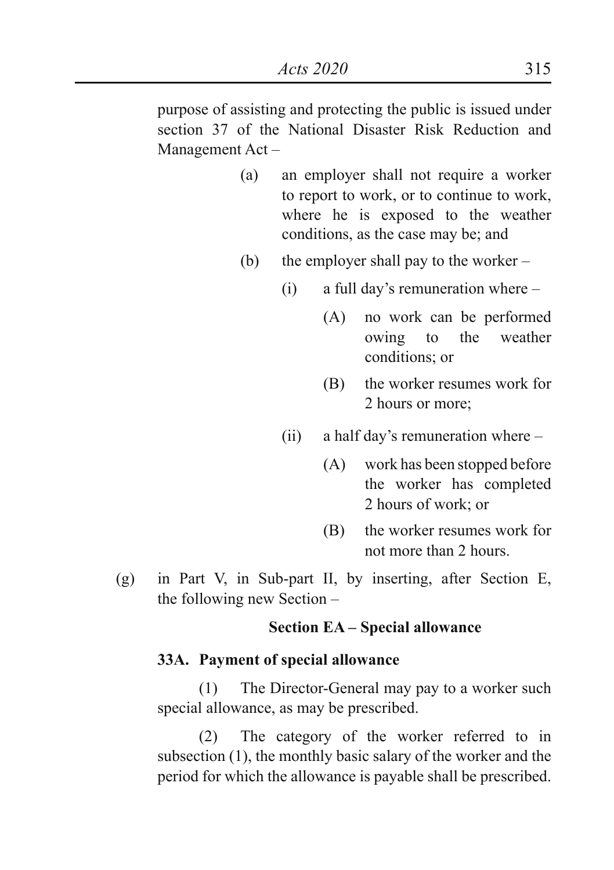purpose of assisting and protecting the public is issued under section 37 of the National Disaster Risk Reduction and Management Act –

- (a) an employer shall not require a worker to report to work, or to continue to work, where he is exposed to the weather conditions, as the case may be; and
- (b) the employer shall pay to the worker
	- (i) a full day's remuneration where
		- (A) no work can be performed owing to the weather conditions; or
		- (B) the worker resumes work for 2 hours or more;
	- (ii) a half day's remuneration where
		- (A) work has been stopped before the worker has completed 2 hours of work; or
		- (B) the worker resumes work for not more than 2 hours.
- (g) in Part V, in Sub-part II, by inserting, after Section E, the following new Section –

# **Section EA – Special allowance**

# **33A. Payment of special allowance**

(1) The Director-General may pay to a worker such special allowance, as may be prescribed.

(2) The category of the worker referred to in subsection (1), the monthly basic salary of the worker and the period for which the allowance is payable shall be prescribed.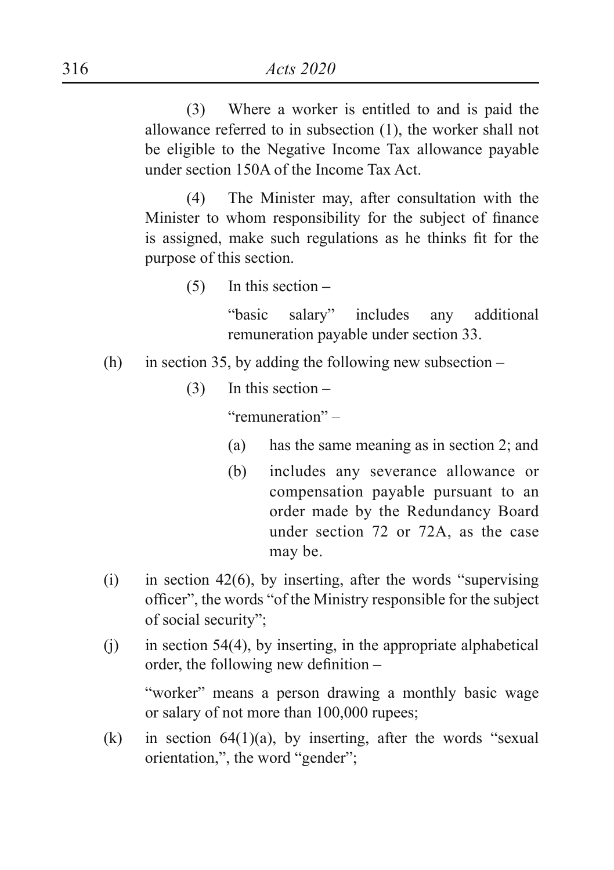(3) Where a worker is entitled to and is paid the allowance referred to in subsection (1), the worker shall not be eligible to the Negative Income Tax allowance payable under section 150A of the Income Tax Act.

(4) The Minister may, after consultation with the Minister to whom responsibility for the subject of finance is assigned, make such regulations as he thinks fit for the purpose of this section.

(5) In this section **–**

"basic salary" includes any additional remuneration payable under section 33.

- (h) in section 35, by adding the following new subsection  $-$ 
	- (3) In this section –

"remuneration" –

- (a) has the same meaning as in section 2; and
- (b) includes any severance allowance or compensation payable pursuant to an order made by the Redundancy Board under section 72 or 72A, as the case may be.
- (i) in section 42(6), by inserting, after the words "supervising officer", the words "of the Ministry responsible for the subject of social security";
- $(i)$  in section 54(4), by inserting, in the appropriate alphabetical order, the following new definition –

"worker" means a person drawing a monthly basic wage or salary of not more than 100,000 rupees;

(k) in section  $64(1)(a)$ , by inserting, after the words "sexual orientation,", the word "gender";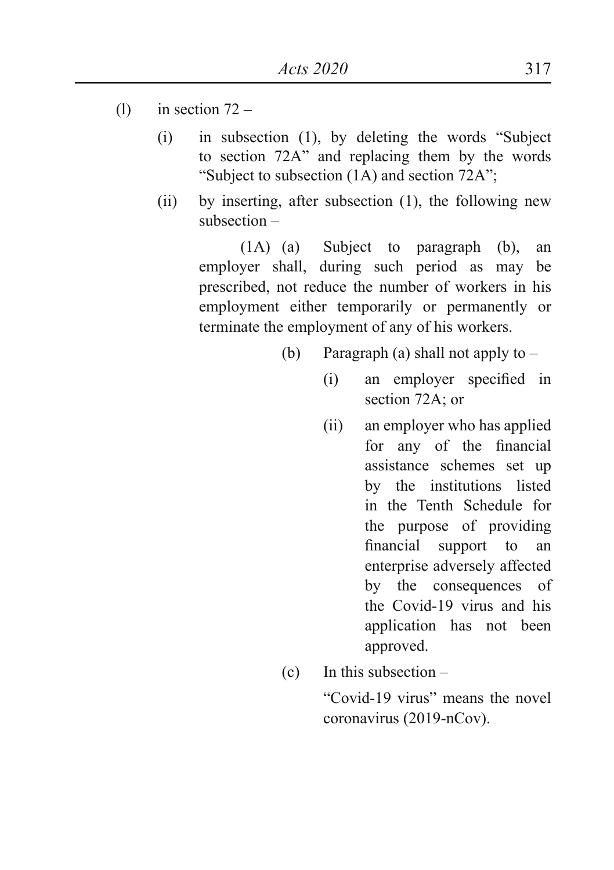- (1) in section  $72 -$ 
	- $(i)$  in subsection  $(1)$ , by deleting the words "Subject" to section 72A" and replacing them by the words "Subject to subsection (1A) and section 72A";
	- (ii) by inserting, after subsection (1), the following new subsection –

(1A) (a) Subject to paragraph (b), an employer shall, during such period as may be prescribed, not reduce the number of workers in his employment either temporarily or permanently or terminate the employment of any of his workers.

- (b) Paragraph (a) shall not apply to  $-$ 
	- (i) an employer specified in section 72A; or
	- (ii) an employer who has applied for any of the financial assistance schemes set up by the institutions listed in the Tenth Schedule for the purpose of providing financial support to an enterprise adversely affected by the consequences of the Covid-19 virus and his application has not been approved.
- (c) In this subsection –

 "Covid-19 virus" means the novel coronavirus (2019-nCov).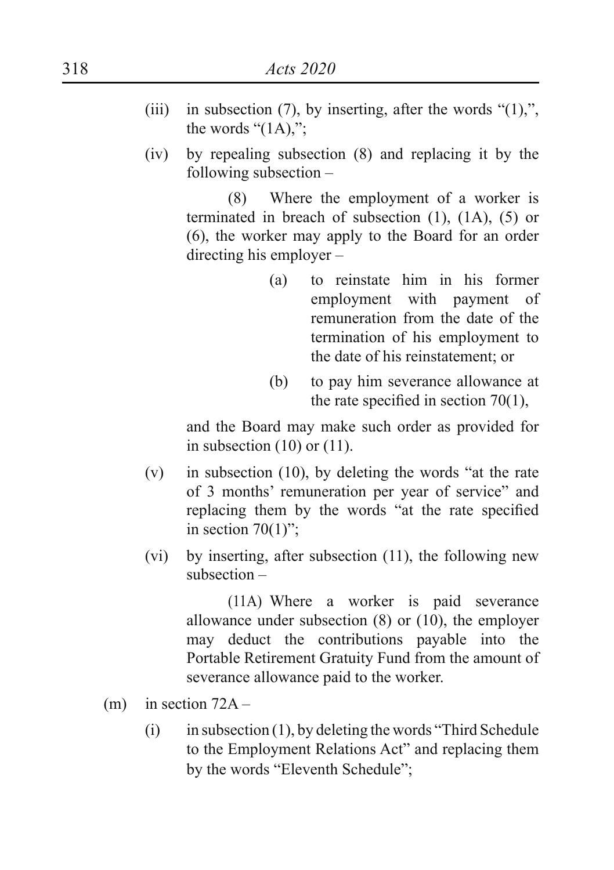- (iii) in subsection (7), by inserting, after the words " $(1)$ ,", the words " $(1A)$ ,":
- (iv) by repealing subsection (8) and replacing it by the following subsection –

(8) Where the employment of a worker is terminated in breach of subsection (1), (1A), (5) or (6), the worker may apply to the Board for an order directing his employer –

- (a) to reinstate him in his former employment with payment of remuneration from the date of the termination of his employment to the date of his reinstatement; or
- (b) to pay him severance allowance at the rate specified in section 70(1),

and the Board may make such order as provided for in subsection  $(10)$  or  $(11)$ .

- (v) in subsection (10), by deleting the words "at the rate of 3 months' remuneration per year of service" and replacing them by the words "at the rate specified in section  $70(1)$ ":
- (vi) by inserting, after subsection (11), the following new subsection –

(11A) Where a worker is paid severance allowance under subsection (8) or (10), the employer may deduct the contributions payable into the Portable Retirement Gratuity Fund from the amount of severance allowance paid to the worker.

- (m) in section  $72A -$ 
	- $(i)$  in subsection (1), by deleting the words "Third Schedule" to the Employment Relations Act" and replacing them by the words "Eleventh Schedule";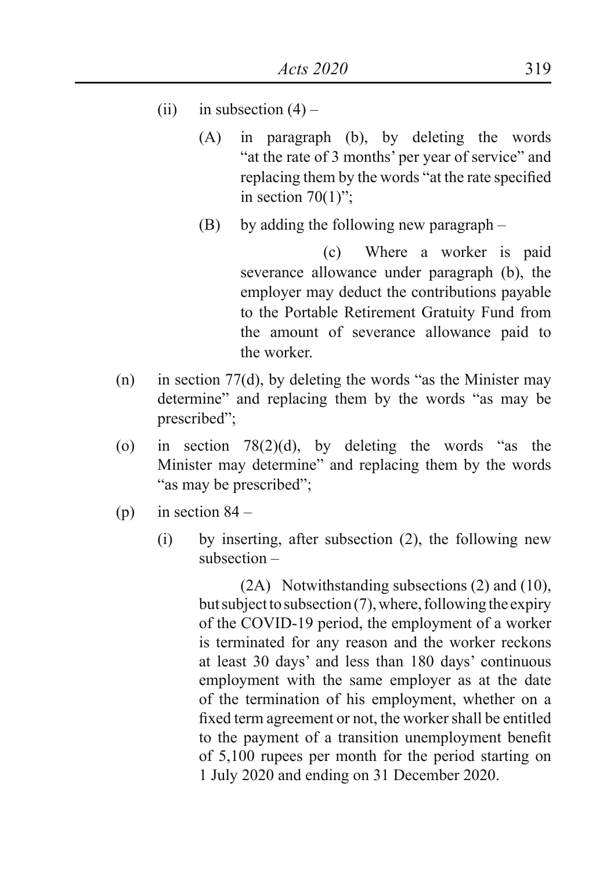- (ii) in subsection  $(4)$ 
	- (A) in paragraph (b), by deleting the words "at the rate of 3 months' per year of service" and replacing them by the words "at the rate specified in section  $70(1)$ ";
	- (B) by adding the following new paragraph –

(c) Where a worker is paid severance allowance under paragraph (b), the employer may deduct the contributions payable to the Portable Retirement Gratuity Fund from the amount of severance allowance paid to the worker.

- (n) in section 77(d), by deleting the words "as the Minister may determine" and replacing them by the words "as may be prescribed";
- (o) in section  $78(2)(d)$ , by deleting the words "as the Minister may determine" and replacing them by the words "as may be prescribed";
- (p) in section  $84 -$ 
	- (i) by inserting, after subsection (2), the following new subsection –

(2A) Notwithstanding subsections (2) and (10), but subject to subsection (7), where, following the expiry of the COVID-19 period, the employment of a worker is terminated for any reason and the worker reckons at least 30 days' and less than 180 days' continuous employment with the same employer as at the date of the termination of his employment, whether on a fixed term agreement or not, the worker shall be entitled to the payment of a transition unemployment benefit of 5,100 rupees per month for the period starting on 1 July 2020 and ending on 31 December 2020.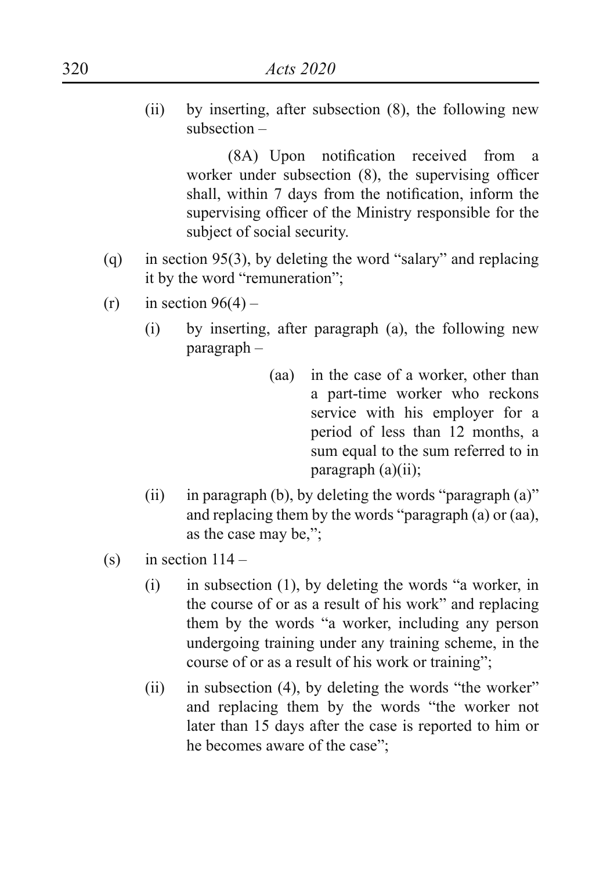(ii) by inserting, after subsection (8), the following new subsection –

> (8A) Upon notification received from a worker under subsection (8), the supervising officer shall, within 7 days from the notification, inform the supervising officer of the Ministry responsible for the subject of social security.

- (q) in section 95(3), by deleting the word "salary" and replacing it by the word "remuneration";
- $(r)$  in section 96(4)
	- (i) by inserting, after paragraph (a), the following new paragraph –
		- (aa) in the case of a worker, other than a part-time worker who reckons service with his employer for a period of less than 12 months, a sum equal to the sum referred to in paragraph (a)(ii);
	- (ii) in paragraph (b), by deleting the words "paragraph  $(a)$ " and replacing them by the words "paragraph (a) or (aa), as the case may be,";
- (s) in section  $114 -$ 
	- $(i)$  in subsection  $(1)$ , by deleting the words "a worker, in the course of or as a result of his work" and replacing them by the words "a worker, including any person undergoing training under any training scheme, in the course of or as a result of his work or training";
	- (ii) in subsection  $(4)$ , by deleting the words "the worker" and replacing them by the words "the worker not later than 15 days after the case is reported to him or he becomes aware of the case";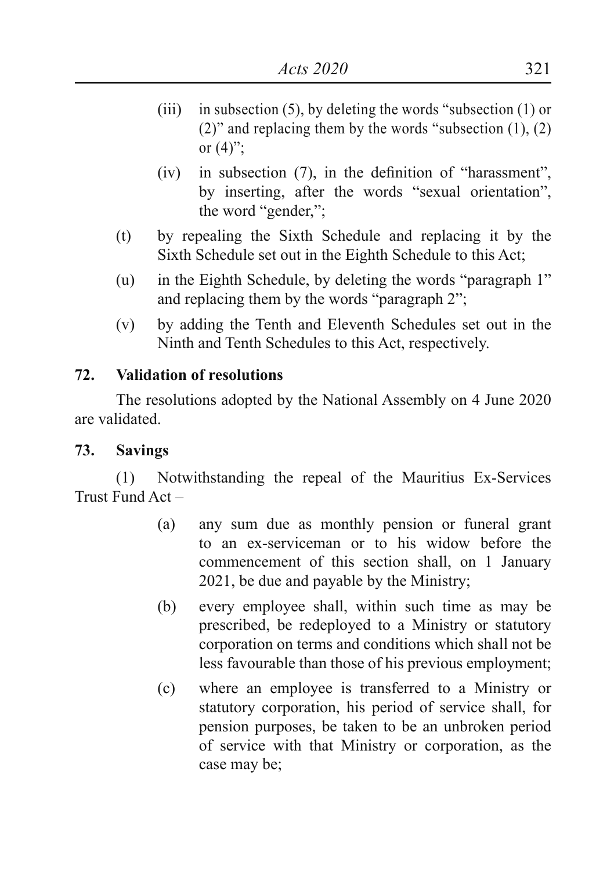- (iii) in subsection  $(5)$ , by deleting the words "subsection  $(1)$  or (2)" and replacing them by the words "subsection  $(1)$ ,  $(2)$ or  $(4)$ ":
- $(iv)$  in subsection  $(7)$ , in the definition of "harassment", by inserting, after the words "sexual orientation", the word "gender,";
- (t) by repealing the Sixth Schedule and replacing it by the Sixth Schedule set out in the Eighth Schedule to this Act;
- (u) in the Eighth Schedule, by deleting the words "paragraph 1" and replacing them by the words "paragraph 2";
- (v) by adding the Tenth and Eleventh Schedules set out in the Ninth and Tenth Schedules to this Act, respectively.

#### **72. Validation of resolutions**

The resolutions adopted by the National Assembly on 4 June 2020 are validated.

#### **73. Savings**

(1) Notwithstanding the repeal of the Mauritius Ex-Services Trust Fund Act –

- (a) any sum due as monthly pension or funeral grant to an ex-serviceman or to his widow before the commencement of this section shall, on 1 January 2021, be due and payable by the Ministry;
- (b) every employee shall, within such time as may be prescribed, be redeployed to a Ministry or statutory corporation on terms and conditions which shall not be less favourable than those of his previous employment;
- (c) where an employee is transferred to a Ministry or statutory corporation, his period of service shall, for pension purposes, be taken to be an unbroken period of service with that Ministry or corporation, as the case may be;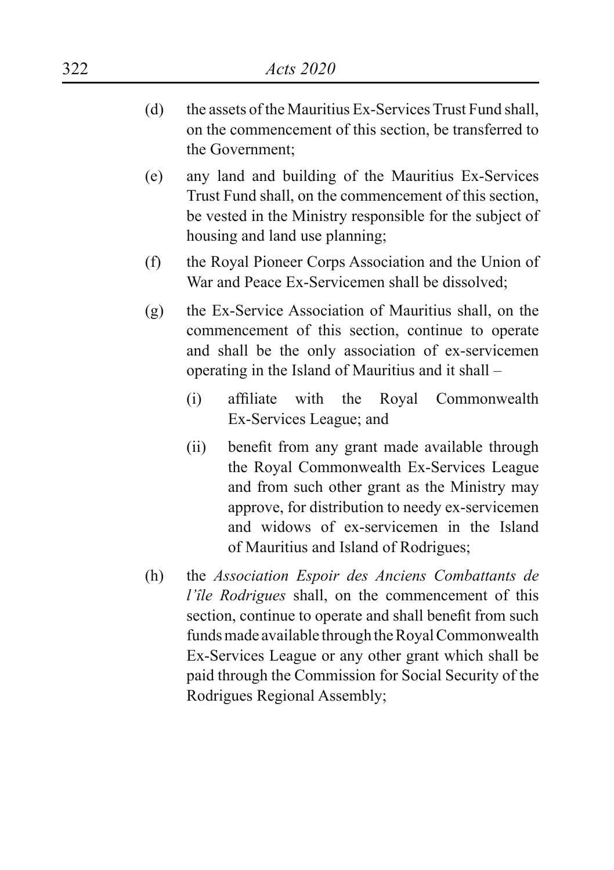- (d) the assets of the Mauritius Ex-Services Trust Fund shall, on the commencement of this section, be transferred to the Government;
- (e) any land and building of the Mauritius Ex-Services Trust Fund shall, on the commencement of this section, be vested in the Ministry responsible for the subject of housing and land use planning;
- (f) the Royal Pioneer Corps Association and the Union of War and Peace Ex-Servicemen shall be dissolved;
- (g) the Ex-Service Association of Mauritius shall, on the commencement of this section, continue to operate and shall be the only association of ex-servicemen operating in the Island of Mauritius and it shall –
	- (i) affiliate with the Royal Commonwealth Ex-Services League; and
	- (ii) benefit from any grant made available through the Royal Commonwealth Ex-Services League and from such other grant as the Ministry may approve, for distribution to needy ex-servicemen and widows of ex-servicemen in the Island of Mauritius and Island of Rodrigues;
- (h) the *Association Espoir des Anciens Combattants de l'île Rodrigues* shall, on the commencement of this section, continue to operate and shall benefit from such funds made available through the Royal Commonwealth Ex-Services League or any other grant which shall be paid through the Commission for Social Security of the Rodrigues Regional Assembly;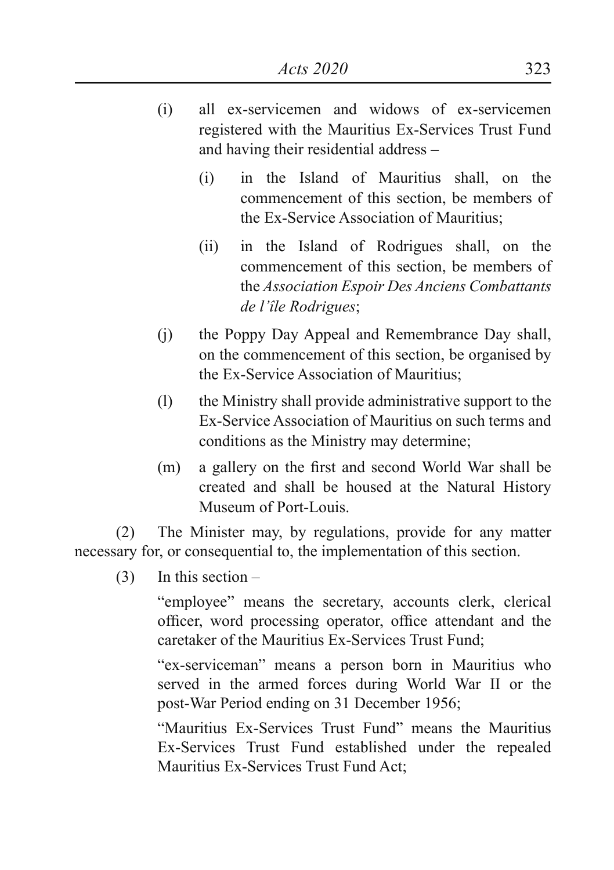- (i) all ex-servicemen and widows of ex-servicemen registered with the Mauritius Ex-Services Trust Fund and having their residential address –
	- (i) in the Island of Mauritius shall, on the commencement of this section, be members of the Ex-Service Association of Mauritius;
	- (ii) in the Island of Rodrigues shall, on the commencement of this section, be members of the *Association Espoir Des Anciens Combattants de l'île Rodrigues*;
- (j) the Poppy Day Appeal and Remembrance Day shall, on the commencement of this section, be organised by the Ex-Service Association of Mauritius;
- (l) the Ministry shall provide administrative support to the Ex-Service Association of Mauritius on such terms and conditions as the Ministry may determine;
- (m) a gallery on the first and second World War shall be created and shall be housed at the Natural History Museum of Port-Louis.

(2) The Minister may, by regulations, provide for any matter necessary for, or consequential to, the implementation of this section.

(3) In this section –

"employee" means the secretary, accounts clerk, clerical officer, word processing operator, office attendant and the caretaker of the Mauritius Ex-Services Trust Fund;

"ex-serviceman" means a person born in Mauritius who served in the armed forces during World War II or the post-War Period ending on 31 December 1956;

"Mauritius Ex-Services Trust Fund" means the Mauritius Ex-Services Trust Fund established under the repealed Mauritius Ex-Services Trust Fund Act;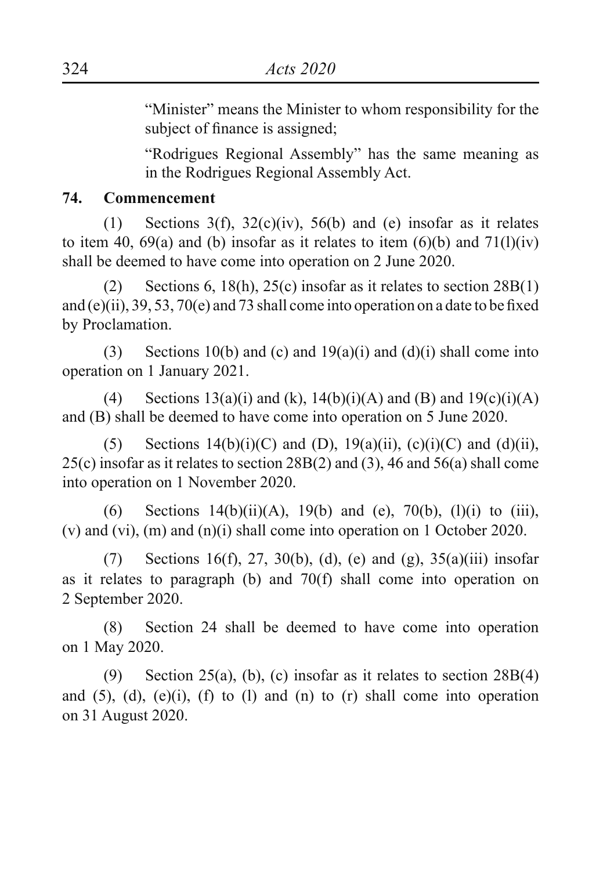"Minister" means the Minister to whom responsibility for the subject of finance is assigned;

"Rodrigues Regional Assembly" has the same meaning as in the Rodrigues Regional Assembly Act.

#### **74. Commencement**

(1) Sections  $3(f)$ ,  $32(c)(iv)$ ,  $56(b)$  and (e) insofar as it relates to item 40, 69(a) and (b) insofar as it relates to item  $(6)(b)$  and  $71(1)(iv)$ shall be deemed to have come into operation on 2 June 2020.

(2) Sections 6, 18(h), 25(c) insofar as it relates to section  $28B(1)$ and (e)(ii), 39, 53, 70(e) and 73 shall come into operation on a date to be fixed by Proclamation.

(3) Sections 10(b) and (c) and 19(a)(i) and (d)(i) shall come into operation on 1 January 2021.

(4) Sections  $13(a)(i)$  and (k),  $14(b)(i)(A)$  and (B) and  $19(c)(i)(A)$ and (B) shall be deemed to have come into operation on 5 June 2020.

(5) Sections  $14(b)(i)(C)$  and (D),  $19(a)(ii)$ ,  $(c)(i)(C)$  and  $(d)(ii)$ , 25(c) insofar as it relates to section 28B(2) and (3), 46 and 56(a) shall come into operation on 1 November 2020.

(6) Sections  $14(b)(ii)(A)$ ,  $19(b)$  and (e),  $70(b)$ ,  $(1)(i)$  to  $(iii)$ , (v) and (vi), (m) and (n)(i) shall come into operation on 1 October 2020.

(7) Sections 16(f), 27, 30(b), (d), (e) and (g), 35(a)(iii) insofar as it relates to paragraph (b) and 70(f) shall come into operation on 2 September 2020.

(8) Section 24 shall be deemed to have come into operation on 1 May 2020.

(9) Section 25(a), (b), (c) insofar as it relates to section  $28B(4)$ and  $(5)$ ,  $(d)$ ,  $(e)(i)$ ,  $(f)$  to  $(l)$  and  $(n)$  to  $(r)$  shall come into operation on 31 August 2020.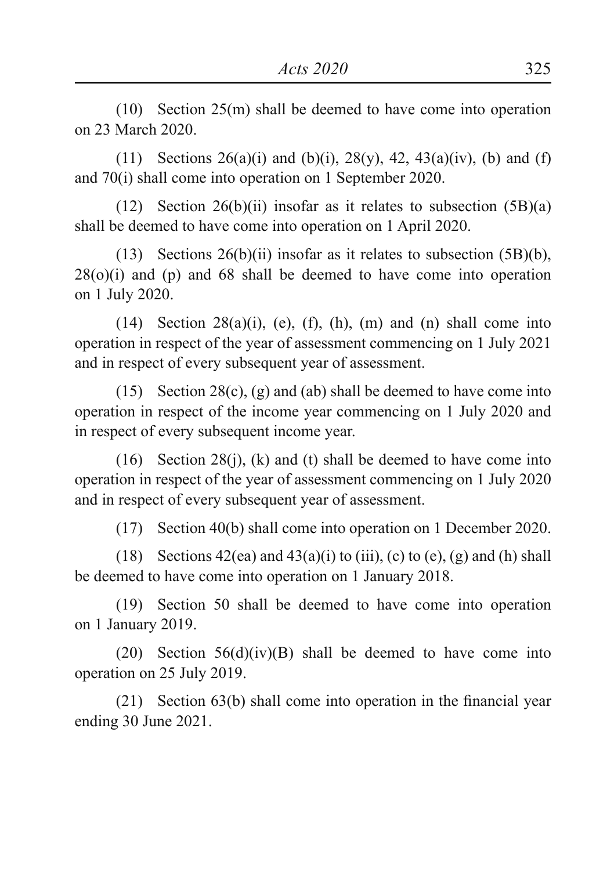(10) Section 25(m) shall be deemed to have come into operation on 23 March 2020.

(11) Sections  $26(a)(i)$  and (b)(i),  $28(y)$ ,  $42$ ,  $43(a)(iv)$ , (b) and (f) and 70(i) shall come into operation on 1 September 2020.

(12) Section 26(b)(ii) insofar as it relates to subsection  $(5B)(a)$ shall be deemed to have come into operation on 1 April 2020.

(13) Sections 26(b)(ii) insofar as it relates to subsection (5B)(b),  $28(0)(i)$  and (p) and 68 shall be deemed to have come into operation on 1 July 2020.

(14) Section  $28(a)(i)$ , (e), (f), (h), (m) and (n) shall come into operation in respect of the year of assessment commencing on 1 July 2021 and in respect of every subsequent year of assessment.

(15) Section 28(c), (g) and (ab) shall be deemed to have come into operation in respect of the income year commencing on 1 July 2020 and in respect of every subsequent income year.

(16) Section 28(j), (k) and (t) shall be deemed to have come into operation in respect of the year of assessment commencing on 1 July 2020 and in respect of every subsequent year of assessment.

(17) Section 40(b) shall come into operation on 1 December 2020.

(18) Sections  $42(ea)$  and  $43(a)(i)$  to (iii), (c) to (e), (g) and (h) shall be deemed to have come into operation on 1 January 2018.

(19) Section 50 shall be deemed to have come into operation on 1 January 2019.

(20) Section  $56(d)(iv)(B)$  shall be deemed to have come into operation on 25 July 2019.

 $(21)$  Section 63(b) shall come into operation in the financial year ending 30 June 2021.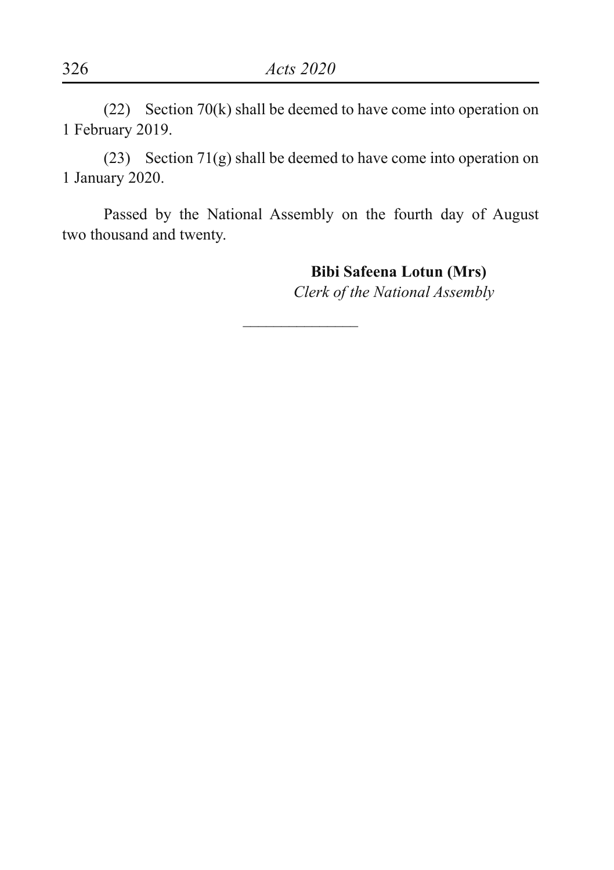(22) Section 70(k) shall be deemed to have come into operation on 1 February 2019.

(23) Section 71(g) shall be deemed to have come into operation on 1 January 2020.

Passed by the National Assembly on the fourth day of August two thousand and twenty.

 $\overline{\phantom{a}}$ 

**Bibi Safeena Lotun (Mrs)**

*Clerk of the National Assembly*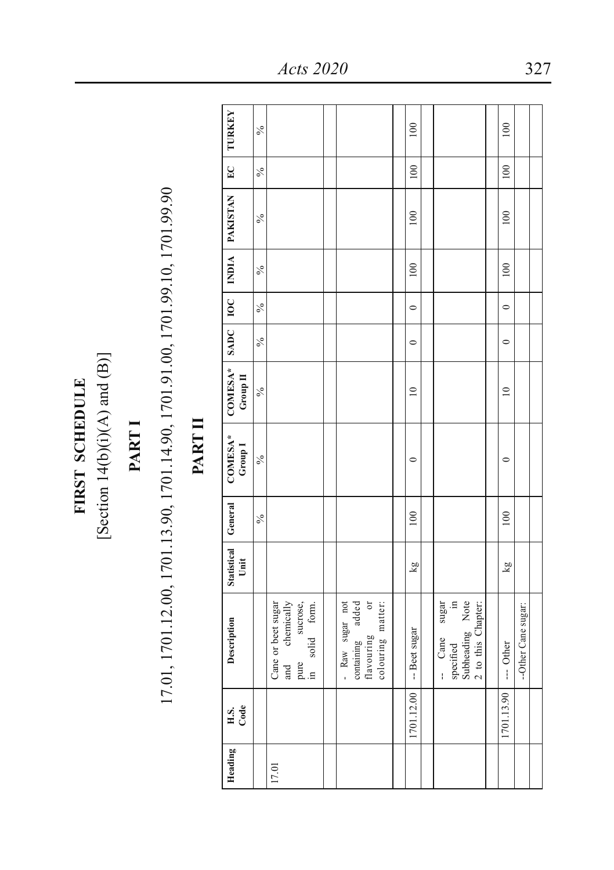FIRST SCHEDULE **FIRST SCHEDULE**

[Section 14(b)(i)(A) and  $(B)$ ] [Section  $14(b)(i)(A)$  and  $(B)$ ]

## **PART I**

# 17.01, 1701.12.00, 1701.13.90, 1701.14.90, 1701.91.00, 1701.99.10, 1701.99.90 17.01, 1701.12.00, 1701.13.90, 1701.14.90, 1701.91.00, 1701.99.10, 1701.99.90

### PART II **PART II**

| TURKEY                        | $\frac{6}{6}$ |                                                                         |                                                                           | $\overline{00}$ |                                                                        | 100         |                     |  |
|-------------------------------|---------------|-------------------------------------------------------------------------|---------------------------------------------------------------------------|-----------------|------------------------------------------------------------------------|-------------|---------------------|--|
| E                             | $\frac{6}{6}$ |                                                                         |                                                                           | 100             |                                                                        | 100         |                     |  |
| INDIA   PAKISTAN              | $\frac{6}{6}$ |                                                                         |                                                                           | $\approx$       |                                                                        | $\approx$   |                     |  |
|                               | $\frac{6}{6}$ |                                                                         |                                                                           | 100             |                                                                        | 100         |                     |  |
|                               | $\frac{6}{6}$ |                                                                         |                                                                           | $\circ$         |                                                                        | $\circ$     |                     |  |
| SADC   IOC                    | $\frac{6}{6}$ |                                                                         |                                                                           | $\circ$         |                                                                        | $\circ$     |                     |  |
| $COMESA^*$<br>Group II        | $\frac{6}{6}$ |                                                                         |                                                                           | $\subseteq$     |                                                                        | $\subseteq$ |                     |  |
| COMESA*<br>Group <sub>1</sub> | $\frac{6}{6}$ |                                                                         |                                                                           | $\circ$         |                                                                        | $\circ$     |                     |  |
| General                       | $\frac{6}{6}$ |                                                                         |                                                                           | 100             |                                                                        | 100         |                     |  |
| Statistical<br>Ünit           |               |                                                                         |                                                                           | kg              |                                                                        | kg          |                     |  |
| Description                   |               | Cane or beet sugar<br>and chemically<br>pure sucrose,<br>in solid form. | - Raw sugar not<br>containing added<br>flavouring or<br>colouring matter: | -- Beet sugar   | -- Cane sugar<br>specified in<br>Subheading Note<br>2 to this Chapter: | -- Other    | --Other Cane sugar: |  |
| H.S.<br>Code                  |               |                                                                         |                                                                           | 1701.12.00      |                                                                        | 1701.13.90  |                     |  |
| Heading                       |               | 17.01                                                                   |                                                                           |                 |                                                                        |             |                     |  |

*Acts 2020* 327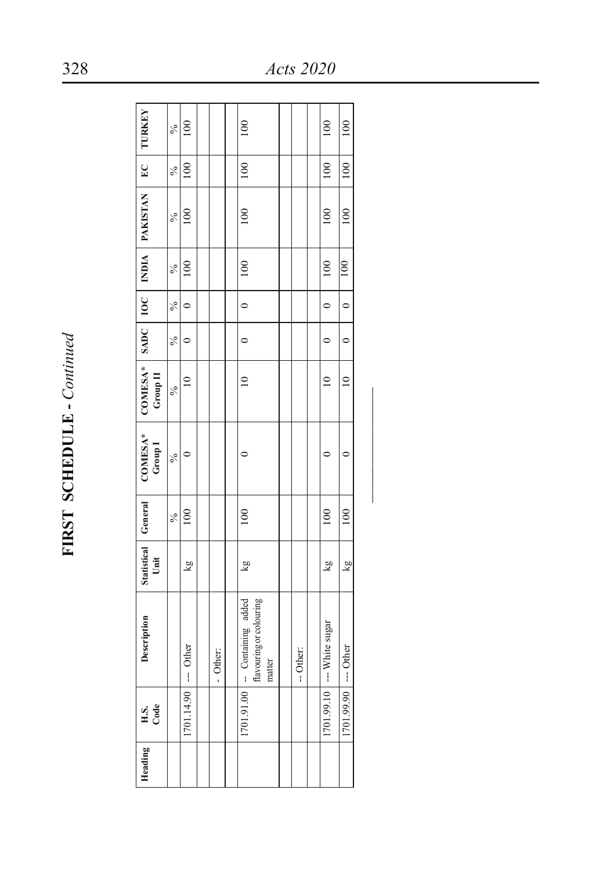FIRST SCHEDULE - Continued **FIRST SCHEDULE -** *Continued*

| Heading | H.S.<br>Code          | Description                                                          | Statistical General<br>Unit |     | COMESA*<br>Group I | Group II      |         |               |               | COMESA*   SADC   IOC   INDIA   PAKISTAN | EC            | <b>TURKEY</b>   |
|---------|-----------------------|----------------------------------------------------------------------|-----------------------------|-----|--------------------|---------------|---------|---------------|---------------|-----------------------------------------|---------------|-----------------|
|         |                       |                                                                      |                             | ℅   | $\frac{6}{6}$      | $\frac{6}{6}$ | ×       | $\frac{6}{6}$ | $\frac{6}{6}$ | $\frac{6}{6}$                           | $\frac{6}{6}$ | $\frac{6}{6}$   |
|         | [701.14.90] --- Other |                                                                      | kg                          | 100 |                    | $\approx$     | 0       | $\circ$       | 100           | 100                                     | 100           | $\overline{00}$ |
|         |                       |                                                                      |                             |     |                    |               |         |               |               |                                         |               |                 |
|         |                       | - Other:                                                             |                             |     |                    |               |         |               |               |                                         |               |                 |
|         |                       |                                                                      |                             |     |                    |               |         |               |               |                                         |               |                 |
|         |                       | flavouring or colouring<br>$1701.91.00$ - Containing added<br>matter | kg                          | 100 |                    | $\approx$     | $\circ$ | $\circ$       | 100           | 100                                     | 100           | 100             |
|         |                       |                                                                      |                             |     |                    |               |         |               |               |                                         |               |                 |
|         |                       | -- Other:                                                            |                             |     |                    |               |         |               |               |                                         |               |                 |
|         |                       |                                                                      |                             |     |                    |               |         |               |               |                                         |               |                 |
|         |                       | 1701.99.10 -- White sugar                                            | kg                          | 100 |                    | $\approx$     | $\circ$ | $\circ$       | 100           | 100                                     | 100           | 100             |
|         | 1701.99.90 --- Other  |                                                                      | kg                          | 100 | ¢                  | $\subseteq$   | $\circ$ | $\circ$       | 100           | 100                                     | $-100$        | 100             |
|         |                       |                                                                      |                             |     |                    |               |         |               |               |                                         |               |                 |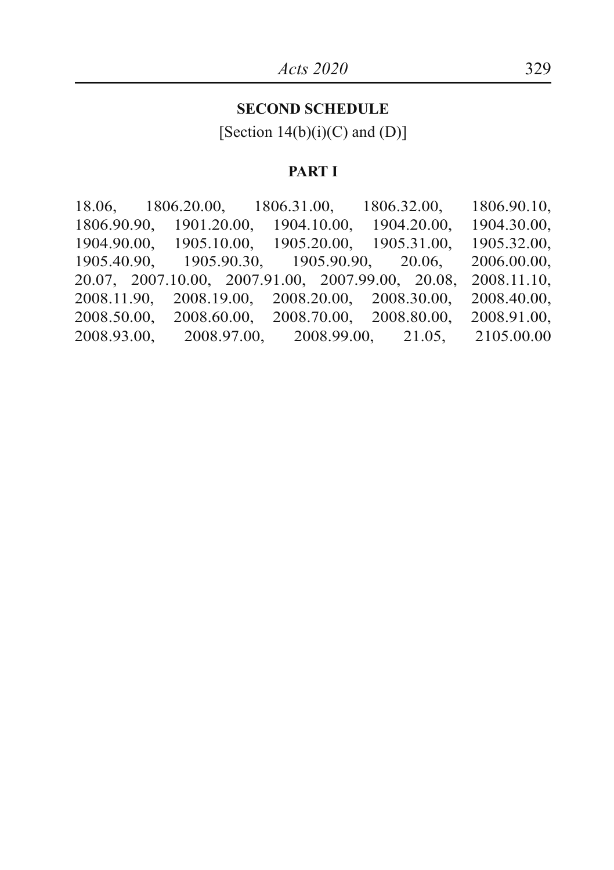#### **SECOND SCHEDULE**

[Section  $14(b)(i)(C)$  and  $(D)$ ]

#### **PART I**

18.06, 1806.20.00, 1806.31.00, 1806.32.00, 1806.90.10, 1806.90.90, 1901.20.00, 1904.10.00, 1904.20.00, 1904.30.00, 1904.90.00, 1905.10.00, 1905.32.00, 1905.10.00, 1905.40.90, 1905.90.30, 1905.90.90, 20.06, 2006.00.00, 20.07, 2007.10.00, 2007.91.00, 2007.99.00, 20.08, 2008.11.10, 2008.20.00, 2008.70.00, 2008.50.00, 2008.60.00, 2008.70.00, 2008.80.00, 2008.91.00, 2008.93.00,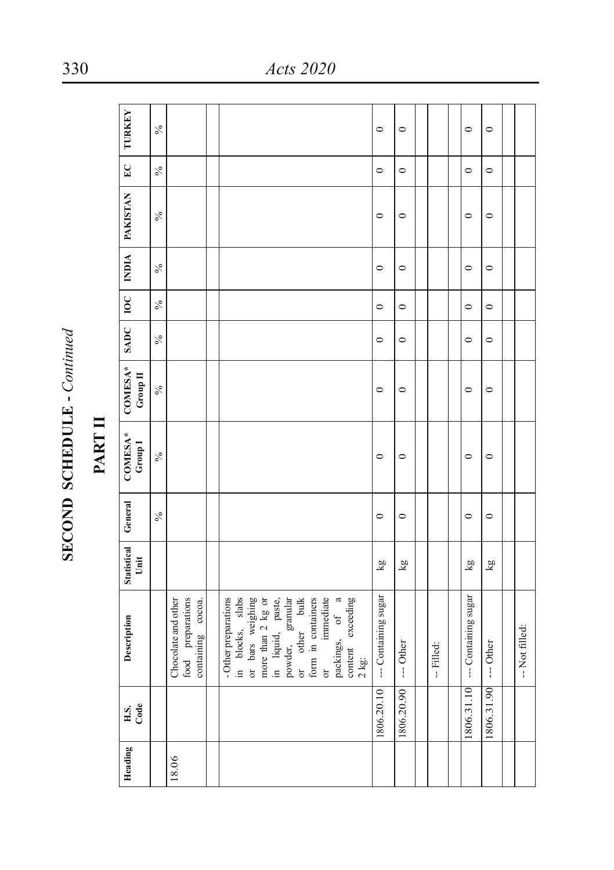| 7<br>Ē<br>ļ | ţ |
|-------------|---|
| END<br>Ě    |   |

## PART II

| TURKEY                        | $\frac{6}{6}$ |                                                               |                                                                                                                                                                                                                                           | $\circ$             | $\circ$   |            | $\circ$              | $\circ$    |                |
|-------------------------------|---------------|---------------------------------------------------------------|-------------------------------------------------------------------------------------------------------------------------------------------------------------------------------------------------------------------------------------------|---------------------|-----------|------------|----------------------|------------|----------------|
| $E_{\rm C}$                   | $\frac{5}{6}$ |                                                               |                                                                                                                                                                                                                                           | $\circ$             | $\circ$   |            | $\circ$              | $\circ$    |                |
| INDIA   PAKISTAN              | $\frac{6}{6}$ |                                                               |                                                                                                                                                                                                                                           | $\circ$             | $\circ$   |            | $\circ$              | $\circ$    |                |
|                               | $\frac{6}{6}$ |                                                               |                                                                                                                                                                                                                                           | $\circ$             | $\circ$   |            | $\circ$              | $\circ$    |                |
|                               | $\frac{6}{6}$ |                                                               |                                                                                                                                                                                                                                           | $\circ$             | $\circ$   |            | $\circ$              | $\circ$    |                |
| SADC   IOC                    | $\frac{5}{6}$ |                                                               |                                                                                                                                                                                                                                           | $\circ$             | $\circ$   |            | 0                    | $\circ$    |                |
| COMESA*<br>Group II           | $\frac{6}{6}$ |                                                               |                                                                                                                                                                                                                                           | $\circ$             | $\circ$   |            | $\circ$              | $\circ$    |                |
| COMESA*<br>Group <sub>1</sub> | $\frac{6}{6}$ |                                                               |                                                                                                                                                                                                                                           | $\circ$             | $\circ$   |            | $\circ$              | $\circ$    |                |
| Statistical General           | $\frac{6}{6}$ |                                                               |                                                                                                                                                                                                                                           | $\circ$             | $\circ$   |            | $\circ$              | $\circ$    |                |
| Unit                          |               |                                                               |                                                                                                                                                                                                                                           | kg                  | kg        |            | Σă                   | kg         |                |
| Description                   |               | food preparations<br>Chocolate and other<br>containing cocoa. | or immediate<br>packings, of a<br>in blocks, slabs<br>- Other preparations<br>or bars weighing<br>more than 2 kg or<br>in liquid, paste,<br>powder, granular<br>powder, bulk<br>form in containers<br>content exceeding<br>$2 \text{ kg}$ | -- Containing sugar | -- Other  | -- Filled: | --- Containing sugar | --- Other  | -- Not filled: |
| H.S.<br>Code                  |               |                                                               |                                                                                                                                                                                                                                           | 806.20.10           | 806.20.90 |            | 1806.31.10           | 1806.31.90 |                |
| Heading                       |               | 18.06                                                         |                                                                                                                                                                                                                                           |                     |           |            |                      |            |                |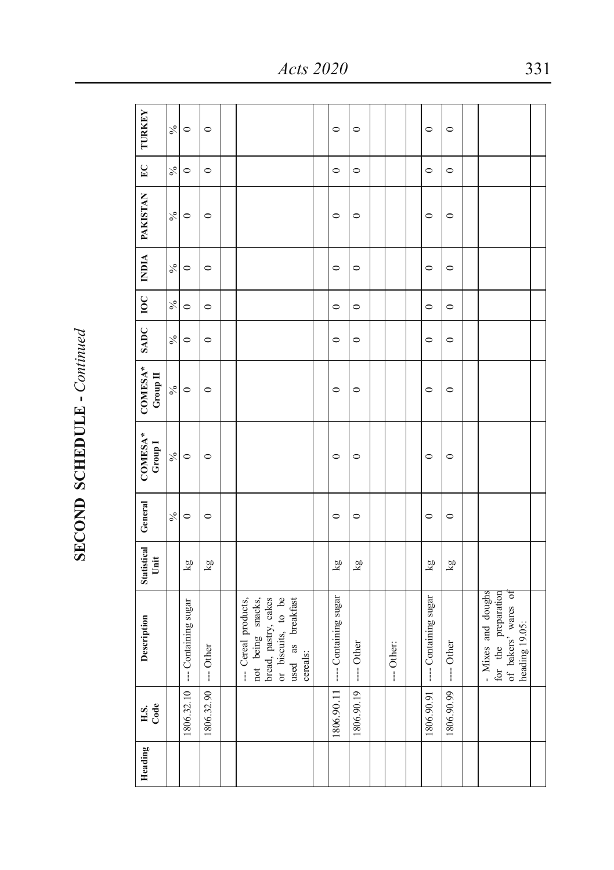| ζ  |
|----|
| ľ  |
|    |
|    |
|    |
|    |
|    |
| í, |
| ì  |
|    |

| <b>TURKEY</b>                 | $\frac{6}{6}$ | $\circ$             | $\circ$    |                                                                                                                          | $\circ$                         | $\circ$    |            | $\circ$               | $\circ$     |                                                                                    |  |
|-------------------------------|---------------|---------------------|------------|--------------------------------------------------------------------------------------------------------------------------|---------------------------------|------------|------------|-----------------------|-------------|------------------------------------------------------------------------------------|--|
| $E$ C                         | $\frac{6}{6}$ | $\circ$             | $\circ$    |                                                                                                                          | $\circ$                         | $\circ$    |            | $\circ$               | $\circ$     |                                                                                    |  |
| INDIA   PAKISTAN              | $\frac{6}{2}$ | $\circ$             | $\circ$    |                                                                                                                          | $\circ$                         | $\circ$    |            | $\circ$               | $\circ$     |                                                                                    |  |
|                               | $\frac{6}{6}$ | $\circ$             | $\circ$    |                                                                                                                          | $\circ$                         | $\circ$    |            | $\circ$               | $\circ$     |                                                                                    |  |
|                               | $\frac{6}{6}$ | $\circ$             | $\circ$    |                                                                                                                          | $\circ$                         | $\circ$    |            | $\circ$               | $\circ$     |                                                                                    |  |
| SADC   IOC                    | $\frac{6}{6}$ | $\circ$             | $\circ$    |                                                                                                                          | $\circ$                         | $\circ$    |            | $\circ$               | $\circ$     |                                                                                    |  |
| COMESA*<br>Group II           | $\frac{6}{6}$ | $\circ$             | $\circ$    |                                                                                                                          | $\circ$                         | $\circ$    |            | $\circ$               | $\circ$     |                                                                                    |  |
| COMESA*<br>Group <sub>1</sub> | $\frac{6}{6}$ | $\circ$             | $\circ$    |                                                                                                                          | $\circ$                         | $\circ$    |            | $\circ$               | $\circ$     |                                                                                    |  |
| General                       | $\frac{6}{6}$ | $\circ$             | $\circ$    |                                                                                                                          | $\circ$                         | $\circ$    |            | $\circ$               | $\circ$     |                                                                                    |  |
| <b>Statistical</b><br>Unit    |               | kg                  | kg         |                                                                                                                          | $\overline{\mathbf{g}}$         | kg         |            | kg                    | kg          |                                                                                    |  |
| Description                   |               | -- Containing sugar | --- Other  | bread, pastry, cakes<br>or biscuits, to be<br>--- Cereal products,<br>not being snacks,<br>used as breakfast<br>cereals: | 1806.90.11 --- Containing sugar | ---- Other | --- Other: | ---- Containing sugar | $---$ Other | - Mixes and doughs<br>of bakers' wares of<br>for the preparation<br>heading 19.05: |  |
| H.S.<br>Code                  |               | 1806.32.10          | 1806.32.90 |                                                                                                                          |                                 | 1806.90.19 |            | 806.90.91             | 1806.90.99  |                                                                                    |  |
| Heading                       |               |                     |            |                                                                                                                          |                                 |            |            |                       |             |                                                                                    |  |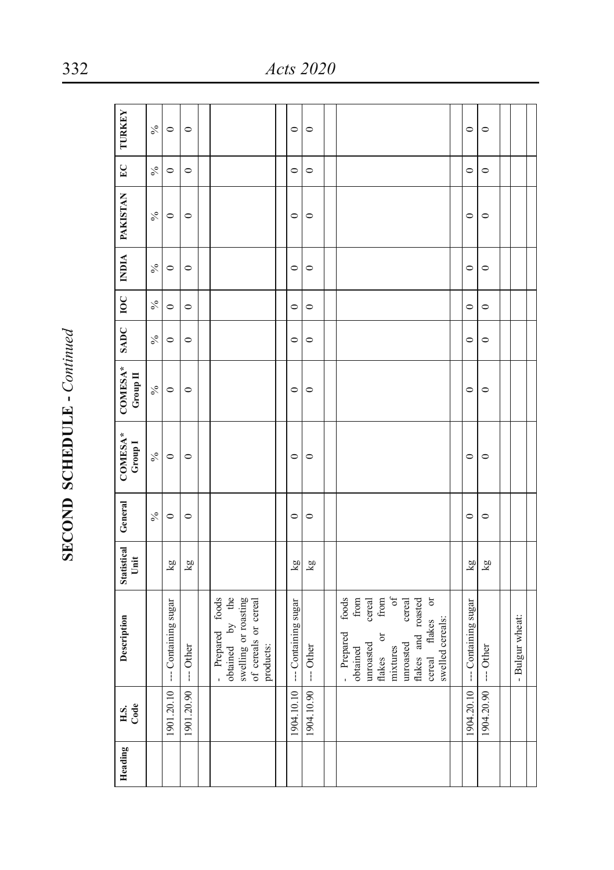| j           |
|-------------|
| ľ           |
|             |
|             |
|             |
|             |
|             |
|             |
| ï<br>l<br>C |

| <b>TURKEY</b>                 | $\delta_0$    | $\circ$              | $\circ$    |                                                                                                     | $\circ$                 | $\circ$    |                                                                                                                                                                                                               | $\circ$              | $\circ$                 |                 |
|-------------------------------|---------------|----------------------|------------|-----------------------------------------------------------------------------------------------------|-------------------------|------------|---------------------------------------------------------------------------------------------------------------------------------------------------------------------------------------------------------------|----------------------|-------------------------|-----------------|
| $E_{\rm C}$                   | $\%$          | $\circ$              | $\circ$    |                                                                                                     | $\circ$                 | $\circ$    |                                                                                                                                                                                                               | $\circ$              | $\circ$                 |                 |
| INDIA   PAKISTAN              | $\%$          | $\circ$              | $\circ$    |                                                                                                     | $\circ$                 | $\circ$    |                                                                                                                                                                                                               | $\circ$              | $\circ$                 |                 |
|                               | $\frac{6}{9}$ | $\circ$              | $\circ$    |                                                                                                     | $\circ$                 | $\circ$    |                                                                                                                                                                                                               | $\circ$              | $\circ$                 |                 |
|                               | $\%$          | $\circ$              | $\circ$    |                                                                                                     | $\circ$                 | $\circ$    |                                                                                                                                                                                                               | $\circ$              | $\circ$                 |                 |
| SADC   IOC                    | $\%$          | $\circ$              | $\circ$    |                                                                                                     | $\circ$                 | $\circ$    |                                                                                                                                                                                                               | $\circ$              | $\circ$                 |                 |
| COMESA*<br>Group II           | $\%$          | $\circ$              | $\circ$    |                                                                                                     | $\circ$                 | $\circ$    |                                                                                                                                                                                                               | $\circ$              | $\circ$                 |                 |
| COMESA*<br>Group <sub>1</sub> | $\%$          | $\circ$              | $\circ$    |                                                                                                     | $\circ$                 | $\circ$    |                                                                                                                                                                                                               | $\circ$              | $\circ$                 |                 |
| General                       | $\frac{5}{6}$ | $\circ$              | $\circ$    |                                                                                                     | $\circ$                 | $\circ$    |                                                                                                                                                                                                               | $\circ$              | $\circ$                 |                 |
| <b>Statistical</b><br>Unit    |               | kg                   | kg         |                                                                                                     | $\overline{\mathbf{g}}$ | kg         |                                                                                                                                                                                                               | kg                   | $\overline{\mathbf{g}}$ |                 |
| Description                   |               | --- Containing sugar | --- Other  | obtained by the<br>foods<br>swelling or roasting<br>of cereals or cereal<br>- Prepared<br>products: | --- Containing sugar    | --- Other  | of<br>from<br>cereal<br>$\sigma$<br>foods<br>${\rm from}$<br>flakes and roasted<br>cereal<br>flakes<br>swelled cereals:<br>- Prepared<br>flakes or<br>unroasted<br>unroated<br>mixtures<br>obtained<br>cereal | --- Containing sugar | $---$ Other             | - Bulgur wheat: |
| H.S.<br>Code                  |               | 901.20.10            | 1901.20.90 |                                                                                                     | 904.10.10               | 1904.10.90 |                                                                                                                                                                                                               | 904.20.10            | 1904.20.90              |                 |
| Heading                       |               |                      |            |                                                                                                     |                         |            |                                                                                                                                                                                                               |                      |                         |                 |

332 *Acts 2020*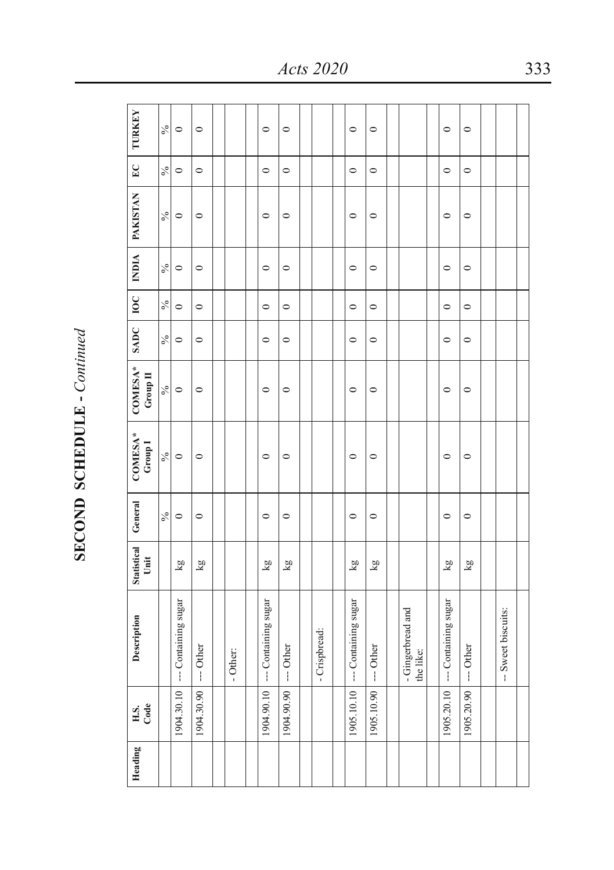| l        |
|----------|
|          |
| Ì<br>ーーー |

| Heading | H.S.<br>Code | Description                    | Statistical<br>Unit | General       | COMESA*<br>Group <sub>1</sub> | COMESA*<br>Group $\Pi$     | SADC          | 10C           |               | INDIA   PAKISTAN | $E_{\rm C}$ | <b>TURKEY</b> |
|---------|--------------|--------------------------------|---------------------|---------------|-------------------------------|----------------------------|---------------|---------------|---------------|------------------|-------------|---------------|
|         |              |                                |                     | $\frac{6}{6}$ | $\frac{6}{6}$                 | $\mathcal{S}_{\mathbf{0}}$ | $\frac{6}{6}$ | $\frac{6}{6}$ | $\frac{6}{6}$ | $\delta_{\rm O}$ | $\%$        | $\frac{6}{6}$ |
|         | 1904.30.10   | -- Containing sugar            | kg                  | $\circ$       | $\circ$                       | $\circ$                    | $\circ$       | $\circ$       | $\circ$       | $\circ$          | $\circ$     | $\circ$       |
|         | 1904.30.90   | --- Other                      | kg                  | $\circ$       | $\circ$                       | $\circ$                    | $\circ$       | $\circ$       | $\circ$       | $\circ$          | $\circ$     | $\circ$       |
|         |              |                                |                     |               |                               |                            |               |               |               |                  |             |               |
|         |              | - Other:                       |                     |               |                               |                            |               |               |               |                  |             |               |
|         |              |                                |                     |               |                               |                            |               |               |               |                  |             |               |
|         | 1904.90.10   | --- Containing sugar           | ΣX                  | $\circ$       | $\circ$                       | $\circ$                    | $\circ$       | $\circ$       | $\circ$       | $\circ$          | $\circ$     | $\circ$       |
|         | 1904.90.90   | --- Other                      | Σă                  | $\circ$       | $\circ$                       | $\circ$                    | $\circ$       | $\circ$       | $\circ$       | $\circ$          | $\circ$     | $\circ$       |
|         |              |                                |                     |               |                               |                            |               |               |               |                  |             |               |
|         |              | - Crispbread:                  |                     |               |                               |                            |               |               |               |                  |             |               |
|         |              |                                |                     |               |                               |                            |               |               |               |                  |             |               |
|         | 1905.10.10   | --- Containing sugar           | ΣX                  | $\circ$       | $\circ$                       | $\circ$                    | $\circ$       | $\circ$       | $\circ$       | $\circ$          | $\circ$     | $\circ$       |
|         | 1905.10.90   | --- Other                      | ΣŊ                  | $\circ$       | $\circ$                       | $\circ$                    | $\circ$       | $\circ$       | $\circ$       | $\circ$          | $\circ$     | $\circ$       |
|         |              |                                |                     |               |                               |                            |               |               |               |                  |             |               |
|         |              | - Gingerbread and<br>the like: |                     |               |                               |                            |               |               |               |                  |             |               |
|         |              |                                |                     |               |                               |                            |               |               |               |                  |             |               |
|         | 1905.20.10   | --- Containing sugar           | kg                  | $\circ$       | $\circ$                       | $\circ$                    | $\circ$       | $\circ$       | $\circ$       | $\circ$          | $\circ$     | $\circ$       |
|         | 1905.20.90   | --- Other                      | kg                  | $\circ$       | $\circ$                       | $\circ$                    | $\circ$       | $\circ$       | $\circ$       | $\circ$          | $\circ$     | $\circ$       |
|         |              |                                |                     |               |                               |                            |               |               |               |                  |             |               |
|         |              | -- Sweet biscuits:             |                     |               |                               |                            |               |               |               |                  |             |               |
|         |              |                                |                     |               |                               |                            |               |               |               |                  |             |               |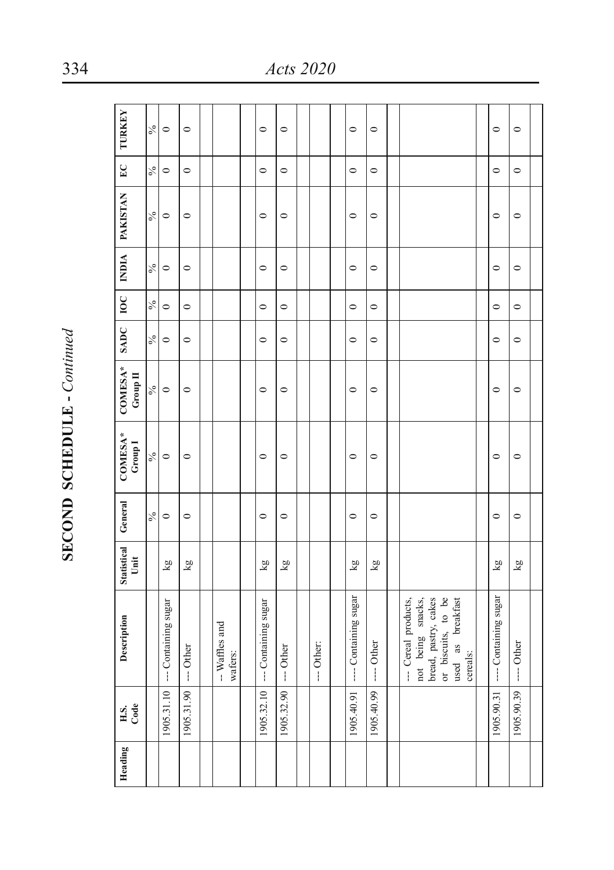| Statistical General<br>Unit<br>Description<br>H.S.<br>Code                |  |  | COMESA*<br>Group <sub>1</sub> | COMESA*<br>Group $\Pi$ | SADC   IOC    |               |               | INDIA   PAKISTAN | EC      | <b>TURKEY</b> |
|---------------------------------------------------------------------------|--|--|-------------------------------|------------------------|---------------|---------------|---------------|------------------|---------|---------------|
| $\frac{6}{6}$                                                             |  |  | $\mathcal{S}_0$               | $\sqrt{6}$             | $\frac{5}{6}$ | $\frac{6}{6}$ | $\frac{6}{6}$ | $\frac{6}{6}$    | $\%$    | $\frac{6}{6}$ |
| $\circ$<br>$\overline{\mathbf{g}}$<br>--- Containing sugar<br>1905.31.10  |  |  | $\circ$                       | $\circ$                | $\circ$       | $\circ$       | $\circ$       | $\circ$          | $\circ$ | $\circ$       |
| $\circ$<br>kg<br>--- Other<br>1905.31.90                                  |  |  | $\circ$                       | $\circ$                | $\circ$       | $\circ$       | $\circ$       | $\circ$          | $\circ$ | $\circ$       |
|                                                                           |  |  |                               |                        |               |               |               |                  |         |               |
| -- Waffles and<br>wafers:                                                 |  |  |                               |                        |               |               |               |                  |         |               |
|                                                                           |  |  |                               |                        |               |               |               |                  |         |               |
| $\circ$<br>kg<br>--- Containing sugar<br>1905.32.10                       |  |  | $\circ$                       | $\circ$                | $\circ$       | $\circ$       | $\circ$       | $\circ$          | $\circ$ | $\circ$       |
| $\circ$<br>kg<br>$--$ Other<br>1905.32.90                                 |  |  | $\circ$                       | $\circ$                | $\circ$       | $\circ$       | $\circ$       | $\circ$          | $\circ$ | $\circ$       |
|                                                                           |  |  |                               |                        |               |               |               |                  |         |               |
| --- Other:                                                                |  |  |                               |                        |               |               |               |                  |         |               |
|                                                                           |  |  |                               |                        |               |               |               |                  |         |               |
| $\circ$<br>$\overline{\mathbf{g}}$<br>---- Containing sugar<br>1905.40.91 |  |  | $\circ$                       | $\circ$                | $\circ$       | $\circ$       | $\circ$       | $\circ$          | $\circ$ | $\circ$       |
| $\circ$<br>kg<br>---- Other<br>1905.40.99                                 |  |  | $\circ$                       | $\circ$                | $\circ$       | $\circ$       | $\circ$       | $\circ$          | $\circ$ | $\circ$       |
|                                                                           |  |  |                               |                        |               |               |               |                  |         |               |
| not being snacks,<br>--- Cereal products,                                 |  |  |                               |                        |               |               |               |                  |         |               |
| bread, pastry, cakes                                                      |  |  |                               |                        |               |               |               |                  |         |               |
| or biscuits, to be<br>used as breakfast                                   |  |  |                               |                        |               |               |               |                  |         |               |
| cereals:                                                                  |  |  |                               |                        |               |               |               |                  |         |               |
|                                                                           |  |  |                               |                        |               |               |               |                  |         |               |
| $\circ$<br>kg<br>---- Containing sugar<br>1905.90.31                      |  |  | $\circ$                       | $\circ$                | $\circ$       | $\circ$       | $\circ$       | $\circ$          | $\circ$ | $\circ$       |
| $\circ$<br>kg<br>---- Other<br>1905.90.39                                 |  |  | $\circ$                       | $\circ$                | $\circ$       | $\circ$       | $\circ$       | $\circ$          | $\circ$ | $\circ$       |
|                                                                           |  |  |                               |                        |               |               |               |                  |         |               |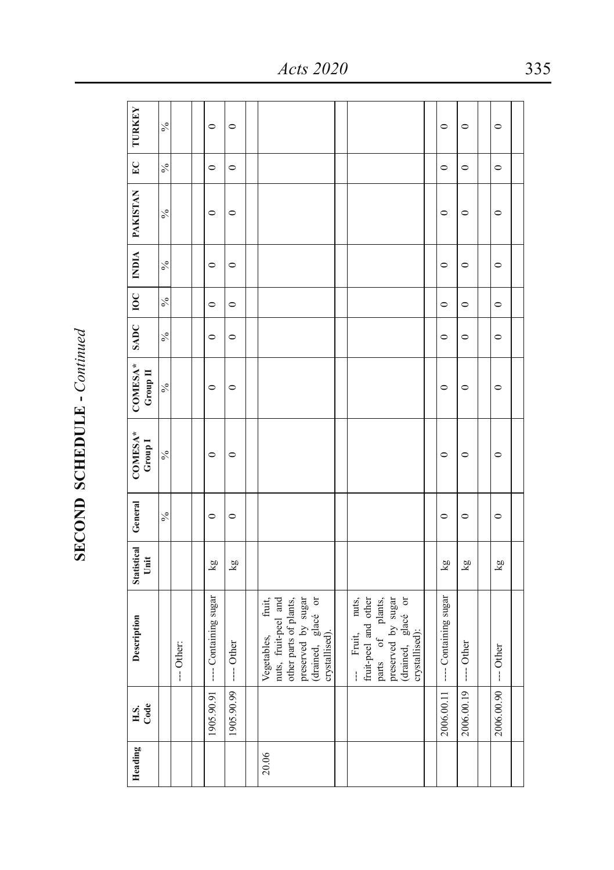| ì<br>:<br>Ì  |
|--------------|
|              |
| ľ            |
| í            |
|              |
|              |
|              |
| $\zeta$<br>j |
|              |

| Heading | H.S.<br>Code         | Description                                                                                                                            | Statistical<br>Unit | General       | COMESA*<br>Group I | $COMESA^*$<br>Group II | SADC   IOC    |         |               | INDIA   PAKISTAN | E             | <b>TURKEY</b> |
|---------|----------------------|----------------------------------------------------------------------------------------------------------------------------------------|---------------------|---------------|--------------------|------------------------|---------------|---------|---------------|------------------|---------------|---------------|
|         |                      |                                                                                                                                        |                     | $\frac{6}{6}$ | $\sqrt{6}$         | $\frac{6}{6}$          | $\frac{6}{6}$ | $\%$    | $\frac{6}{6}$ | $\frac{6}{6}$    | $\frac{6}{6}$ | $\frac{6}{6}$ |
|         |                      | --- Other:                                                                                                                             |                     |               |                    |                        |               |         |               |                  |               |               |
|         |                      |                                                                                                                                        |                     |               |                    |                        |               |         |               |                  |               |               |
|         | 1905.90.91           | ---- Containing sugar                                                                                                                  | kg                  | $\circ$       | $\circ$            | $\circ$                | $\circ$       | $\circ$ | $\circ$       | $\circ$          | $\circ$       | $\circ$       |
|         | 1905.90.99           | $---$ Other                                                                                                                            | kg                  | $\circ$       | $\circ$            | $\circ$                | $\circ$       | $\circ$ | $\circ$       | $\circ$          | $\circ$       | $\circ$       |
|         |                      |                                                                                                                                        |                     |               |                    |                        |               |         |               |                  |               |               |
| 20.06   |                      | nuts, fruit-peel and<br>other parts of plants,<br>preserved by sugar<br>(drained, glacé or<br>crystallised).<br>fruit,<br>Vegetables,  |                     |               |                    |                        |               |         |               |                  |               |               |
|         |                      |                                                                                                                                        |                     |               |                    |                        |               |         |               |                  |               |               |
|         |                      | (drained, glacé or<br>crystallised):<br>-- Fruit, nuts,<br>fruit-peel and other<br>parts of plants,<br>preserved by sugar<br>-- Fruit, |                     |               |                    |                        |               |         |               |                  |               |               |
|         |                      |                                                                                                                                        |                     |               |                    |                        |               |         |               |                  |               |               |
|         | 2006.00.11           | ---- Containing sugar                                                                                                                  | kg                  | $\circ$       | $\circ$            | $\circ$                | $\circ$       | $\circ$ | $\circ$       | $\circ$          | $\circ$       | $\circ$       |
|         | 2006.00.19           | ---- Other                                                                                                                             | kg                  | $\circ$       | $\circ$            | $\circ$                | $\circ$       | $\circ$ | $\circ$       | $\circ$          | $\circ$       | $\circ$       |
|         |                      |                                                                                                                                        |                     |               |                    |                        |               |         |               |                  |               |               |
|         | 2006.00.90 --- Other |                                                                                                                                        | kg                  | $\circ$       | $\circ$            | $\circ$                | $\circ$       | $\circ$ | $\circ$       | $\circ$          | $\circ$       | $\circ$       |
|         |                      |                                                                                                                                        |                     |               |                    |                        |               |         |               |                  |               |               |

*Acts 2020* 335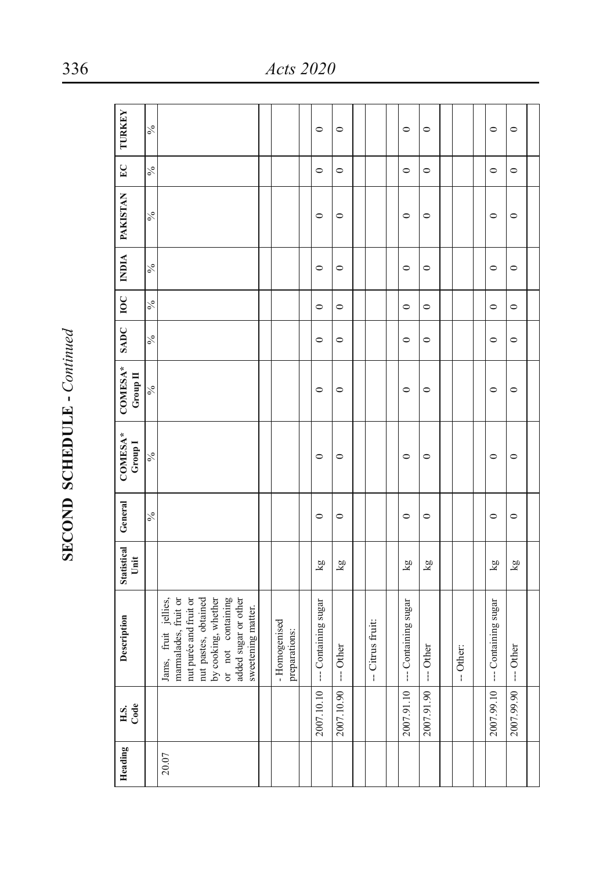| l             |  |
|---------------|--|
| ľ<br>;        |  |
| $\frac{1}{2}$ |  |

| Heading | H.S.<br>Code | Description                                                            | <b>Statistical</b><br>Unit | General       | COMESA*<br>Group <sub>1</sub> | COMESA*<br>Group II | SADC   IOC    |               |               | INDIA   PAKISTAN | E             | <b>TURKEY</b> |
|---------|--------------|------------------------------------------------------------------------|----------------------------|---------------|-------------------------------|---------------------|---------------|---------------|---------------|------------------|---------------|---------------|
|         |              |                                                                        |                            | $\frac{6}{6}$ | $\frac{6}{6}$                 | $\sqrt{6}$          | $\frac{6}{6}$ | $\frac{6}{6}$ | $\frac{6}{6}$ | $\frac{6}{6}$    | $\frac{6}{6}$ | $\frac{6}{6}$ |
| 20.07   |              | marmalades, fruit or<br>nut purée and fruit or<br>Jams, fruit jellies, |                            |               |                               |                     |               |               |               |                  |               |               |
|         |              | by cooking, whether<br>nut pastes, obtained                            |                            |               |                               |                     |               |               |               |                  |               |               |
|         |              | or not containing                                                      |                            |               |                               |                     |               |               |               |                  |               |               |
|         |              | added sugar or other<br>sweetening matter.                             |                            |               |                               |                     |               |               |               |                  |               |               |
|         |              |                                                                        |                            |               |                               |                     |               |               |               |                  |               |               |
|         |              | - Homogenised<br>preparations:                                         |                            |               |                               |                     |               |               |               |                  |               |               |
|         |              |                                                                        |                            |               |                               |                     |               |               |               |                  |               |               |
|         | 2007.10.10   | --- Containing sugar                                                   | kg                         | $\circ$       | $\circ$                       | $\circ$             | $\circ$       | $\circ$       | $\circ$       | $\circ$          | $\circ$       | $\circ$       |
|         | 2007.10.90   | --- Other                                                              | kg                         | $\circ$       | $\circ$                       | $\circ$             | $\circ$       | $\circ$       | $\circ$       | $\circ$          | $\circ$       | $\circ$       |
|         |              |                                                                        |                            |               |                               |                     |               |               |               |                  |               |               |
|         |              | -- Citrus fruit:                                                       |                            |               |                               |                     |               |               |               |                  |               |               |
|         |              |                                                                        |                            |               |                               |                     |               |               |               |                  |               |               |
|         | 2007.91.10   | -- Containing sugar                                                    | kg                         | $\circ$       | $\circ$                       | $\circ$             | $\circ$       | $\circ$       | $\circ$       | $\circ$          | $\circ$       | $\circ$       |
|         | 2007.91.90   | --- Other                                                              | ΣX                         | $\circ$       | $\circ$                       | $\circ$             | $\circ$       | $\circ$       | $\circ$       | $\circ$          | $\circ$       | $\circ$       |
|         |              |                                                                        |                            |               |                               |                     |               |               |               |                  |               |               |
|         |              | -- Other:                                                              |                            |               |                               |                     |               |               |               |                  |               |               |
|         |              |                                                                        |                            |               |                               |                     |               |               |               |                  |               |               |
|         | 2007.99.10   | --- Containing sugar                                                   | $\overline{\mathbf{g}}$    | $\circ$       | $\circ$                       | $\circ$             | $\circ$       | $\circ$       | $\circ$       | $\circ$          | $\circ$       | $\circ$       |
|         | 2007.99.90   | --- Other                                                              | $\overline{\mathbf{g}}$    | $\circ$       | $\circ$                       | $\circ$             | $\circ$       | $\circ$       | $\circ$       | $\circ$          | $\circ$       | $\circ$       |
|         |              |                                                                        |                            |               |                               |                     |               |               |               |                  |               |               |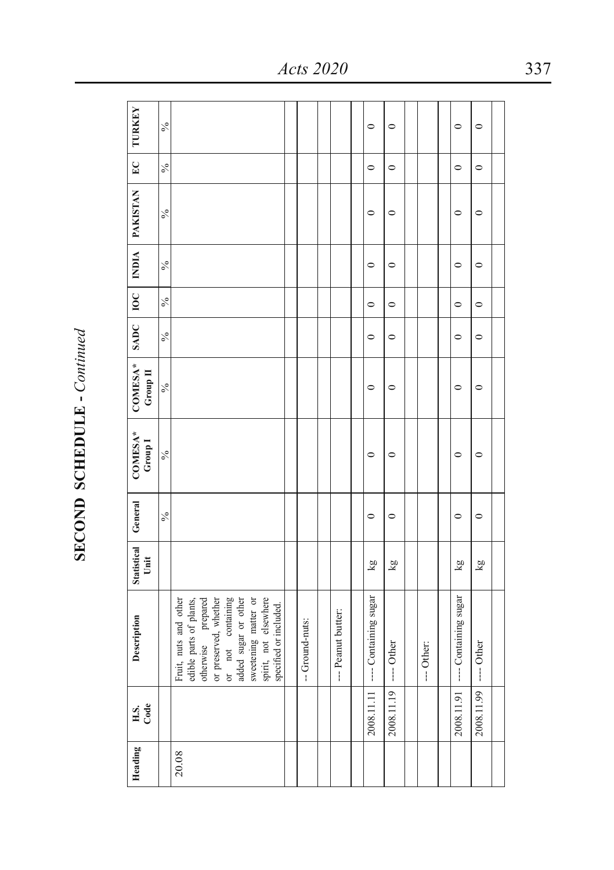| Heading | H.S.<br>Code         | Description                                                             | Statistical General<br>Unit |               | COMESA*<br>${\rm Group\,I}$ | COMESA*<br>Group II |               |               |               | SADC   IOC   INDIA   PAKISTAN | EC            | <b>TURKEY</b> |
|---------|----------------------|-------------------------------------------------------------------------|-----------------------------|---------------|-----------------------------|---------------------|---------------|---------------|---------------|-------------------------------|---------------|---------------|
|         |                      |                                                                         |                             | $\frac{6}{6}$ | $\frac{6}{6}$               | $\frac{6}{6}$       | $\frac{6}{6}$ | $\frac{6}{6}$ | $\frac{6}{6}$ | $\frac{6}{6}$                 | $\frac{6}{6}$ | $\frac{6}{6}$ |
| 20.08   |                      | Fruit, nuts and other<br>edible parts of plants,<br>otherwise prepared  |                             |               |                             |                     |               |               |               |                               |               |               |
|         |                      | or not containing<br>or preserved, whether                              |                             |               |                             |                     |               |               |               |                               |               |               |
|         |                      | added sugar or other                                                    |                             |               |                             |                     |               |               |               |                               |               |               |
|         |                      | sweetening matter or<br>spirit, not elsewhere<br>specified or included. |                             |               |                             |                     |               |               |               |                               |               |               |
|         |                      |                                                                         |                             |               |                             |                     |               |               |               |                               |               |               |
|         |                      | -- Ground-nuts:                                                         |                             |               |                             |                     |               |               |               |                               |               |               |
|         |                      |                                                                         |                             |               |                             |                     |               |               |               |                               |               |               |
|         |                      | --- Peanut butter:                                                      |                             |               |                             |                     |               |               |               |                               |               |               |
|         |                      |                                                                         |                             |               |                             |                     |               |               |               |                               |               |               |
|         | 2008.11.11           | ---- Containing sugar                                                   | kg                          | $\circ$       | $\circ$                     | $\circ$             | $\circ$       | $\circ$       | $\circ$       | $\circ$                       | $\circ$       | $\circ$       |
|         | 2008.11.19           | ---- Other                                                              | kg                          | $\circ$       | $\circ$                     | $\circ$             | $\circ$       | $\circ$       | $\circ$       | $\circ$                       | $\circ$       | $\circ$       |
|         |                      |                                                                         |                             |               |                             |                     |               |               |               |                               |               |               |
|         |                      | --- Other:                                                              |                             |               |                             |                     |               |               |               |                               |               |               |
|         |                      |                                                                         |                             |               |                             |                     |               |               |               |                               |               |               |
|         | 2008.11.91           | ---- Containing sugar                                                   | ΣŊ                          | $\circ$       | $\circ$                     | $\circ$             | $\circ$       | $\circ$       | $\circ$       | $\circ$                       | $\circ$       | $\circ$       |
|         | 2008.11.99 --- Other |                                                                         | kg                          | $\circ$       | $\circ$                     | $\circ$             | $\circ$       | $\circ$       | $\circ$       | $\circ$                       | $\circ$       | $\circ$       |
|         |                      |                                                                         |                             |               |                             |                     |               |               |               |                               |               |               |

*Acts 2020* 337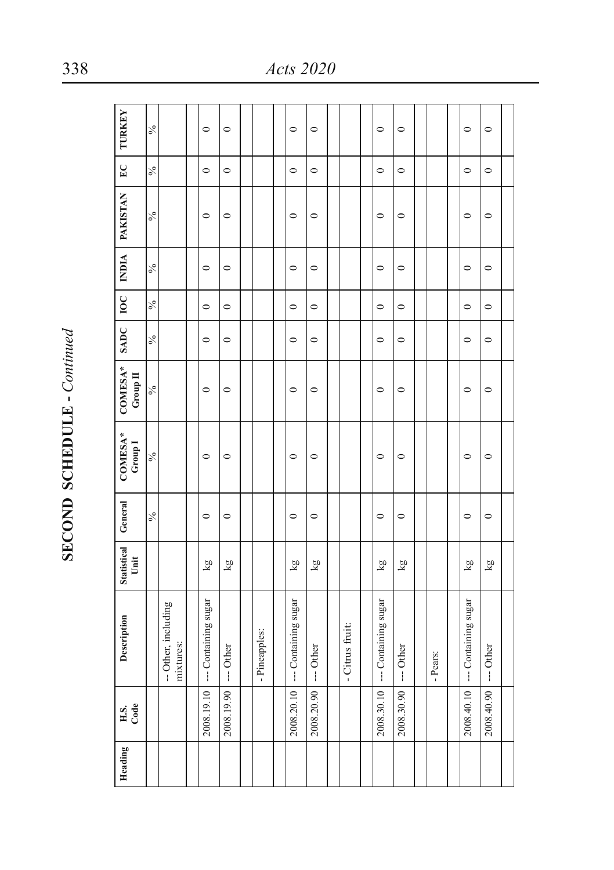| <b>TURKEY</b>                 | $\frac{6}{6}$ |                                  | $\circ$              | $\circ$    |               | $\circ$              | $\circ$    |                 | $\circ$              | $\circ$    |          | $\circ$              | $\circ$    |  |
|-------------------------------|---------------|----------------------------------|----------------------|------------|---------------|----------------------|------------|-----------------|----------------------|------------|----------|----------------------|------------|--|
| $E_{\rm C}$                   | $\frac{6}{6}$ |                                  | $\circ$              | $\circ$    |               | $\circ$              | $\circ$    |                 | $\circ$              | $\circ$    |          | $\circ$              | $\circ$    |  |
| <b>PAKISTAN</b>               | $\frac{6}{6}$ |                                  | $\circ$              | $\circ$    |               | $\circ$              | $\circ$    |                 | $\circ$              | $\circ$    |          | $\circ$              | $\circ$    |  |
| <b>NDIA</b>                   | $\frac{6}{6}$ |                                  | $\circ$              | $\circ$    |               | $\circ$              | $\circ$    |                 | $\circ$              | $\circ$    |          | $\circ$              | $\circ$    |  |
| $\overline{100}$              | $\delta_0$    |                                  | $\circ$              | $\circ$    |               | $\circ$              | $\circ$    |                 | $\circ$              | $\circ$    |          | $\circ$              | $\circ$    |  |
| SADC                          | $\frac{6}{6}$ |                                  | $\circ$              | $\circ$    |               | $\circ$              | $\circ$    |                 | $\circ$              | $\circ$    |          | $\circ$              | $\circ$    |  |
| COMESA*<br>Group II           | $\frac{6}{6}$ |                                  | $\circ$              | $\circ$    |               | $\circ$              | $\circ$    |                 | $\circ$              | $\circ$    |          | $\circ$              | $\circ$    |  |
| COMESA*<br>Group <sub>1</sub> | $\frac{6}{6}$ |                                  | $\circ$              | $\circ$    |               | $\circ$              | $\circ$    |                 | $\circ$              | $\circ$    |          | $\circ$              | $\circ$    |  |
| General                       | $\frac{6}{6}$ |                                  | $\circ$              | $\circ$    |               | $\circ$              | $\circ$    |                 | $\circ$              | $\circ$    |          | $\circ$              | $\circ$    |  |
| Statistical<br>Unit           |               |                                  | Ση                   | kg         |               | kg                   | kg         |                 | kg                   | kg         |          | kg                   | Σq         |  |
| Description                   |               | -- Other, including<br>mixtures: | --- Containing sugar | --- Other  | - Pineapples: | --- Containing sugar | --- Other  | - Citrus fruit: | --- Containing sugar | --- Other  | - Pears: | --- Containing sugar | --- Other  |  |
| Code<br>H.S.                  |               |                                  | 2008.19.10           | 2008.19.90 |               | 2008.20.10           | 2008.20.90 |                 | 2008.30.10           | 2008.30.90 |          | 2008.40.10           | 2008.40.90 |  |
| Heading                       |               |                                  |                      |            |               |                      |            |                 |                      |            |          |                      |            |  |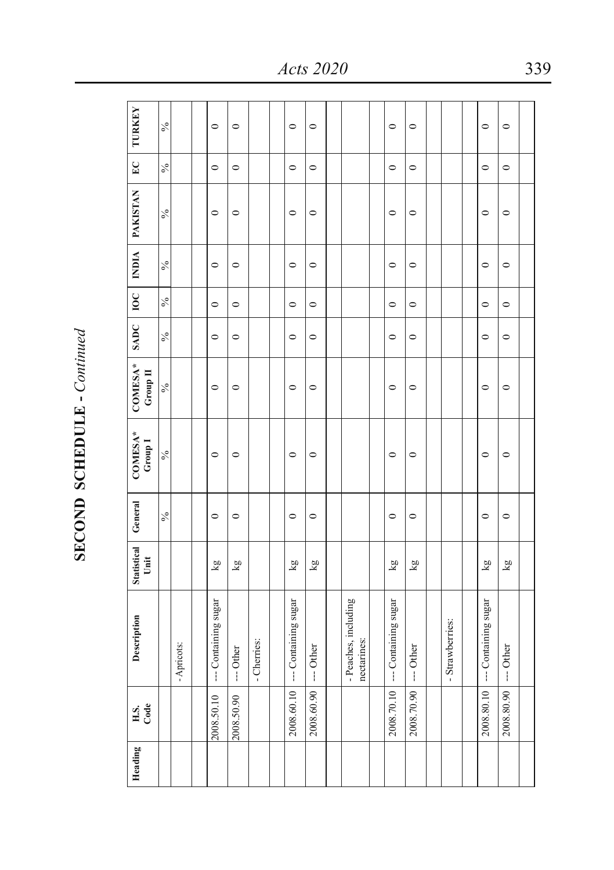| Heading | H.S.<br>Code | Description                         | <b>Statistical</b><br>Unit | General       | $COMESA*$<br>Group I | COMESA*<br>Group II | SADC          | $rac{}{10}$   | <b>NDIA</b> | <b>PAKISTAN</b> | $E_{\rm C}$   | <b>TURKEY</b> |
|---------|--------------|-------------------------------------|----------------------------|---------------|----------------------|---------------------|---------------|---------------|-------------|-----------------|---------------|---------------|
|         |              |                                     |                            | $\frac{6}{6}$ | $\frac{6}{6}$        | $\frac{6}{6}$       | $\frac{6}{6}$ | $\frac{6}{6}$ | $\%$        | $\frac{6}{6}$   | $\frac{6}{6}$ | $\frac{6}{6}$ |
|         |              | - Apricots:                         |                            |               |                      |                     |               |               |             |                 |               |               |
|         |              |                                     |                            |               |                      |                     |               |               |             |                 |               |               |
|         | 2008.50.10   | --- Containing sugar                | kg                         | $\circ$       | $\circ$              | $\circ$             | $\circ$       | $\circ$       | $\circ$     | $\circ$         | $\circ$       | $\circ$       |
|         | 2008.50.90   | -- Other                            | Σg                         | $\circ$       | $\circ$              | $\circ$             | $\circ$       | $\circ$       | $\circ$     | $\circ$         | $\circ$       | $\circ$       |
|         |              | - Cherries:                         |                            |               |                      |                     |               |               |             |                 |               |               |
|         |              |                                     |                            |               |                      |                     |               |               |             |                 |               |               |
|         | 2008.60.10   | --- Containing sugar                | $\overline{\mathbf{g}}$    | $\circ$       | $\circ$              | $\circ$             | $\circ$       | $\circ$       | $\circ$     | $\circ$         | $\circ$       | $\circ$       |
|         | 2008.60.90   | --- Other                           | kg                         | $\circ$       | $\circ$              | $\circ$             | $\circ$       | $\circ$       | $\circ$     | $\circ$         | $\circ$       | $\circ$       |
|         |              |                                     |                            |               |                      |                     |               |               |             |                 |               |               |
|         |              | - Peaches, including<br>nectarines: |                            |               |                      |                     |               |               |             |                 |               |               |
|         |              |                                     |                            |               |                      |                     |               |               |             |                 |               |               |
|         | 2008.70.10   | --- Containing sugar                | Σq                         | $\circ$       | $\circ$              | $\circ$             | $\circ$       | $\circ$       | $\circ$     | $\circ$         | $\circ$       | $\circ$       |
|         | 2008.70.90   | $--$ Other                          | $\overline{\mathbf{g}}$    | $\circ$       | $\circ$              | $\circ$             | $\circ$       | $\circ$       | $\circ$     | $\circ$         | $\circ$       | $\circ$       |
|         |              |                                     |                            |               |                      |                     |               |               |             |                 |               |               |
|         |              | - Strawberries:                     |                            |               |                      |                     |               |               |             |                 |               |               |
|         |              |                                     |                            |               |                      |                     |               |               |             |                 |               |               |
|         | 2008.80.10   | --- Containing sugar                | kg                         | $\circ$       | $\circ$              | $\circ$             | $\circ$       | $\circ$       | $\circ$     | $\circ$         | $\circ$       | $\circ$       |
|         | 2008.80.90   | $--$ Other                          | $\overline{\text{ka}}$     | $\circ$       | $\circ$              | $\circ$             | $\circ$       | $\circ$       | $\circ$     | $\circ$         | $\circ$       | $\circ$       |
|         |              |                                     |                            |               |                      |                     |               |               |             |                 |               |               |

*Acts 2020* 339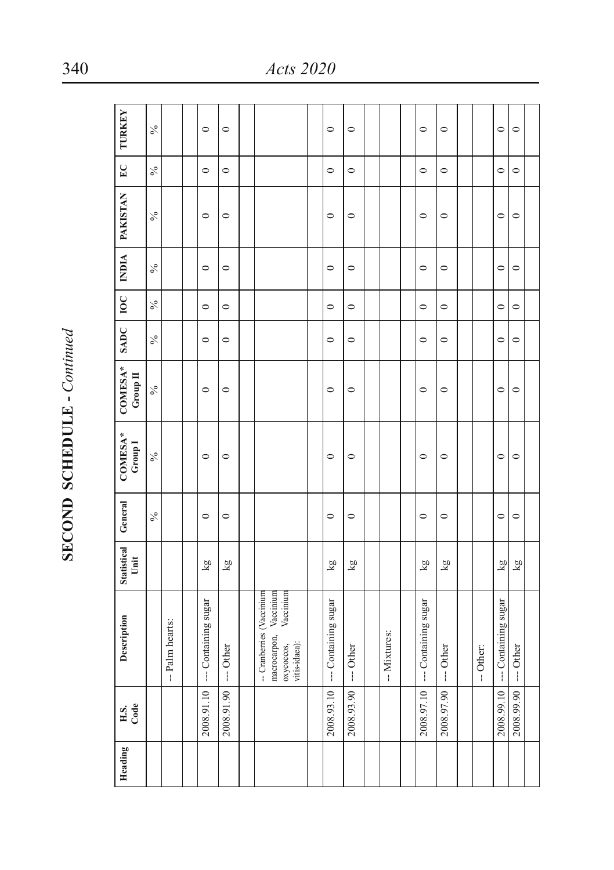| Č      |
|--------|
| ŗ      |
|        |
|        |
| ĺ      |
|        |
|        |
| ;<br>ï |
|        |

| Heading | H.S.<br>Code | Description                                                                                     | Statistical<br>Unit     | General       | COMESA*<br>Group <sub>1</sub> | COMESA*<br>Group II | SADC    | $ $ 10C | <b>NDIA</b> | <b>PAKISTAN</b> | $E_{\rm C}$   | <b>TURKEY</b> |
|---------|--------------|-------------------------------------------------------------------------------------------------|-------------------------|---------------|-------------------------------|---------------------|---------|---------|-------------|-----------------|---------------|---------------|
|         |              |                                                                                                 |                         | $\frac{6}{6}$ | $\frac{6}{6}$                 | $\frac{6}{6}$       | $\%$    | $\%$    | $\%$        | $\frac{6}{6}$   | $\frac{6}{6}$ | $\%$          |
|         |              | -- Palm hearts:                                                                                 |                         |               |                               |                     |         |         |             |                 |               |               |
|         |              |                                                                                                 |                         |               |                               |                     |         |         |             |                 |               |               |
|         | 2008.91.10   | --- Containing sugar                                                                            | $\overline{\mathbf{g}}$ | $\circ$       | $\circ$                       | $\circ$             | $\circ$ | $\circ$ | $\circ$     | $\circ$         | $\circ$       | $\circ$       |
|         | 2008.91.90   | --- Other                                                                                       | kg                      | $\circ$       | $\circ$                       | $\circ$             | $\circ$ | $\circ$ | $\circ$     | $\circ$         | $\circ$       | $\circ$       |
|         |              |                                                                                                 |                         |               |                               |                     |         |         |             |                 |               |               |
|         |              | macrocarpon, Vaccinium<br>-- Cranberries (Vaccinium<br>Vaccinium<br>vitis-idaea):<br>охусоссоs, |                         |               |                               |                     |         |         |             |                 |               |               |
|         |              |                                                                                                 |                         |               |                               |                     |         |         |             |                 |               |               |
|         | 2008.93.10   | --- Containing sugar                                                                            | Σq                      | $\circ$       | $\circ$                       | $\circ$             | $\circ$ | $\circ$ | $\circ$     | $\circ$         | $\circ$       | $\circ$       |
|         | 2008.93.90   | --- Other                                                                                       | kg                      | $\circ$       | $\circ$                       | $\circ$             | $\circ$ | $\circ$ | $\circ$     | $\circ$         | $\circ$       | $\circ$       |
|         |              |                                                                                                 |                         |               |                               |                     |         |         |             |                 |               |               |
|         |              | -- Mixtures:                                                                                    |                         |               |                               |                     |         |         |             |                 |               |               |
|         |              |                                                                                                 |                         |               |                               |                     |         |         |             |                 |               |               |
|         | 2008.97.10   | --- Containing sugar                                                                            | kg                      | $\circ$       | $\circ$                       | $\circ$             | $\circ$ | $\circ$ | $\circ$     | $\circ$         | $\circ$       | $\circ$       |
|         | 2008.97.90   | --- Other                                                                                       | Ση                      | $\circ$       | $\circ$                       | $\circ$             | $\circ$ | $\circ$ | $\circ$     | $\circ$         | $\circ$       | $\circ$       |
|         |              |                                                                                                 |                         |               |                               |                     |         |         |             |                 |               |               |
|         |              | -- Other:                                                                                       |                         |               |                               |                     |         |         |             |                 |               |               |
|         | 2008.99.10   | --- Containing sugar                                                                            | $\overline{\mathbf{g}}$ | $\circ$       | $\circ$                       | $\circ$             | $\circ$ | $\circ$ | $\circ$     | $\circ$         | $\circ$       | $\circ$       |
|         | 2008.99.90   | --- Other                                                                                       | kg                      | $\circ$       | $\circ$                       | $\circ$             | $\circ$ | $\circ$ | $\circ$     | $\circ$         | $\circ$       | $\circ$       |
|         |              |                                                                                                 |                         |               |                               |                     |         |         |             |                 |               |               |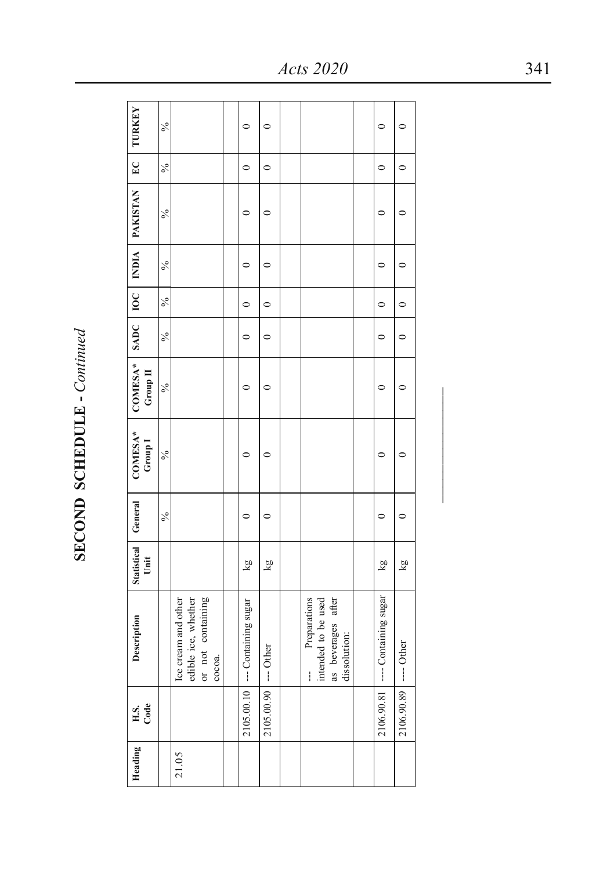| Heading | H.S.<br>Code         | Description                                                                               | Statistical General<br>Unit |               | COMESA*<br>Group I | COMESA*   SADC   IOC   INDIA   PAKISTAN<br>Group II |               |               |               |               | E             | <b>TURKEY</b> |
|---------|----------------------|-------------------------------------------------------------------------------------------|-----------------------------|---------------|--------------------|-----------------------------------------------------|---------------|---------------|---------------|---------------|---------------|---------------|
|         |                      |                                                                                           |                             | $\frac{6}{6}$ | $\frac{6}{6}$      | $\frac{6}{6}$                                       | $\frac{6}{6}$ | $\frac{6}{6}$ | $\frac{6}{6}$ | $\frac{6}{6}$ | $\frac{6}{6}$ | $\frac{6}{6}$ |
| 21.05   |                      | edible ice, whether<br>Ice cream and other<br>or not containing<br>сосоа.                 |                             |               |                    |                                                     |               |               |               |               |               |               |
|         |                      |                                                                                           |                             |               |                    |                                                     |               |               |               |               |               |               |
|         |                      | 2105.00.10   -- Containing sugar                                                          | kg                          | $\circ$       | $\circ$            | 0                                                   | $\circ$       | $\circ$       | $\circ$       | $\circ$       | $\circ$       | 0             |
|         | 2105.00.90 --- Other |                                                                                           | kg                          | $\circ$       | $\circ$            | 0                                                   | $\circ$       | $\circ$       | $\circ$       | 0             | $\circ$       | $\circ$       |
|         |                      |                                                                                           |                             |               |                    |                                                     |               |               |               |               |               |               |
|         |                      | intended to be used<br>Preparations<br>as beverages after<br>dissolution:<br>$\mathbf{I}$ |                             |               |                    |                                                     |               |               |               |               |               |               |
|         |                      |                                                                                           |                             |               |                    |                                                     |               |               |               |               |               |               |
|         | 2106.90.81           | --- Containing sugar                                                                      | kg                          | $\circ$       | ⊂                  | $\circ$                                             | $\circ$       | $\circ$       | $\circ$       | $\circ$       | $\circ$       | $\circ$       |
|         | 2106.90.89 --- Other |                                                                                           | kg                          | $\circ$       | ∊                  | 0                                                   | $\circ$       | $\circ$       | $\circ$       | $\circ$       | $\circ$       | $\circ$       |

*Acts 2020* 341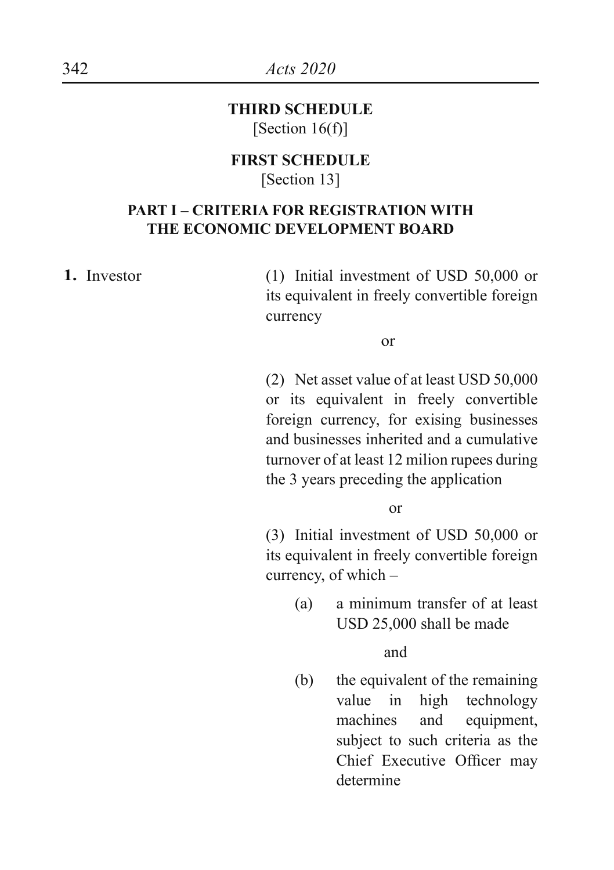**THIRD SCHEDULE** [Section 16(f)]

#### **FIRST SCHEDULE** [Section 13]

#### **PART I – CRITERIA FOR REGISTRATION WITH THE ECONOMIC DEVELOPMENT BOARD**

**1.** Investor (1) Initial investment of USD 50,000 or its equivalent in freely convertible foreign currency

or

(2) Net asset value of at least USD 50,000 or its equivalent in freely convertible foreign currency, for exising businesses and businesses inherited and a cumulative turnover of at least 12 milion rupees during the 3 years preceding the application

or

(3) Initial investment of USD 50,000 or its equivalent in freely convertible foreign currency, of which –

> (a) a minimum transfer of at least USD 25,000 shall be made

> > and

(b) the equivalent of the remaining value in high technology machines and equipment, subject to such criteria as the Chief Executive Officer may determine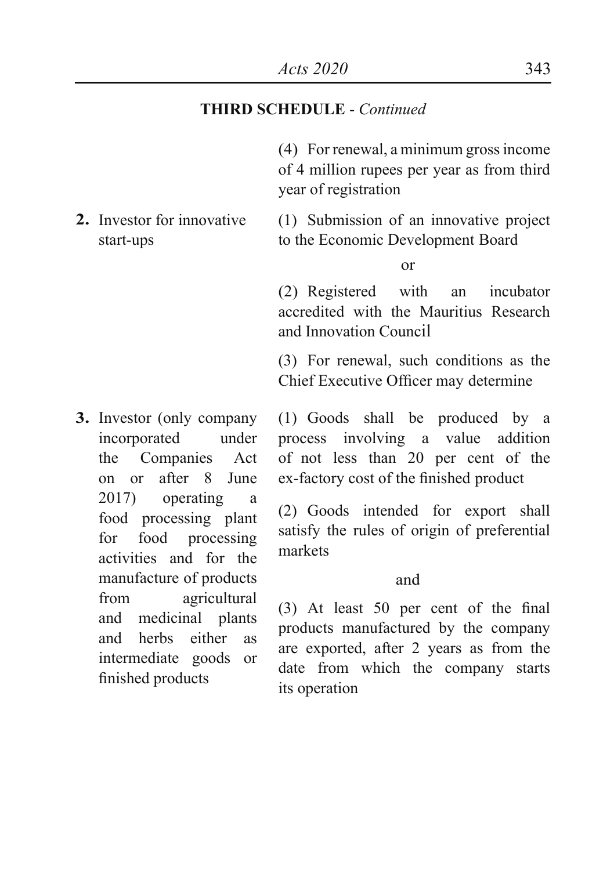(4) For renewal, a minimum gross income of 4 million rupees per year as from third year of registration

**2.** Investor for innovative start-ups (1) Submission of an innovative project to the Economic Development Board

or

(2) Registered with an incubator accredited with the Mauritius Research and Innovation Council

(3) For renewal, such conditions as the Chief Executive Officer may determine

**3.** Investor (only company incorporated under the Companies Act on or after 8 June 2017) operating a food processing plant for food processing activities and for the manufacture of products from agricultural and medicinal plants and herbs either as intermediate goods or finished products

(1) Goods shall be produced by a process involving a value addition of not less than 20 per cent of the ex-factory cost of the finished product

(2) Goods intended for export shall satisfy the rules of origin of preferential markets

#### and

(3) At least 50 per cent of the final products manufactured by the company are exported, after 2 years as from the date from which the company starts its operation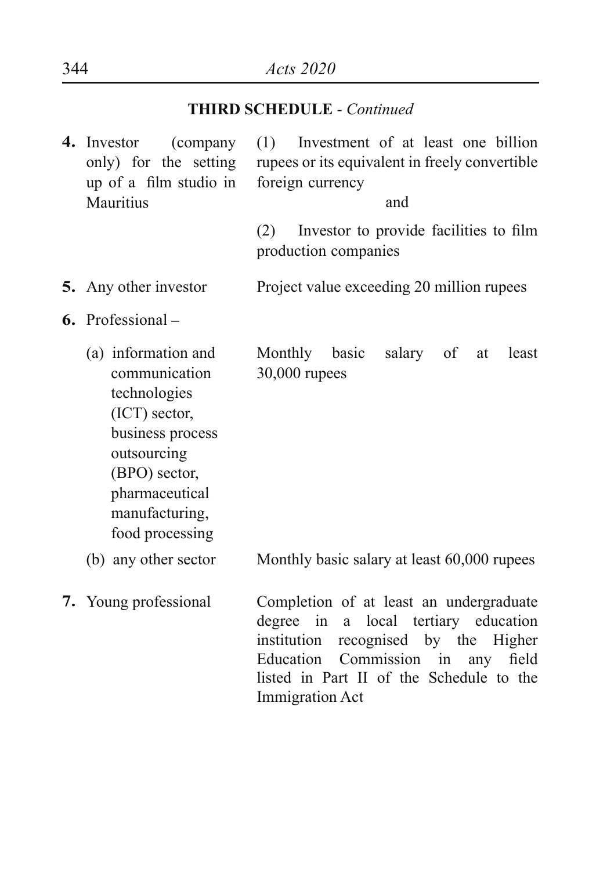**4.** Investor (company only) for the setting up of a film studio in **Mauritius** (1) Investment of at least one billion rupees or its equivalent in freely convertible foreign currency and (2) Investor to provide facilities to film production companies **5.** Any other investor Project value exceeding 20 million rupees **6.** Professional **–**  (a) information and communication technologies (ICT) sector, business process outsourcing (BPO) sector, pharmaceutical manufacturing, food processing (b) any other sector Monthly basic salary of at least 30,000 rupees Monthly basic salary at least 60,000 rupees **7.** Young professional Completion of at least an undergraduate degree in a local tertiary education institution recognised by the Higher Education Commission in any field listed in Part II of the Schedule to the Immigration Act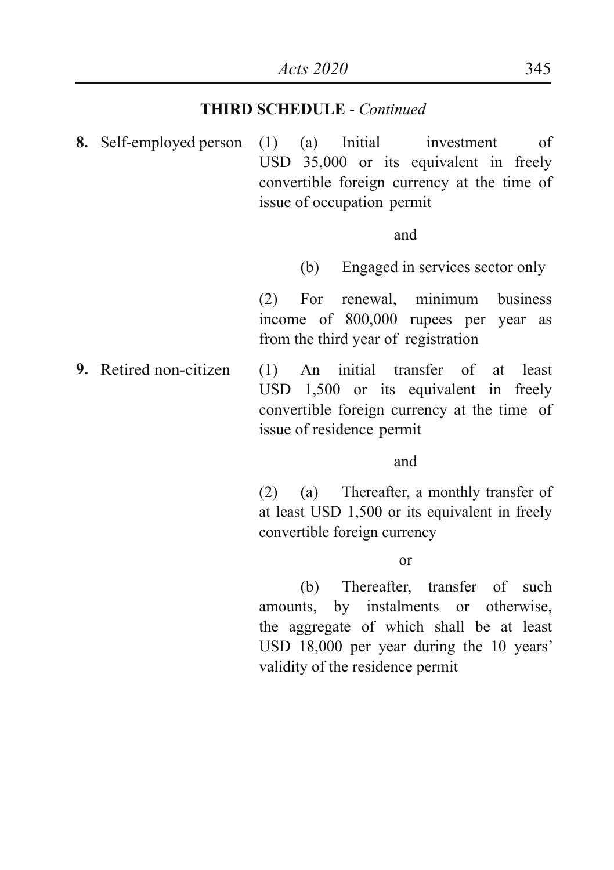**8.** Self-employed person (1) (a) Initial investment of USD 35,000 or its equivalent in freely convertible foreign currency at the time of issue of occupation permit

and

(b) Engaged in services sector only

(2) For renewal, minimum business income of 800,000 rupees per year as from the third year of registration

**9.** Retired non-citizen (1) An initial transfer of at least USD 1,500 or its equivalent in freely convertible foreign currency at the time of issue of residence permit

and

(2) (a) Thereafter, a monthly transfer of at least USD 1,500 or its equivalent in freely convertible foreign currency

or

(b) Thereafter, transfer of such amounts, by instalments or otherwise, the aggregate of which shall be at least USD 18,000 per year during the 10 years' validity of the residence permit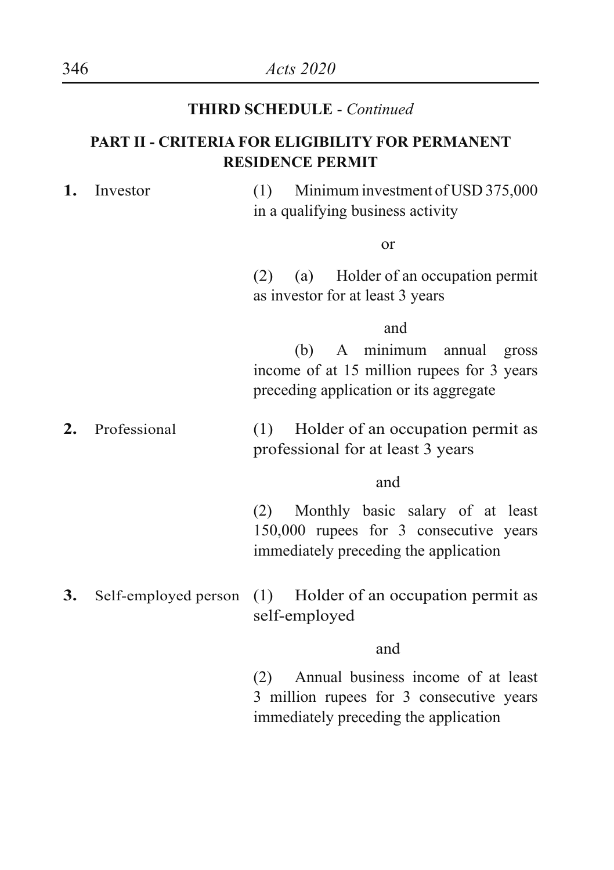#### **PART II - CRITERIA FOR ELIGIBILITY FOR PERMANENT RESIDENCE PERMIT**

**1.** Investor (1) Minimum investment of USD 375,000 in a qualifying business activity

or

(2) (a) Holder of an occupation permit as investor for at least 3 years

#### and

(b) A minimum annual gross income of at 15 million rupees for 3 years preceding application or its aggregate

**2.** Professional (1) Holder of an occupation permit as professional for at least 3 years

and

(2) Monthly basic salary of at least 150,000 rupees for 3 consecutive years immediately preceding the application

**3.** Self-employed person (1) Holder of an occupation permit as self-employed

and

(2) Annual business income of at least 3 million rupees for 3 consecutive years immediately preceding the application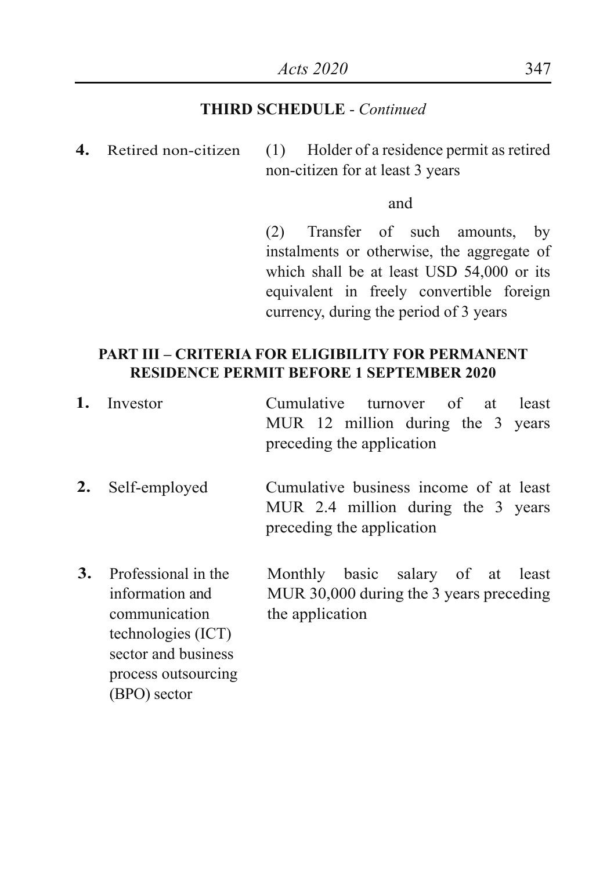**4.** Retired non-citizen (1) Holder of a residence permit as retired non-citizen for at least 3 years

and

(2) Transfer of such amounts, by instalments or otherwise, the aggregate of which shall be at least USD 54,000 or its equivalent in freely convertible foreign currency, during the period of 3 years

#### **PART III – CRITERIA FOR ELIGIBILITY FOR PERMANENT RESIDENCE PERMIT BEFORE 1 SEPTEMBER 2020**

| 1. | Investor            | Cumulative turnover of at<br>least                              |
|----|---------------------|-----------------------------------------------------------------|
|    |                     | MUR 12 million during the 3 years<br>preceding the application  |
|    |                     |                                                                 |
|    | 2. Self-employed    | Cumulative business income of at least                          |
|    |                     | MUR 2.4 million during the 3 years<br>preceding the application |
|    |                     |                                                                 |
| 3. | Professional in the | Monthly basic salary of at least                                |
|    | information and     | MUR 30,000 during the 3 years preceding                         |
|    | communication       | the application                                                 |

technologies (ICT) sector and business process outsourcing (BPO) sector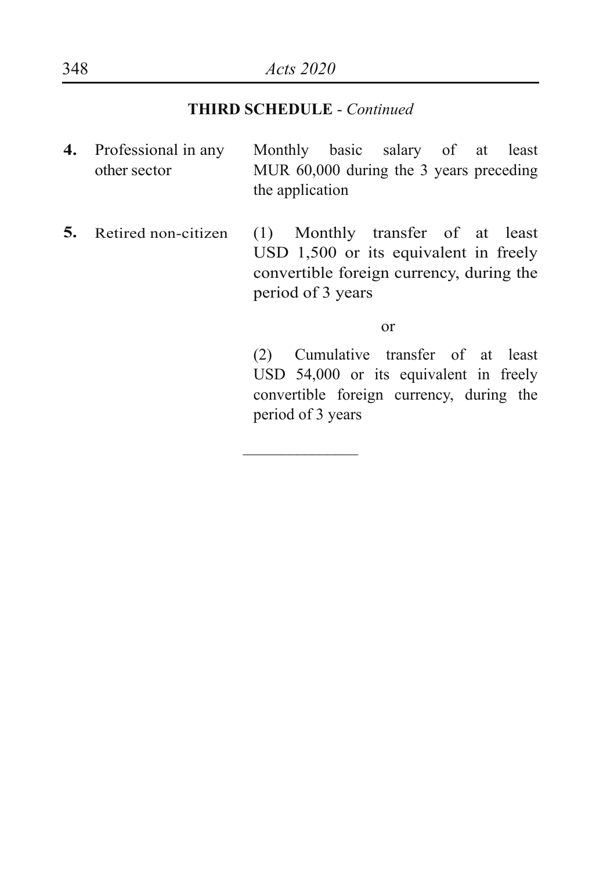- **4.** Professional in any other sector Monthly basic salary of at least MUR 60,000 during the 3 years preceding the application
- **5.** Retired non-citizen (1) Monthly transfer of at least USD 1,500 or its equivalent in freely convertible foreign currency, during the period of 3 years

 $\overline{\phantom{a}}$ 

or

(2) Cumulative transfer of at least USD 54,000 or its equivalent in freely convertible foreign currency, during the period of 3 years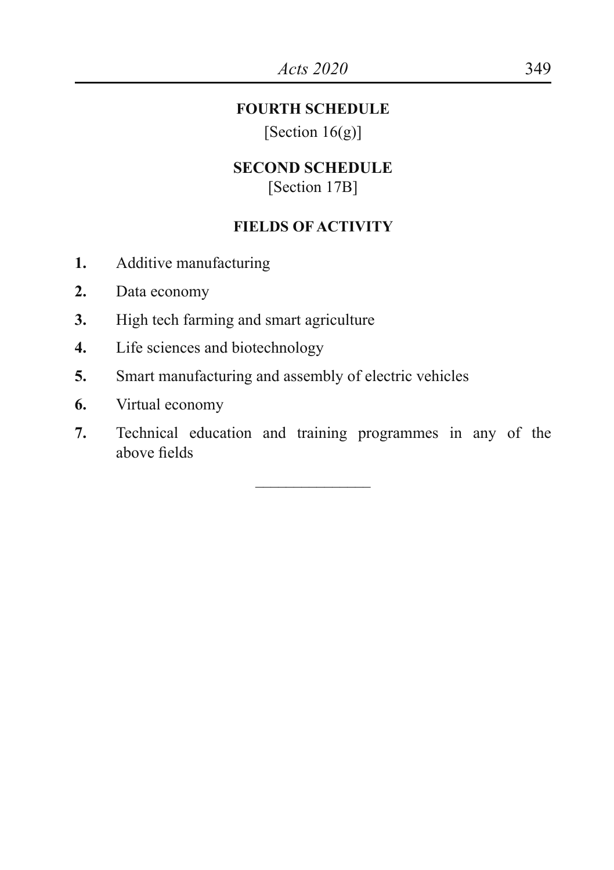#### **FOURTH SCHEDULE**

[Section  $16(g)$ ]

#### **SECOND SCHEDULE** [Section 17B]

#### **FIELDS OF ACTIVITY**

- **1.** Additive manufacturing
- **2.** Data economy
- **3.** High tech farming and smart agriculture
- **4.** Life sciences and biotechnology
- **5.** Smart manufacturing and assembly of electric vehicles
- **6.** Virtual economy
- **7.** Technical education and training programmes in any of the above fields

\_\_\_\_\_\_\_\_\_\_\_\_\_\_\_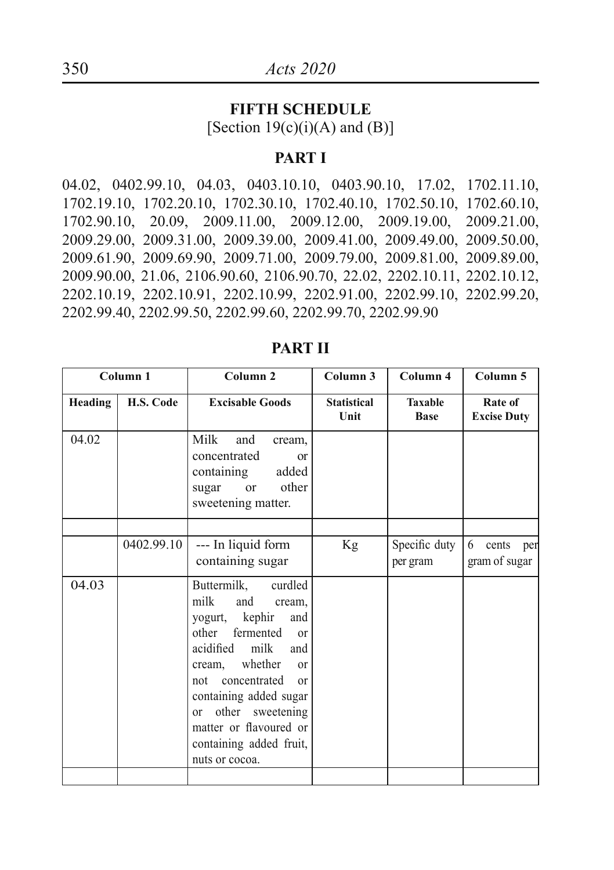#### **FIFTH SCHEDULE**

[Section  $19(c)(i)(A)$  and  $(B)$ ]

#### **PART I**

04.02, 0402.99.10, 04.03, 0403.10.10, 0403.90.10, 17.02, 1702.11.10, 1702.19.10, 1702.20.10, 1702.30.10, 1702.40.10, 1702.50.10, 1702.60.10, 1702.90.10, 20.09, 2009.11.00, 2009.12.00, 2009.19.00, 2009.21.00, 2009.29.00, 2009.31.00, 2009.39.00, 2009.41.00, 2009.49.00, 2009.50.00, 2009.61.90, 2009.69.90, 2009.71.00, 2009.79.00, 2009.81.00, 2009.89.00, 2009.90.00, 21.06, 2106.90.60, 2106.90.70, 22.02, 2202.10.11, 2202.10.12, 2202.10.19, 2202.10.91, 2202.10.99, 2202.91.00, 2202.99.10, 2202.99.20, 2202.99.40, 2202.99.50, 2202.99.60, 2202.99.70, 2202.99.90

|         | Column <sub>1</sub> | Column <sub>2</sub>                                                                                                                                                                                                                                                                                                                        | Column 3                   | Column 4                      | Column 5                      |
|---------|---------------------|--------------------------------------------------------------------------------------------------------------------------------------------------------------------------------------------------------------------------------------------------------------------------------------------------------------------------------------------|----------------------------|-------------------------------|-------------------------------|
| Heading | H.S. Code           | <b>Excisable Goods</b>                                                                                                                                                                                                                                                                                                                     | <b>Statistical</b><br>Unit | <b>Taxable</b><br><b>Base</b> | Rate of<br><b>Excise Duty</b> |
| 04.02   |                     | Milk<br>and<br>cream,<br>concentrated<br><sub>or</sub><br>containing<br>added<br>other<br><sub>or</sub><br>sugar<br>sweetening matter.                                                                                                                                                                                                     |                            |                               |                               |
|         | 0402.99.10          | --- In liquid form<br>containing sugar                                                                                                                                                                                                                                                                                                     | Kg                         | Specific duty<br>per gram     | 6 cents per<br>gram of sugar  |
| 04.03   |                     | curdled<br>Buttermilk,<br>milk<br>and<br>cream,<br>yogurt, kephir<br>and<br>fermented<br>other<br>$\alpha$<br>acidified milk<br>and<br>cream, whether<br><sub>or</sub><br>concentrated<br>not<br>$\alpha$<br>containing added sugar<br>other sweetening<br>$\alpha$<br>matter or flavoured or<br>containing added fruit,<br>nuts or cocoa. |                            |                               |                               |

#### **PART II**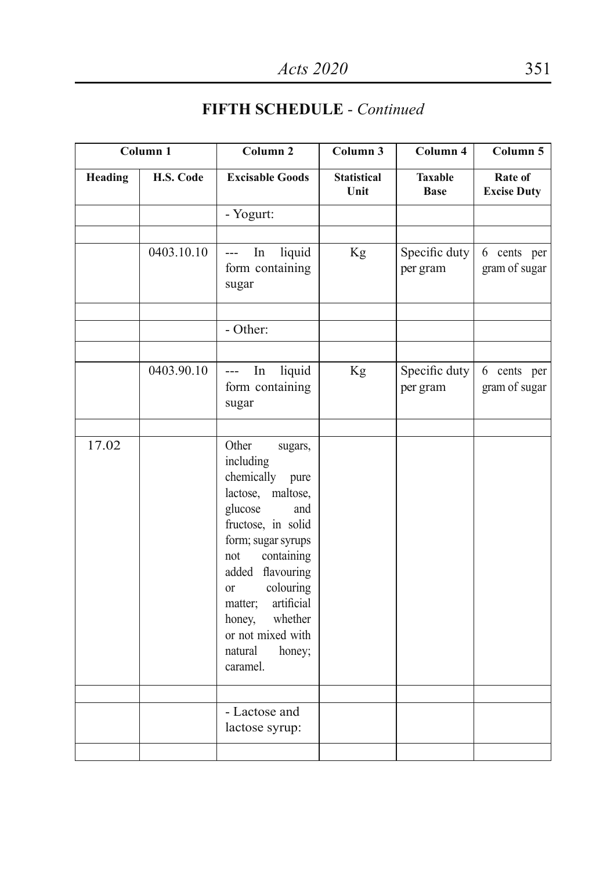|         | Column 1   | Column <sub>2</sub>                                                                                                                                                                                                                                                                                                  | Column <sub>3</sub>        | Column 4                      | Column 5                      |
|---------|------------|----------------------------------------------------------------------------------------------------------------------------------------------------------------------------------------------------------------------------------------------------------------------------------------------------------------------|----------------------------|-------------------------------|-------------------------------|
| Heading | H.S. Code  | <b>Excisable Goods</b>                                                                                                                                                                                                                                                                                               | <b>Statistical</b><br>Unit | <b>Taxable</b><br><b>Base</b> | Rate of<br><b>Excise Duty</b> |
|         |            | - Yogurt:                                                                                                                                                                                                                                                                                                            |                            |                               |                               |
|         | 0403.10.10 | liquid<br>In<br>$\overline{a}$<br>form containing<br>sugar                                                                                                                                                                                                                                                           | Kg                         | Specific duty<br>per gram     | 6 cents per<br>gram of sugar  |
|         |            | - Other:                                                                                                                                                                                                                                                                                                             |                            |                               |                               |
|         | 0403.90.10 | liquid<br>In<br>$---$<br>form containing<br>sugar                                                                                                                                                                                                                                                                    | Kg                         | Specific duty<br>per gram     | 6 cents per<br>gram of sugar  |
|         |            |                                                                                                                                                                                                                                                                                                                      |                            |                               |                               |
| 17.02   |            | Other<br>sugars,<br>including<br>chemically<br>pure<br>lactose,<br>maltose,<br>glucose<br>and<br>fructose, in solid<br>form; sugar syrups<br>containing<br>not<br>added flavouring<br>colouring<br><sub>or</sub><br>artificial<br>matter;<br>whether<br>honey,<br>or not mixed with<br>natural<br>honey;<br>caramel. |                            |                               |                               |
|         |            | - Lactose and<br>lactose syrup:                                                                                                                                                                                                                                                                                      |                            |                               |                               |
|         |            |                                                                                                                                                                                                                                                                                                                      |                            |                               |                               |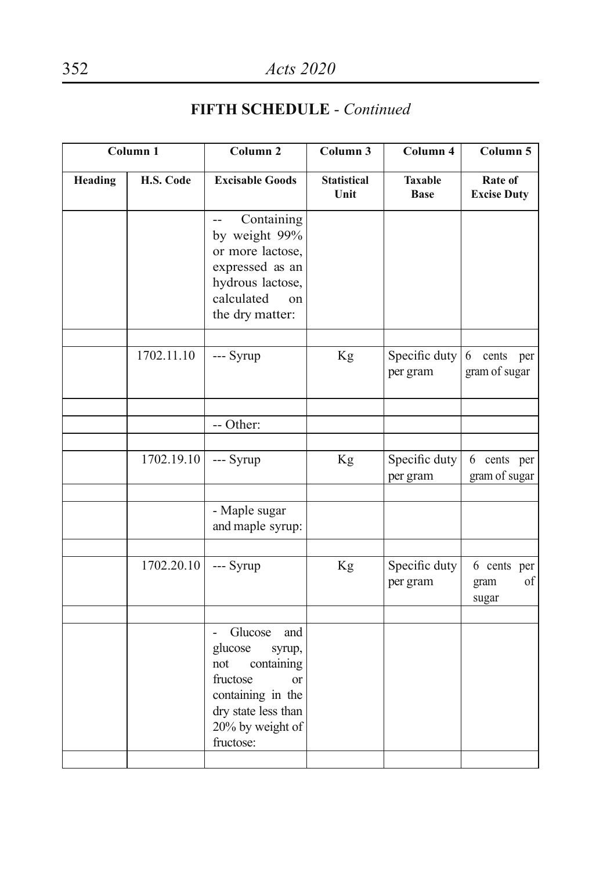| Column 1       |            | Column <sub>2</sub>                                                                                                                                                       | Column 3                   | Column 4                      | Column 5                           |
|----------------|------------|---------------------------------------------------------------------------------------------------------------------------------------------------------------------------|----------------------------|-------------------------------|------------------------------------|
| <b>Heading</b> | H.S. Code  | <b>Excisable Goods</b>                                                                                                                                                    | <b>Statistical</b><br>Unit | <b>Taxable</b><br><b>Base</b> | Rate of<br><b>Excise Duty</b>      |
|                |            | Containing<br>$-$<br>by weight 99%<br>or more lactose,<br>expressed as an<br>hydrous lactose,<br>calculated<br>on<br>the dry matter:                                      |                            |                               |                                    |
|                | 1702.11.10 | --- Syrup                                                                                                                                                                 | Kg                         | Specific duty<br>per gram     | 6<br>cents per<br>gram of sugar    |
|                |            | -- Other:                                                                                                                                                                 |                            |                               |                                    |
|                | 1702.19.10 | --- Syrup                                                                                                                                                                 | Kg                         | Specific duty<br>per gram     | 6 cents per<br>gram of sugar       |
|                |            | - Maple sugar<br>and maple syrup:                                                                                                                                         |                            |                               |                                    |
|                | 1702.20.10 | --- Syrup                                                                                                                                                                 | Kg                         | Specific duty<br>per gram     | 6 cents per<br>of<br>gram<br>sugar |
|                |            | Glucose<br>and<br>$\overline{a}$<br>glucose<br>syrup,<br>containing<br>not<br>fructose<br>or<br>containing in the<br>dry state less than<br>20% by weight of<br>fructose: |                            |                               |                                    |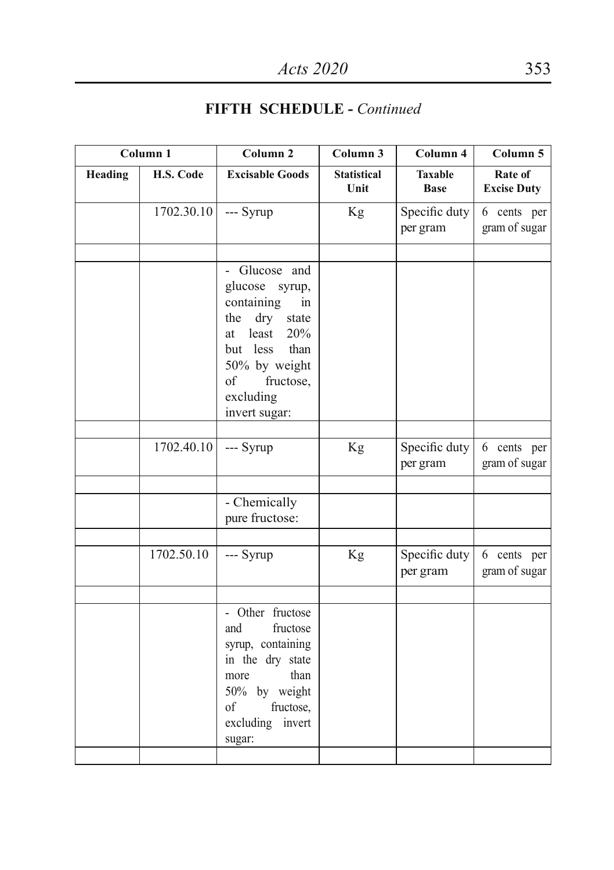| Column 1 |            | Column <sub>2</sub>                                                                                                                                                                  | Column 3                   | $\overline{\mathrm{Column}}$ 4 | Column 5                      |
|----------|------------|--------------------------------------------------------------------------------------------------------------------------------------------------------------------------------------|----------------------------|--------------------------------|-------------------------------|
| Heading  | H.S. Code  | <b>Excisable Goods</b>                                                                                                                                                               | <b>Statistical</b><br>Unit | <b>Taxable</b><br><b>Base</b>  | Rate of<br><b>Excise Duty</b> |
|          | 1702.30.10 | --- Syrup                                                                                                                                                                            | Kg                         | Specific duty<br>per gram      | 6 cents per<br>gram of sugar  |
|          |            | Glucose and<br>glucose syrup,<br>containing<br>in<br>dry<br>the<br>state<br>least<br>20%<br>at<br>but less<br>than<br>50% by weight<br>of<br>fructose,<br>excluding<br>invert sugar: |                            |                                |                               |
|          | 1702.40.10 | --- Syrup                                                                                                                                                                            | Kg                         | Specific duty<br>per gram      | 6 cents per<br>gram of sugar  |
|          |            | - Chemically<br>pure fructose:                                                                                                                                                       |                            |                                |                               |
|          | 1702.50.10 | --- Syrup                                                                                                                                                                            | Kg                         | Specific duty<br>per gram      | 6 cents per<br>gram of sugar  |
|          |            | - Other fructose<br>and<br>fructose<br>syrup, containing<br>in the dry state<br>than<br>more<br>50% by weight<br>fructose,<br>$\sigma$ f<br>excluding<br>invert<br>sugar:            |                            |                                |                               |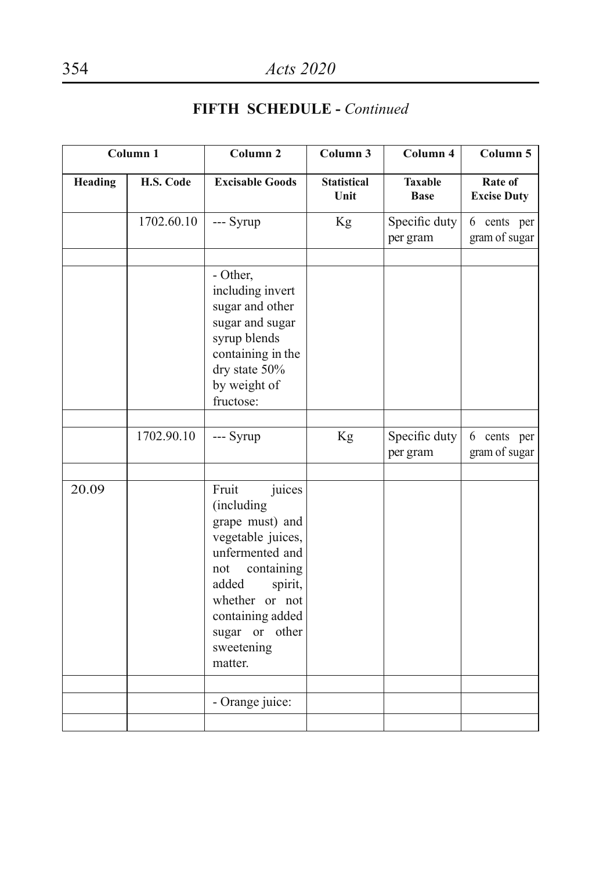| Column <sub>1</sub> |            | Column <sub>2</sub>                                                                                                                                                                                                | Column 3                   | Column 4                      | Column 5                      |
|---------------------|------------|--------------------------------------------------------------------------------------------------------------------------------------------------------------------------------------------------------------------|----------------------------|-------------------------------|-------------------------------|
| <b>Heading</b>      | H.S. Code  | <b>Excisable Goods</b>                                                                                                                                                                                             | <b>Statistical</b><br>Unit | <b>Taxable</b><br><b>Base</b> | Rate of<br><b>Excise Duty</b> |
|                     | 1702.60.10 | --- Syrup                                                                                                                                                                                                          | Kg                         | Specific duty<br>per gram     | 6 cents per<br>gram of sugar  |
|                     |            | - Other,<br>including invert<br>sugar and other<br>sugar and sugar<br>syrup blends<br>containing in the<br>dry state 50%<br>by weight of<br>fructose:                                                              |                            |                               |                               |
|                     | 1702.90.10 | --- Syrup                                                                                                                                                                                                          | Kg                         | Specific duty<br>per gram     | 6 cents per<br>gram of sugar  |
| 20.09               |            | Fruit<br>juices<br>(including<br>grape must) and<br>vegetable juices,<br>unfermented and<br>containing<br>not<br>added<br>spirit,<br>whether or not<br>containing added<br>sugar or other<br>sweetening<br>matter. |                            |                               |                               |
|                     |            | - Orange juice:                                                                                                                                                                                                    |                            |                               |                               |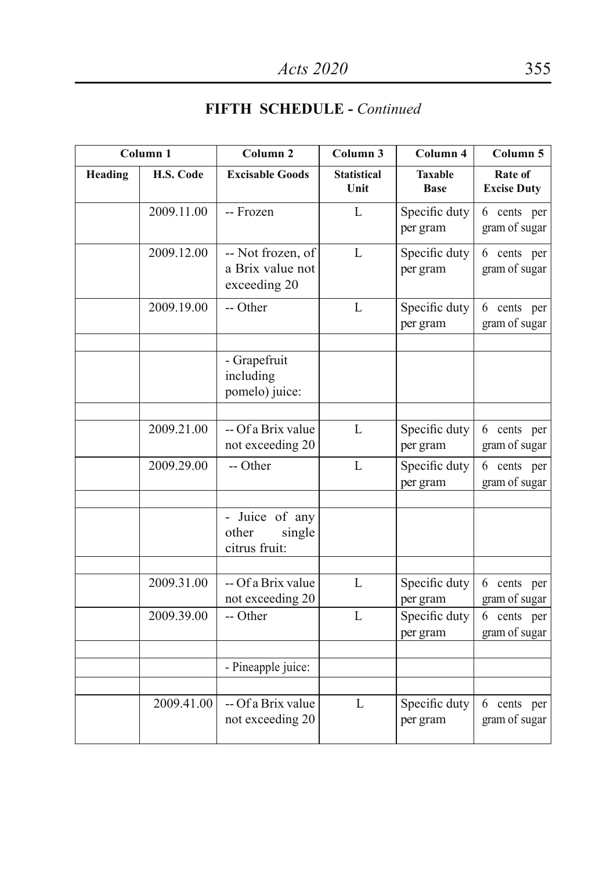|         | Column <sub>1</sub> | Column <sub>2</sub>                                   | Column 3                   | Column 4                      | Column 5                        |
|---------|---------------------|-------------------------------------------------------|----------------------------|-------------------------------|---------------------------------|
| Heading | H.S. Code           | <b>Excisable Goods</b>                                | <b>Statistical</b><br>Unit | <b>Taxable</b><br><b>Base</b> | Rate of<br><b>Excise Duty</b>   |
|         | 2009.11.00          | -- Frozen                                             | L                          | Specific duty<br>per gram     | cents per<br>6<br>gram of sugar |
|         | 2009.12.00          | -- Not frozen, of<br>a Brix value not<br>exceeding 20 | $\mathbf{L}$               | Specific duty<br>per gram     | 6 cents per<br>gram of sugar    |
|         | 2009.19.00          | -- Other                                              | L                          | Specific duty<br>per gram     | 6 cents per<br>gram of sugar    |
|         |                     | - Grapefruit<br>including<br>pomelo) juice:           |                            |                               |                                 |
|         | 2009.21.00          | -- Of a Brix value<br>not exceeding 20                | $\mathbf{L}$               | Specific duty<br>per gram     | 6 cents per<br>gram of sugar    |
|         | 2009.29.00          | -- Other                                              | L                          | Specific duty<br>per gram     | cents per<br>6<br>gram of sugar |
|         |                     | - Juice of any<br>other<br>single<br>citrus fruit:    |                            |                               |                                 |
|         | 2009.31.00          | -- Of a Brix value<br>not exceeding 20                | L                          | Specific duty<br>per gram     | 6 cents per<br>gram of sugar    |
|         | 2009.39.00          | -- Other                                              | $\mathbf{L}$               | Specific duty<br>per gram     | 6 cents per<br>gram of sugar    |
|         |                     | - Pineapple juice:                                    |                            |                               |                                 |
|         | 2009.41.00          | -- Of a Brix value<br>not exceeding 20                | $\mathbf{L}$               | Specific duty<br>per gram     | 6 cents per<br>gram of sugar    |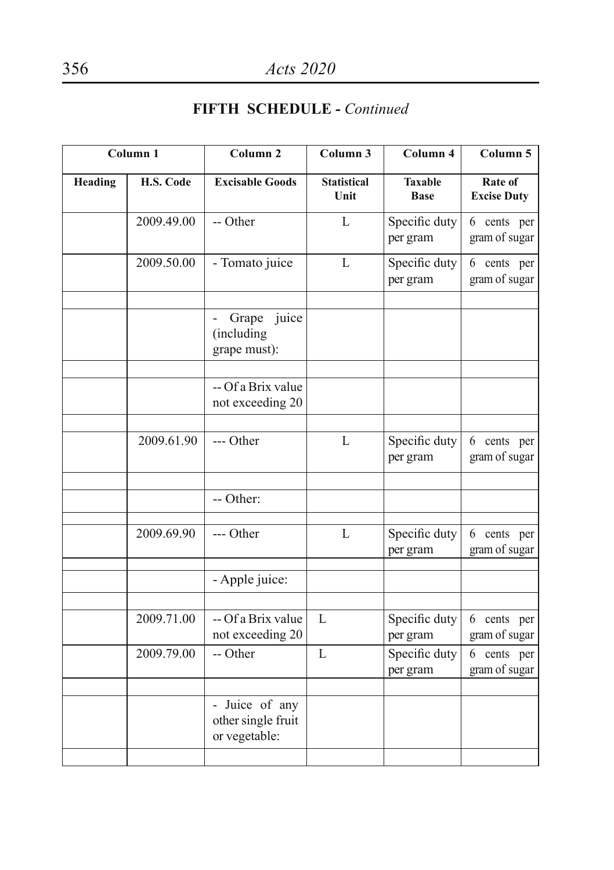|         | Column <sub>1</sub> | Column <sub>2</sub>                                   | Column 3                   | Column 4                      | Column 5                      |
|---------|---------------------|-------------------------------------------------------|----------------------------|-------------------------------|-------------------------------|
| Heading | H.S. Code           | <b>Excisable Goods</b>                                | <b>Statistical</b><br>Unit | <b>Taxable</b><br><b>Base</b> | Rate of<br><b>Excise Duty</b> |
|         | 2009.49.00          | -- Other                                              | L                          | Specific duty<br>per gram     | 6 cents per<br>gram of sugar  |
|         | 2009.50.00          | - Tomato juice                                        | L                          | Specific duty<br>per gram     | 6 cents per<br>gram of sugar  |
|         |                     | Grape<br>juice<br>(including<br>grape must):          |                            |                               |                               |
|         |                     | -- Of a Brix value<br>not exceeding 20                |                            |                               |                               |
|         | 2009.61.90          | --- Other                                             | L                          | Specific duty<br>per gram     | 6 cents per<br>gram of sugar  |
|         |                     | -- Other:                                             |                            |                               |                               |
|         | 2009.69.90          | --- Other                                             | L                          | Specific duty<br>per gram     | 6 cents per<br>gram of sugar  |
|         |                     | - Apple juice:                                        |                            |                               |                               |
|         | 2009.71.00          | -- Of a Brix value<br>not exceeding 20                | L                          | Specific duty<br>per gram     | 6 cents per<br>gram of sugar  |
|         | 2009.79.00          | -- Other                                              | L                          | Specific duty<br>per gram     | 6 cents per<br>gram of sugar  |
|         |                     | - Juice of any<br>other single fruit<br>or vegetable: |                            |                               |                               |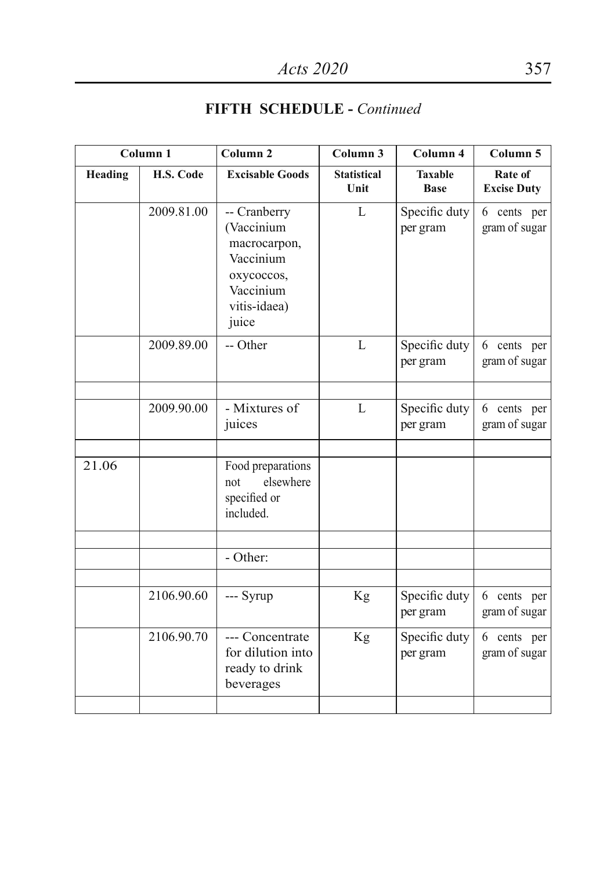|         | Column 1   | Column <sub>2</sub>                                                                                         | Column 3                   | Column 4                      | Column 5                      |
|---------|------------|-------------------------------------------------------------------------------------------------------------|----------------------------|-------------------------------|-------------------------------|
| Heading | H.S. Code  | <b>Excisable Goods</b>                                                                                      | <b>Statistical</b><br>Unit | <b>Taxable</b><br><b>Base</b> | Rate of<br><b>Excise Duty</b> |
|         | 2009.81.00 | -- Cranberry<br>(Vaccinium<br>macrocarpon,<br>Vaccinium<br>oxycoccos,<br>Vaccinium<br>vitis-idaea)<br>juice | $\mathbf{L}$               | Specific duty<br>per gram     | 6 cents per<br>gram of sugar  |
|         | 2009.89.00 | -- Other                                                                                                    | L                          | Specific duty<br>per gram     | 6 cents per<br>gram of sugar  |
|         | 2009.90.00 | - Mixtures of<br>juices                                                                                     | L                          | Specific duty<br>per gram     | 6 cents per<br>gram of sugar  |
| 21.06   |            | Food preparations<br>elsewhere<br>not<br>specified or<br>included.                                          |                            |                               |                               |
|         |            | - Other:                                                                                                    |                            |                               |                               |
|         | 2106.90.60 | --- Syrup                                                                                                   | Kg                         | Specific duty<br>per gram     | 6 cents per<br>gram of sugar  |
|         | 2106.90.70 | --- Concentrate<br>for dilution into<br>ready to drink<br>beverages                                         | Kg                         | Specific duty<br>per gram     | 6 cents per<br>gram of sugar  |
|         |            |                                                                                                             |                            |                               |                               |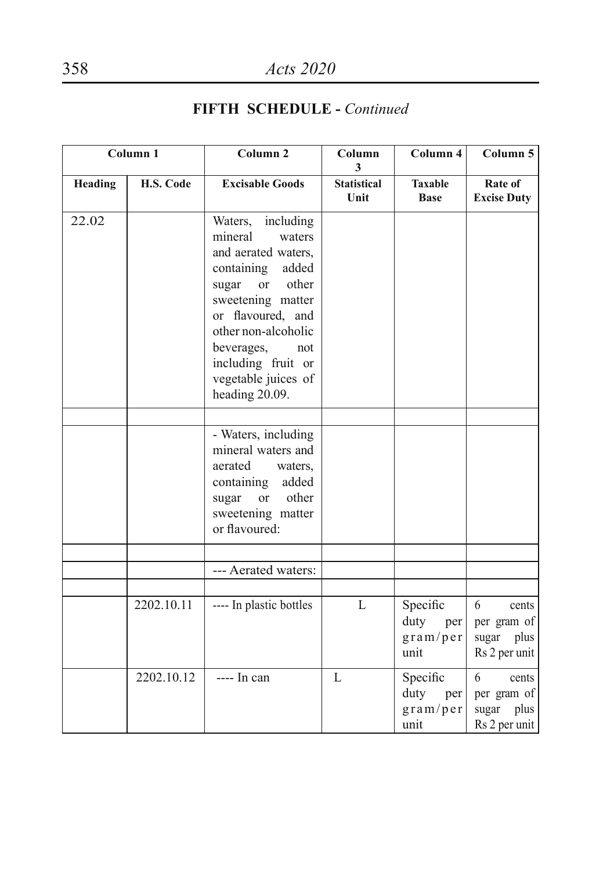|         | Column <sub>1</sub> | Column <sub>2</sub>                                                                                                                                                                                                                                                             | Column<br>3                | Column 4                                    | Column 5                                                    |
|---------|---------------------|---------------------------------------------------------------------------------------------------------------------------------------------------------------------------------------------------------------------------------------------------------------------------------|----------------------------|---------------------------------------------|-------------------------------------------------------------|
| Heading | H.S. Code           | <b>Excisable Goods</b>                                                                                                                                                                                                                                                          | <b>Statistical</b><br>Unit | <b>Taxable</b><br><b>Base</b>               | Rate of<br><b>Excise Duty</b>                               |
| 22.02   |                     | including<br>Waters,<br>mineral<br>waters<br>and aerated waters,<br>containing<br>added<br>other<br>sugar<br><sub>or</sub><br>sweetening matter<br>or flavoured, and<br>other non-alcoholic<br>beverages,<br>not<br>including fruit or<br>vegetable juices of<br>heading 20.09. |                            |                                             |                                                             |
|         |                     | - Waters, including<br>mineral waters and<br>aerated<br>waters,<br>containing<br>added<br><b>or</b><br>other<br>sugar<br>sweetening matter<br>or flavoured:                                                                                                                     |                            |                                             |                                                             |
|         |                     | --- Aerated waters:                                                                                                                                                                                                                                                             |                            |                                             |                                                             |
|         | 2202.10.11          | ---- In plastic bottles                                                                                                                                                                                                                                                         | $\mathbf{L}$               | Specific<br>duty<br>per<br>gram/per<br>unit | 6<br>cents<br>per gram of<br>sugar plus<br>Rs 2 per unit    |
|         | 2202.10.12          | ---- In can                                                                                                                                                                                                                                                                     | $\mathbf{L}$               | Specific<br>duty<br>per<br>gram/per<br>unit | 6<br>cents<br>per gram of<br>plus<br>sugar<br>Rs 2 per unit |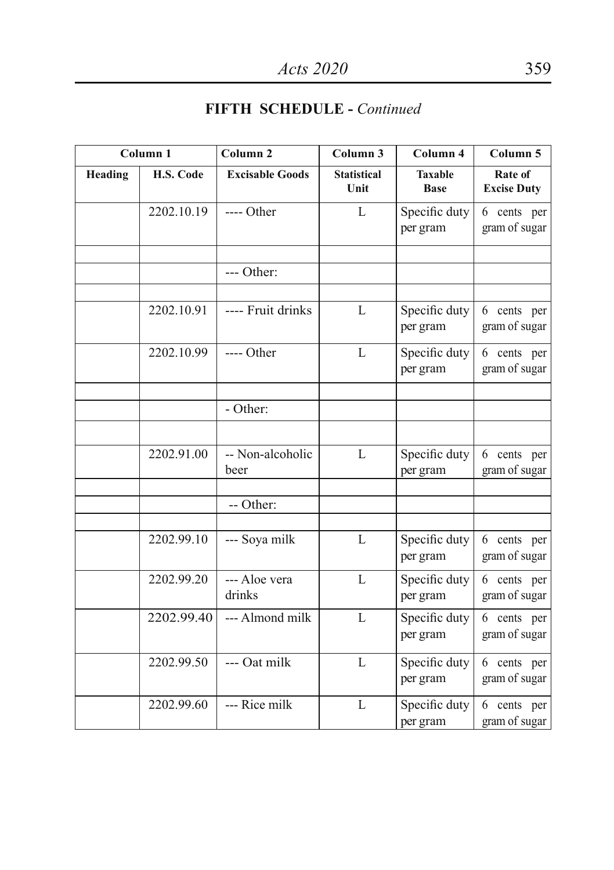|         | Column <sub>1</sub> | Column <sub>2</sub>      | Column 3                   | Column 4                      | Column 5                      |
|---------|---------------------|--------------------------|----------------------------|-------------------------------|-------------------------------|
| Heading | H.S. Code           | <b>Excisable Goods</b>   | <b>Statistical</b><br>Unit | <b>Taxable</b><br><b>Base</b> | Rate of<br><b>Excise Duty</b> |
|         | 2202.10.19          | $---$ Other              | $\mathbf{L}$               | Specific duty<br>per gram     | 6 cents per<br>gram of sugar  |
|         |                     | $--- Other:$             |                            |                               |                               |
|         | 2202.10.91          | ---- Fruit drinks        | $\mathbf{L}$               | Specific duty<br>per gram     | 6 cents per<br>gram of sugar  |
|         | 2202.10.99          | ---- Other               | L                          | Specific duty<br>per gram     | 6 cents per<br>gram of sugar  |
|         |                     | - Other:                 |                            |                               |                               |
|         | 2202.91.00          | -- Non-alcoholic<br>beer | $\mathbf{L}$               | Specific duty<br>per gram     | 6 cents per<br>gram of sugar  |
|         |                     | -- Other:                |                            |                               |                               |
|         | 2202.99.10          | --- Soya milk            | $\mathbf{L}$               | Specific duty<br>per gram     | 6 cents per<br>gram of sugar  |
|         | 2202.99.20          | --- Aloe vera<br>drinks  | $\mathbf{L}$               | Specific duty<br>per gram     | 6 cents per<br>gram of sugar  |
|         | 2202.99.40          | --- Almond milk          | $\mathbf{L}$               | Specific duty<br>per gram     | 6 cents per<br>gram of sugar  |
|         | 2202.99.50          | --- Oat milk             | $\mathbf{L}$               | Specific duty<br>per gram     | 6 cents per<br>gram of sugar  |
|         | 2202.99.60          | --- Rice milk            | $\mathbf{L}$               | Specific duty<br>per gram     | 6 cents per<br>gram of sugar  |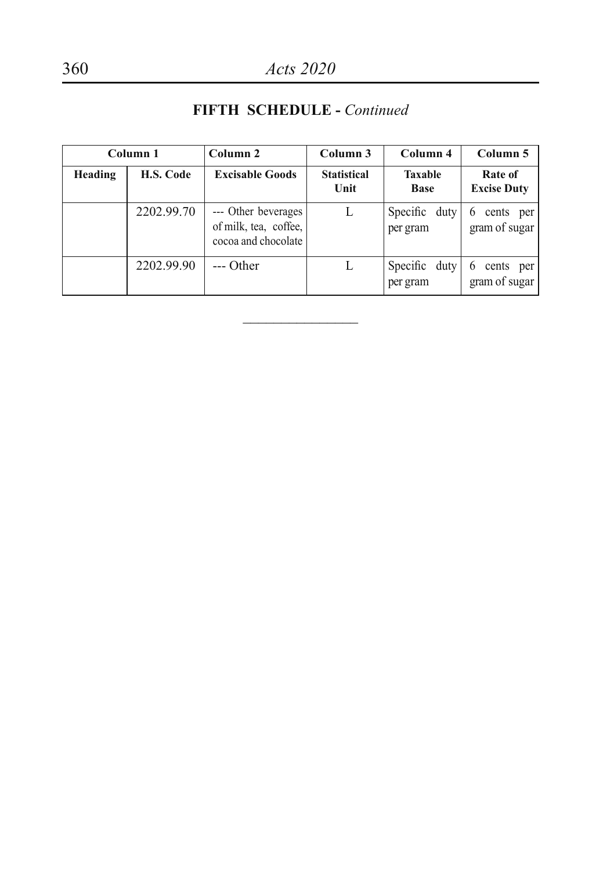#### **Column 1 Column 2 Column 3 Column 4 Column 5 Heading H.S. Code Excisable Goods Statistical Unit Taxable Base Rate of Excise Duty** 2202.99.70 --- Other beverages of milk, tea, coffee, cocoa and chocolate L Specific duty per gram 6 cents per gram of sugar 2202.99.90 --- Other L Specific duty per gram 6 cents per gram of sugar

 $\overline{\phantom{a}}$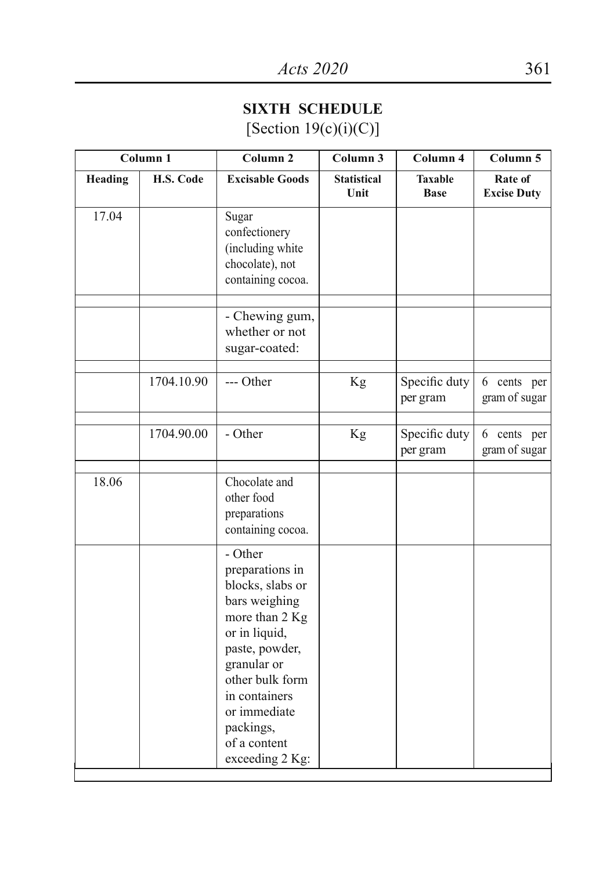### **SIXTH SCHEDULE** [Section  $19(c)(i)(C)$ ]

|                | Column <sub>1</sub> | Column <sub>2</sub>                                                                                                                                                                                                                     | Column 3                   | Column 4                      | Column 5                        |
|----------------|---------------------|-----------------------------------------------------------------------------------------------------------------------------------------------------------------------------------------------------------------------------------------|----------------------------|-------------------------------|---------------------------------|
| <b>Heading</b> | H.S. Code           | <b>Excisable Goods</b>                                                                                                                                                                                                                  | <b>Statistical</b><br>Unit | <b>Taxable</b><br><b>Base</b> | Rate of<br><b>Excise Duty</b>   |
| 17.04          |                     | Sugar<br>confectionery<br>(including white<br>chocolate), not<br>containing cocoa.                                                                                                                                                      |                            |                               |                                 |
|                |                     | - Chewing gum,<br>whether or not<br>sugar-coated:                                                                                                                                                                                       |                            |                               |                                 |
|                | 1704.10.90          | --- Other                                                                                                                                                                                                                               | Kg                         | Specific duty<br>per gram     | 6<br>cents per<br>gram of sugar |
|                | 1704.90.00          | - Other                                                                                                                                                                                                                                 | Kg                         | Specific duty<br>per gram     | 6 cents per<br>gram of sugar    |
| 18.06          |                     | Chocolate and<br>other food<br>preparations<br>containing cocoa.                                                                                                                                                                        |                            |                               |                                 |
|                |                     | - Other<br>preparations in<br>blocks, slabs or<br>bars weighing<br>more than 2 Kg<br>or in liquid,<br>paste, powder,<br>granular or<br>other bulk form<br>in containers<br>or immediate<br>packings,<br>of a content<br>exceeding 2 Kg: |                            |                               |                                 |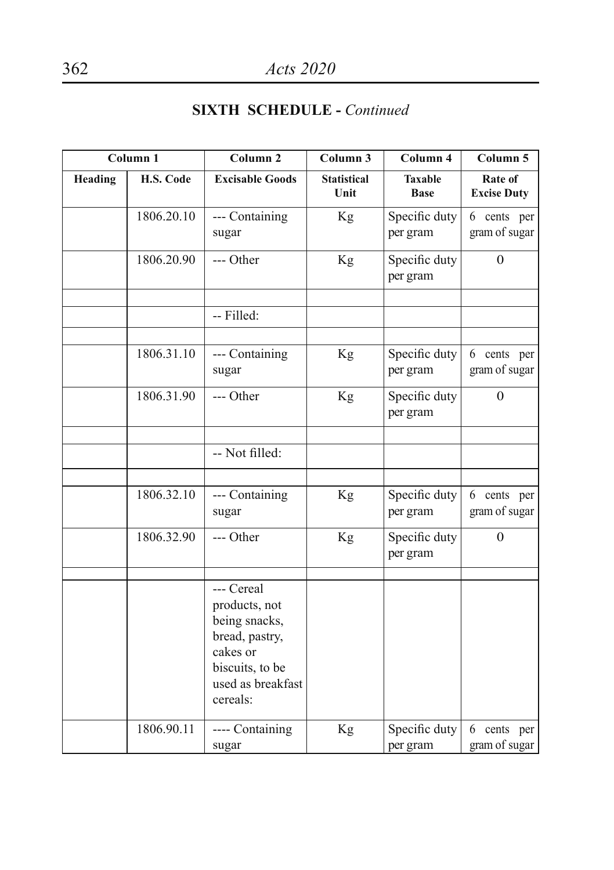|         | Column <sub>1</sub> | Column <sub>2</sub>                                                                                                            | Column <sub>3</sub>        | Column 4                      | Column 5                             |
|---------|---------------------|--------------------------------------------------------------------------------------------------------------------------------|----------------------------|-------------------------------|--------------------------------------|
| Heading | H.S. Code           | <b>Excisable Goods</b>                                                                                                         | <b>Statistical</b><br>Unit | <b>Taxable</b><br><b>Base</b> | <b>Rate of</b><br><b>Excise Duty</b> |
|         | 1806.20.10          | --- Containing<br>sugar                                                                                                        | Kg                         | Specific duty<br>per gram     | 6 cents per<br>gram of sugar         |
|         | 1806.20.90          | --- Other                                                                                                                      | Kg                         | Specific duty<br>per gram     | $\theta$                             |
|         |                     | -- Filled:                                                                                                                     |                            |                               |                                      |
|         | 1806.31.10          | --- Containing<br>sugar                                                                                                        | Kg                         | Specific duty<br>per gram     | 6 cents per<br>gram of sugar         |
|         | 1806.31.90          | --- Other                                                                                                                      | Kg                         | Specific duty<br>per gram     | $\theta$                             |
|         |                     | -- Not filled:                                                                                                                 |                            |                               |                                      |
|         | 1806.32.10          | --- Containing<br>sugar                                                                                                        | Kg                         | Specific duty<br>per gram     | 6 cents per<br>gram of sugar         |
|         | 1806.32.90          | --- Other                                                                                                                      | Kg                         | Specific duty<br>per gram     | $\Omega$                             |
|         |                     | --- Cereal<br>products, not<br>being snacks,<br>bread, pastry,<br>cakes or<br>biscuits, to be<br>used as breakfast<br>cereals: |                            |                               |                                      |
|         | 1806.90.11          | ---- Containing<br>sugar                                                                                                       | Kg                         | Specific duty<br>per gram     | 6 cents per<br>gram of sugar         |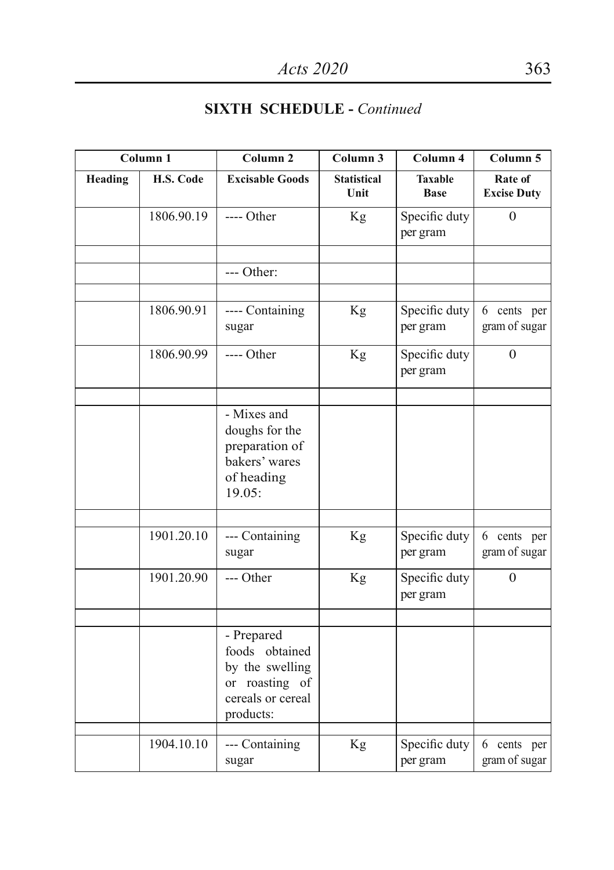|                | Column 1   | Column <sub>2</sub>                                                                                 | Column 3                   | Column 4                      | Column 5                        |
|----------------|------------|-----------------------------------------------------------------------------------------------------|----------------------------|-------------------------------|---------------------------------|
| <b>Heading</b> | H.S. Code  | <b>Excisable Goods</b>                                                                              | <b>Statistical</b><br>Unit | <b>Taxable</b><br><b>Base</b> | Rate of<br><b>Excise Duty</b>   |
|                | 1806.90.19 | $---$ Other                                                                                         | Kg                         | Specific duty<br>per gram     | $\theta$                        |
|                |            | --- Other:                                                                                          |                            |                               |                                 |
|                | 1806.90.91 | ---- Containing<br>sugar                                                                            | Kg                         | Specific duty<br>per gram     | 6 cents per<br>gram of sugar    |
|                | 1806.90.99 | $---$ Other                                                                                         | Kg                         | Specific duty<br>per gram     | $\theta$                        |
|                |            | - Mixes and<br>doughs for the<br>preparation of<br>bakers' wares<br>of heading<br>19.05:            |                            |                               |                                 |
|                | 1901.20.10 | --- Containing<br>sugar                                                                             | Kg                         | Specific duty<br>per gram     | 6 cents per<br>gram of sugar    |
|                | 1901.20.90 | --- Other                                                                                           | Kg                         | Specific duty<br>per gram     | $\mathbf{0}$                    |
|                |            | - Prepared<br>foods obtained<br>by the swelling<br>or roasting of<br>cereals or cereal<br>products: |                            |                               |                                 |
|                | 1904.10.10 | --- Containing<br>sugar                                                                             | Kg                         | Specific duty<br>per gram     | 6<br>cents per<br>gram of sugar |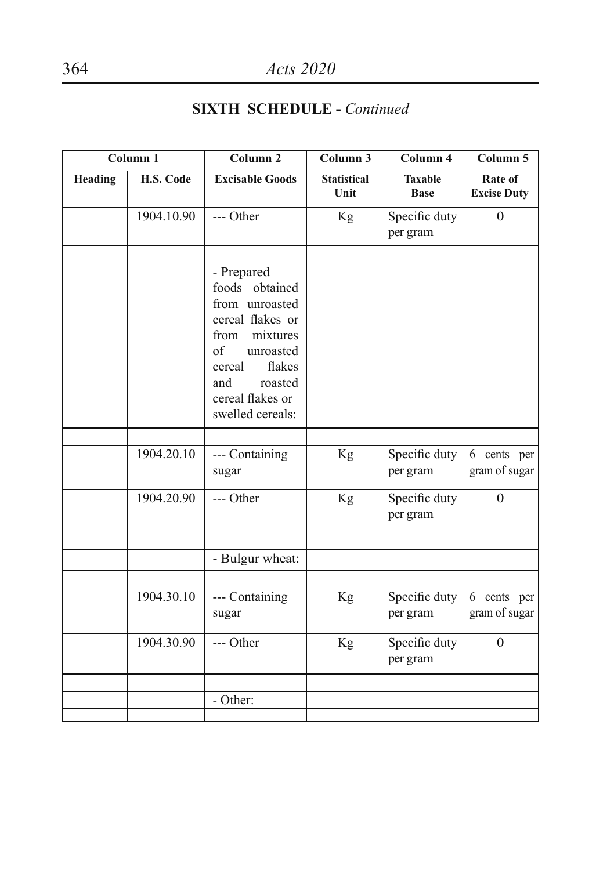|         | Column 1   | Column <sub>2</sub>                                                                                                                                                                     | Column <sub>3</sub>        | Column 4                      | Column 5                      |
|---------|------------|-----------------------------------------------------------------------------------------------------------------------------------------------------------------------------------------|----------------------------|-------------------------------|-------------------------------|
| Heading | H.S. Code  | <b>Excisable Goods</b>                                                                                                                                                                  | <b>Statistical</b><br>Unit | <b>Taxable</b><br><b>Base</b> | Rate of<br><b>Excise Duty</b> |
|         | 1904.10.90 | --- Other                                                                                                                                                                               | Kg                         | Specific duty<br>per gram     | $\theta$                      |
|         |            | - Prepared<br>foods obtained<br>from unroasted<br>cereal flakes or<br>from<br>mixtures<br>of<br>unroasted<br>flakes<br>cereal<br>and<br>roasted<br>cereal flakes or<br>swelled cereals: |                            |                               |                               |
|         | 1904.20.10 | --- Containing<br>sugar                                                                                                                                                                 | Kg                         | Specific duty<br>per gram     | 6 cents per<br>gram of sugar  |
|         | 1904.20.90 | --- Other                                                                                                                                                                               | Kg                         | Specific duty<br>per gram     | $\theta$                      |
|         |            | - Bulgur wheat:                                                                                                                                                                         |                            |                               |                               |
|         | 1904.30.10 | --- Containing<br>sugar                                                                                                                                                                 | Kg                         | Specific duty<br>per gram     | 6 cents per<br>gram of sugar  |
|         | 1904.30.90 | --- Other                                                                                                                                                                               | Kg                         | Specific duty<br>per gram     | $\theta$                      |
|         |            | - Other:                                                                                                                                                                                |                            |                               |                               |
|         |            |                                                                                                                                                                                         |                            |                               |                               |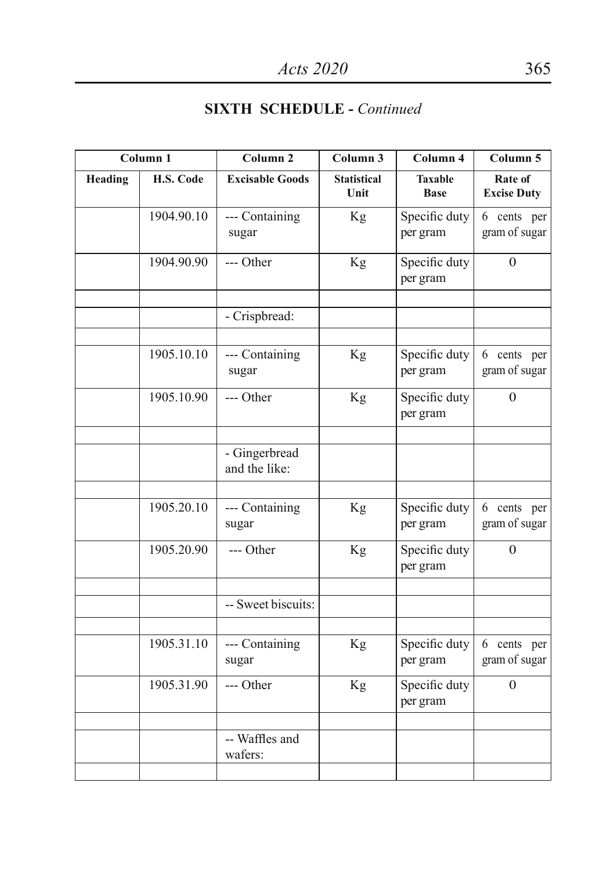|                | Column 1   | Column <sub>2</sub>            | Column 3                   | Column 4                      | Column 5                      |
|----------------|------------|--------------------------------|----------------------------|-------------------------------|-------------------------------|
| <b>Heading</b> | H.S. Code  | <b>Excisable Goods</b>         | <b>Statistical</b><br>Unit | <b>Taxable</b><br><b>Base</b> | Rate of<br><b>Excise Duty</b> |
|                | 1904.90.10 | --- Containing<br>sugar        | Kg                         | Specific duty<br>per gram     | 6 cents per<br>gram of sugar  |
|                | 1904.90.90 | --- Other                      | Kg                         | Specific duty<br>per gram     | $\theta$                      |
|                |            | - Crispbread:                  |                            |                               |                               |
|                | 1905.10.10 | --- Containing<br>sugar        | Kg                         | Specific duty<br>per gram     | 6 cents per<br>gram of sugar  |
|                | 1905.10.90 | --- Other                      | Kg                         | Specific duty<br>per gram     | $\mathbf{0}$                  |
|                |            | - Gingerbread<br>and the like: |                            |                               |                               |
|                | 1905.20.10 | --- Containing<br>sugar        | Kg                         | Specific duty<br>per gram     | 6 cents per<br>gram of sugar  |
|                | 1905.20.90 | --- Other                      | Kg                         | Specific duty<br>per gram     | $\overline{0}$                |
|                |            | -- Sweet biscuits:             |                            |                               |                               |
|                | 1905.31.10 | --- Containing<br>sugar        | Kg                         | Specific duty<br>per gram     | 6 cents per<br>gram of sugar  |
|                | 1905.31.90 | --- Other                      | Kg                         | Specific duty<br>per gram     | $\overline{0}$                |
|                |            | -- Waffles and<br>wafers:      |                            |                               |                               |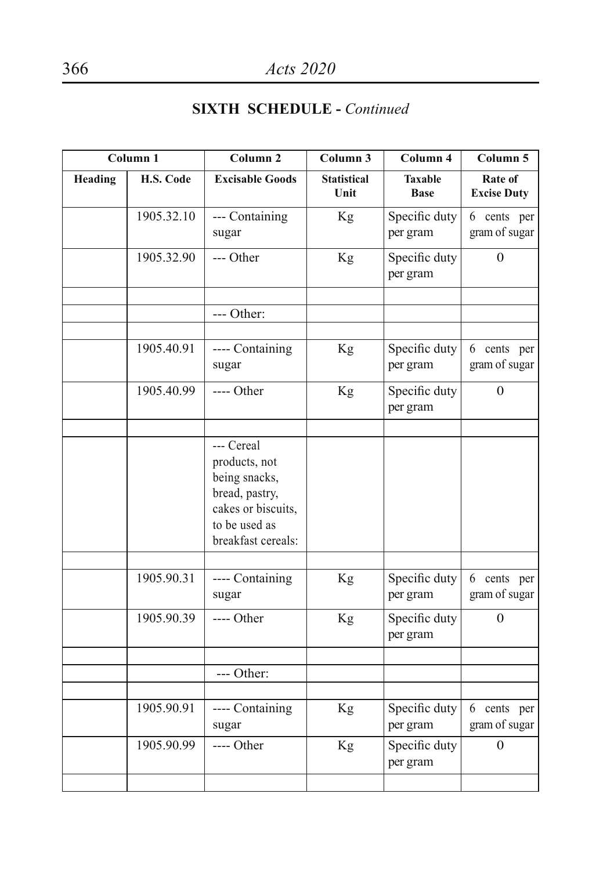|         | Column 1   | Column <sub>2</sub>                                                                                                         | Column 3                   | Column 4                      | Column 5                      |
|---------|------------|-----------------------------------------------------------------------------------------------------------------------------|----------------------------|-------------------------------|-------------------------------|
| Heading | H.S. Code  | <b>Excisable Goods</b>                                                                                                      | <b>Statistical</b><br>Unit | <b>Taxable</b><br><b>Base</b> | Rate of<br><b>Excise Duty</b> |
|         | 1905.32.10 | --- Containing<br>sugar                                                                                                     | Kg                         | Specific duty<br>per gram     | 6 cents per<br>gram of sugar  |
|         | 1905.32.90 | --- Other                                                                                                                   | Kg                         | Specific duty<br>per gram     | $\overline{0}$                |
|         |            | $--- Other:$                                                                                                                |                            |                               |                               |
|         | 1905.40.91 | ---- Containing<br>sugar                                                                                                    | Kg                         | Specific duty<br>per gram     | 6 cents per<br>gram of sugar  |
|         | 1905.40.99 | ---- Other                                                                                                                  | Kg                         | Specific duty<br>per gram     | $\overline{0}$                |
|         |            | --- Cereal<br>products, not<br>being snacks,<br>bread, pastry,<br>cakes or biscuits,<br>to be used as<br>breakfast cereals: |                            |                               |                               |
|         | 1905.90.31 | ---- Containing<br>sugar                                                                                                    | Kg                         | Specific duty<br>per gram     | 6 cents per<br>gram of sugar  |
|         | 1905.90.39 | $---$ Other                                                                                                                 | Kg                         | Specific duty<br>per gram     | $\Omega$                      |
|         |            | $--- Other:$                                                                                                                |                            |                               |                               |
|         | 1905.90.91 | ---- Containing<br>sugar                                                                                                    | Kg                         | Specific duty<br>per gram     | 6 cents per<br>gram of sugar  |
|         | 1905.90.99 | $---$ Other                                                                                                                 | Kg                         | Specific duty<br>per gram     | 0                             |
|         |            |                                                                                                                             |                            |                               |                               |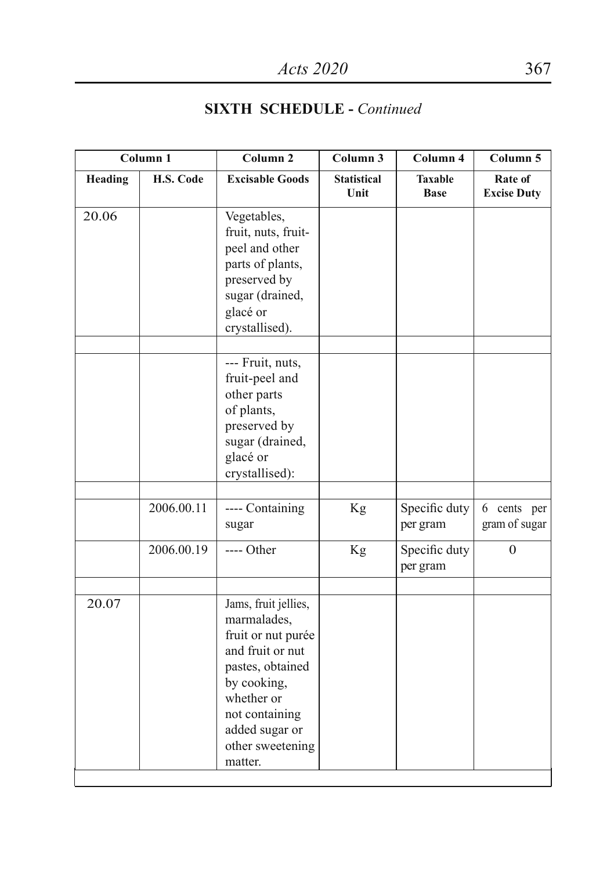|         | Column 1   | Column 2                                                                                                                                                                                          | Column 3                   | Column 4                      | Column 5                        |
|---------|------------|---------------------------------------------------------------------------------------------------------------------------------------------------------------------------------------------------|----------------------------|-------------------------------|---------------------------------|
| Heading | H.S. Code  | <b>Excisable Goods</b>                                                                                                                                                                            | <b>Statistical</b><br>Unit | <b>Taxable</b><br><b>Base</b> | Rate of<br><b>Excise Duty</b>   |
| 20.06   |            | Vegetables,<br>fruit, nuts, fruit-<br>peel and other<br>parts of plants,<br>preserved by<br>sugar (drained,<br>glacé or<br>crystallised).                                                         |                            |                               |                                 |
|         |            | --- Fruit, nuts,<br>fruit-peel and<br>other parts<br>of plants,<br>preserved by<br>sugar (drained,<br>glacé or<br>crystallised):                                                                  |                            |                               |                                 |
|         | 2006.00.11 | ---- Containing<br>sugar                                                                                                                                                                          | Kg                         | Specific duty<br>per gram     | cents per<br>6<br>gram of sugar |
|         | 2006.00.19 | ---- Other                                                                                                                                                                                        | Kg                         | Specific duty<br>per gram     | $\Omega$                        |
| 20.07   |            | Jams, fruit jellies,<br>marmalades,<br>fruit or nut purée<br>and fruit or nut<br>pastes, obtained<br>by cooking,<br>whether or<br>not containing<br>added sugar or<br>other sweetening<br>matter. |                            |                               |                                 |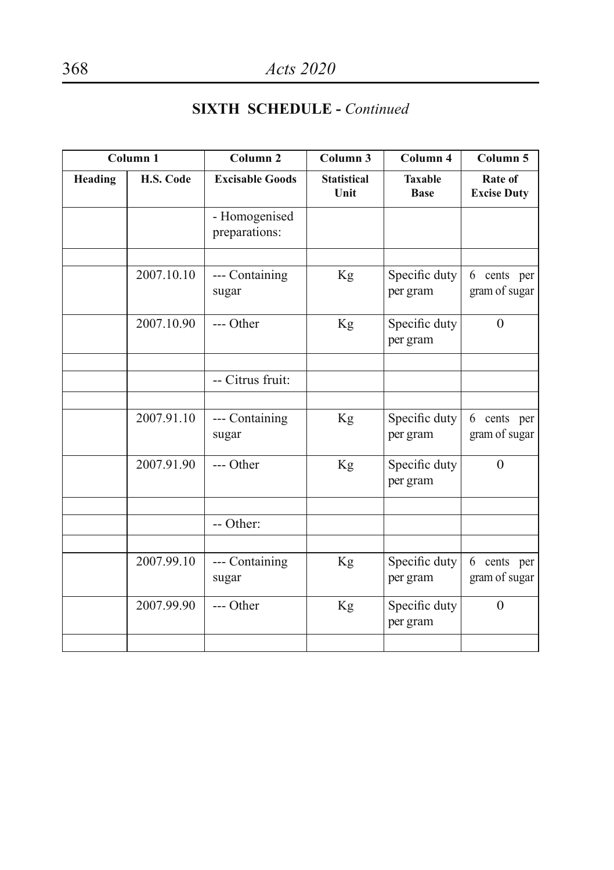| Column <sub>1</sub> |            | Column <sub>2</sub>            | Column 3                   | Column 4                      | Column 5                      |
|---------------------|------------|--------------------------------|----------------------------|-------------------------------|-------------------------------|
| Heading             | H.S. Code  | <b>Excisable Goods</b>         | <b>Statistical</b><br>Unit | <b>Taxable</b><br><b>Base</b> | Rate of<br><b>Excise Duty</b> |
|                     |            | - Homogenised<br>preparations: |                            |                               |                               |
|                     |            |                                |                            |                               |                               |
|                     | 2007.10.10 | --- Containing<br>sugar        | Kg                         | Specific duty<br>per gram     | 6 cents per<br>gram of sugar  |
|                     | 2007.10.90 | --- Other                      | Kg                         | Specific duty<br>per gram     | $\Omega$                      |
|                     |            |                                |                            |                               |                               |
|                     |            | -- Citrus fruit:               |                            |                               |                               |
|                     |            |                                |                            |                               |                               |
|                     | 2007.91.10 | --- Containing<br>sugar        | Kg                         | Specific duty<br>per gram     | 6 cents per<br>gram of sugar  |
|                     | 2007.91.90 | --- Other                      | Kg                         | Specific duty<br>per gram     | $\Omega$                      |
|                     |            |                                |                            |                               |                               |
|                     |            | -- Other:                      |                            |                               |                               |
|                     |            |                                |                            |                               |                               |
|                     | 2007.99.10 | --- Containing<br>sugar        | Kg                         | Specific duty<br>per gram     | 6 cents per<br>gram of sugar  |
|                     | 2007.99.90 | --- Other                      | Kg                         | Specific duty<br>per gram     | $\overline{0}$                |
|                     |            |                                |                            |                               |                               |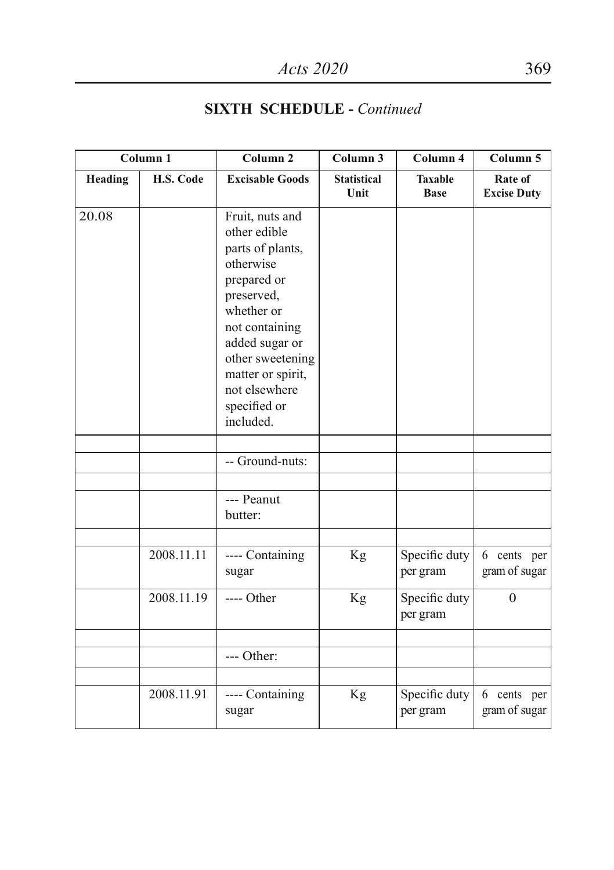| Column 1 |            | Column <sub>2</sub>                                                                                                                                                                                                                    | Column 3                   | Column 4                      | Column 5                      |
|----------|------------|----------------------------------------------------------------------------------------------------------------------------------------------------------------------------------------------------------------------------------------|----------------------------|-------------------------------|-------------------------------|
| Heading  | H.S. Code  | <b>Excisable Goods</b>                                                                                                                                                                                                                 | <b>Statistical</b><br>Unit | <b>Taxable</b><br><b>Base</b> | Rate of<br><b>Excise Duty</b> |
| 20.08    |            | Fruit, nuts and<br>other edible<br>parts of plants,<br>otherwise<br>prepared or<br>preserved,<br>whether or<br>not containing<br>added sugar or<br>other sweetening<br>matter or spirit,<br>not elsewhere<br>specified or<br>included. |                            |                               |                               |
|          |            |                                                                                                                                                                                                                                        |                            |                               |                               |
|          |            | -- Ground-nuts:                                                                                                                                                                                                                        |                            |                               |                               |
|          |            | --- Peanut<br>butter:                                                                                                                                                                                                                  |                            |                               |                               |
|          | 2008.11.11 | ---- Containing<br>sugar                                                                                                                                                                                                               | Kg                         | Specific duty<br>per gram     | 6 cents per<br>gram of sugar  |
|          | 2008.11.19 | $---$ Other                                                                                                                                                                                                                            | Kg                         | Specific duty<br>per gram     | $\Omega$                      |
|          |            | --- Other:                                                                                                                                                                                                                             |                            |                               |                               |
|          | 2008.11.91 | ---- Containing<br>sugar                                                                                                                                                                                                               | Kg                         | Specific duty<br>per gram     | 6 cents per<br>gram of sugar  |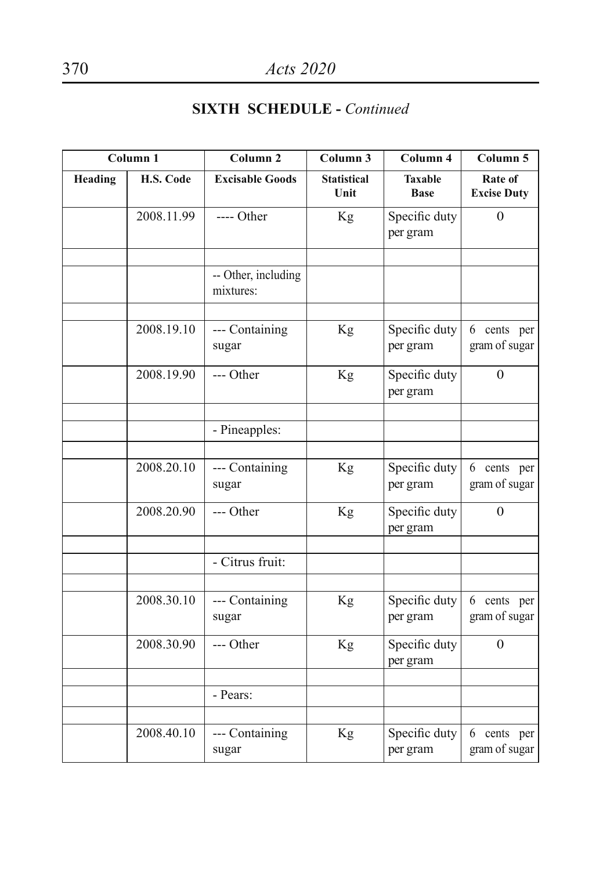| Column <sub>1</sub> |            | Column <sub>2</sub>              | Column 3                   | Column 4                      | Column 5                      |
|---------------------|------------|----------------------------------|----------------------------|-------------------------------|-------------------------------|
| Heading             | H.S. Code  | <b>Excisable Goods</b>           | <b>Statistical</b><br>Unit | <b>Taxable</b><br><b>Base</b> | Rate of<br><b>Excise Duty</b> |
|                     | 2008.11.99 | $---$ Other                      | Kg                         | Specific duty<br>per gram     | $\Omega$                      |
|                     |            | -- Other, including<br>mixtures: |                            |                               |                               |
|                     | 2008.19.10 | --- Containing<br>sugar          | Kg                         | Specific duty<br>per gram     | 6 cents per<br>gram of sugar  |
|                     | 2008.19.90 | --- Other                        | Kg                         | Specific duty<br>per gram     | $\theta$                      |
|                     |            | - Pineapples:                    |                            |                               |                               |
|                     | 2008.20.10 | --- Containing<br>sugar          | Kg                         | Specific duty<br>per gram     | 6 cents per<br>gram of sugar  |
|                     | 2008.20.90 | --- Other                        | Kg                         | Specific duty<br>per gram     | $\Omega$                      |
|                     |            | - Citrus fruit:                  |                            |                               |                               |
|                     |            |                                  |                            |                               |                               |
|                     | 2008.30.10 | --- Containing<br>sugar          | Kg                         | Specific duty<br>per gram     | 6 cents per<br>gram of sugar  |
|                     | 2008.30.90 | --- Other                        | Kg                         | Specific duty<br>per gram     | $\theta$                      |
|                     |            | - Pears:                         |                            |                               |                               |
|                     |            |                                  |                            |                               |                               |
|                     | 2008.40.10 | --- Containing<br>sugar          | Kg                         | Specific duty<br>per gram     | 6 cents per<br>gram of sugar  |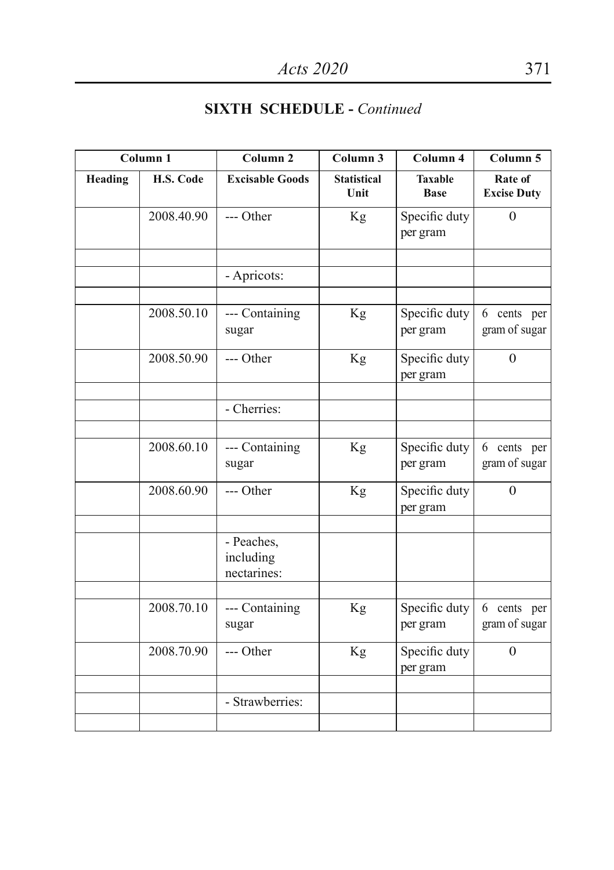| Column <sub>1</sub> |            | Column <sub>2</sub>                    | Column 3                   | Column 4                      | Column 5                        |
|---------------------|------------|----------------------------------------|----------------------------|-------------------------------|---------------------------------|
| <b>Heading</b>      | H.S. Code  | <b>Excisable Goods</b>                 | <b>Statistical</b><br>Unit | <b>Taxable</b><br><b>Base</b> | Rate of<br><b>Excise Duty</b>   |
|                     | 2008.40.90 | --- Other                              | Kg                         | Specific duty<br>per gram     | $\theta$                        |
|                     |            | - Apricots:                            |                            |                               |                                 |
|                     | 2008.50.10 | --- Containing<br>sugar                | Kg                         | Specific duty<br>per gram     | 6 cents per<br>gram of sugar    |
|                     | 2008.50.90 | --- Other                              | Kg                         | Specific duty<br>per gram     | $\theta$                        |
|                     |            | - Cherries:                            |                            |                               |                                 |
|                     | 2008.60.10 | --- Containing<br>sugar                | Kg                         | Specific duty<br>per gram     | cents per<br>6<br>gram of sugar |
|                     | 2008.60.90 | --- Other                              | Kg                         | Specific duty<br>per gram     | $\overline{0}$                  |
|                     |            | - Peaches,<br>including<br>nectarines: |                            |                               |                                 |
|                     | 2008.70.10 | --- Containing<br>sugar                | Kg                         | Specific duty<br>per gram     | 6 cents per<br>gram of sugar    |
|                     | 2008.70.90 | --- Other                              | Kg                         | Specific duty<br>per gram     | $\mathbf{0}$                    |
|                     |            | - Strawberries:                        |                            |                               |                                 |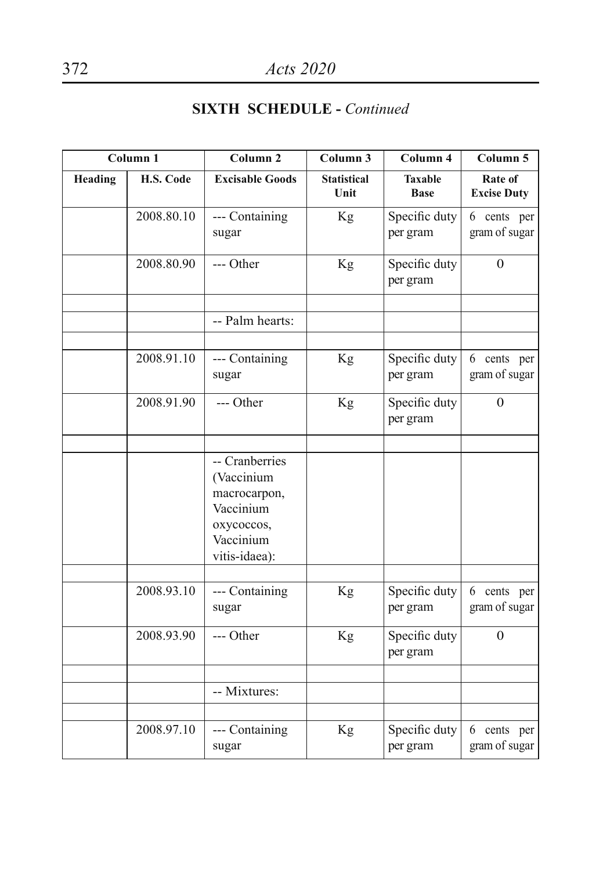| Column <sub>1</sub> |            | Column <sub>2</sub>                                                                                   | Column <sub>3</sub>        | Column 4                      | Column 5                      |
|---------------------|------------|-------------------------------------------------------------------------------------------------------|----------------------------|-------------------------------|-------------------------------|
| Heading             | H.S. Code  | <b>Excisable Goods</b>                                                                                | <b>Statistical</b><br>Unit | <b>Taxable</b><br><b>Base</b> | Rate of<br><b>Excise Duty</b> |
|                     | 2008.80.10 | --- Containing<br>sugar                                                                               | Kg                         | Specific duty<br>per gram     | 6 cents per<br>gram of sugar  |
|                     | 2008.80.90 | --- Other                                                                                             | Kg                         | Specific duty<br>per gram     | $\Omega$                      |
|                     |            |                                                                                                       |                            |                               |                               |
|                     |            | -- Palm hearts:                                                                                       |                            |                               |                               |
|                     | 2008.91.10 | --- Containing<br>sugar                                                                               | Kg                         | Specific duty<br>per gram     | 6 cents per<br>gram of sugar  |
|                     | 2008.91.90 | --- Other                                                                                             | Kg                         | Specific duty<br>per gram     | $\mathbf{0}$                  |
|                     |            | -- Cranberries<br>(Vaccinium<br>macrocarpon,<br>Vaccinium<br>охусоссоs,<br>Vaccinium<br>vitis-idaea): |                            |                               |                               |
|                     | 2008.93.10 | --- Containing<br>sugar                                                                               | Kg                         | Specific duty<br>per gram     | 6 cents per<br>gram of sugar  |
|                     | 2008.93.90 | --- Other                                                                                             | Kg                         | Specific duty<br>per gram     | $\theta$                      |
|                     |            | -- Mixtures:                                                                                          |                            |                               |                               |
|                     | 2008.97.10 | --- Containing<br>sugar                                                                               | Kg                         | Specific duty<br>per gram     | 6 cents per<br>gram of sugar  |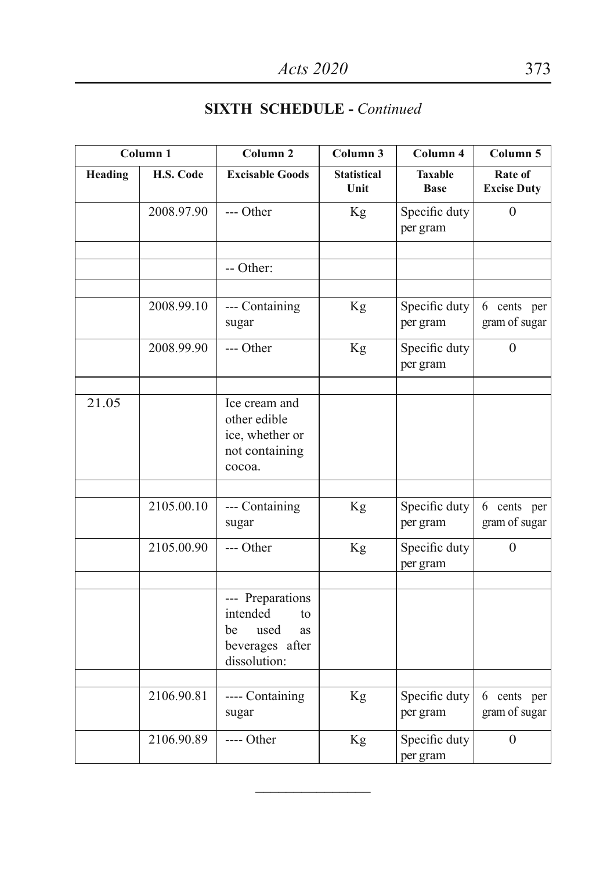| Column 1 |            | Column <sub>2</sub>                                                                       | Column <sub>3</sub>        | Column 4                      | Column 5                      |
|----------|------------|-------------------------------------------------------------------------------------------|----------------------------|-------------------------------|-------------------------------|
| Heading  | H.S. Code  | <b>Excisable Goods</b>                                                                    | <b>Statistical</b><br>Unit | <b>Taxable</b><br><b>Base</b> | Rate of<br><b>Excise Duty</b> |
|          | 2008.97.90 | --- Other                                                                                 | Kg                         | Specific duty<br>per gram     | $\theta$                      |
|          |            | -- Other:                                                                                 |                            |                               |                               |
|          | 2008.99.10 | --- Containing<br>sugar                                                                   | Kg                         | Specific duty<br>per gram     | 6 cents per<br>gram of sugar  |
|          | 2008.99.90 | --- Other                                                                                 | Kg                         | Specific duty<br>per gram     | $\theta$                      |
| 21.05    |            | Ice cream and<br>other edible<br>ice, whether or<br>not containing<br>cocoa.              |                            |                               |                               |
|          | 2105.00.10 | --- Containing<br>sugar                                                                   | Kg                         | Specific duty<br>per gram     | 6 cents per<br>gram of sugar  |
|          | 2105.00.90 | --- Other                                                                                 | Kg                         | Specific duty<br>per gram     | $\theta$                      |
|          |            | --- Preparations<br>intended<br>to<br>used<br>be<br>as<br>beverages after<br>dissolution: |                            |                               |                               |
|          | 2106.90.81 | ---- Containing<br>sugar                                                                  | Kg                         | Specific duty<br>per gram     | 6 cents per<br>gram of sugar  |
|          | 2106.90.89 | ---- Other                                                                                | Kg                         | Specific duty<br>per gram     | $\mathbf{0}$                  |

 $\mathcal{L}$  , we have the set of the set of the set of the set of the set of the set of the set of the set of the set of the set of the set of the set of the set of the set of the set of the set of the set of the set of the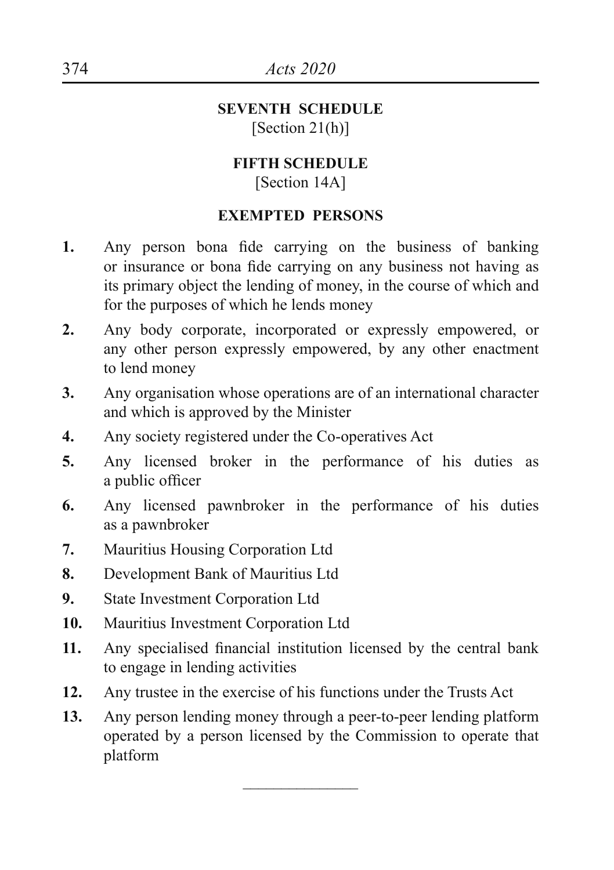#### **SEVENTH SCHEDULE** [Section 21(h)]

#### **FIFTH SCHEDULE** [Section 14A]

#### **EXEMPTED PERSONS**

- **1.** Any person bona fide carrying on the business of banking or insurance or bona fide carrying on any business not having as its primary object the lending of money, in the course of which and for the purposes of which he lends money
- **2.** Any body corporate, incorporated or expressly empowered, or any other person expressly empowered, by any other enactment to lend money
- **3.** Any organisation whose operations are of an international character and which is approved by the Minister
- **4.** Any society registered under the Co-operatives Act
- **5.** Any licensed broker in the performance of his duties as a public officer
- **6.** Any licensed pawnbroker in the performance of his duties as a pawnbroker
- **7.** Mauritius Housing Corporation Ltd
- **8.** Development Bank of Mauritius Ltd
- **9.** State Investment Corporation Ltd
- **10.** Mauritius Investment Corporation Ltd
- **11.** Any specialised financial institution licensed by the central bank to engage in lending activities
- **12.** Any trustee in the exercise of his functions under the Trusts Act
- **13.** Any person lending money through a peer-to-peer lending platform operated by a person licensed by the Commission to operate that platform

 $\mathcal{L}$  , we have the set of the set of the set of the set of the set of the set of the set of the set of the set of the set of the set of the set of the set of the set of the set of the set of the set of the set of the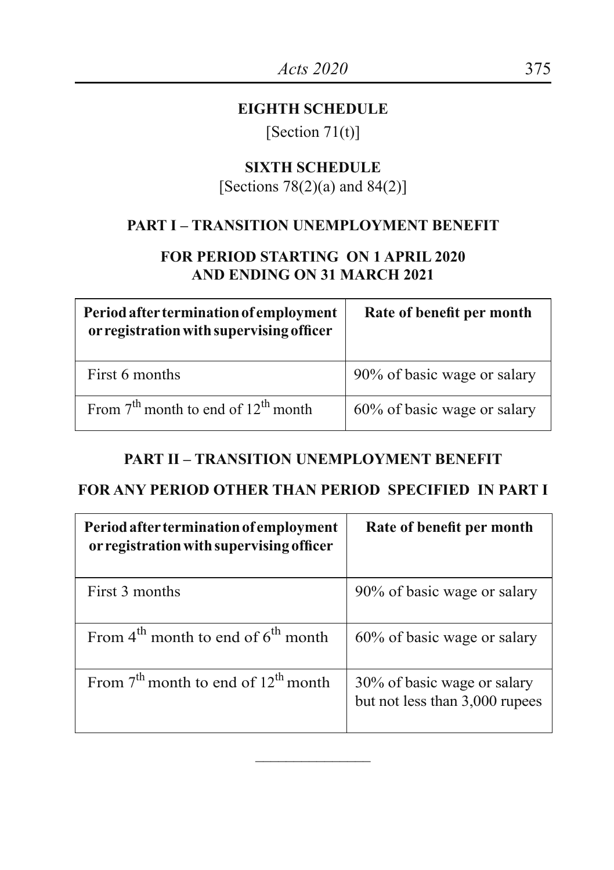#### **EIGHTH SCHEDULE**

[Section  $71(t)$ ]

# **SIXTH SCHEDULE**

# [Sections  $78(2)(a)$  and  $84(2)$ ]

#### **PART I – TRANSITION UNEMPLOYMENT BENEFIT**

#### **FOR PERIOD STARTING ON 1 APRIL 2020 AND ENDING ON 31 MARCH 2021**

| Period after termination of employment<br>or registration with supervising officer | Rate of benefit per month   |
|------------------------------------------------------------------------------------|-----------------------------|
| First 6 months                                                                     | 90% of basic wage or salary |
| From $7th$ month to end of $12th$ month                                            | 60% of basic wage or salary |

#### **PART II – TRANSITION UNEMPLOYMENT BENEFIT**

#### **FOR ANY PERIOD OTHER THAN PERIOD SPECIFIED IN PART I**

| Period after termination of employment<br>or registration with supervising officer | Rate of benefit per month                                     |
|------------------------------------------------------------------------------------|---------------------------------------------------------------|
| First 3 months                                                                     | 90% of basic wage or salary                                   |
| From $4^{\text{th}}$ month to end of $6^{\text{th}}$ month                         | 60% of basic wage or salary                                   |
| From $7^{th}$ month to end of $12^{th}$ month                                      | 30% of basic wage or salary<br>but not less than 3,000 rupees |

 $\mathcal{L}$  , we have the set of the set of the set of the set of the set of the set of the set of the set of the set of the set of the set of the set of the set of the set of the set of the set of the set of the set of the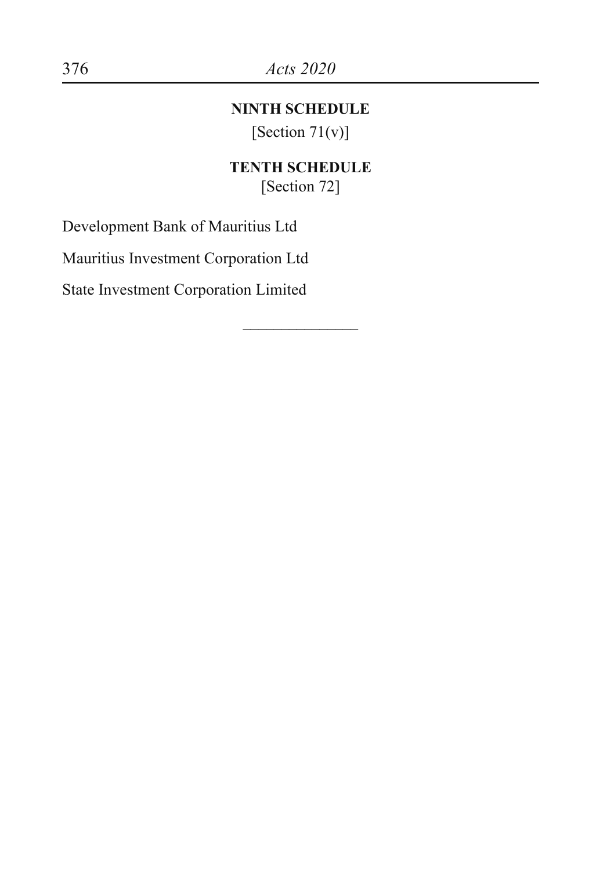#### **NINTH SCHEDULE**

[Section  $71(v)$ ]

#### **TENTH SCHEDULE** [Section 72]

 $\overline{\phantom{a}}$ 

Development Bank of Mauritius Ltd

Mauritius Investment Corporation Ltd

State Investment Corporation Limited